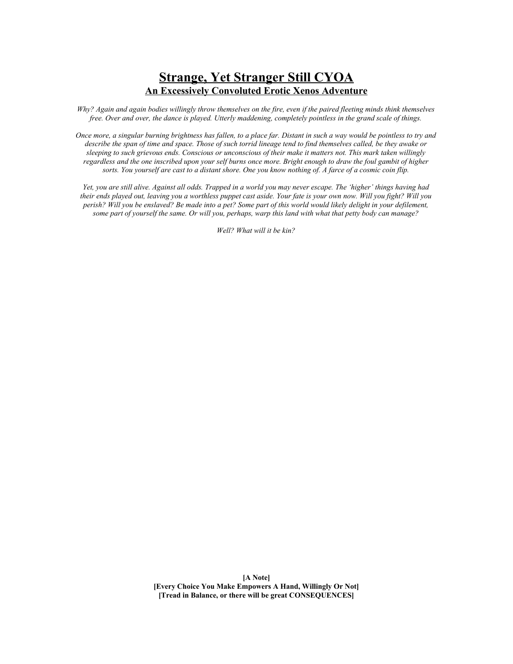# **Strange, Yet Stranger Still CYOA An Excessively Convoluted Erotic Xenos Adventure**

*Why? Again and again bodies willingly throw themselves on the fire, even if the paired fleeting minds think themselves free. Over and over, the dance is played. Utterly maddening, completely pointless in the grand scale of things.*

*Once more, a singular burning brightness has fallen, to a place far. Distant in such a way would be pointless to try and describe the span of time and space. Those of such torrid lineage tend to find themselves called, be they awake or sleeping to such grievous ends. Conscious or unconscious of their make it matters not. This mark taken willingly regardless and the one inscribed upon your self burns once more. Bright enough to draw the foul gambit of higher sorts. You yourself are cast to a distant shore. One you know nothing of. A farce of a cosmic coin flip.*

*Yet, you are still alive. Against all odds. Trapped in a world you may never escape. The 'higher' things having had their ends played out, leaving you a worthless puppet cast aside. Your fate is your own now. Will you fight? Will you perish? Will you be enslaved? Be made into a pet? Some part of this world would likely delight in your defilement, some part of yourself the same. Or will you, perhaps, warp this land with what that petty body can manage?*

*Well? What will it be kin?*

**[A Note] [Every Choice You Make Empowers A Hand, Willingly Or Not] [Tread in Balance, or there will be great CONSEQUENCES]**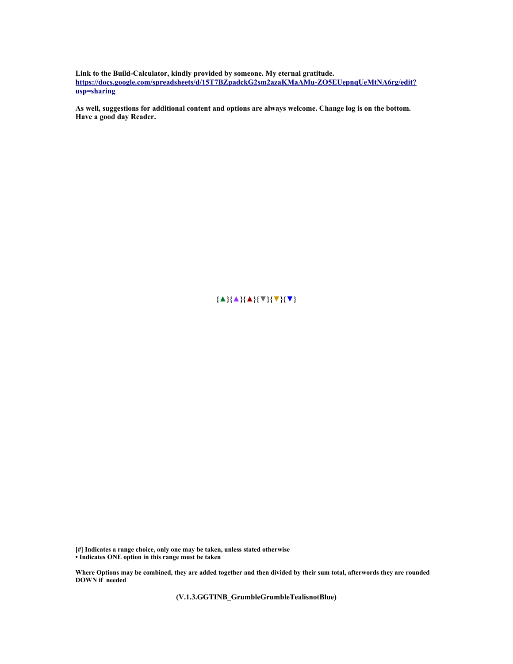**Link to the Build-Calculator, kindly provided by someone. My eternal gratitude. [https://docs.google.com/spreadsheets/d/15T7BZpadckG2sm2azaKMaAMu-ZO5EUepnqUeMtNA6rg/edit?](https://docs.google.com/spreadsheets/d/15T7BZpadckG2sm2azaKMaAMu-ZO5EUepnqUeMtNA6rg/edit?usp=sharing) [usp=sharing](https://docs.google.com/spreadsheets/d/15T7BZpadckG2sm2azaKMaAMu-ZO5EUepnqUeMtNA6rg/edit?usp=sharing)**

**As well, suggestions for additional content and options are always welcome. Change log is on the bottom. Have a good day Reader.**

**{▲}{▲}{▲}{▼}{▼}{▼}**

**[#] Indicates a range choice, only one may be taken, unless stated otherwise • Indicates ONE option in this range must be taken**

**Where Options may be combined, they are added together and then divided by their sum total, afterwords they are rounded DOWN if needed**

**(V.1.3.GGTINB\_GrumbleGrumbleTealisnotBlue)**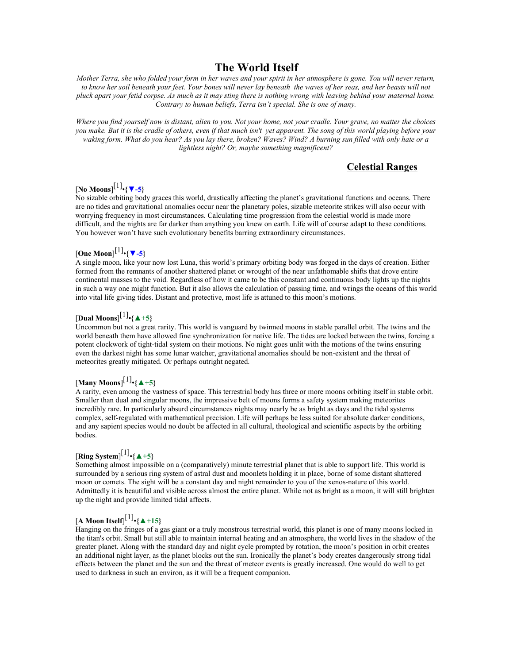#### **The World Itself**

*Mother Terra, she who folded your form in her waves and your spirit in her atmosphere is gone. You will never return, to know her soil beneath your feet. Your bones will never lay beneath the waves of her seas, and her beasts will not pluck apart your fetid corpse. As much as it may sting there is nothing wrong with leaving behind your maternal home. Contrary to human beliefs, Terra isn't special. She is one of many.*

*Where you find yourself now is distant, alien to you. Not your home, not your cradle. Your grave, no matter the choices you make. But it is the cradle of others, even if that much isn't yet apparent. The song of this world playing before your waking form. What do you hear? As you lay there, broken? Waves? Wind? A burning sun filled with only hate or a lightless night? Or, maybe something magnificent?*

#### **Celestial Ranges**

# [**No Moons**] [1] •**{▼-5}**

No sizable orbiting body graces this world, drastically affecting the planet's gravitational functions and oceans. There are no tides and gravitational anomalies occur near the planetary poles, sizable meteorite strikes will also occur with worrying frequency in most circumstances. Calculating time progression from the celestial world is made more difficult, and the nights are far darker than anything you knew on earth. Life will of course adapt to these conditions. You however won't have such evolutionary benefits barring extraordinary circumstances.

# [**One Moon**] [1] •**{▼-5}**

A single moon, like your now lost Luna, this world's primary orbiting body was forged in the days of creation. Either formed from the remnants of another shattered planet or wrought of the near unfathomable shifts that drove entire continental masses to the void. Regardless of how it came to be this constant and continuous body lights up the nights in such a way one might function. But it also allows the calculation of passing time, and wrings the oceans of this world into vital life giving tides. Distant and protective, most life is attuned to this moon's motions.

# [**Dual Moons**] [1] •**{▲+5}**

Uncommon but not a great rarity. This world is vanguard by twinned moons in stable parallel orbit. The twins and the world beneath them have allowed fine synchronization for native life. The tides are locked between the twins, forcing a potent clockwork of tight-tidal system on their motions. No night goes unlit with the motions of the twins ensuring even the darkest night has some lunar watcher, gravitational anomalies should be non-existent and the threat of meteorites greatly mitigated. Or perhaps outright negated.

# [**Many Moons**] [1] •**{▲+5}**

A rarity, even among the vastness of space. This terrestrial body has three or more moons orbiting itself in stable orbit. Smaller than dual and singular moons, the impressive belt of moons forms a safety system making meteorites incredibly rare. In particularly absurd circumstances nights may nearly be as bright as days and the tidal systems complex, self-regulated with mathematical precision. Life will perhaps be less suited for absolute darker conditions, and any sapient species would no doubt be affected in all cultural, theological and scientific aspects by the orbiting bodies.

# [**Ring System**] [1] •**{▲+5}**

Something almost impossible on a (comparatively) minute terrestrial planet that is able to support life. This world is surrounded by a serious ring system of astral dust and moonlets holding it in place, borne of some distant shattered moon or comets. The sight will be a constant day and night remainder to you of the xenos-nature of this world. Admittedly it is beautiful and visible across almost the entire planet. While not as bright as a moon, it will still brighten up the night and provide limited tidal affects.

# [**A Moon Itself**] [1] •**{▲+15}**

Hanging on the fringes of a gas giant or a truly monstrous terrestrial world, this planet is one of many moons locked in the titan's orbit. Small but still able to maintain internal heating and an atmosphere, the world lives in the shadow of the greater planet. Along with the standard day and night cycle prompted by rotation, the moon's position in orbit creates an additional night layer, as the planet blocks out the sun. Ironically the planet's body creates dangerously strong tidal effects between the planet and the sun and the threat of meteor events is greatly increased. One would do well to get used to darkness in such an environ, as it will be a frequent companion.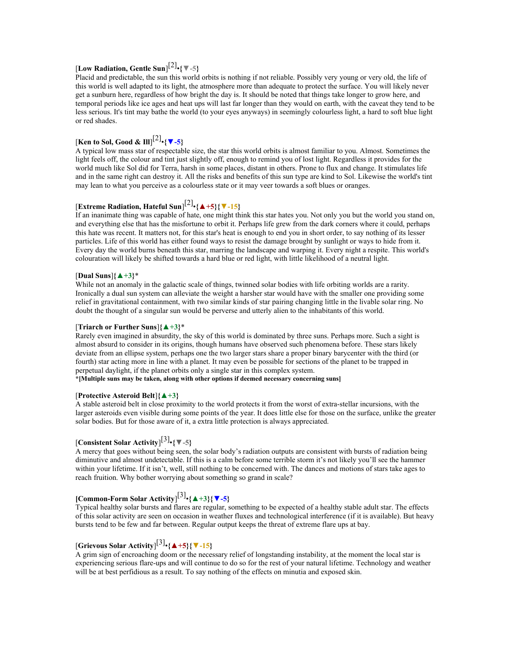# [**Low Radiation, Gentle Sun**] [2] •**{▼-5}**

Placid and predictable, the sun this world orbits is nothing if not reliable. Possibly very young or very old, the life of this world is well adapted to its light, the atmosphere more than adequate to protect the surface. You will likely never get a sunburn here, regardless of how bright the day is. It should be noted that things take longer to grow here, and temporal periods like ice ages and heat ups will last far longer than they would on earth, with the caveat they tend to be less serious. It's tint may bathe the world (to your eyes anyways) in seemingly colourless light, a hard to soft blue light or red shades.

# [**Ken to Sol, Good & Ill**] [2] •**{▼-5}**

A typical low mass star of respectable size, the star this world orbits is almost familiar to you. Almost. Sometimes the light feels off, the colour and tint just slightly off, enough to remind you of lost light. Regardless it provides for the world much like Sol did for Terra, harsh in some places, distant in others. Prone to flux and change. It stimulates life and in the same right can destroy it. All the risks and benefits of this sun type are kind to Sol. Likewise the world's tint may lean to what you perceive as a colourless state or it may veer towards a soft blues or oranges.

# [**Extreme Radiation, Hateful Sun**] [2] •**{▲+5}{▼-15}**

If an inanimate thing was capable of hate, one might think this star hates you. Not only you but the world you stand on, and everything else that has the misfortune to orbit it. Perhaps life grew from the dark corners where it could, perhaps this hate was recent. It matters not, for this star's heat is enough to end you in short order, to say nothing of its lesser particles. Life of this world has either found ways to resist the damage brought by sunlight or ways to hide from it. Every day the world burns beneath this star, marring the landscape and warping it. Every night a respite. This world's colouration will likely be shifted towards a hard blue or red light, with little likelihood of a neutral light.

#### [**Dual Suns**]**{▲+3}**\*

While not an anomaly in the galactic scale of things, twinned solar bodies with life orbiting worlds are a rarity. Ironically a dual sun system can alleviate the weight a harsher star would have with the smaller one providing some relief in gravitational containment, with two similar kinds of star pairing changing little in the livable solar ring. No doubt the thought of a singular sun would be perverse and utterly alien to the inhabitants of this world.

#### [**Triarch or Further Suns**]**{▲+3}**\*

Rarely even imagined in absurdity, the sky of this world is dominated by three suns. Perhaps more. Such a sight is almost absurd to consider in its origins, though humans have observed such phenomena before. These stars likely deviate from an ellipse system, perhaps one the two larger stars share a proper binary barycenter with the third (or fourth) star acting more in line with a planet. It may even be possible for sections of the planet to be trapped in perpetual daylight, if the planet orbits only a single star in this complex system.

**\*[Multiple suns may be taken, along with other options if deemed necessary concerning suns]**

#### [**Protective Asteroid Belt**]**{▲+3}**

A stable asteroid belt in close proximity to the world protects it from the worst of extra-stellar incursions, with the larger asteroids even visible during some points of the year. It does little else for those on the surface, unlike the greater solar bodies. But for those aware of it, a extra little protection is always appreciated.

# [**Consistent Solar Activity**] [3] •**{▼-5}**

A mercy that goes without being seen, the solar body's radiation outputs are consistent with bursts of radiation being diminutive and almost undetectable. If this is a calm before some terrible storm it's not likely you'll see the hammer within your lifetime. If it isn't, well, still nothing to be concerned with. The dances and motions of stars take ages to reach fruition. Why bother worrying about something so grand in scale?

# **[Common-Form Solar Activity**] [3] •**{▲+3}{▼-5}**

Typical healthy solar bursts and flares are regular, something to be expected of a healthy stable adult star. The effects of this solar activity are seen on occasion in weather fluxes and technological interference (if it is available). But heavy bursts tend to be few and far between. Regular output keeps the threat of extreme flare ups at bay.

# [**Grievous Solar Activity**] [3] •**{▲+5}{▼-15}**

A grim sign of encroaching doom or the necessary relief of longstanding instability, at the moment the local star is experiencing serious flare-ups and will continue to do so for the rest of your natural lifetime. Technology and weather will be at best perfidious as a result. To say nothing of the effects on minutia and exposed skin.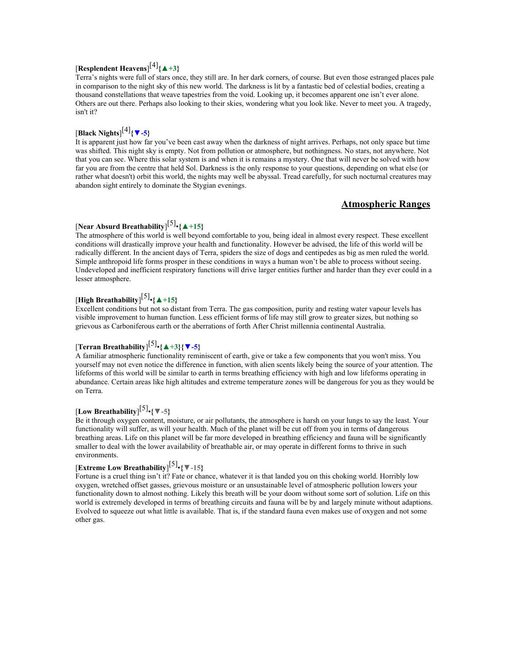# [**Resplendent Heavens**] [4]**{▲+3}**

Terra's nights were full of stars once, they still are. In her dark corners, of course. But even those estranged places pale in comparison to the night sky of this new world. The darkness is lit by a fantastic bed of celestial bodies, creating a thousand constellations that weave tapestries from the void. Looking up, it becomes apparent one isn't ever alone. Others are out there. Perhaps also looking to their skies, wondering what you look like. Never to meet you. A tragedy, isn't it?

# [**Black Nights**] [4]**{▼-5}**

It is apparent just how far you've been cast away when the darkness of night arrives. Perhaps, not only space but time was shifted. This night sky is empty. Not from pollution or atmosphere, but nothingness. No stars, not anywhere. Not that you can see. Where this solar system is and when it is remains a mystery. One that will never be solved with how far you are from the centre that held Sol. Darkness is the only response to your questions, depending on what else (or rather what doesn't) orbit this world, the nights may well be abyssal. Tread carefully, for such nocturnal creatures may abandon sight entirely to dominate the Stygian evenings.

#### **Atmospheric Ranges**

# [**Near Absurd Breathability**] [5] •**{▲+15}**

The atmosphere of this world is well beyond comfortable to you, being ideal in almost every respect. These excellent conditions will drastically improve your health and functionality. However be advised, the life of this world will be radically different. In the ancient days of Terra, spiders the size of dogs and centipedes as big as men ruled the world. Simple anthropoid life forms prosper in these conditions in ways a human won't be able to process without seeing. Undeveloped and inefficient respiratory functions will drive larger entities further and harder than they ever could in a lesser atmosphere.

# [**High Breathability**] [5] •**{▲+15}**

Excellent conditions but not so distant from Terra. The gas composition, purity and resting water vapour levels has visible improvement to human function. Less efficient forms of life may still grow to greater sizes, but nothing so grievous as Carboniferous earth or the aberrations of forth After Christ millennia continental Australia.

# [**Terran Breathability**] [5] •**{▲+3}{▼-5}**

A familiar atmospheric functionality reminiscent of earth, give or take a few components that you won't miss. You yourself may not even notice the difference in function, with alien scents likely being the source of your attention. The lifeforms of this world will be similar to earth in terms breathing efficiency with high and low lifeforms operating in abundance. Certain areas like high altitudes and extreme temperature zones will be dangerous for you as they would be on Terra.

# [**Low Breathability**] [5] •**{▼-5}**

Be it through oxygen content, moisture, or air pollutants, the atmosphere is harsh on your lungs to say the least. Your functionality will suffer, as will your health. Much of the planet will be cut off from you in terms of dangerous breathing areas. Life on this planet will be far more developed in breathing efficiency and fauna will be significantly smaller to deal with the lower availability of breathable air, or may operate in different forms to thrive in such environments.

# [**Extreme Low Breathability**] [5] •**{▼-15}**

Fortune is a cruel thing isn't it? Fate or chance, whatever it is that landed you on this choking world. Horribly low oxygen, wretched offset gasses, grievous moisture or an unsustainable level of atmospheric pollution lowers your functionality down to almost nothing. Likely this breath will be your doom without some sort of solution. Life on this world is extremely developed in terms of breathing circuits and fauna will be by and largely minute without adaptions. Evolved to squeeze out what little is available. That is, if the standard fauna even makes use of oxygen and not some other gas.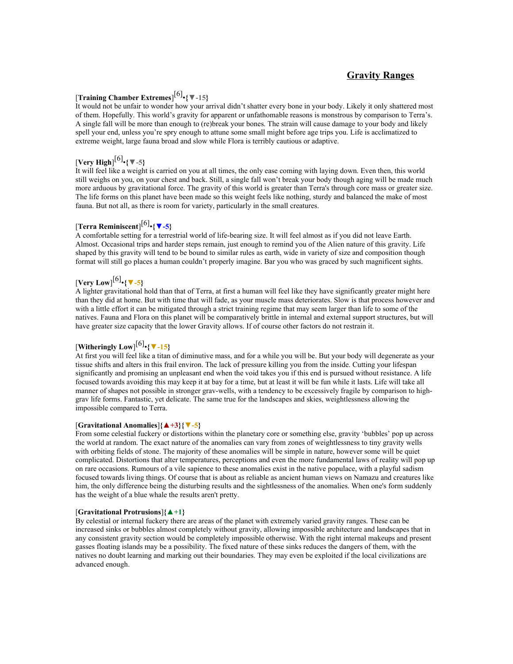#### **Gravity Ranges**

# [**Training Chamber Extremes**] [6] •**{▼-15}**

It would not be unfair to wonder how your arrival didn't shatter every bone in your body. Likely it only shattered most of them. Hopefully. This world's gravity for apparent or unfathomable reasons is monstrous by comparison to Terra's. A single fall will be more than enough to (re)break your bones. The strain will cause damage to your body and likely spell your end, unless you're spry enough to attune some small might before age trips you. Life is acclimatized to extreme weight, large fauna broad and slow while Flora is terribly cautious or adaptive.

# [**Very High**] [6] •**{▼-5}**

It will feel like a weight is carried on you at all times, the only ease coming with laying down. Even then, this world still weighs on you, on your chest and back. Still, a single fall won't break your body though aging will be made much more arduous by gravitational force. The gravity of this world is greater than Terra's through core mass or greater size. The life forms on this planet have been made so this weight feels like nothing, sturdy and balanced the make of most fauna. But not all, as there is room for variety, particularly in the small creatures.

# [**Terra Reminiscent**] [6] •**{▼-5}**

A comfortable setting for a terrestrial world of life-bearing size. It will feel almost as if you did not leave Earth. Almost. Occasional trips and harder steps remain, just enough to remind you of the Alien nature of this gravity. Life shaped by this gravity will tend to be bound to similar rules as earth, wide in variety of size and composition though format will still go places a human couldn't properly imagine. Bar you who was graced by such magnificent sights.

# [**Very Low**] [6] •**{▼-5}**

A lighter gravitational hold than that of Terra, at first a human will feel like they have significantly greater might here than they did at home. But with time that will fade, as your muscle mass deteriorates. Slow is that process however and with a little effort it can be mitigated through a strict training regime that may seem larger than life to some of the natives. Fauna and Flora on this planet will be comparatively brittle in internal and external support structures, but will have greater size capacity that the lower Gravity allows. If of course other factors do not restrain it.

# [**Witheringly Low**] [6] •**{▼-15}**

At first you will feel like a titan of diminutive mass, and for a while you will be. But your body will degenerate as your tissue shifts and alters in this frail environ. The lack of pressure killing you from the inside. Cutting your lifespan significantly and promising an unpleasant end when the void takes you if this end is pursued without resistance. A life focused towards avoiding this may keep it at bay for a time, but at least it will be fun while it lasts. Life will take all manner of shapes not possible in stronger grav-wells, with a tendency to be excessively fragile by comparison to highgrav life forms. Fantastic, yet delicate. The same true for the landscapes and skies, weightlessness allowing the impossible compared to Terra.

#### [**Gravitational Anomalies**]**{▲+3}{▼-5}**

From some celestial fuckery or distortions within the planetary core or something else, gravity 'bubbles' pop up across the world at random. The exact nature of the anomalies can vary from zones of weightlessness to tiny gravity wells with orbiting fields of stone. The majority of these anomalies will be simple in nature, however some will be quiet complicated. Distortions that alter temperatures, perceptions and even the more fundamental laws of reality will pop up on rare occasions. Rumours of a vile sapience to these anomalies exist in the native populace, with a playful sadism focused towards living things. Of course that is about as reliable as ancient human views on Namazu and creatures like him, the only difference being the disturbing results and the sightlessness of the anomalies. When one's form suddenly has the weight of a blue whale the results aren't pretty.

#### [**Gravitational Protrusions**]**{▲+1}**

By celestial or internal fuckery there are areas of the planet with extremely varied gravity ranges. These can be increased sinks or bubbles almost completely without gravity, allowing impossible architecture and landscapes that in any consistent gravity section would be completely impossible otherwise. With the right internal makeups and present gasses floating islands may be a possibility. The fixed nature of these sinks reduces the dangers of them, with the natives no doubt learning and marking out their boundaries. They may even be exploited if the local civilizations are advanced enough.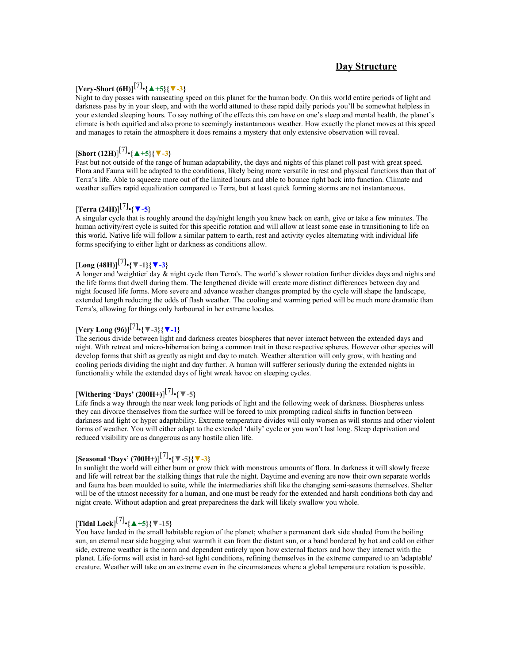#### **Day Structure**

# [**Very-Short (6H)**] [7] •**{▲+5}{▼-3}**

Night to day passes with nauseating speed on this planet for the human body. On this world entire periods of light and darkness pass by in your sleep, and with the world attuned to these rapid daily periods you'll be somewhat helpless in your extended sleeping hours. To say nothing of the effects this can have on one's sleep and mental health, the planet's climate is both equified and also prone to seemingly instantaneous weather. How exactly the planet moves at this speed and manages to retain the atmosphere it does remains a mystery that only extensive observation will reveal.

# [**Short (12H)**] [7] •**{▲+5}{▼-3}**

Fast but not outside of the range of human adaptability, the days and nights of this planet roll past with great speed. Flora and Fauna will be adapted to the conditions, likely being more versatile in rest and physical functions than that of Terra's life. Able to squeeze more out of the limited hours and able to bounce right back into function. Climate and weather suffers rapid equalization compared to Terra, but at least quick forming storms are not instantaneous.

# [**Terra (24H)**] [7] •**{▼-5}**

A singular cycle that is roughly around the day/night length you knew back on earth, give or take a few minutes. The human activity/rest cycle is suited for this specific rotation and will allow at least some ease in transitioning to life on this world. Native life will follow a similar pattern to earth, rest and activity cycles alternating with individual life forms specifying to either light or darkness as conditions allow.

# [**Long (48H)**] [7] •**{▼-1}{▼-3}**

A longer and 'weightier' day & night cycle than Terra's. The world's slower rotation further divides days and nights and the life forms that dwell during them. The lengthened divide will create more distinct differences between day and night focused life forms. More severe and advance weather changes prompted by the cycle will shape the landscape, extended length reducing the odds of flash weather. The cooling and warming period will be much more dramatic than Terra's, allowing for things only harboured in her extreme locales.

# [**Very Long (96)**] [7] •**{▼-3}{▼-1}**

The serious divide between light and darkness creates biospheres that never interact between the extended days and night. With retreat and micro-hibernation being a common trait in these respective spheres. However other species will develop forms that shift as greatly as night and day to match. Weather alteration will only grow, with heating and cooling periods dividing the night and day further. A human will sufferer seriously during the extended nights in functionality while the extended days of light wreak havoc on sleeping cycles.

# [**Withering 'Days' (200H+)**] [7] •**{▼-5}**

Life finds a way through the near week long periods of light and the following week of darkness. Biospheres unless they can divorce themselves from the surface will be forced to mix prompting radical shifts in function between darkness and light or hyper adaptability. Extreme temperature divides will only worsen as will storms and other violent forms of weather. You will either adapt to the extended 'daily' cycle or you won't last long. Sleep deprivation and reduced visibility are as dangerous as any hostile alien life.

# [**Seasonal 'Days' (700H+)**] [7] •**{▼-5}{▼-3}**

In sunlight the world will either burn or grow thick with monstrous amounts of flora. In darkness it will slowly freeze and life will retreat bar the stalking things that rule the night. Daytime and evening are now their own separate worlds and fauna has been moulded to suite, while the intermediaries shift like the changing semi-seasons themselves. Shelter will be of the utmost necessity for a human, and one must be ready for the extended and harsh conditions both day and night create. Without adaption and great preparedness the dark will likely swallow you whole.

# [**Tidal Lock**] [7] •**{▲+5}{▼-15}**

You have landed in the small habitable region of the planet; whether a permanent dark side shaded from the boiling sun, an eternal near side hogging what warmth it can from the distant sun, or a band bordered by hot and cold on either side, extreme weather is the norm and dependent entirely upon how external factors and how they interact with the planet. Life-forms will exist in hard-set light conditions, refining themselves in the extreme compared to an 'adaptable' creature. Weather will take on an extreme even in the circumstances where a global temperature rotation is possible.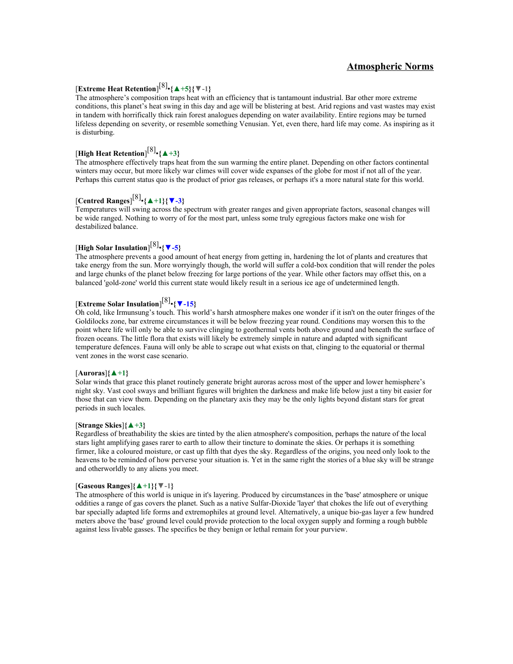#### **Atmospheric Norms**

# [**Extreme Heat Retention**] [8] •**{▲+5}{▼-1}**

The atmosphere's composition traps heat with an efficiency that is tantamount industrial. Bar other more extreme conditions, this planet's heat swing in this day and age will be blistering at best. Arid regions and vast wastes may exist in tandem with horrifically thick rain forest analogues depending on water availability. Entire regions may be turned lifeless depending on severity, or resemble something Venusian. Yet, even there, hard life may come. As inspiring as it is disturbing.

# [**High Heat Retention**] [8] •**{▲+3}**

The atmosphere effectively traps heat from the sun warming the entire planet. Depending on other factors continental winters may occur, but more likely war climes will cover wide expanses of the globe for most if not all of the year. Perhaps this current status quo is the product of prior gas releases, or perhaps it's a more natural state for this world.

# [**Centred Ranges**] [8] •**{▲+1}{▼-3}**

Temperatures will swing across the spectrum with greater ranges and given appropriate factors, seasonal changes will be wide ranged. Nothing to worry of for the most part, unless some truly egregious factors make one wish for destabilized balance.

# [**High Solar Insulation**] [8] •**{▼-5}**

The atmosphere prevents a good amount of heat energy from getting in, hardening the lot of plants and creatures that take energy from the sun. More worryingly though, the world will suffer a cold-box condition that will render the poles and large chunks of the planet below freezing for large portions of the year. While other factors may offset this, on a balanced 'gold-zone' world this current state would likely result in a serious ice age of undetermined length.

# [**Extreme Solar Insulation**] [8] •**{▼-15}**

Oh cold, like Irmunsung's touch. This world's harsh atmosphere makes one wonder if it isn't on the outer fringes of the Goldilocks zone, bar extreme circumstances it will be below freezing year round. Conditions may worsen this to the point where life will only be able to survive clinging to geothermal vents both above ground and beneath the surface of frozen oceans. The little flora that exists will likely be extremely simple in nature and adapted with significant temperature defences. Fauna will only be able to scrape out what exists on that, clinging to the equatorial or thermal vent zones in the worst case scenario.

#### [**Auroras**]**{▲+1}**

Solar winds that grace this planet routinely generate bright auroras across most of the upper and lower hemisphere's night sky. Vast cool sways and brilliant figures will brighten the darkness and make life below just a tiny bit easier for those that can view them. Depending on the planetary axis they may be the only lights beyond distant stars for great periods in such locales.

#### [**Strange Skies**]**{▲+3}**

Regardless of breathability the skies are tinted by the alien atmosphere's composition, perhaps the nature of the local stars light amplifying gases rarer to earth to allow their tincture to dominate the skies. Or perhaps it is something firmer, like a coloured moisture, or cast up filth that dyes the sky. Regardless of the origins, you need only look to the heavens to be reminded of how perverse your situation is. Yet in the same right the stories of a blue sky will be strange and otherworldly to any aliens you meet.

#### [**Gaseous Ranges**]**{▲+1}{▼-1}**

The atmosphere of this world is unique in it's layering. Produced by circumstances in the 'base' atmosphere or unique oddities a range of gas covers the planet. Such as a native Sulfar-Dioxide 'layer' that chokes the life out of everything bar specially adapted life forms and extremophiles at ground level. Alternatively, a unique bio-gas layer a few hundred meters above the 'base' ground level could provide protection to the local oxygen supply and forming a rough bubble against less livable gasses. The specifics be they benign or lethal remain for your purview.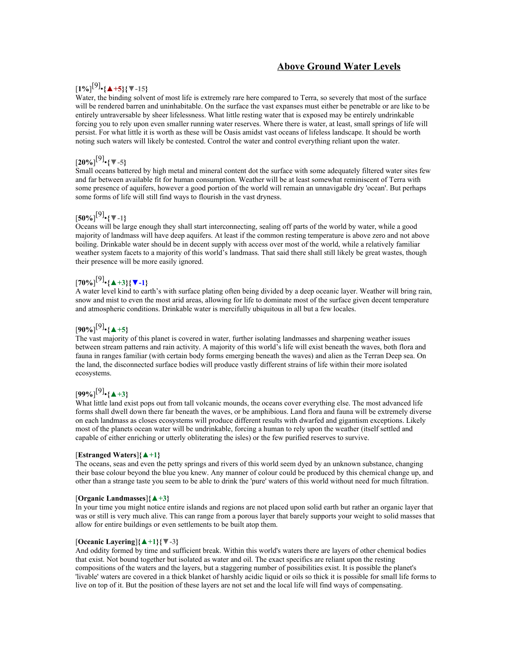#### **Above Ground Water Levels**

# [**1%**] [9] •**{▲+5}{▼-15}**

Water, the binding solvent of most life is extremely rare here compared to Terra, so severely that most of the surface will be rendered barren and uninhabitable. On the surface the vast expanses must either be penetrable or are like to be entirely untraversable by sheer lifelessness. What little resting water that is exposed may be entirely undrinkable forcing you to rely upon even smaller running water reserves. Where there is water, at least, small springs of life will persist. For what little it is worth as these will be Oasis amidst vast oceans of lifeless landscape. It should be worth noting such waters will likely be contested. Control the water and control everything reliant upon the water.

# [**20%**] [9] •**{▼-5}**

Small oceans battered by high metal and mineral content dot the surface with some adequately filtered water sites few and far between available fit for human consumption. Weather will be at least somewhat reminiscent of Terra with some presence of aquifers, however a good portion of the world will remain an unnavigable dry 'ocean'. But perhaps some forms of life will still find ways to flourish in the vast dryness.

# [**50%**] [9] •**{▼-1}**

Oceans will be large enough they shall start interconnecting, sealing off parts of the world by water, while a good majority of landmass will have deep aquifers. At least if the common resting temperature is above zero and not above boiling. Drinkable water should be in decent supply with access over most of the world, while a relatively familiar weather system facets to a majority of this world's landmass. That said there shall still likely be great wastes, though their presence will be more easily ignored.

# [**70%**] [9] •**{▲+3}{▼-1}**

A water level kind to earth's with surface plating often being divided by a deep oceanic layer. Weather will bring rain, snow and mist to even the most arid areas, allowing for life to dominate most of the surface given decent temperature and atmospheric conditions. Drinkable water is mercifully ubiquitous in all but a few locales.

# [**90%**] [9] •**{▲+5}**

The vast majority of this planet is covered in water, further isolating landmasses and sharpening weather issues between stream patterns and rain activity. A majority of this world's life will exist beneath the waves, both flora and fauna in ranges familiar (with certain body forms emerging beneath the waves) and alien as the Terran Deep sea. On the land, the disconnected surface bodies will produce vastly different strains of life within their more isolated ecosystems.

# [**99%**] [9] •**{▲+3}**

What little land exist pops out from tall volcanic mounds, the oceans cover everything else. The most advanced life forms shall dwell down there far beneath the waves, or be amphibious. Land flora and fauna will be extremely diverse on each landmass as closes ecosystems will produce different results with dwarfed and gigantism exceptions. Likely most of the planets ocean water will be undrinkable, forcing a human to rely upon the weather (itself settled and capable of either enriching or utterly obliterating the isles) or the few purified reserves to survive.

#### [**Estranged Waters**]**{▲+1}**

The oceans, seas and even the petty springs and rivers of this world seem dyed by an unknown substance, changing their base colour beyond the blue you knew. Any manner of colour could be produced by this chemical change up, and other than a strange taste you seem to be able to drink the 'pure' waters of this world without need for much filtration.

#### [**Organic Landmasses**]**{▲+3}**

In your time you might notice entire islands and regions are not placed upon solid earth but rather an organic layer that was or still is very much alive. This can range from a porous layer that barely supports your weight to solid masses that allow for entire buildings or even settlements to be built atop them.

#### [**Oceanic Layering**]**{▲+1}{▼-3}**

And oddity formed by time and sufficient break. Within this world's waters there are layers of other chemical bodies that exist. Not bound together but isolated as water and oil. The exact specifics are reliant upon the resting compositions of the waters and the layers, but a staggering number of possibilities exist. It is possible the planet's 'livable' waters are covered in a thick blanket of harshly acidic liquid or oils so thick it is possible for small life forms to live on top of it. But the position of these layers are not set and the local life will find ways of compensating.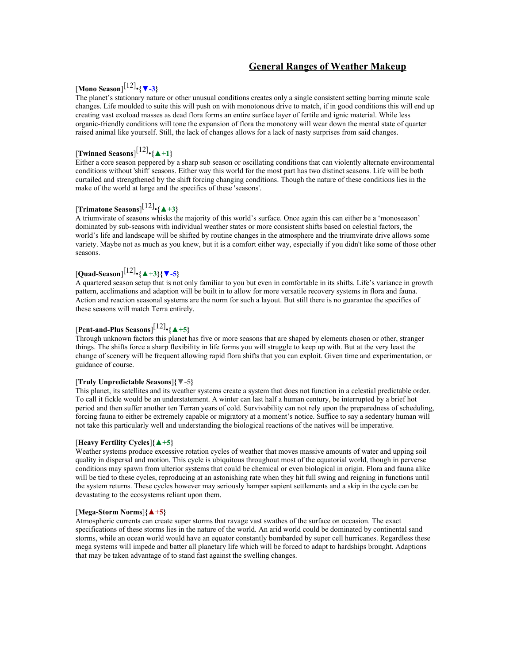#### **General Ranges of Weather Makeup**

# [**Mono Season**] [12] •**{▼-3}**

The planet's stationary nature or other unusual conditions creates only a single consistent setting barring minute scale changes. Life moulded to suite this will push on with monotonous drive to match, if in good conditions this will end up creating vast exoload masses as dead flora forms an entire surface layer of fertile and ignic material. While less organic-friendly conditions will tone the expansion of flora the monotony will wear down the mental state of quarter raised animal like yourself. Still, the lack of changes allows for a lack of nasty surprises from said changes.

# [**Twinned Seasons**] [12] •**{▲+1}**

Either a core season peppered by a sharp sub season or oscillating conditions that can violently alternate environmental conditions without 'shift' seasons. Either way this world for the most part has two distinct seasons. Life will be both curtailed and strengthened by the shift forcing changing conditions. Though the nature of these conditions lies in the make of the world at large and the specifics of these 'seasons'.

# [**Trimatone Seasons**] [12] •**{▲+3}**

A triumvirate of seasons whisks the majority of this world's surface. Once again this can either be a 'monoseason' dominated by sub-seasons with individual weather states or more consistent shifts based on celestial factors, the world's life and landscape will be shifted by routine changes in the atmosphere and the triumvirate drive allows some variety. Maybe not as much as you knew, but it is a comfort either way, especially if you didn't like some of those other seasons.

# [**Quad-Season**] [12] •**{▲+3}{▼-5}**

A quartered season setup that is not only familiar to you but even in comfortable in its shifts. Life's variance in growth pattern, acclimations and adaption will be built in to allow for more versatile recovery systems in flora and fauna. Action and reaction seasonal systems are the norm for such a layout. But still there is no guarantee the specifics of these seasons will match Terra entirely.

# [**Pent-and-Plus Seasons**] [12] •**{▲+5}**

Through unknown factors this planet has five or more seasons that are shaped by elements chosen or other, stranger things. The shifts force a sharp flexibility in life forms you will struggle to keep up with. But at the very least the change of scenery will be frequent allowing rapid flora shifts that you can exploit. Given time and experimentation, or guidance of course.

#### [**Truly Unpredictable Seasons**]**{▼-5}**

This planet, its satellites and its weather systems create a system that does not function in a celestial predictable order. To call it fickle would be an understatement. A winter can last half a human century, be interrupted by a brief hot period and then suffer another ten Terran years of cold. Survivability can not rely upon the preparedness of scheduling, forcing fauna to either be extremely capable or migratory at a moment's notice. Suffice to say a sedentary human will not take this particularly well and understanding the biological reactions of the natives will be imperative.

#### [**Heavy Fertility Cycles**]**{▲+5}**

Weather systems produce excessive rotation cycles of weather that moves massive amounts of water and upping soil quality in dispersal and motion. This cycle is ubiquitous throughout most of the equatorial world, though in perverse conditions may spawn from ulterior systems that could be chemical or even biological in origin. Flora and fauna alike will be tied to these cycles, reproducing at an astonishing rate when they hit full swing and reigning in functions until the system returns. These cycles however may seriously hamper sapient settlements and a skip in the cycle can be devastating to the ecosystems reliant upon them.

#### [**Mega-Storm Norms**]**{▲+5}**

Atmospheric currents can create super storms that ravage vast swathes of the surface on occasion. The exact specifications of these storms lies in the nature of the world. An arid world could be dominated by continental sand storms, while an ocean world would have an equator constantly bombarded by super cell hurricanes. Regardless these mega systems will impede and batter all planetary life which will be forced to adapt to hardships brought. Adaptions that may be taken advantage of to stand fast against the swelling changes.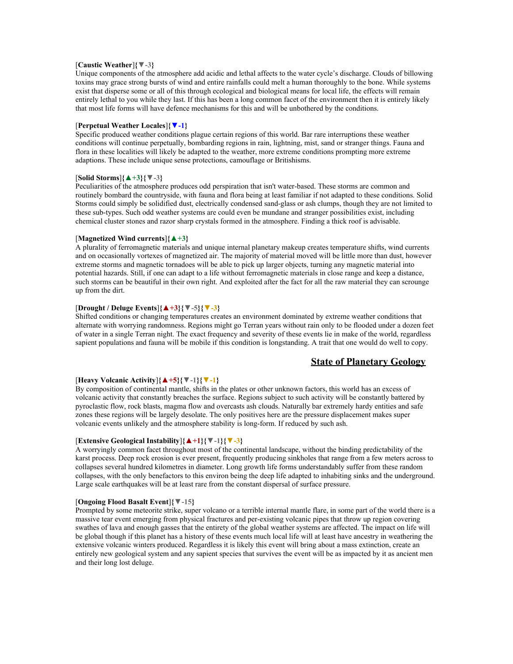#### [**Caustic Weather**]**{▼-3}**

Unique components of the atmosphere add acidic and lethal affects to the water cycle's discharge. Clouds of billowing toxins may grace strong bursts of wind and entire rainfalls could melt a human thoroughly to the bone. While systems exist that disperse some or all of this through ecological and biological means for local life, the effects will remain entirely lethal to you while they last. If this has been a long common facet of the environment then it is entirely likely that most life forms will have defence mechanisms for this and will be unbothered by the conditions.

#### [**Perpetual Weather Locales**]**{▼-1}**

Specific produced weather conditions plague certain regions of this world. Bar rare interruptions these weather conditions will continue perpetually, bombarding regions in rain, lightning, mist, sand or stranger things. Fauna and flora in these localities will likely be adapted to the weather, more extreme conditions prompting more extreme adaptions. These include unique sense protections, camouflage or Britishisms.

#### [**Solid Storms**]**{▲+3}{▼-3}**

Peculiarities of the atmosphere produces odd perspiration that isn't water-based. These storms are common and routinely bombard the countryside, with fauna and flora being at least familiar if not adapted to these conditions. Solid Storms could simply be solidified dust, electrically condensed sand-glass or ash clumps, though they are not limited to these sub-types. Such odd weather systems are could even be mundane and stranger possibilities exist, including chemical cluster stones and razor sharp crystals formed in the atmosphere. Finding a thick roof is advisable.

#### [**Magnetized Wind currents**]**{▲+3}**

A plurality of ferromagnetic materials and unique internal planetary makeup creates temperature shifts, wind currents and on occasionally vortexes of magnetized air. The majority of material moved will be little more than dust, however extreme storms and magnetic tornadoes will be able to pick up larger objects, turning any magnetic material into potential hazards. Still, if one can adapt to a life without ferromagnetic materials in close range and keep a distance, such storms can be beautiful in their own right. And exploited after the fact for all the raw material they can scrounge up from the dirt.

#### [**Drought / Deluge Events**]**{▲+3}{▼-5}{▼-3}**

Shifted conditions or changing temperatures creates an environment dominated by extreme weather conditions that alternate with worrying randomness. Regions might go Terran years without rain only to be flooded under a dozen feet of water in a single Terran night. The exact frequency and severity of these events lie in make of the world, regardless sapient populations and fauna will be mobile if this condition is longstanding. A trait that one would do well to copy.

#### **State of Planetary Geology**

#### [**Heavy Volcanic Activity**]**{▲+5}{▼-1}{▼-1}**

By composition of continental mantle, shifts in the plates or other unknown factors, this world has an excess of volcanic activity that constantly breaches the surface. Regions subject to such activity will be constantly battered by pyroclastic flow, rock blasts, magma flow and overcasts ash clouds. Naturally bar extremely hardy entities and safe zones these regions will be largely desolate. The only positives here are the pressure displacement makes super volcanic events unlikely and the atmosphere stability is long-form. If reduced by such ash.

#### [**Extensive Geological Instability**]**{▲+1}{▼-1}{▼-3}**

A worryingly common facet throughout most of the continental landscape, without the binding predictability of the karst process. Deep rock erosion is ever present, frequently producing sinkholes that range from a few meters across to collapses several hundred kilometres in diameter. Long growth life forms understandably suffer from these random collapses, with the only benefactors to this environ being the deep life adapted to inhabiting sinks and the underground. Large scale earthquakes will be at least rare from the constant dispersal of surface pressure.

#### [**Ongoing Flood Basalt Event**]**{▼-15}**

Prompted by some meteorite strike, super volcano or a terrible internal mantle flare, in some part of the world there is a massive tear event emerging from physical fractures and per-existing volcanic pipes that throw up region covering swathes of lava and enough gasses that the entirety of the global weather systems are affected. The impact on life will be global though if this planet has a history of these events much local life will at least have ancestry in weathering the extensive volcanic winters produced. Regardless it is likely this event will bring about a mass extinction, create an entirely new geological system and any sapient species that survives the event will be as impacted by it as ancient men and their long lost deluge.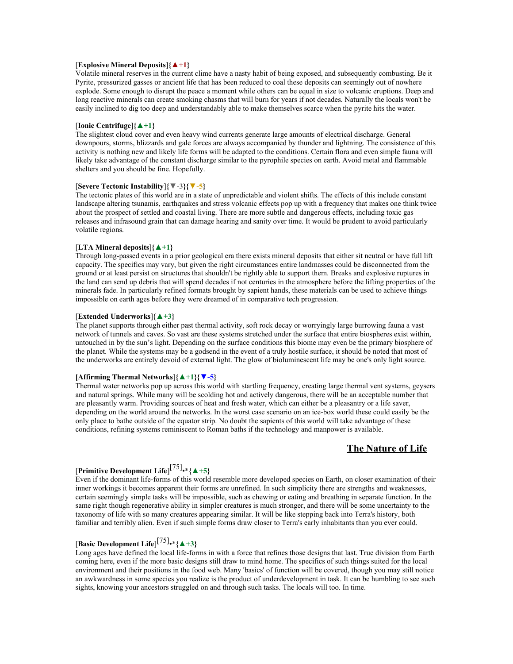#### [**Explosive Mineral Deposits**]**{▲+1}**

Volatile mineral reserves in the current clime have a nasty habit of being exposed, and subsequently combusting. Be it Pyrite, pressurized gasses or ancient life that has been reduced to coal these deposits can seemingly out of nowhere explode. Some enough to disrupt the peace a moment while others can be equal in size to volcanic eruptions. Deep and long reactive minerals can create smoking chasms that will burn for years if not decades. Naturally the locals won't be easily inclined to dig too deep and understandably able to make themselves scarce when the pyrite hits the water.

#### [**Ionic Centrifuge**]**{▲+1}**

The slightest cloud cover and even heavy wind currents generate large amounts of electrical discharge. General downpours, storms, blizzards and gale forces are always accompanied by thunder and lightning. The consistence of this activity is nothing new and likely life forms will be adapted to the conditions. Certain flora and even simple fauna will likely take advantage of the constant discharge similar to the pyrophile species on earth. Avoid metal and flammable shelters and you should be fine. Hopefully.

#### [**Severe Tectonic Instability**]**{▼-3}{▼-5}**

The tectonic plates of this world are in a state of unpredictable and violent shifts. The effects of this include constant landscape altering tsunamis, earthquakes and stress volcanic effects pop up with a frequency that makes one think twice about the prospect of settled and coastal living. There are more subtle and dangerous effects, including toxic gas releases and infrasound grain that can damage hearing and sanity over time. It would be prudent to avoid particularly volatile regions.

#### [**LTA Mineral deposits**]**{▲+1}**

Through long-passed events in a prior geological era there exists mineral deposits that either sit neutral or have full lift capacity. The specifics may vary, but given the right circumstances entire landmasses could be disconnected from the ground or at least persist on structures that shouldn't be rightly able to support them. Breaks and explosive ruptures in the land can send up debris that will spend decades if not centuries in the atmosphere before the lifting properties of the minerals fade. In particularly refined formats brought by sapient hands, these materials can be used to achieve things impossible on earth ages before they were dreamed of in comparative tech progression.

#### [**Extended Underworks**]**{▲+3}**

The planet supports through either past thermal activity, soft rock decay or worryingly large burrowing fauna a vast network of tunnels and caves. So vast are these systems stretched under the surface that entire biospheres exist within, untouched in by the sun's light. Depending on the surface conditions this biome may even be the primary biosphere of the planet. While the systems may be a godsend in the event of a truly hostile surface, it should be noted that most of the underworks are entirely devoid of external light. The glow of bioluminescent life may be one's only light source.

#### **[Affirming Thermal Networks**]**{▲+1}{▼-5}**

Thermal water networks pop up across this world with startling frequency, creating large thermal vent systems, geysers and natural springs. While many will be scolding hot and actively dangerous, there will be an acceptable number that are pleasantly warm. Providing sources of heat and fresh water, which can either be a pleasantry or a life saver, depending on the world around the networks. In the worst case scenario on an ice-box world these could easily be the only place to bathe outside of the equator strip. No doubt the sapients of this world will take advantage of these conditions, refining systems reminiscent to Roman baths if the technology and manpower is available.

#### **The Nature of Life**

# [**Primitive Development Life**] [75]•\***{▲+5}**

Even if the dominant life-forms of this world resemble more developed species on Earth, on closer examination of their inner workings it becomes apparent their forms are unrefined. In such simplicity there are strengths and weaknesses, certain seemingly simple tasks will be impossible, such as chewing or eating and breathing in separate function. In the same right though regenerative ability in simpler creatures is much stronger, and there will be some uncertainty to the taxonomy of life with so many creatures appearing similar. It will be like stepping back into Terra's history, both familiar and terribly alien. Even if such simple forms draw closer to Terra's early inhabitants than you ever could.

# [**Basic Development Life**] [75]•\***{▲+3}**

Long ages have defined the local life-forms in with a force that refines those designs that last. True division from Earth coming here, even if the more basic designs still draw to mind home. The specifics of such things suited for the local environment and their positions in the food web. Many 'basics' of function will be covered, though you may still notice an awkwardness in some species you realize is the product of underdevelopment in task. It can be humbling to see such sights, knowing your ancestors struggled on and through such tasks. The locals will too. In time.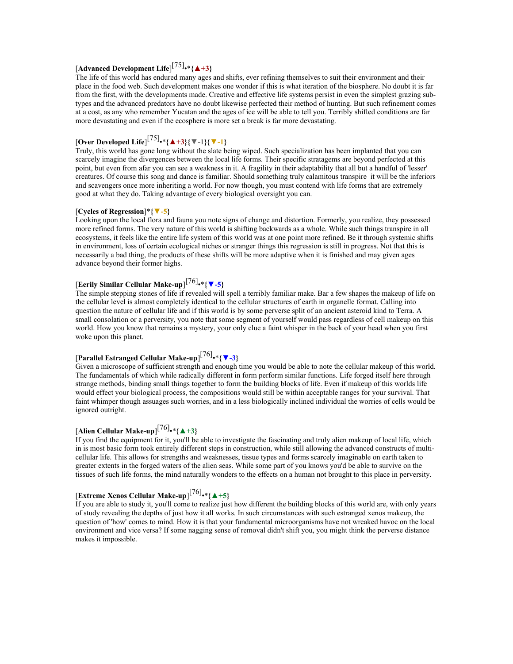# [**Advanced Development Life**] [75]•\***{▲+3}**

The life of this world has endured many ages and shifts, ever refining themselves to suit their environment and their place in the food web. Such development makes one wonder if this is what iteration of the biosphere. No doubt it is far from the first, with the developments made. Creative and effective life systems persist in even the simplest grazing subtypes and the advanced predators have no doubt likewise perfected their method of hunting. But such refinement comes at a cost, as any who remember Yucatan and the ages of ice will be able to tell you. Terribly shifted conditions are far more devastating and even if the ecosphere is more set a break is far more devastating.

# [**Over Developed Life**] [75]•\***{▲+3}{▼-1}{▼-1}**

Truly, this world has gone long without the slate being wiped. Such specialization has been implanted that you can scarcely imagine the divergences between the local life forms. Their specific stratagems are beyond perfected at this point, but even from afar you can see a weakness in it. A fragility in their adaptability that all but a handful of 'lesser' creatures. Of course this song and dance is familiar. Should something truly calamitous transpire it will be the inferiors and scavengers once more inheriting a world. For now though, you must contend with life forms that are extremely good at what they do. Taking advantage of every biological oversight you can.

#### [**Cycles of Regression**]\***{▼-5}**

Looking upon the local flora and fauna you note signs of change and distortion. Formerly, you realize, they possessed more refined forms. The very nature of this world is shifting backwards as a whole. While such things transpire in all ecosystems, it feels like the entire life system of this world was at one point more refined. Be it through systemic shifts in environment, loss of certain ecological niches or stranger things this regression is still in progress. Not that this is necessarily a bad thing, the products of these shifts will be more adaptive when it is finished and may given ages advance beyond their former highs.

# [**Eerily Similar Cellular Make-up**] [76]•\***{▼-5}**

The simple stepping stones of life if revealed will spell a terribly familiar make. Bar a few shapes the makeup of life on the cellular level is almost completely identical to the cellular structures of earth in organelle format. Calling into question the nature of cellular life and if this world is by some perverse split of an ancient asteroid kind to Terra. A small consolation or a perversity, you note that some segment of yourself would pass regardless of cell makeup on this world. How you know that remains a mystery, your only clue a faint whisper in the back of your head when you first woke upon this planet.

# [**Parallel Estranged Cellular Make-up**] [76]•\***{▼-3}**

Given a microscope of sufficient strength and enough time you would be able to note the cellular makeup of this world. The fundamentals of which while radically different in form perform similar functions. Life forged itself here through strange methods, binding small things together to form the building blocks of life. Even if makeup of this worlds life would effect your biological process, the compositions would still be within acceptable ranges for your survival. That faint whimper though assuages such worries, and in a less biologically inclined individual the worries of cells would be ignored outright.

# [**Alien Cellular Make-up**] [76]•\***{▲+3}**

If you find the equipment for it, you'll be able to investigate the fascinating and truly alien makeup of local life, which in is most basic form took entirely different steps in construction, while still allowing the advanced constructs of multicellular life. This allows for strengths and weaknesses, tissue types and forms scarcely imaginable on earth taken to greater extents in the forged waters of the alien seas. While some part of you knows you'd be able to survive on the tissues of such life forms, the mind naturally wonders to the effects on a human not brought to this place in perversity.

# [**Extreme Xenos Cellular Make-up**] [76]•\***{▲+5}**

If you are able to study it, you'll come to realize just how different the building blocks of this world are, with only years of study revealing the depths of just how it all works. In such circumstances with such estranged xenos makeup, the question of 'how' comes to mind. How it is that your fundamental microorganisms have not wreaked havoc on the local environment and vice versa? If some nagging sense of removal didn't shift you, you might think the perverse distance makes it impossible.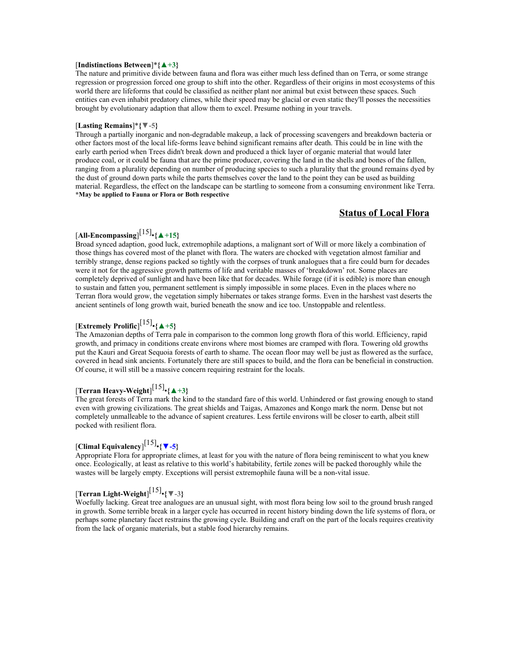#### [**Indistinctions Between**]\***{▲+3}**

The nature and primitive divide between fauna and flora was either much less defined than on Terra, or some strange regression or progression forced one group to shift into the other. Regardless of their origins in most ecosystems of this world there are lifeforms that could be classified as neither plant nor animal but exist between these spaces. Such entities can even inhabit predatory climes, while their speed may be glacial or even static they'll posses the necessities brought by evolutionary adaption that allow them to excel. Presume nothing in your travels.

#### [**Lasting Remains**]\***{▼-5}**

Through a partially inorganic and non-degradable makeup, a lack of processing scavengers and breakdown bacteria or other factors most of the local life-forms leave behind significant remains after death. This could be in line with the early earth period when Trees didn't break down and produced a thick layer of organic material that would later produce coal, or it could be fauna that are the prime producer, covering the land in the shells and bones of the fallen, ranging from a plurality depending on number of producing species to such a plurality that the ground remains dyed by the dust of ground down parts while the parts themselves cover the land to the point they can be used as building material. Regardless, the effect on the landscape can be startling to someone from a consuming environment like Terra. **\*May be applied to Fauna or Flora or Both respective**

#### **Status of Local Flora**

# $[All\text{-}\mathbf{Encompassing}]^{[15]}$   $\{ \blacktriangle +15 \}$

Broad synced adaption, good luck, extremophile adaptions, a malignant sort of Will or more likely a combination of those things has covered most of the planet with flora. The waters are chocked with vegetation almost familiar and terribly strange, dense regions packed so tightly with the corpses of trunk analogues that a fire could burn for decades were it not for the aggressive growth patterns of life and veritable masses of 'breakdown' rot. Some places are completely deprived of sunlight and have been like that for decades. While forage (if it is edible) is more than enough to sustain and fatten you, permanent settlement is simply impossible in some places. Even in the places where no Terran flora would grow, the vegetation simply hibernates or takes strange forms. Even in the harshest vast deserts the ancient sentinels of long growth wait, buried beneath the snow and ice too. Unstoppable and relentless.

# [**Extremely Prolific**] [15] •**{▲+5}**

The Amazonian depths of Terra pale in comparison to the common long growth flora of this world. Efficiency, rapid growth, and primacy in conditions create environs where most biomes are cramped with flora. Towering old growths put the Kauri and Great Sequoia forests of earth to shame. The ocean floor may well be just as flowered as the surface, covered in head sink ancients. Fortunately there are still spaces to build, and the flora can be beneficial in construction. Of course, it will still be a massive concern requiring restraint for the locals.

# [**Terran Heavy-Weight**] [15] •**{▲+3}**

The great forests of Terra mark the kind to the standard fare of this world. Unhindered or fast growing enough to stand even with growing civilizations. The great shields and Taigas, Amazones and Kongo mark the norm. Dense but not completely unmalleable to the advance of sapient creatures. Less fertile environs will be closer to earth, albeit still pocked with resilient flora.

# [**Climal Equivalency**] [15] •**{▼-5}**

Appropriate Flora for appropriate climes, at least for you with the nature of flora being reminiscent to what you knew once. Ecologically, at least as relative to this world's habitability, fertile zones will be packed thoroughly while the wastes will be largely empty. Exceptions will persist extremophile fauna will be a non-vital issue.

# [**Terran Light-Weight**] [15] •**{▼-3}**

Woefully lacking. Great tree analogues are an unusual sight, with most flora being low soil to the ground brush ranged in growth. Some terrible break in a larger cycle has occurred in recent history binding down the life systems of flora, or perhaps some planetary facet restrains the growing cycle. Building and craft on the part of the locals requires creativity from the lack of organic materials, but a stable food hierarchy remains.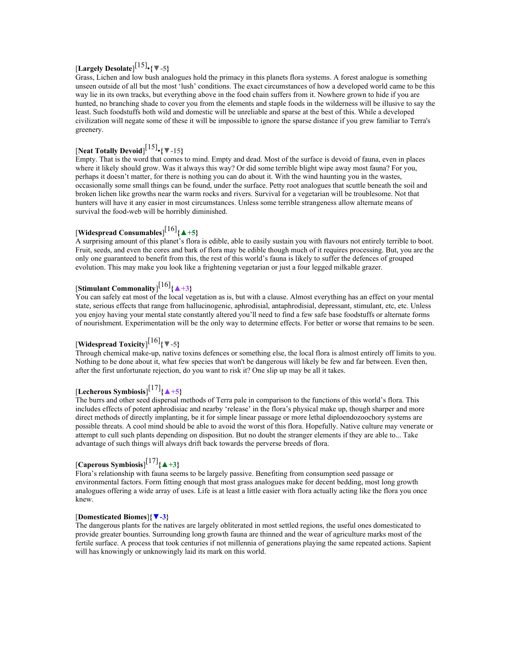# [**Largely Desolate**] [15] •**{▼-5}**

Grass, Lichen and low bush analogues hold the primacy in this planets flora systems. A forest analogue is something unseen outside of all but the most 'lush' conditions. The exact circumstances of how a developed world came to be this way lie in its own tracks, but everything above in the food chain suffers from it. Nowhere grown to hide if you are hunted, no branching shade to cover you from the elements and staple foods in the wilderness will be illusive to say the least. Such foodstuffs both wild and domestic will be unreliable and sparse at the best of this. While a developed civilization will negate some of these it will be impossible to ignore the sparse distance if you grew familiar to Terra's greenery.

# [**Neat Totally Devoid**] [15] •**{▼-15}**

Empty. That is the word that comes to mind. Empty and dead. Most of the surface is devoid of fauna, even in places where it likely should grow. Was it always this way? Or did some terrible blight wipe away most fauna? For you, perhaps it doesn't matter, for there is nothing you can do about it. With the wind haunting you in the wastes, occasionally some small things can be found, under the surface. Petty root analogues that scuttle beneath the soil and broken lichen like growths near the warm rocks and rivers. Survival for a vegetarian will be troublesome. Not that hunters will have it any easier in most circumstances. Unless some terrible strangeness allow alternate means of survival the food-web will be horribly diminished.

# [**Widespread Consumables**] [16]**{▲+5}**

A surprising amount of this planet's flora is edible, able to easily sustain you with flavours not entirely terrible to boot. Fruit, seeds, and even the cores and bark of flora may be edible though much of it requires processing. But, you are the only one guaranteed to benefit from this, the rest of this world's fauna is likely to suffer the defences of grouped evolution. This may make you look like a frightening vegetarian or just a four legged milkable grazer.

# [**Stimulant Commonality**] [16]**{▲+3}**

You can safely eat most of the local vegetation as is, but with a clause. Almost everything has an effect on your mental state, serious effects that range from hallucinogenic, aphrodisial, antaphrodisial, depressant, stimulant, etc, etc. Unless you enjoy having your mental state constantly altered you'll need to find a few safe base foodstuffs or alternate forms of nourishment. Experimentation will be the only way to determine effects. For better or worse that remains to be seen.

# [**Widespread Toxicity**] [16]**{▼-5}**

Through chemical make-up, native toxins defences or something else, the local flora is almost entirely off limits to you. Nothing to be done about it, what few species that won't be dangerous will likely be few and far between. Even then, after the first unfortunate rejection, do you want to risk it? One slip up may be all it takes.

# [**Lecherous Symbiosis**] [17]**{▲+5}**

The burrs and other seed dispersal methods of Terra pale in comparison to the functions of this world's flora. This includes effects of potent aphrodisiac and nearby 'release' in the flora's physical make up, though sharper and more direct methods of directly implanting, be it for simple linear passage or more lethal diploendozoochory systems are possible threats. A cool mind should be able to avoid the worst of this flora. Hopefully. Native culture may venerate or attempt to cull such plants depending on disposition. But no doubt the stranger elements if they are able to... Take advantage of such things will always drift back towards the perverse breeds of flora.

# [**Caperous Symbiosis**] [17]**{▲+3}**

Flora's relationship with fauna seems to be largely passive. Benefiting from consumption seed passage or environmental factors. Form fitting enough that most grass analogues make for decent bedding, most long growth analogues offering a wide array of uses. Life is at least a little easier with flora actually acting like the flora you once knew.

#### [**Domesticated Biomes**]**{▼-3}**

The dangerous plants for the natives are largely obliterated in most settled regions, the useful ones domesticated to provide greater bounties. Surrounding long growth fauna are thinned and the wear of agriculture marks most of the fertile surface. A process that took centuries if not millennia of generations playing the same repeated actions. Sapient will has knowingly or unknowingly laid its mark on this world.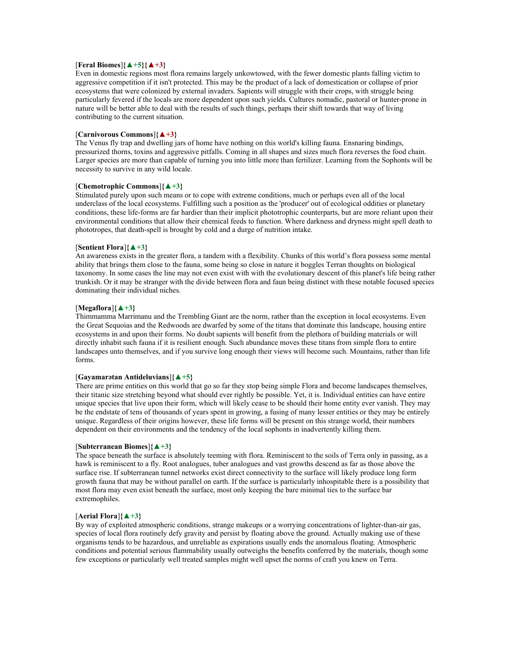#### [**Feral Biomes**]**{▲+5}{▲+3}**

Even in domestic regions most flora remains largely unkowtowed, with the fewer domestic plants falling victim to aggressive competition if it isn't protected. This may be the product of a lack of domestication or collapse of prior ecosystems that were colonized by external invaders. Sapients will struggle with their crops, with struggle being particularly fevered if the locals are more dependent upon such yields. Cultures nomadic, pastoral or hunter-prone in nature will be better able to deal with the results of such things, perhaps their shift towards that way of living contributing to the current situation.

#### [**Carnivorous Commons**]**{▲+3}**

The Venus fly trap and dwelling jars of home have nothing on this world's killing fauna. Ensnaring bindings, pressurized thorns, toxins and aggressive pitfalls. Coming in all shapes and sizes much flora reverses the food chain. Larger species are more than capable of turning you into little more than fertilizer. Learning from the Sophonts will be necessity to survive in any wild locale.

#### [**Chemotrophic Commons**]**{▲+3}**

Stimulated purely upon such means or to cope with extreme conditions, much or perhaps even all of the local underclass of the local ecosystems. Fulfilling such a position as the 'producer' out of ecological oddities or planetary conditions, these life-forms are far hardier than their implicit phototrophic counterparts, but are more reliant upon their environmental conditions that allow their chemical feeds to function. Where darkness and dryness might spell death to phototropes, that death-spell is brought by cold and a durge of nutrition intake.

#### [**Sentient Flora**]**{▲+3}**

An awareness exists in the greater flora, a tandem with a flexibility. Chunks of this world's flora possess some mental ability that brings them close to the fauna, some being so close in nature it boggles Terran thoughts on biological taxonomy. In some cases the line may not even exist with with the evolutionary descent of this planet's life being rather trunkish. Or it may be stranger with the divide between flora and faun being distinct with these notable focused species dominating their individual niches.

#### [**Megaflora**]**{▲+3}**

Thimmamma Marrimanu and the Trembling Giant are the norm, rather than the exception in local ecosystems. Even the Great Sequoias and the Redwoods are dwarfed by some of the titans that dominate this landscape, housing entire ecosystems in and upon their forms. No doubt sapients will benefit from the plethora of building materials or will directly inhabit such fauna if it is resilient enough. Such abundance moves these titans from simple flora to entire landscapes unto themselves, and if you survive long enough their views will become such. Mountains, rather than life forms.

#### [**Gayamarətan Antideluvians**]**{▲+5}**

There are prime entities on this world that go so far they stop being simple Flora and become landscapes themselves, their titanic size stretching beyond what should ever rightly be possible. Yet, it is. Individual entities can have entire unique species that live upon their form, which will likely cease to be should their home entity ever vanish. They may be the endstate of tens of thousands of years spent in growing, a fusing of many lesser entities or they may be entirely unique. Regardless of their origins however, these life forms will be present on this strange world, their numbers dependent on their environments and the tendency of the local sophonts in inadvertently killing them.

#### [**Subterranean Biomes**]**{▲+3}**

The space beneath the surface is absolutely teeming with flora. Reminiscent to the soils of Terra only in passing, as a hawk is reminiscent to a fly. Root analogues, tuber analogues and vast growths descend as far as those above the surface rise. If subterranean tunnel networks exist direct connectivity to the surface will likely produce long form growth fauna that may be without parallel on earth. If the surface is particularly inhospitable there is a possibility that most flora may even exist beneath the surface, most only keeping the bare minimal ties to the surface bar extremophiles.

#### [**Aerial Flora**]**{▲+3}**

By way of exploited atmospheric conditions, strange makeups or a worrying concentrations of lighter-than-air gas, species of local flora routinely defy gravity and persist by floating above the ground. Actually making use of these organisms tends to be hazardous, and unreliable as expirations usually ends the anomalous floating. Atmospheric conditions and potential serious flammability usually outweighs the benefits conferred by the materials, though some few exceptions or particularly well treated samples might well upset the norms of craft you knew on Terra.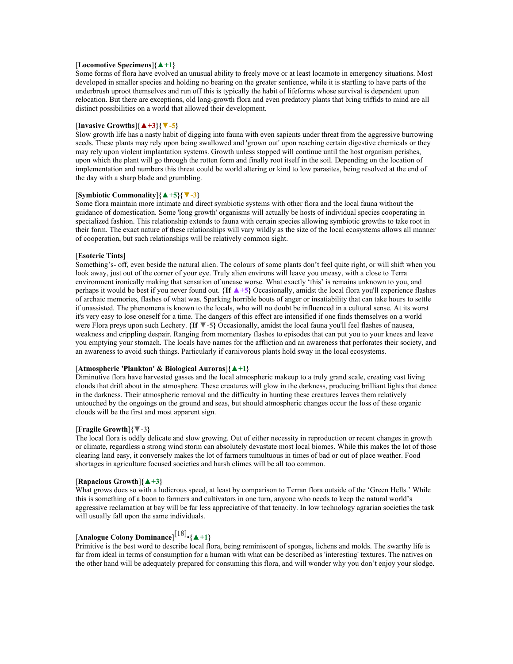#### [**Locomotive Specimens**]**{▲+1}**

Some forms of flora have evolved an unusual ability to freely move or at least locamote in emergency situations. Most developed in smaller species and holding no bearing on the greater sentience, while it is startling to have parts of the underbrush uproot themselves and run off this is typically the habit of lifeforms whose survival is dependent upon relocation. But there are exceptions, old long-growth flora and even predatory plants that bring triffids to mind are all distinct possibilities on a world that allowed their development.

#### [**Invasive Growths**]**{▲+3}{▼-5}**

Slow growth life has a nasty habit of digging into fauna with even sapients under threat from the aggressive burrowing seeds. These plants may rely upon being swallowed and 'grown out' upon reaching certain digestive chemicals or they may rely upon violent implantation systems. Growth unless stopped will continue until the host organism perishes, upon which the plant will go through the rotten form and finally root itself in the soil. Depending on the location of implementation and numbers this threat could be world altering or kind to low parasites, being resolved at the end of the day with a sharp blade and grumbling.

#### [**Symbiotic Commonality**]**{▲+5}{▼-3}**

Some flora maintain more intimate and direct symbiotic systems with other flora and the local fauna without the guidance of domestication. Some 'long growth' organisms will actually be hosts of individual species cooperating in specialized fashion. This relationship extends to fauna with certain species allowing symbiotic growths to take root in their form. The exact nature of these relationships will vary wildly as the size of the local ecosystems allows all manner of cooperation, but such relationships will be relatively common sight.

#### [**Esoteric Tints**]

Something's- off, even beside the natural alien. The colours of some plants don't feel quite right, or will shift when you look away, just out of the corner of your eye. Truly alien environs will leave you uneasy, with a close to Terra environment ironically making that sensation of unease worse. What exactly 'this' is remains unknown to you, and perhaps it would be best if you never found out. {**If ▲+5}** Occasionally, amidst the local flora you'll experience flashes of archaic memories, flashes of what was. Sparking horrible bouts of anger or insatiability that can take hours to settle if unassisted. The phenomena is known to the locals, who will no doubt be influenced in a cultural sense. At its worst it's very easy to lose oneself for a time. The dangers of this effect are intensified if one finds themselves on a world were Flora preys upon such Lechery. **{If ▼-5}** Occasionally, amidst the local fauna you'll feel flashes of nausea, weakness and crippling despair. Ranging from momentary flashes to episodes that can put you to your knees and leave you emptying your stomach. The locals have names for the affliction and an awareness that perforates their society, and an awareness to avoid such things. Particularly if carnivorous plants hold sway in the local ecosystems.

#### [**Atmospheric 'Plankton' & Biological Auroras**]**{▲+1}**

Diminutive flora have harvested gasses and the local atmospheric makeup to a truly grand scale, creating vast living clouds that drift about in the atmosphere. These creatures will glow in the darkness, producing brilliant lights that dance in the darkness. Their atmospheric removal and the difficulty in hunting these creatures leaves them relatively untouched by the ongoings on the ground and seas, but should atmospheric changes occur the loss of these organic clouds will be the first and most apparent sign.

#### [**Fragile Growth**]**{▼-3}**

The local flora is oddly delicate and slow growing. Out of either necessity in reproduction or recent changes in growth or climate, regardless a strong wind storm can absolutely devastate most local biomes. While this makes the lot of those clearing land easy, it conversely makes the lot of farmers tumultuous in times of bad or out of place weather. Food shortages in agriculture focused societies and harsh climes will be all too common.

#### [**Rapacious Growth**]**{▲+3}**

What grows does so with a ludicrous speed, at least by comparison to Terran flora outside of the 'Green Hells.' While this is something of a boon to farmers and cultivators in one turn, anyone who needs to keep the natural world's aggressive reclamation at bay will be far less appreciative of that tenacity. In low technology agrarian societies the task will usually fall upon the same individuals.

# [**Analogue Colony Dominance**] [18] •**{▲+1}**

Primitive is the best word to describe local flora, being reminiscent of sponges, lichens and molds. The swarthy life is far from ideal in terms of consumption for a human with what can be described as 'interesting' textures. The natives on the other hand will be adequately prepared for consuming this flora, and will wonder why you don't enjoy your slodge.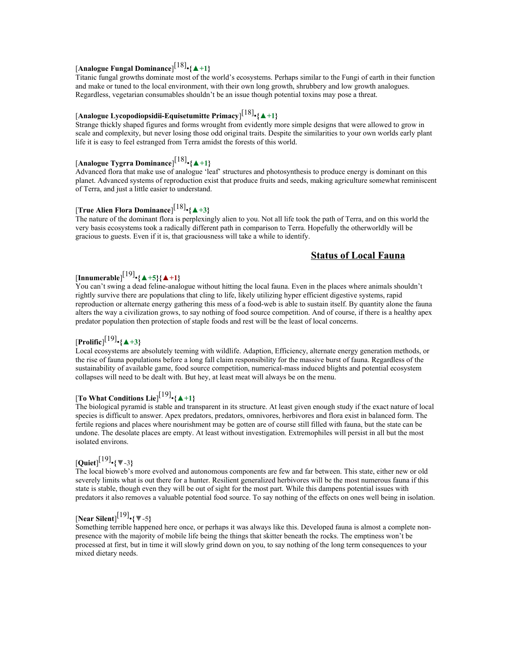# [**Analogue Fungal Dominance**] [18] •**{▲+1}**

Titanic fungal growths dominate most of the world's ecosystems. Perhaps similar to the Fungi of earth in their function and make or tuned to the local environment, with their own long growth, shrubbery and low growth analogues. Regardless, vegetarian consumables shouldn't be an issue though potential toxins may pose a threat.

# [**Analogue Lycopodiopsidii-Equisetumitte Primacy**] [18] •**{▲+1}**

Strange thickly shaped figures and forms wrought from evidently more simple designs that were allowed to grow in scale and complexity, but never losing those odd original traits. Despite the similarities to your own worlds early plant life it is easy to feel estranged from Terra amidst the forests of this world.

# [**Analogue Tygrra Dominance**] [18] •**{▲+1}**

Advanced flora that make use of analogue 'leaf' structures and photosynthesis to produce energy is dominant on this planet. Advanced systems of reproduction exist that produce fruits and seeds, making agriculture somewhat reminiscent of Terra, and just a little easier to understand.

# [**True Alien Flora Dominance**] [18] •**{▲+3}**

The nature of the dominant flora is perplexingly alien to you. Not all life took the path of Terra, and on this world the very basis ecosystems took a radically different path in comparison to Terra. Hopefully the otherworldly will be gracious to guests. Even if it is, that graciousness will take a while to identify.

#### **Status of Local Fauna**

# [**Innumerable**] [19] •**{▲+5}{▲+1}**

You can't swing a dead feline-analogue without hitting the local fauna. Even in the places where animals shouldn't rightly survive there are populations that cling to life, likely utilizing hyper efficient digestive systems, rapid reproduction or alternate energy gathering this mess of a food-web is able to sustain itself. By quantity alone the fauna alters the way a civilization grows, to say nothing of food source competition. And of course, if there is a healthy apex predator population then protection of staple foods and rest will be the least of local concerns.

# [**Prolific**] [19] •**{▲+3}**

Local ecosystems are absolutely teeming with wildlife. Adaption, Efficiency, alternate energy generation methods, or the rise of fauna populations before a long fall claim responsibility for the massive burst of fauna. Regardless of the sustainability of available game, food source competition, numerical-mass induced blights and potential ecosystem collapses will need to be dealt with. But hey, at least meat will always be on the menu.

# [**To What Conditions Lie**] [19] •**{▲+1}**

The biological pyramid is stable and transparent in its structure. At least given enough study if the exact nature of local species is difficult to answer. Apex predators, predators, omnivores, herbivores and flora exist in balanced form. The fertile regions and places where nourishment may be gotten are of course still filled with fauna, but the state can be undone. The desolate places are empty. At least without investigation. Extremophiles will persist in all but the most isolated environs.

# [**Quiet**] [19] •**{▼-3}**

The local bioweb's more evolved and autonomous components are few and far between. This state, either new or old severely limits what is out there for a hunter. Resilient generalized herbivores will be the most numerous fauna if this state is stable, though even they will be out of sight for the most part. While this dampens potential issues with predators it also removes a valuable potential food source. To say nothing of the effects on ones well being in isolation.

# [**Near Silent**] [19] •**{▼-5}**

Something terrible happened here once, or perhaps it was always like this. Developed fauna is almost a complete nonpresence with the majority of mobile life being the things that skitter beneath the rocks. The emptiness won't be processed at first, but in time it will slowly grind down on you, to say nothing of the long term consequences to your mixed dietary needs.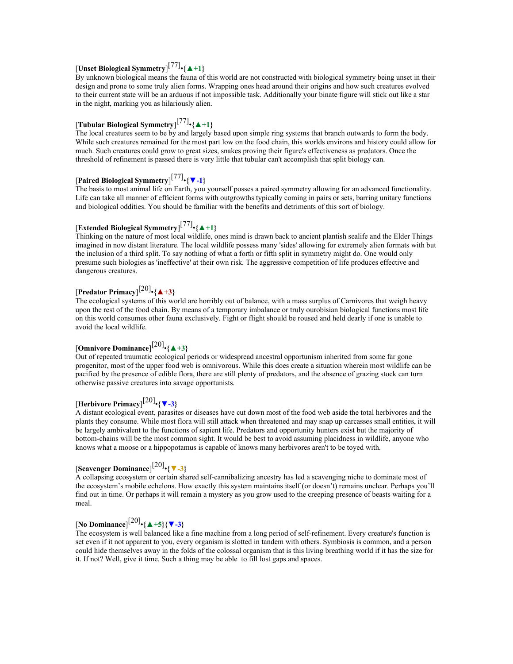# [**Unset Biological Symmetry**] [77] •**{▲+1}**

By unknown biological means the fauna of this world are not constructed with biological symmetry being unset in their design and prone to some truly alien forms. Wrapping ones head around their origins and how such creatures evolved to their current state will be an arduous if not impossible task. Additionally your binate figure will stick out like a star in the night, marking you as hilariously alien.

# [**Tubular Biological Symmetry**] [77] •**{▲+1}**

The local creatures seem to be by and largely based upon simple ring systems that branch outwards to form the body. While such creatures remained for the most part low on the food chain, this worlds environs and history could allow for much. Such creatures could grow to great sizes, snakes proving their figure's effectiveness as predators. Once the threshold of refinement is passed there is very little that tubular can't accomplish that split biology can.

# [**Paired Biological Symmetry**] [77] •**{▼-1}**

The basis to most animal life on Earth, you yourself posses a paired symmetry allowing for an advanced functionality. Life can take all manner of efficient forms with outgrowths typically coming in pairs or sets, barring unitary functions and biological oddities. You should be familiar with the benefits and detriments of this sort of biology.

# [**Extended Biological Symmetry**] [77] •**{▲+1}**

Thinking on the nature of most local wildlife, ones mind is drawn back to ancient plantish sealife and the Elder Things imagined in now distant literature. The local wildlife possess many 'sides' allowing for extremely alien formats with but the inclusion of a third split. To say nothing of what a forth or fifth split in symmetry might do. One would only presume such biologies as 'ineffective' at their own risk. The aggressive competition of life produces effective and dangerous creatures.

# [**Predator Primacy**] [20] •**{▲+3}**

The ecological systems of this world are horribly out of balance, with a mass surplus of Carnivores that weigh heavy upon the rest of the food chain. By means of a temporary imbalance or truly ourobisian biological functions most life on this world consumes other fauna exclusively. Fight or flight should be roused and held dearly if one is unable to avoid the local wildlife.

# [**Omnivore Dominance**] [20] •**{▲+3}**

Out of repeated traumatic ecological periods or widespread ancestral opportunism inherited from some far gone progenitor, most of the upper food web is omnivorous. While this does create a situation wherein most wildlife can be pacified by the presence of edible flora, there are still plenty of predators, and the absence of grazing stock can turn otherwise passive creatures into savage opportunists.

# [**Herbivore Primacy**] [20] •**{▼-3}**

A distant ecological event, parasites or diseases have cut down most of the food web aside the total herbivores and the plants they consume. While most flora will still attack when threatened and may snap up carcasses small entities, it will be largely ambivalent to the functions of sapient life. Predators and opportunity hunters exist but the majority of bottom-chains will be the most common sight. It would be best to avoid assuming placidness in wildlife, anyone who knows what a moose or a hippopotamus is capable of knows many herbivores aren't to be toyed with.

# [**Scavenger Dominance**] [20] •**{▼-3}**

A collapsing ecosystem or certain shared self-cannibalizing ancestry has led a scavenging niche to dominate most of the ecosystem's mobile echelons. How exactly this system maintains itself (or doesn't) remains unclear. Perhaps you'll find out in time. Or perhaps it will remain a mystery as you grow used to the creeping presence of beasts waiting for a meal.

# [**No Dominance**] [20] •**{▲+5}{▼-3}**

The ecosystem is well balanced like a fine machine from a long period of self-refinement. Every creature's function is set even if it not apparent to you, every organism is slotted in tandem with others. Symbiosis is common, and a person could hide themselves away in the folds of the colossal organism that is this living breathing world if it has the size for it. If not? Well, give it time. Such a thing may be able to fill lost gaps and spaces.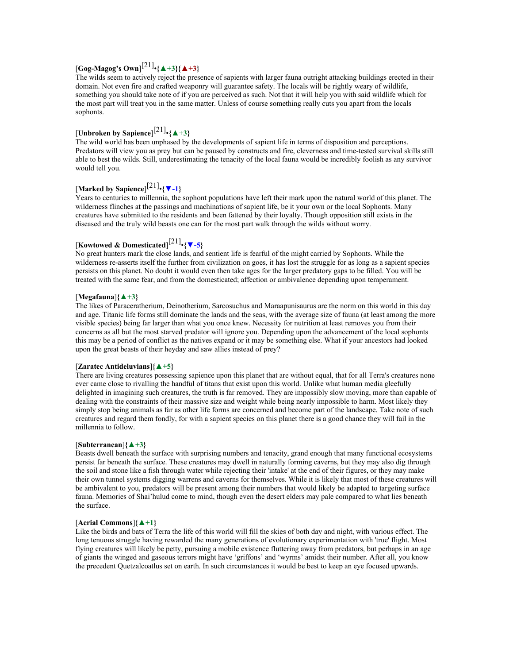# [**Gog-Magog's Own**] [21] •**{▲+3}{▲+3}**

The wilds seem to actively reject the presence of sapients with larger fauna outright attacking buildings erected in their domain. Not even fire and crafted weaponry will guarantee safety. The locals will be rightly weary of wildlife, something you should take note of if you are perceived as such. Not that it will help you with said wildlife which for the most part will treat you in the same matter. Unless of course something really cuts you apart from the locals sophonts.

# [**Unbroken by Sapience**] [21] •**{▲+3}**

The wild world has been unphased by the developments of sapient life in terms of disposition and perceptions. Predators will view you as prey but can be paused by constructs and fire, cleverness and time-tested survival skills still able to best the wilds. Still, underestimating the tenacity of the local fauna would be incredibly foolish as any survivor would tell you.

# [**Marked by Sapience**] [21] •**{▼-1}**

Years to centuries to millennia, the sophont populations have left their mark upon the natural world of this planet. The wilderness flinches at the passings and machinations of sapient life, be it your own or the local Sophonts. Many creatures have submitted to the residents and been fattened by their loyalty. Though opposition still exists in the diseased and the truly wild beasts one can for the most part walk through the wilds without worry.

# [**Kowtowed & Domesticated**] [21] •**{▼-5}**

No great hunters mark the close lands, and sentient life is fearful of the might carried by Sophonts. While the wilderness re-asserts itself the further from civilization on goes, it has lost the struggle for as long as a sapient species persists on this planet. No doubt it would even then take ages for the larger predatory gaps to be filled. You will be treated with the same fear, and from the domesticated; affection or ambivalence depending upon temperament.

#### [**Megafauna**]**{▲+3}**

The likes of Paraceratherium, Deinotherium, Sarcosuchus and Maraapunisaurus are the norm on this world in this day and age. Titanic life forms still dominate the lands and the seas, with the average size of fauna (at least among the more visible species) being far larger than what you once knew. Necessity for nutrition at least removes you from their concerns as all but the most starved predator will ignore you. Depending upon the advancement of the local sophonts this may be a period of conflict as the natives expand or it may be something else. What if your ancestors had looked upon the great beasts of their heyday and saw allies instead of prey?

#### [**Zaratec Antideluvians**]**{▲+5}**

There are living creatures possessing sapience upon this planet that are without equal, that for all Terra's creatures none ever came close to rivalling the handful of titans that exist upon this world. Unlike what human media gleefully delighted in imagining such creatures, the truth is far removed. They are impossibly slow moving, more than capable of dealing with the constraints of their massive size and weight while being nearly impossible to harm. Most likely they simply stop being animals as far as other life forms are concerned and become part of the landscape. Take note of such creatures and regard them fondly, for with a sapient species on this planet there is a good chance they will fail in the millennia to follow.

#### [**Subterranean**]**{▲+3}**

Beasts dwell beneath the surface with surprising numbers and tenacity, grand enough that many functional ecosystems persist far beneath the surface. These creatures may dwell in naturally forming caverns, but they may also dig through the soil and stone like a fish through water while rejecting their 'intake' at the end of their figures, or they may make their own tunnel systems digging warrens and caverns for themselves. While it is likely that most of these creatures will be ambivalent to you, predators will be present among their numbers that would likely be adapted to targeting surface fauna. Memories of Shai'hulud come to mind, though even the desert elders may pale compared to what lies beneath the surface.

#### [**Aerial Commons**]**{▲+1}**

Like the birds and bats of Terra the life of this world will fill the skies of both day and night, with various effect. The long tenuous struggle having rewarded the many generations of evolutionary experimentation with 'true' flight. Most flying creatures will likely be petty, pursuing a mobile existence fluttering away from predators, but perhaps in an age of giants the winged and gaseous terrors might have 'griffons' and 'wyrms' amidst their number. After all, you know the precedent Quetzalcoatlus set on earth. In such circumstances it would be best to keep an eye focused upwards.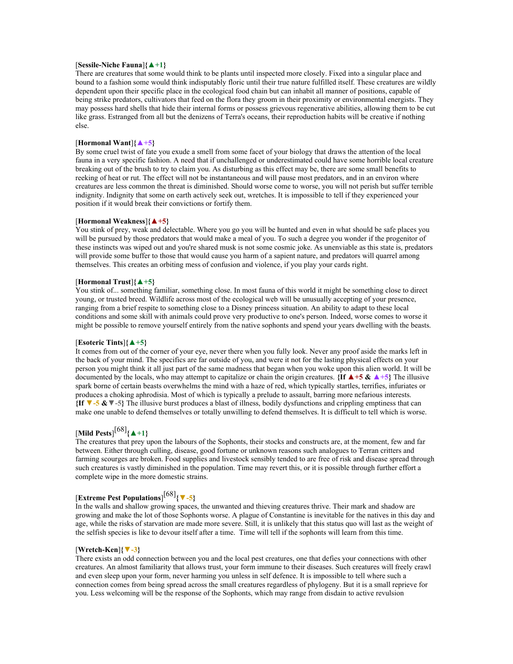#### [**Sessile-Niche Fauna**]**{▲+1}**

There are creatures that some would think to be plants until inspected more closely. Fixed into a singular place and bound to a fashion some would think indisputably floric until their true nature fulfilled itself. These creatures are wildly dependent upon their specific place in the ecological food chain but can inhabit all manner of positions, capable of being strike predators, cultivators that feed on the flora they groom in their proximity or environmental energists. They may possess hard shells that hide their internal forms or possess grievous regenerative abilities, allowing them to be cut like grass. Estranged from all but the denizens of Terra's oceans, their reproduction habits will be creative if nothing else.

#### [**Hormonal Want**]**{▲+5}**

By some cruel twist of fate you exude a smell from some facet of your biology that draws the attention of the local fauna in a very specific fashion. A need that if unchallenged or underestimated could have some horrible local creature breaking out of the brush to try to claim you. As disturbing as this effect may be, there are some small benefits to reeking of heat or rut. The effect will not be instantaneous and will pause most predators, and in an environ where creatures are less common the threat is diminished. Should worse come to worse, you will not perish but suffer terrible indignity. Indignity that some on earth actively seek out, wretches. It is impossible to tell if they experienced your position if it would break their convictions or fortify them.

#### [**Hormonal Weakness**]**{▲+5}**

You stink of prey, weak and delectable. Where you go you will be hunted and even in what should be safe places you will be pursued by those predators that would make a meal of you. To such a degree you wonder if the progenitor of these instincts was wiped out and you're shared musk is not some cosmic joke. As unenviable as this state is, predators will provide some buffer to those that would cause you harm of a sapient nature, and predators will quarrel among themselves. This creates an orbiting mess of confusion and violence, if you play your cards right.

#### [**Hormonal Trust**]**{▲+5}**

You stink of... something familiar, something close. In most fauna of this world it might be something close to direct young, or trusted breed. Wildlife across most of the ecological web will be unusually accepting of your presence, ranging from a brief respite to something close to a Disney princess situation. An ability to adapt to these local conditions and some skill with animals could prove very productive to one's person. Indeed, worse comes to worse it might be possible to remove yourself entirely from the native sophonts and spend your years dwelling with the beasts.

#### [**Esoteric Tints**]**{▲+5}**

It comes from out of the corner of your eye, never there when you fully look. Never any proof aside the marks left in the back of your mind. The specifics are far outside of you, and were it not for the lasting physical effects on your person you might think it all just part of the same madness that began when you woke upon this alien world. It will be documented by the locals, who may attempt to capitalize or chain the origin creatures. **{If ▲+5 & ▲+5}** The illusive spark borne of certain beasts overwhelms the mind with a haze of red, which typically startles, terrifies, infuriates or produces a choking aphrodisia. Most of which is typically a prelude to assault, barring more nefarious interests. **{If ▼-5 &▼-5}** The illusive burst produces a blast of illness, bodily dysfunctions and crippling emptiness that can make one unable to defend themselves or totally unwilling to defend themselves. It is difficult to tell which is worse.

# [**Mild Pests**] [68]**{▲+1}**

The creatures that prey upon the labours of the Sophonts, their stocks and constructs are, at the moment, few and far between. Either through culling, disease, good fortune or unknown reasons such analogues to Terran critters and farming scourges are broken. Food supplies and livestock sensibly tended to are free of risk and disease spread through such creatures is vastly diminished in the population. Time may revert this, or it is possible through further effort a complete wipe in the more domestic strains.

# [**Extreme Pest Populations**] [68]**{▼-5}**

In the walls and shallow growing spaces, the unwanted and thieving creatures thrive. Their mark and shadow are growing and make the lot of those Sophonts worse. A plague of Constantine is inevitable for the natives in this day and age, while the risks of starvation are made more severe. Still, it is unlikely that this status quo will last as the weight of the selfish species is like to devour itself after a time. Time will tell if the sophonts will learn from this time.

#### [**Wretch-Ken**]**{▼-3}**

There exists an odd connection between you and the local pest creatures, one that defies your connections with other creatures. An almost familiarity that allows trust, your form immune to their diseases. Such creatures will freely crawl and even sleep upon your form, never harming you unless in self defence. It is impossible to tell where such a connection comes from being spread across the small creatures regardless of phylogeny. But it is a small reprieve for you. Less welcoming will be the response of the Sophonts, which may range from disdain to active revulsion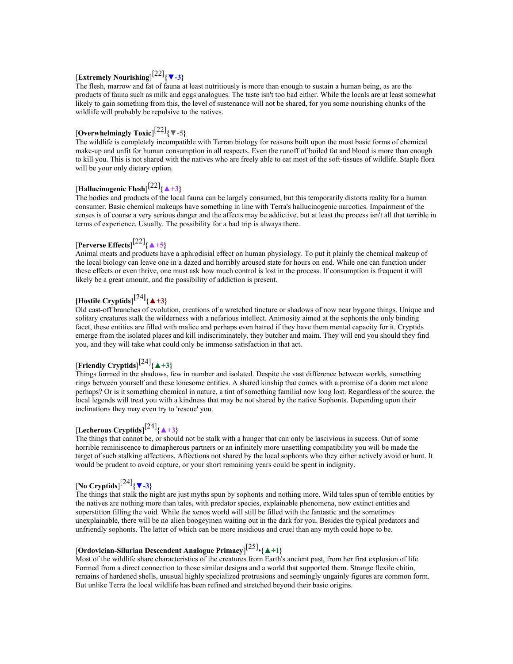# [**Extremely Nourishing**] [22]**{▼-3}**

The flesh, marrow and fat of fauna at least nutritiously is more than enough to sustain a human being, as are the products of fauna such as milk and eggs analogues. The taste isn't too bad either. While the locals are at least somewhat likely to gain something from this, the level of sustenance will not be shared, for you some nourishing chunks of the wildlife will probably be repulsive to the natives.

# [**Overwhelmingly Toxic**] [22]**{▼-5}**

The wildlife is completely incompatible with Terran biology for reasons built upon the most basic forms of chemical make-up and unfit for human consumption in all respects. Even the runoff of boiled fat and blood is more than enough to kill you. This is not shared with the natives who are freely able to eat most of the soft-tissues of wildlife. Staple flora will be your only dietary option.

# [**Hallucinogenic Flesh**] [22]**{▲+3}**

The bodies and products of the local fauna can be largely consumed, but this temporarily distorts reality for a human consumer. Basic chemical makeups have something in line with Terra's hallucinogenic narcotics. Impairment of the senses is of course a very serious danger and the affects may be addictive, but at least the process isn't all that terrible in terms of experience. Usually. The possibility for a bad trip is always there.

# [**Perverse Effects**] [22]**{▲+5}**

Animal meats and products have a aphrodisial effect on human physiology. To put it plainly the chemical makeup of the local biology can leave one in a dazed and horribly aroused state for hours on end. While one can function under these effects or even thrive, one must ask how much control is lost in the process. If consumption is frequent it will likely be a great amount, and the possibility of addiction is present.

# $[{\text{Hostile Cryptids}}]^{[24]}$

Old cast-off branches of evolution, creations of a wretched tincture or shadows of now near bygone things. Unique and solitary creatures stalk the wilderness with a nefarious intellect. Animosity aimed at the sophonts the only binding facet, these entities are filled with malice and perhaps even hatred if they have them mental capacity for it. Cryptids emerge from the isolated places and kill indiscriminately, they butcher and maim. They will end you should they find you, and they will take what could only be immense satisfaction in that act.

# [**Friendly Cryptids**] [24]**{▲+3}**

Things formed in the shadows, few in number and isolated. Despite the vast difference between worlds, something rings between yourself and these lonesome entities. A shared kinship that comes with a promise of a doom met alone perhaps? Or is it something chemical in nature, a tint of something familial now long lost. Regardless of the source, the local legends will treat you with a kindness that may be not shared by the native Sophonts. Depending upon their inclinations they may even try to 'rescue' you.

# [**Lecherous Cryptids**] [24]**{▲+3}**

The things that cannot be, or should not be stalk with a hunger that can only be lascivious in success. Out of some horrible reminiscence to dimapherous partners or an infinitely more unsettling compatibility you will be made the target of such stalking affections. Affections not shared by the local sophonts who they either actively avoid or hunt. It would be prudent to avoid capture, or your short remaining years could be spent in indignity.

# [**No Cryptids**] [24]**{▼-3}**

The things that stalk the night are just myths spun by sophonts and nothing more. Wild tales spun of terrible entities by the natives are nothing more than tales, with predator species, explainable phenomena, now extinct entities and superstition filling the void. While the xenos world will still be filled with the fantastic and the sometimes unexplainable, there will be no alien boogeymen waiting out in the dark for you. Besides the typical predators and unfriendly sophonts. The latter of which can be more insidious and cruel than any myth could hope to be.

# [**Ordovician-Silurian Descendent Analogue Primacy**] [25] •**{▲+1}**

Most of the wildlife share characteristics of the creatures from Earth's ancient past, from her first explosion of life. Formed from a direct connection to those similar designs and a world that supported them. Strange flexile chitin, remains of hardened shells, unusual highly specialized protrusions and seemingly ungainly figures are common form. But unlike Terra the local wildlife has been refined and stretched beyond their basic origins.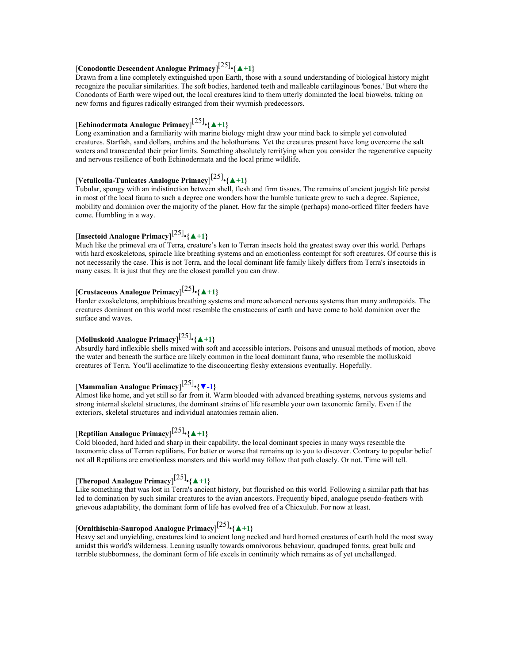# [**Conodontic Descendent Analogue Primacy**] [25] •**{▲+1}**

Drawn from a line completely extinguished upon Earth, those with a sound understanding of biological history might recognize the peculiar similarities. The soft bodies, hardened teeth and malleable cartilaginous 'bones.' But where the Conodonts of Earth were wiped out, the local creatures kind to them utterly dominated the local biowebs, taking on new forms and figures radically estranged from their wyrmish predecessors.

# [**Echinodermata Analogue Primacy**] [25] •**{▲+1}**

Long examination and a familiarity with marine biology might draw your mind back to simple yet convoluted creatures. Starfish, sand dollars, urchins and the holothurians. Yet the creatures present have long overcome the salt waters and transcended their prior limits. Something absolutely terrifying when you consider the regenerative capacity and nervous resilience of both Echinodermata and the local prime wildlife.

# [**Vetulicolia-Tunicates Analogue Primacy**] [25] •**{▲+1}**

Tubular, spongy with an indistinction between shell, flesh and firm tissues. The remains of ancient juggish life persist in most of the local fauna to such a degree one wonders how the humble tunicate grew to such a degree. Sapience, mobility and dominion over the majority of the planet. How far the simple (perhaps) mono-orficed filter feeders have come. Humbling in a way.

# [**Insectoid Analogue Primacy**] [25] •**{▲+1}**

Much like the primeval era of Terra, creature's ken to Terran insects hold the greatest sway over this world. Perhaps with hard exoskeletons, spiracle like breathing systems and an emotionless contempt for soft creatures. Of course this is not necessarily the case. This is not Terra, and the local dominant life family likely differs from Terra's insectoids in many cases. It is just that they are the closest parallel you can draw.

# [**Crustaceous Analogue Primacy**] [25] •**{▲+1}**

Harder exoskeletons, amphibious breathing systems and more advanced nervous systems than many anthropoids. The creatures dominant on this world most resemble the crustaceans of earth and have come to hold dominion over the surface and waves.

# [**Molluskoid Analogue Primacy**] [25] •**{▲+1}**

Absurdly hard inflexible shells mixed with soft and accessible interiors. Poisons and unusual methods of motion, above the water and beneath the surface are likely common in the local dominant fauna, who resemble the molluskoid creatures of Terra. You'll acclimatize to the disconcerting fleshy extensions eventually. Hopefully.

# [**Mammalian Analogue Primacy**] [25] •**{▼-1}**

Almost like home, and yet still so far from it. Warm blooded with advanced breathing systems, nervous systems and strong internal skeletal structures, the dominant strains of life resemble your own taxonomic family. Even if the exteriors, skeletal structures and individual anatomies remain alien.

# [**Reptilian Analogue Primacy**] [25] •**{▲+1}**

Cold blooded, hard hided and sharp in their capability, the local dominant species in many ways resemble the taxonomic class of Terran reptilians. For better or worse that remains up to you to discover. Contrary to popular belief not all Reptilians are emotionless monsters and this world may follow that path closely. Or not. Time will tell.

# [**Theropod Analogue Primacy**] [25] •**{▲+1}**

Like something that was lost in Terra's ancient history, but flourished on this world. Following a similar path that has led to domination by such similar creatures to the avian ancestors. Frequently biped, analogue pseudo-feathers with grievous adaptability, the dominant form of life has evolved free of a Chicxulub. For now at least.

# [**Ornithischia-Sauropod Analogue Primacy**] [25] •**{▲+1}**

Heavy set and unyielding, creatures kind to ancient long necked and hard horned creatures of earth hold the most sway amidst this world's wilderness. Leaning usually towards omnivorous behaviour, quadruped forms, great bulk and terrible stubbornness, the dominant form of life excels in continuity which remains as of yet unchallenged.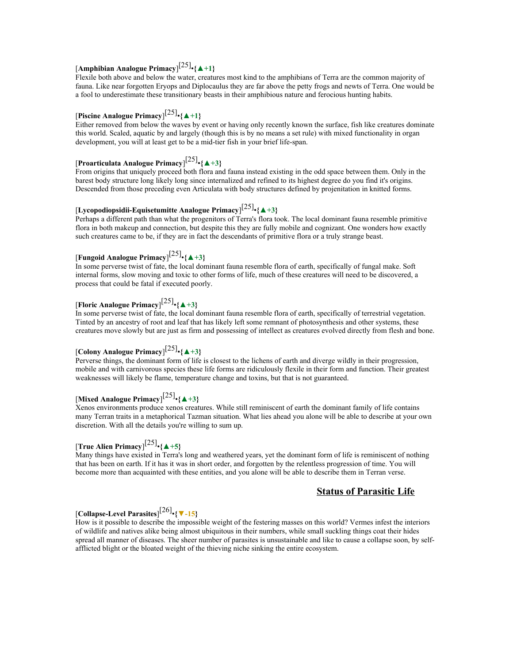# [**Amphibian Analogue Primacy**] [25] •**{▲+1}**

Flexile both above and below the water, creatures most kind to the amphibians of Terra are the common majority of fauna. Like near forgotten Eryops and Diplocaulus they are far above the petty frogs and newts of Terra. One would be a fool to underestimate these transitionary beasts in their amphibious nature and ferocious hunting habits.

# [**Piscine Analogue Primacy**] [25] •**{▲+1}**

Either removed from below the waves by event or having only recently known the surface, fish like creatures dominate this world. Scaled, aquatic by and largely (though this is by no means a set rule) with mixed functionality in organ development, you will at least get to be a mid-tier fish in your brief life-span.

# [**Proarticulata Analogue Primacy**] [25] •**{▲+3}**

From origins that uniquely proceed both flora and fauna instead existing in the odd space between them. Only in the barest body structure long likely long since internalized and refined to its highest degree do you find it's origins. Descended from those preceding even Articulata with body structures defined by projenitation in knitted forms.

# [**Lycopodiopsidii-Equisetumitte Analogue Primacy**] [25] •**{▲+3}**

Perhaps a different path than what the progenitors of Terra's flora took. The local dominant fauna resemble primitive flora in both makeup and connection, but despite this they are fully mobile and cognizant. One wonders how exactly such creatures came to be, if they are in fact the descendants of primitive flora or a truly strange beast.

# [**Fungoid Analogue Primacy**] [25] •**{▲+3}**

In some perverse twist of fate, the local dominant fauna resemble flora of earth, specifically of fungal make. Soft internal forms, slow moving and toxic to other forms of life, much of these creatures will need to be discovered, a process that could be fatal if executed poorly.

# [**Floric Analogue Primacy**] [25] •**{▲+3}**

In some perverse twist of fate, the local dominant fauna resemble flora of earth, specifically of terrestrial vegetation. Tinted by an ancestry of root and leaf that has likely left some remnant of photosynthesis and other systems, these creatures move slowly but are just as firm and possessing of intellect as creatures evolved directly from flesh and bone.

# [**Colony Analogue Primacy**] [25] •**{▲+3}**

Perverse things, the dominant form of life is closest to the lichens of earth and diverge wildly in their progression, mobile and with carnivorous species these life forms are ridiculously flexile in their form and function. Their greatest weaknesses will likely be flame, temperature change and toxins, but that is not guaranteed.

# [**Mixed Analogue Primacy**] [25] •**{▲+3}**

Xenos environments produce xenos creatures. While still reminiscent of earth the dominant family of life contains many Terran traits in a metaphorical Tazman situation. What lies ahead you alone will be able to describe at your own discretion. With all the details you're willing to sum up.

# [**True Alien Primacy**] [25] •**{▲+5}**

Many things have existed in Terra's long and weathered years, yet the dominant form of life is reminiscent of nothing that has been on earth. If it has it was in short order, and forgotten by the relentless progression of time. You will become more than acquainted with these entities, and you alone will be able to describe them in Terran verse.

#### **Status of Parasitic Life**

# [**Collapse-Level Parasites**] [26] •**{▼-15}**

How is it possible to describe the impossible weight of the festering masses on this world? Vermes infest the interiors of wildlife and natives alike being almost ubiquitous in their numbers, while small suckling things coat their hides spread all manner of diseases. The sheer number of parasites is unsustainable and like to cause a collapse soon, by selfafflicted blight or the bloated weight of the thieving niche sinking the entire ecosystem.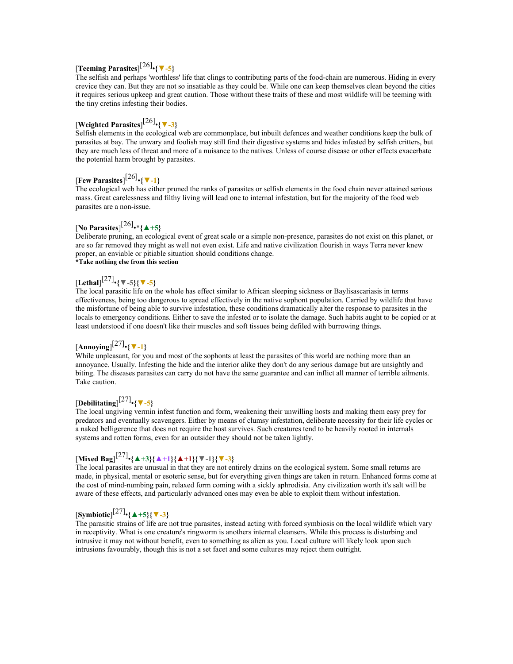# [**Teeming Parasites**] [26] •**{▼-5}**

The selfish and perhaps 'worthless' life that clings to contributing parts of the food-chain are numerous. Hiding in every crevice they can. But they are not so insatiable as they could be. While one can keep themselves clean beyond the cities it requires serious upkeep and great caution. Those without these traits of these and most wildlife will be teeming with the tiny cretins infesting their bodies.

# [**Weighted Parasites**] [26] •**{▼-3}**

Selfish elements in the ecological web are commonplace, but inbuilt defences and weather conditions keep the bulk of parasites at bay. The unwary and foolish may still find their digestive systems and hides infested by selfish critters, but they are much less of threat and more of a nuisance to the natives. Unless of course disease or other effects exacerbate the potential harm brought by parasites.

# [**Few Parasites**] [26] •**{▼-1}**

The ecological web has either pruned the ranks of parasites or selfish elements in the food chain never attained serious mass. Great carelessness and filthy living will lead one to internal infestation, but for the majority of the food web parasites are a non-issue.

# [**No Parasites**] [26]•\***{▲+5}**

Deliberate pruning, an ecological event of great scale or a simple non-presence, parasites do not exist on this planet, or are so far removed they might as well not even exist. Life and native civilization flourish in ways Terra never knew proper, an enviable or pitiable situation should conditions change.

**\*Take nothing else from this section**

# [**Lethal**] [27] •**{▼-5}{▼-5}**

The local parasitic life on the whole has effect similar to African sleeping sickness or Baylisascariasis in terms effectiveness, being too dangerous to spread effectively in the native sophont population. Carried by wildlife that have the misfortune of being able to survive infestation, these conditions dramatically alter the response to parasites in the locals to emergency conditions. Either to save the infested or to isolate the damage. Such habits aught to be copied or at least understood if one doesn't like their muscles and soft tissues being defiled with burrowing things.

# [**Annoying**] [27] •**{▼-1}**

While unpleasant, for you and most of the sophonts at least the parasites of this world are nothing more than an annoyance. Usually. Infesting the hide and the interior alike they don't do any serious damage but are unsightly and biting. The diseases parasites can carry do not have the same guarantee and can inflict all manner of terrible ailments. Take caution.

# [**Debilitating**] [27] •**{▼-5}**

The local ungiving vermin infest function and form, weakening their unwilling hosts and making them easy prey for predators and eventually scavengers. Either by means of clumsy infestation, deliberate necessity for their life cycles or a naked belligerence that does not require the host survives. Such creatures tend to be heavily rooted in internals systems and rotten forms, even for an outsider they should not be taken lightly.

# [**Mixed Bag**] [27] •**{▲+3}{▲+1}{▲+1}{▼-1}{▼-3}**

The local parasites are unusual in that they are not entirely drains on the ecological system. Some small returns are made, in physical, mental or esoteric sense, but for everything given things are taken in return. Enhanced forms come at the cost of mind-numbing pain, relaxed form coming with a sickly aphrodisia. Any civilization worth it's salt will be aware of these effects, and particularly advanced ones may even be able to exploit them without infestation.

# [**Symbiotic**] [27] •**{▲+5}{▼-3}**

The parasitic strains of life are not true parasites, instead acting with forced symbiosis on the local wildlife which vary in receptivity. What is one creature's ringworm is anothers internal cleansers. While this process is disturbing and intrusive it may not without benefit, even to something as alien as you. Local culture will likely look upon such intrusions favourably, though this is not a set facet and some cultures may reject them outright.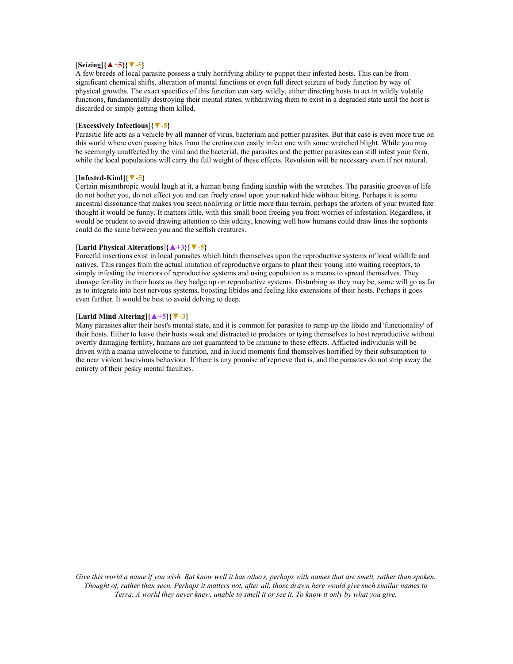#### [**Seizing**]**{▲+5}{▼-5}**

A few breeds of local parasite possess a truly horrifying ability to puppet their infested hosts. This can be from significant chemical shifts, alteration of mental functions or even full direct seizure of body function by way of physical growths. The exact specifics of this function can vary wildly, either directing hosts to act in wildly volatile functions, fundamentally destroying their mental states, withdrawing them to exist in a degraded state until the host is discarded or simply getting them killed.

#### [**Excessively Infectious**]**{▼-5}**

Parasitic life acts as a vehicle by all manner of virus, bacterium and pettier parasites. But that case is even more true on this world where even passing bites from the cretins can easily infect one with some wretched blight. While you may be seemingly unaffected by the viral and the bacterial, the parasites and the pettier parasites can still infest your form, while the local populations will carry the full weight of these effects. Revulsion will be necessary even if not natural.

#### [**Infested-Kind**]**{▼-5}**

Certain misanthropic would laugh at it, a human being finding kinship with the wretches. The parasitic grooves of life do not bother you, do not effect you and can freely crawl upon your naked hide without biting. Perhaps it is some ancestral dissonance that makes you seem nonliving or little more than terrain, perhaps the arbiters of your twisted fate thought it would be funny. It matters little, with this small boon freeing you from worries of infestation. Regardless, it would be prudent to avoid drawing attention to this oddity, knowing well how humans could draw lines the sophonts could do the same between you and the selfish creatures.

#### [**Lurid Physical Alterations**]**{▲+3}{▼-5}**

Forceful insertions exist in local parasites which hitch themselves upon the reproductive systems of local wildlife and natives. This ranges from the actual imitation of reproductive organs to plant their young into waiting receptors, to simply infesting the interiors of reproductive systems and using copulation as a means to spread themselves. They damage fertility in their hosts as they hedge up on reproductive systems. Disturbing as they may be, some will go as far as to integrate into host nervous systems, boosting libidos and feeling like extensions of their hosts. Perhaps it goes even further. It would be best to avoid delving to deep.

#### [**Lurid Mind Altering**]**{▲+5}{▼-3}**

Many parasites alter their host's mental state, and it is common for parasites to ramp up the libido and 'functionality' of their hosts. Either to leave their hosts weak and distracted to predators or tying themselves to host reproductive without overtly damaging fertility, humans are not guaranteed to be immune to these effects. Afflicted individuals will be driven with a mania unwelcome to function, and in lucid moments find themselves horrified by their subsumption to the near violent lascivious behaviour. If there is any promise of reprieve that is, and the parasites do not strip away the entirety of their pesky mental faculties.

*Give this world a name if you wish. But know well it has others, perhaps with names that are smelt, rather than spoken. Thought of, rather than seen. Perhaps it matters not, after all, those drawn here would give such similar names to Terra. A world they never knew, unable to smell it or see it. To know it only by what you give.*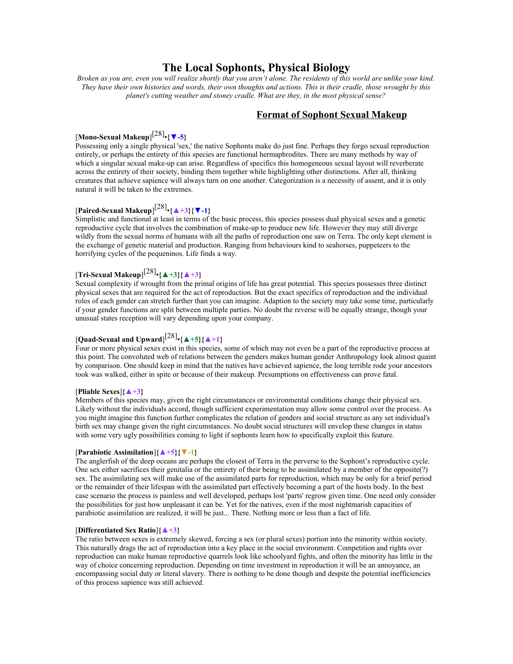# **The Local Sophonts, Physical Biology**

*Broken as you are, even you will realize shortly that you aren't alone. The residents of this world are unlike your kind. They have their own histories and words, their own thoughts and actions. This is their cradle, those wrought by this planet's cutting weather and stoney cradle. What are they, in the most physical sense?*

#### **Format of Sophont Sexual Makeup**

# [**Mono-Sexual Makeup**] [28] •**{▼-5}**

Possessing only a single physical 'sex,' the native Sophonts make do just fine. Perhaps they forgo sexual reproduction entirely, or perhaps the entirety of this species are functional hermaphrodites. There are many methods by way of which a singular sexual make-up can arise. Regardless of specifics this homogeneous sexual layout will reverberate across the entirety of their society, binding them together while highlighting other distinctions. After all, thinking creatures that achieve sapience will always turn on one another. Categorization is a necessity of assent, and it is only natural it will be taken to the extremes.

# [**Paired-Sexual Makeup**] [28] •**{▲+3}{▼-1}**

Simplistic and functional at least in terms of the basic process, this species possess dual physical sexes and a genetic reproductive cycle that involves the combination of make-up to produce new life. However they may still diverge wildly from the sexual norms of humans with all the paths of reproduction one saw on Terra. The only kept element is the exchange of genetic material and production. Ranging from behaviours kind to seahorses, puppeteers to the horrifying cycles of the pequeninos. Life finds a way.

# [**Tri-Sexual Makeup**] [28] •**{▲+3}{▲+3}**

Sexual complexity if wrought from the primal origins of life has great potential. This species possesses three distinct physical sexes that are required for the act of reproduction. But the exact specifics of reproduction and the individual roles of each gender can stretch further than you can imagine. Adaption to the society may take some time, particularly if your gender functions are split between multiple parties. No doubt the reverse will be equally strange, though your unusual states reception will vary depending upon your company.

# [**Quad-Sexual and Upward**] [28] •**{▲+5}{▲+1}**

Four or more physical sexes exist in this species, some of which may not even be a part of the reproductive process at this point. The convoluted web of relations between the genders makes human gender Anthropology look almost quaint by comparison. One should keep in mind that the natives have achieved sapience, the long terrible rode your ancestors took was walked, either in spite or because of their makeup. Presumptions on effectiveness can prove fatal.

#### [**Pliable Sexes**]**{▲+3}**

Members of this species may, given the right circumstances or environmental conditions change their physical sex. Likely without the individuals accord, though sufficient experimentation may allow some control over the process. As you might imagine this function further complicates the relation of genders and social structure as any set individual's birth sex may change given the right circumstances. No doubt social structures will envelop these changes in status with some very ugly possibilities coming to light if sophonts learn how to specifically exploit this feature.

#### [**Parabiotic Assimilation**]**{▲+5}{▼-1}**

The anglerfish of the deep oceans are perhaps the closest of Terra in the perverse to the Sophont's reproductive cycle. One sex either sacrifices their genitalia or the entirety of their being to be assimilated by a member of the opposite(?) sex. The assimilating sex will make use of the assimilated parts for reproduction, which may be only for a brief period or the remainder of their lifespan with the assimilated part effectively becoming a part of the hosts body. In the best case scenario the process is painless and well developed, perhaps lost 'parts' regrow given time. One need only consider the possibilities for just how unpleasant it can be. Yet for the natives, even if the most nightmarish capacities of parabiotic assimilation are realized, it will be just... There. Nothing more or less than a fact of life.

#### [**Differentiated Sex Ratio**]**{▲+3}**

The ratio between sexes is extremely skewed, forcing a sex (or plural sexes) portion into the minority within society. This naturally drags the act of reproduction into a key place in the social environment. Competition and rights over reproduction can make human reproductive quarrels look like schoolyard fights, and often the minority has little in the way of choice concerning reproduction. Depending on time investment in reproduction it will be an annoyance, an encompassing social duty or literal slavery. There is nothing to be done though and despite the potential inefficiencies of this process sapience was still achieved.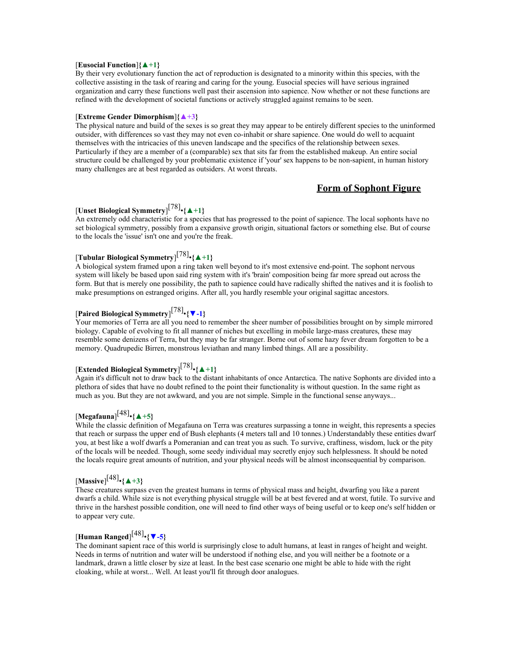#### [**Eusocial Function**]**{▲+1}**

By their very evolutionary function the act of reproduction is designated to a minority within this species, with the collective assisting in the task of rearing and caring for the young. Eusocial species will have serious ingrained organization and carry these functions well past their ascension into sapience. Now whether or not these functions are refined with the development of societal functions or actively struggled against remains to be seen.

#### [**Extreme Gender Dimorphism**]**{▲+3}**

The physical nature and build of the sexes is so great they may appear to be entirely different species to the uninformed outsider, with differences so vast they may not even co-inhabit or share sapience. One would do well to acquaint themselves with the intricacies of this uneven landscape and the specifics of the relationship between sexes. Particularly if they are a member of a (comparable) sex that sits far from the established makeup. An entire social structure could be challenged by your problematic existence if 'your' sex happens to be non-sapient, in human history many challenges are at best regarded as outsiders. At worst threats.

#### **Form of Sophont Figure**

# [**Unset Biological Symmetry**] [78] •**{▲+1}**

An extremely odd characteristic for a species that has progressed to the point of sapience. The local sophonts have no set biological symmetry, possibly from a expansive growth origin, situational factors or something else. But of course to the locals the 'issue' isn't one and you're the freak.

# [**Tubular Biological Symmetry**] [78] •**{▲+1}**

A biological system framed upon a ring taken well beyond to it's most extensive end-point. The sophont nervous system will likely be based upon said ring system with it's 'brain' composition being far more spread out across the form. But that is merely one possibility, the path to sapience could have radically shifted the natives and it is foolish to make presumptions on estranged origins. After all, you hardly resemble your original sagittac ancestors.

# [**Paired Biological Symmetry**] [78] •**{▼-1}**

Your memories of Terra are all you need to remember the sheer number of possibilities brought on by simple mirrored biology. Capable of evolving to fit all manner of niches but excelling in mobile large-mass creatures, these may resemble some denizens of Terra, but they may be far stranger. Borne out of some hazy fever dream forgotten to be a memory. Quadrupedic Birren, monstrous leviathan and many limbed things. All are a possibility.

# [**Extended Biological Symmetry**] [78] •**{▲+1}**

Again it's difficult not to draw back to the distant inhabitants of once Antarctica. The native Sophonts are divided into a plethora of sides that have no doubt refined to the point their functionality is without question. In the same right as much as you. But they are not awkward, and you are not simple. Simple in the functional sense anyways...

# [**Megafauna**] [48] •**{▲+5}**

While the classic definition of Megafauna on Terra was creatures surpassing a tonne in weight, this represents a species that reach or surpass the upper end of Bush elephants (4 meters tall and 10 tonnes.) Understandably these entities dwarf you, at best like a wolf dwarfs a Pomeranian and can treat you as such. To survive, craftiness, wisdom, luck or the pity of the locals will be needed. Though, some seedy individual may secretly enjoy such helplessness. It should be noted the locals require great amounts of nutrition, and your physical needs will be almost inconsequential by comparison.

# [**Massive**] [48] •**{▲+3}**

These creatures surpass even the greatest humans in terms of physical mass and height, dwarfing you like a parent dwarfs a child. While size is not everything physical struggle will be at best fevered and at worst, futile. To survive and thrive in the harshest possible condition, one will need to find other ways of being useful or to keep one's self hidden or to appear very cute.

# [**Human Ranged**] [48] •**{▼-5}**

The dominant sapient race of this world is surprisingly close to adult humans, at least in ranges of height and weight. Needs in terms of nutrition and water will be understood if nothing else, and you will neither be a footnote or a landmark, drawn a little closer by size at least. In the best case scenario one might be able to hide with the right cloaking, while at worst... Well. At least you'll fit through door analogues.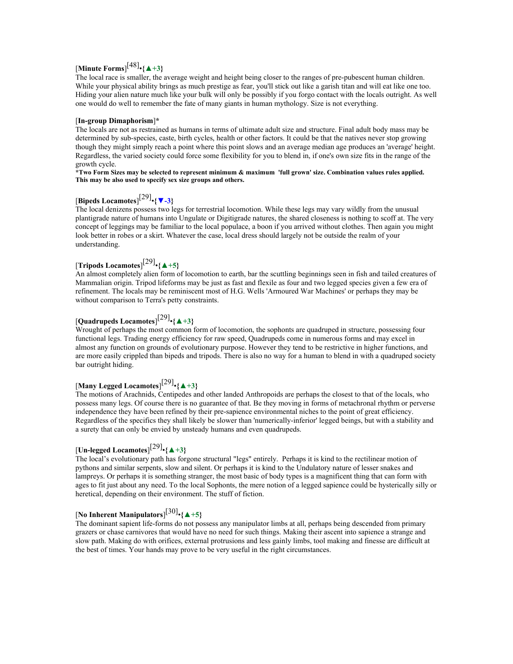# [**Minute Forms**] [48] •**{▲+3}**

The local race is smaller, the average weight and height being closer to the ranges of pre-pubescent human children. While your physical ability brings as much prestige as fear, you'll stick out like a garish titan and will eat like one too. Hiding your alien nature much like your bulk will only be possibly if you forgo contact with the locals outright. As well one would do well to remember the fate of many giants in human mythology. Size is not everything.

#### [**In-group Dimaphorism**]**\***

The locals are not as restrained as humans in terms of ultimate adult size and structure. Final adult body mass may be determined by sub-species, caste, birth cycles, health or other factors. It could be that the natives never stop growing though they might simply reach a point where this point slows and an average median age produces an 'average' height. Regardless, the varied society could force some flexibility for you to blend in, if one's own size fits in the range of the growth cycle.

#### **\*Two Form Sizes may be selected to represent minimum & maximum 'full grown' size. Combination values rules applied. This may be also used to specify sex size groups and others.**

# [**Bipeds Locamotes**] [29] •**{▼-3}**

The local denizens possess two legs for terrestrial locomotion. While these legs may vary wildly from the unusual plantigrade nature of humans into Ungulate or Digitigrade natures, the shared closeness is nothing to scoff at. The very concept of leggings may be familiar to the local populace, a boon if you arrived without clothes. Then again you might look better in robes or a skirt. Whatever the case, local dress should largely not be outside the realm of your understanding.

# [**Tripods Locamotes**] [29] •**{▲+5}**

An almost completely alien form of locomotion to earth, bar the scuttling beginnings seen in fish and tailed creatures of Mammalian origin. Tripod lifeforms may be just as fast and flexile as four and two legged species given a few era of refinement. The locals may be reminiscent most of H.G. Wells 'Armoured War Machines' or perhaps they may be without comparison to Terra's petty constraints.

# [**Quadrupeds Locamotes**] [29] •**{▲+3}**

Wrought of perhaps the most common form of locomotion, the sophonts are quadruped in structure, possessing four functional legs. Trading energy efficiency for raw speed, Quadrupeds come in numerous forms and may excel in almost any function on grounds of evolutionary purpose. However they tend to be restrictive in higher functions, and are more easily crippled than bipeds and tripods. There is also no way for a human to blend in with a quadruped society bar outright hiding.

# [**Many Legged Locamotes**] [29] •**{▲+3}**

The motions of Arachnids, Centipedes and other landed Anthropoids are perhaps the closest to that of the locals, who possess many legs. Of course there is no guarantee of that. Be they moving in forms of metachronal rhythm or perverse independence they have been refined by their pre-sapience environmental niches to the point of great efficiency. Regardless of the specifics they shall likely be slower than 'numerically-inferior' legged beings, but with a stability and a surety that can only be envied by unsteady humans and even quadrupeds.

# [**Un-legged Locamotes**] [29] •**{▲+3}**

The local's evolutionary path has forgone structural "legs" entirely. Perhaps it is kind to the rectilinear motion of pythons and similar serpents, slow and silent. Or perhaps it is kind to the Undulatory nature of lesser snakes and lampreys. Or perhaps it is something stranger, the most basic of body types is a magnificent thing that can form with ages to fit just about any need. To the local Sophonts, the mere notion of a legged sapience could be hysterically silly or heretical, depending on their environment. The stuff of fiction.

# [**No Inherent Manipulators**] [30] •**{▲+5}**

The dominant sapient life-forms do not possess any manipulator limbs at all, perhaps being descended from primary grazers or chase carnivores that would have no need for such things. Making their ascent into sapience a strange and slow path. Making do with orifices, external protrusions and less gainly limbs, tool making and finesse are difficult at the best of times. Your hands may prove to be very useful in the right circumstances.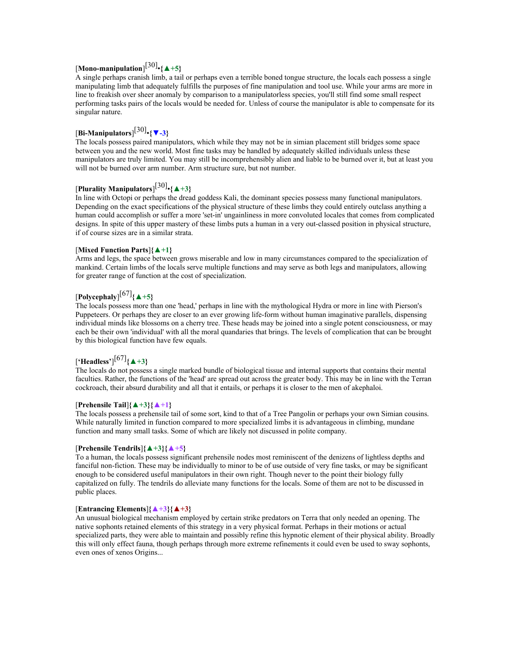# [**Mono-manipulation**] [30] •**{▲+5}**

A single perhaps cranish limb, a tail or perhaps even a terrible boned tongue structure, the locals each possess a single manipulating limb that adequately fulfills the purposes of fine manipulation and tool use. While your arms are more in line to freakish over sheer anomaly by comparison to a manipulatorless species, you'll still find some small respect performing tasks pairs of the locals would be needed for. Unless of course the manipulator is able to compensate for its singular nature.

# [**Bi-Manipulators**] [30] •**{▼-3}**

The locals possess paired manipulators, which while they may not be in simian placement still bridges some space between you and the new world. Most fine tasks may be handled by adequately skilled individuals unless these manipulators are truly limited. You may still be incomprehensibly alien and liable to be burned over it, but at least you will not be burned over arm number. Arm structure sure, but not number.

# [**Plurality Manipulators**] [30] •**{▲+3}**

In line with Octopi or perhaps the dread goddess Kali, the dominant species possess many functional manipulators. Depending on the exact specifications of the physical structure of these limbs they could entirely outclass anything a human could accomplish or suffer a more 'set-in' ungainliness in more convoluted locales that comes from complicated designs. In spite of this upper mastery of these limbs puts a human in a very out-classed position in physical structure, if of course sizes are in a similar strata.

#### [**Mixed Function Parts**]**{▲+1}**

Arms and legs, the space between grows miserable and low in many circumstances compared to the specialization of mankind. Certain limbs of the locals serve multiple functions and may serve as both legs and manipulators, allowing for greater range of function at the cost of specialization.

# [**Polycephaly**] [67]**{▲+5}**

The locals possess more than one 'head,' perhaps in line with the mythological Hydra or more in line with Pierson's Puppeteers. Or perhaps they are closer to an ever growing life-form without human imaginative parallels, dispensing individual minds like blossoms on a cherry tree. These heads may be joined into a single potent consciousness, or may each be their own 'individual' with all the moral quandaries that brings. The levels of complication that can be brought by this biological function have few equals.

# [**'Headless'**] [67]**{▲+3}**

The locals do not possess a single marked bundle of biological tissue and internal supports that contains their mental faculties. Rather, the functions of the 'head' are spread out across the greater body. This may be in line with the Terran cockroach, their absurd durability and all that it entails, or perhaps it is closer to the men of akephaloi.

#### [**Prehensile Tail**]**{▲+3}{▲+1}**

The locals possess a prehensile tail of some sort, kind to that of a Tree Pangolin or perhaps your own Simian cousins. While naturally limited in function compared to more specialized limbs it is advantageous in climbing, mundane function and many small tasks. Some of which are likely not discussed in polite company.

#### [**Prehensile Tendrils**]**{▲+3}{▲+5}**

To a human, the locals possess significant prehensile nodes most reminiscent of the denizens of lightless depths and fanciful non-fiction. These may be individually to minor to be of use outside of very fine tasks, or may be significant enough to be considered useful manipulators in their own right. Though never to the point their biology fully capitalized on fully. The tendrils do alleviate many functions for the locals. Some of them are not to be discussed in public places.

#### [**Entrancing Elements**]**{▲+3}{▲+3}**

An unusual biological mechanism employed by certain strike predators on Terra that only needed an opening. The native sophonts retained elements of this strategy in a very physical format. Perhaps in their motions or actual specialized parts, they were able to maintain and possibly refine this hypnotic element of their physical ability. Broadly this will only effect fauna, though perhaps through more extreme refinements it could even be used to sway sophonts, even ones of xenos Origins...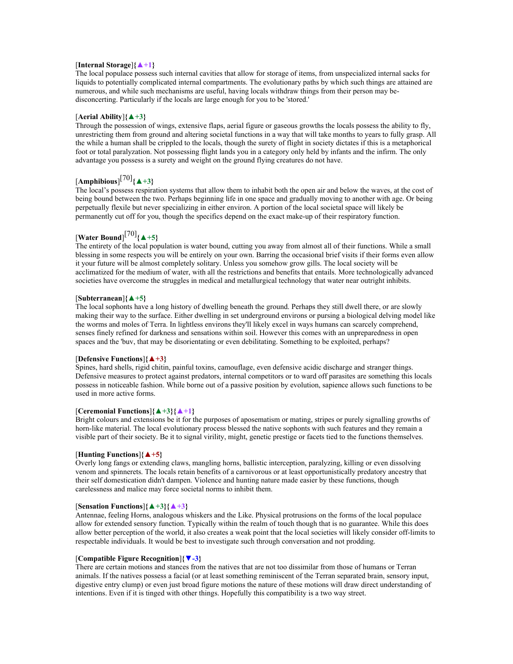#### [**Internal Storage**]**{▲+1}**

The local populace possess such internal cavities that allow for storage of items, from unspecialized internal sacks for liquids to potentially complicated internal compartments. The evolutionary paths by which such things are attained are numerous, and while such mechanisms are useful, having locals withdraw things from their person may bedisconcerting. Particularly if the locals are large enough for you to be 'stored.'

#### [**Aerial Ability**]**{▲+3}**

Through the possession of wings, extensive flaps, aerial figure or gaseous growths the locals possess the ability to fly, unrestricting them from ground and altering societal functions in a way that will take months to years to fully grasp. All the while a human shall be crippled to the locals, though the surety of flight in society dictates if this is a metaphorical foot or total paralyzation. Not possessing flight lands you in a category only held by infants and the infirm. The only advantage you possess is a surety and weight on the ground flying creatures do not have.

# [**Amphibious**] [70]**{▲+3}**

The local's possess respiration systems that allow them to inhabit both the open air and below the waves, at the cost of being bound between the two. Perhaps beginning life in one space and gradually moving to another with age. Or being perpetually flexile but never specializing in either environ. A portion of the local societal space will likely be permanently cut off for you, though the specifics depend on the exact make-up of their respiratory function.

# [**Water Bound**] [70]**{▲+5}**

The entirety of the local population is water bound, cutting you away from almost all of their functions. While a small blessing in some respects you will be entirely on your own. Barring the occasional brief visits if their forms even allow it your future will be almost completely solitary. Unless you somehow grow gills. The local society will be acclimatized for the medium of water, with all the restrictions and benefits that entails. More technologically advanced societies have overcome the struggles in medical and metallurgical technology that water near outright inhibits.

#### [**Subterranean**]**{▲+5}**

The local sophonts have a long history of dwelling beneath the ground. Perhaps they still dwell there, or are slowly making their way to the surface. Either dwelling in set underground environs or pursing a biological delving model like the worms and moles of Terra. In lightless environs they'll likely excel in ways humans can scarcely comprehend, senses finely refined for darkness and sensations within soil. However this comes with an unpreparedness in open spaces and the 'buv, that may be disorientating or even debilitating. Something to be exploited, perhaps?

#### [**Defensive Functions**]**{▲+3}**

Spines, hard shells, rigid chitin, painful toxins, camouflage, even defensive acidic discharge and stranger things. Defensive measures to protect against predators, internal competitors or to ward off parasites are something this locals possess in noticeable fashion. While borne out of a passive position by evolution, sapience allows such functions to be used in more active forms.

#### [**Ceremonial Functions**]**{▲+3}{▲+1}**

Bright colours and extensions be it for the purposes of aposematism or mating, stripes or purely signalling growths of horn-like material. The local evolutionary process blessed the native sophonts with such features and they remain a visible part of their society. Be it to signal virility, might, genetic prestige or facets tied to the functions themselves.

#### [**Hunting Functions**]**{▲+5}**

Overly long fangs or extending claws, mangling horns, ballistic interception, paralyzing, killing or even dissolving venom and spinnerets. The locals retain benefits of a carnivorous or at least opportunistically predatory ancestry that their self domestication didn't dampen. Violence and hunting nature made easier by these functions, though carelessness and malice may force societal norms to inhibit them.

#### [**Sensation Functions**]**{▲+3}{▲+3}**

Antennae, feeling Horns, analogous whiskers and the Like. Physical protrusions on the forms of the local populace allow for extended sensory function. Typically within the realm of touch though that is no guarantee. While this does allow better perception of the world, it also creates a weak point that the local societies will likely consider off-limits to respectable individuals. It would be best to investigate such through conversation and not prodding.

#### [**Compatible Figure Recognition**]**{▼-3}**

There are certain motions and stances from the natives that are not too dissimilar from those of humans or Terran animals. If the natives possess a facial (or at least something reminiscent of the Terran separated brain, sensory input, digestive entry clump) or even just broad figure motions the nature of these motions will draw direct understanding of intentions. Even if it is tinged with other things. Hopefully this compatibility is a two way street.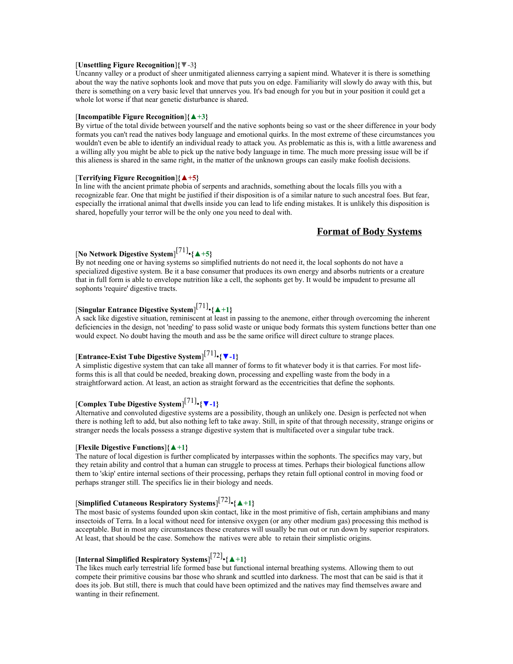#### [**Unsettling Figure Recognition**]**{▼-3}**

Uncanny valley or a product of sheer unmitigated alienness carrying a sapient mind. Whatever it is there is something about the way the native sophonts look and move that puts you on edge. Familiarity will slowly do away with this, but there is something on a very basic level that unnerves you. It's bad enough for you but in your position it could get a whole lot worse if that near genetic disturbance is shared.

#### [**Incompatible Figure Recognition**]**{▲+3}**

By virtue of the total divide between yourself and the native sophonts being so vast or the sheer difference in your body formats you can't read the natives body language and emotional quirks. In the most extreme of these circumstances you wouldn't even be able to identify an individual ready to attack you. As problematic as this is, with a little awareness and a willing ally you might be able to pick up the native body language in time. The much more pressing issue will be if this alieness is shared in the same right, in the matter of the unknown groups can easily make foolish decisions.

#### [**Terrifying Figure Recognition**]**{▲+5}**

In line with the ancient primate phobia of serpents and arachnids, something about the locals fills you with a recognizable fear. One that might be justified if their disposition is of a similar nature to such ancestral foes. But fear, especially the irrational animal that dwells inside you can lead to life ending mistakes. It is unlikely this disposition is shared, hopefully your terror will be the only one you need to deal with.

#### **Format of Body Systems**

# [**No Network Digestive System**] [71] •**{▲+5}**

By not needing one or having systems so simplified nutrients do not need it, the local sophonts do not have a specialized digestive system. Be it a base consumer that produces its own energy and absorbs nutrients or a creature that in full form is able to envelope nutrition like a cell, the sophonts get by. It would be impudent to presume all sophonts 'require' digestive tracts.

# [**Singular Entrance Digestive System**] [71] •**{▲+1}**

A sack like digestive situation, reminiscent at least in passing to the anemone, either through overcoming the inherent deficiencies in the design, not 'needing' to pass solid waste or unique body formats this system functions better than one would expect. No doubt having the mouth and ass be the same orifice will direct culture to strange places.

# [**Entrance-Exist Tube Digestive System**] [71] •**{▼-1}**

A simplistic digestive system that can take all manner of forms to fit whatever body it is that carries. For most lifeforms this is all that could be needed, breaking down, processing and expelling waste from the body in a straightforward action. At least, an action as straight forward as the eccentricities that define the sophonts.

# [**Complex Tube Digestive System**] [71] •**{▼-1}**

Alternative and convoluted digestive systems are a possibility, though an unlikely one. Design is perfected not when there is nothing left to add, but also nothing left to take away. Still, in spite of that through necessity, strange origins or stranger needs the locals possess a strange digestive system that is multifaceted over a singular tube track.

#### [**Flexile Digestive Functions**]**{▲+1}**

The nature of local digestion is further complicated by interpasses within the sophonts. The specifics may vary, but they retain ability and control that a human can struggle to process at times. Perhaps their biological functions allow them to 'skip' entire internal sections of their processing, perhaps they retain full optional control in moving food or perhaps stranger still. The specifics lie in their biology and needs.

# [**Simplified Cutaneous Respiratory Systems**] [72] •**{▲+1}**

The most basic of systems founded upon skin contact, like in the most primitive of fish, certain amphibians and many insectoids of Terra. In a local without need for intensive oxygen (or any other medium gas) processing this method is acceptable. But in most any circumstances these creatures will usually be run out or run down by superior respirators. At least, that should be the case. Somehow the natives were able to retain their simplistic origins.

# [**Internal Simplified Respiratory Systems**] [72] •**{▲+1}**

The likes much early terrestrial life formed base but functional internal breathing systems. Allowing them to out compete their primitive cousins bar those who shrank and scuttled into darkness. The most that can be said is that it does its job. But still, there is much that could have been optimized and the natives may find themselves aware and wanting in their refinement.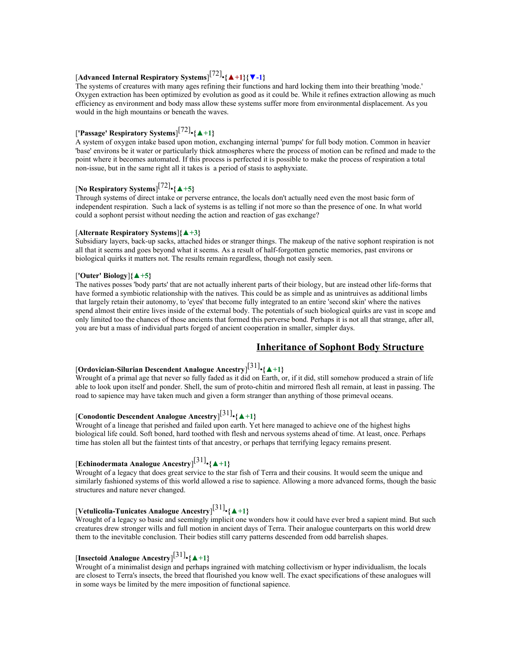# [**Advanced Internal Respiratory Systems**] [72] •**{▲+1}{▼-1}**

The systems of creatures with many ages refining their functions and hard locking them into their breathing 'mode.' Oxygen extraction has been optimized by evolution as good as it could be. While it refines extraction allowing as much efficiency as environment and body mass allow these systems suffer more from environmental displacement. As you would in the high mountains or beneath the waves.

# [**'Passage' Respiratory Systems**] [72] •**{▲+1}**

A system of oxygen intake based upon motion, exchanging internal 'pumps' for full body motion. Common in heavier 'base' environs be it water or particularly thick atmospheres where the process of motion can be refined and made to the point where it becomes automated. If this process is perfected it is possible to make the process of respiration a total non-issue, but in the same right all it takes is a period of stasis to asphyxiate.

# [**No Respiratory Systems**] [72] •**{▲+5}**

Through systems of direct intake or perverse entrance, the locals don't actually need even the most basic form of independent respiration. Such a lack of systems is as telling if not more so than the presence of one. In what world could a sophont persist without needing the action and reaction of gas exchange?

#### [**Alternate Respiratory Systems**]**{▲+3}**

Subsidiary layers, back-up sacks, attached hides or stranger things. The makeup of the native sophont respiration is not all that it seems and goes beyond what it seems. As a result of half-forgotten genetic memories, past environs or biological quirks it matters not. The results remain regardless, though not easily seen.

#### [**'Outer' Biology**]**{▲+5}**

The natives posses 'body parts' that are not actually inherent parts of their biology, but are instead other life-forms that have formed a symbiotic relationship with the natives. This could be as simple and as unintruives as additional limbs that largely retain their autonomy, to 'eyes' that become fully integrated to an entire 'second skin' where the natives spend almost their entire lives inside of the external body. The potentials of such biological quirks are vast in scope and only limited too the chances of those ancients that formed this perverse bond. Perhaps it is not all that strange, after all, you are but a mass of individual parts forged of ancient cooperation in smaller, simpler days.

#### **Inheritance of Sophont Body Structure**

# [**Ordovician-Silurian Descendent Analogue Ancestry**] [31] •**{▲+1}**

Wrought of a primal age that never so fully faded as it did on Earth, or, if it did, still somehow produced a strain of life able to look upon itself and ponder. Shell, the sum of proto-chitin and mirrored flesh all remain, at least in passing. The road to sapience may have taken much and given a form stranger than anything of those primeval oceans.

# [**Conodontic Descendent Analogue Ancestry**] [31] •**{▲+1}**

Wrought of a lineage that perished and failed upon earth. Yet here managed to achieve one of the highest highs biological life could. Soft boned, hard toothed with flesh and nervous systems ahead of time. At least, once. Perhaps time has stolen all but the faintest tints of that ancestry, or perhaps that terrifying legacy remains present.

# [**Echinodermata Analogue Ancestry**] [31] •**{▲+1}**

Wrought of a legacy that does great service to the star fish of Terra and their cousins. It would seem the unique and similarly fashioned systems of this world allowed a rise to sapience. Allowing a more advanced forms, though the basic structures and nature never changed.

# [**Vetulicolia-Tunicates Analogue Ancestry**] [31] •**{▲+1}**

Wrought of a legacy so basic and seemingly implicit one wonders how it could have ever bred a sapient mind. But such creatures drew stronger wills and full motion in ancient days of Terra. Their analogue counterparts on this world drew them to the inevitable conclusion. Their bodies still carry patterns descended from odd barrelish shapes.

# [**Insectoid Analogue Ancestry**] [31] •**{▲+1}**

Wrought of a minimalist design and perhaps ingrained with matching collectivism or hyper individualism, the locals are closest to Terra's insects, the breed that flourished you know well. The exact specifications of these analogues will in some ways be limited by the mere imposition of functional sapience.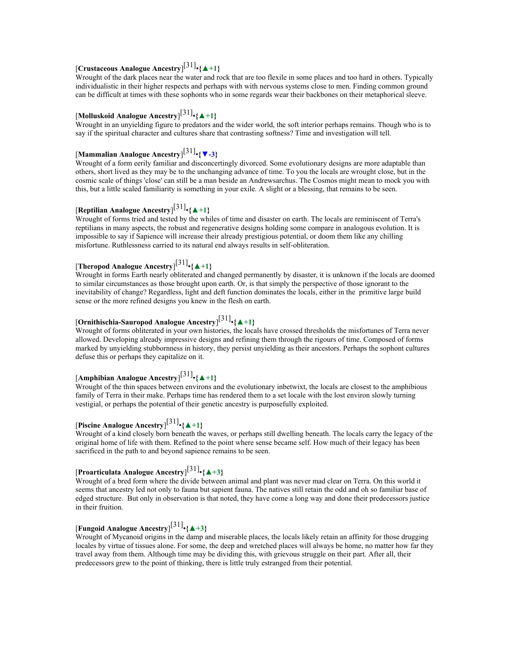# [**Crustaceous Analogue Ancestry**] [31] •**{▲+1}**

Wrought of the dark places near the water and rock that are too flexile in some places and too hard in others. Typically individualistic in their higher respects and perhaps with with nervous systems close to men. Finding common ground can be difficult at times with these sophonts who in some regards wear their backbones on their metaphorical sleeve.

# [**Molluskoid Analogue Ancestry**] [31] •**{▲+1}**

Wrought in an unyielding figure to predators and the wider world, the soft interior perhaps remains. Though who is to say if the spiritual character and cultures share that contrasting softness? Time and investigation will tell.

# [**Mammalian Analogue Ancestry**] [31] •**{▼-3}**

Wrought of a form eerily familiar and disconcertingly divorced. Some evolutionary designs are more adaptable than others, short lived as they may be to the unchanging advance of time. To you the locals are wrought close, but in the cosmic scale of things 'close' can still be a man beside an Andrewsarchus. The Cosmos might mean to mock you with this, but a little scaled familiarity is something in your exile. A slight or a blessing, that remains to be seen.

# [**Reptilian Analogue Ancestry**] [31] •**{▲+1}**

Wrought of forms tried and tested by the whiles of time and disaster on earth. The locals are reminiscent of Terra's reptilians in many aspects, the robust and regenerative designs holding some compare in analogous evolution. It is impossible to say if Sapience will increase their already prestigious potential, or doom them like any chilling misfortune. Ruthlessness carried to its natural end always results in self-obliteration.

# [**Theropod Analogue Ancestry**] [31] •**{▲+1}**

Wrought in forms Earth nearly obliterated and changed permanently by disaster, it is unknown if the locals are doomed to similar circumstances as those brought upon earth. Or, is that simply the perspective of those ignorant to the inevitability of change? Regardless, light and deft function dominates the locals, either in the primitive large build sense or the more refined designs you knew in the flesh on earth.

# [**Ornithischia-Sauropod Analogue Ancestry**] [31] •**{▲+1}**

Wrought of forms obliterated in your own histories, the locals have crossed thresholds the misfortunes of Terra never allowed. Developing already impressive designs and refining them through the rigours of time. Composed of forms marked by unyielding stubbornness in history, they persist unyielding as their ancestors. Perhaps the sophont cultures defuse this or perhaps they capitalize on it.

# [**Amphibian Analogue Ancestry**] [31] •**{▲+1}**

Wrought of the thin spaces between environs and the evolutionary inbetwixt, the locals are closest to the amphibious family of Terra in their make. Perhaps time has rendered them to a set locale with the lost environ slowly turning vestigial, or perhaps the potential of their genetic ancestry is purposefully exploited.

# [**Piscine Analogue Ancestry**] [31] •**{▲+1}**

Wrought of a kind closely born beneath the waves, or perhaps still dwelling beneath. The locals carry the legacy of the original home of life with them. Refined to the point where sense became self. How much of their legacy has been sacrificed in the path to and beyond sapience remains to be seen.

# [**Proarticulata Analogue Ancestry**] [31] •**{▲+3}**

Wrought of a bred form where the divide between animal and plant was never mad clear on Terra. On this world it seems that ancestry led not only to fauna but sapient fauna. The natives still retain the odd and oh so familiar base of edged structure. But only in observation is that noted, they have come a long way and done their predecessors justice in their fruition.

# [**Fungoid Analogue Ancestry**] [31] •**{▲+3}**

Wrought of Mycanoid origins in the damp and miserable places, the locals likely retain an affinity for those drugging locales by virtue of tissues alone. For some, the deep and wretched places will always be home, no matter how far they travel away from them. Although time may be dividing this, with grievous struggle on their part. After all, their predecessors grew to the point of thinking, there is little truly estranged from their potential.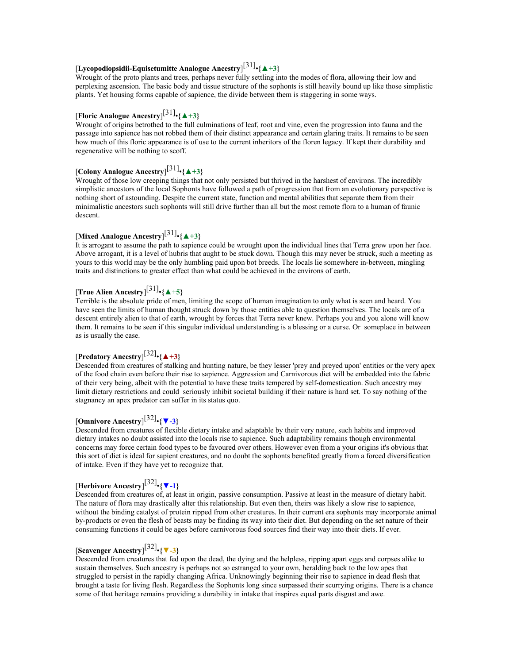# [**Lycopodiopsidii-Equisetumitte Analogue Ancestry**] [31] •**{▲+3}**

Wrought of the proto plants and trees, perhaps never fully settling into the modes of flora, allowing their low and perplexing ascension. The basic body and tissue structure of the sophonts is still heavily bound up like those simplistic plants. Yet housing forms capable of sapience, the divide between them is staggering in some ways.

# [**Floric Analogue Ancestry**] [31] •**{▲+3}**

Wrought of origins betrothed to the full culminations of leaf, root and vine, even the progression into fauna and the passage into sapience has not robbed them of their distinct appearance and certain glaring traits. It remains to be seen how much of this floric appearance is of use to the current inheritors of the floren legacy. If kept their durability and regenerative will be nothing to scoff.

# [**Colony Analogue Ancestry**] [31] •**{▲+3}**

Wrought of those low creeping things that not only persisted but thrived in the harshest of environs. The incredibly simplistic ancestors of the local Sophonts have followed a path of progression that from an evolutionary perspective is nothing short of astounding. Despite the current state, function and mental abilities that separate them from their minimalistic ancestors such sophonts will still drive further than all but the most remote flora to a human of faunic descent.

# [**Mixed Analogue Ancestry**] [31] •**{▲+3}**

It is arrogant to assume the path to sapience could be wrought upon the individual lines that Terra grew upon her face. Above arrogant, it is a level of hubris that aught to be stuck down. Though this may never be struck, such a meeting as yours to this world may be the only humbling paid upon bot breeds. The locals lie somewhere in-between, mingling traits and distinctions to greater effect than what could be achieved in the environs of earth.

# [**True Alien Ancestry**] [31] •**{▲+5}**

Terrible is the absolute pride of men, limiting the scope of human imagination to only what is seen and heard. You have seen the limits of human thought struck down by those entities able to question themselves. The locals are of a descent entirely alien to that of earth, wrought by forces that Terra never knew. Perhaps you and you alone will know them. It remains to be seen if this singular individual understanding is a blessing or a curse. Or someplace in between as is usually the case.

# [**Predatory Ancestry**] [32] •**{▲+3}**

Descended from creatures of stalking and hunting nature, be they lesser 'prey and preyed upon' entities or the very apex of the food chain even before their rise to sapience. Aggression and Carnivorous diet will be embedded into the fabric of their very being, albeit with the potential to have these traits tempered by self-domestication. Such ancestry may limit dietary restrictions and could seriously inhibit societal building if their nature is hard set. To say nothing of the stagnancy an apex predator can suffer in its status quo.

# [**Omnivore Ancestry**] [32] •**{▼-3}**

Descended from creatures of flexible dietary intake and adaptable by their very nature, such habits and improved dietary intakes no doubt assisted into the locals rise to sapience. Such adaptability remains though environmental concerns may force certain food types to be favoured over others. However even from a your origins it's obvious that this sort of diet is ideal for sapient creatures, and no doubt the sophonts benefited greatly from a forced diversification of intake. Even if they have yet to recognize that.

# [**Herbivore Ancestry**] [32] •**{▼-1}**

Descended from creatures of, at least in origin, passive consumption. Passive at least in the measure of dietary habit. The nature of flora may drastically alter this relationship. But even then, theirs was likely a slow rise to sapience, without the binding catalyst of protein ripped from other creatures. In their current era sophonts may incorporate animal by-products or even the flesh of beasts may be finding its way into their diet. But depending on the set nature of their consuming functions it could be ages before carnivorous food sources find their way into their diets. If ever.

# [**Scavenger Ancestry**] [32] •**{▼-3}**

Descended from creatures that fed upon the dead, the dying and the helpless, ripping apart eggs and corpses alike to sustain themselves. Such ancestry is perhaps not so estranged to your own, heralding back to the low apes that struggled to persist in the rapidly changing Africa. Unknowingly beginning their rise to sapience in dead flesh that brought a taste for living flesh. Regardless the Sophonts long since surpassed their scurrying origins. There is a chance some of that heritage remains providing a durability in intake that inspires equal parts disgust and awe.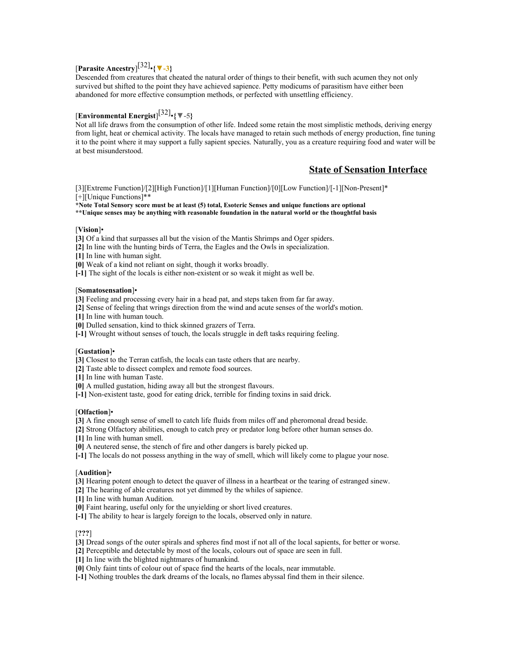# [**Parasite Ancestry**] [32] •**{▼-3}**

Descended from creatures that cheated the natural order of things to their benefit, with such acumen they not only survived but shifted to the point they have achieved sapience. Petty modicums of parasitism have either been abandoned for more effective consumption methods, or perfected with unsettling efficiency.

# [**Environmental Energist**] [32] •**{▼-5}**

Not all life draws from the consumption of other life. Indeed some retain the most simplistic methods, deriving energy from light, heat or chemical activity. The locals have managed to retain such methods of energy production, fine tuning it to the point where it may support a fully sapient species. Naturally, you as a creature requiring food and water will be at best misunderstood.

#### **State of Sensation Interface**

[3][Extreme Function]/[2][High Function]/[1][Human Function]/[0][Low Function]/[-1][Non-Present]\* [+][Unique Functions]\*\*

**\*Note Total Sensory score must be at least (5) total, Esoteric Senses and unique functions are optional** 

**\*\*Unique senses may be anything with reasonable foundation in the natural world or the thoughtful basis**

#### [**Vision**]•

**[3]** Of a kind that surpasses all but the vision of the Mantis Shrimps and Oger spiders.

**[2]** In line with the hunting birds of Terra, the Eagles and the Owls in specialization.

**[1]** In line with human sight.

**[0]** Weak of a kind not reliant on sight, though it works broadly.

**[-1]** The sight of the locals is either non-existent or so weak it might as well be.

#### [**Somatosensation**]•

**[3]** Feeling and processing every hair in a head pat, and steps taken from far far away.

**[2]** Sense of feeling that wrings direction from the wind and acute senses of the world's motion.

**[1]** In line with human touch.

**[0]** Dulled sensation, kind to thick skinned grazers of Terra.

**[-1]** Wrought without senses of touch, the locals struggle in deft tasks requiring feeling.

#### [**Gustation**]•

**[3]** Closest to the Terran catfish, the locals can taste others that are nearby.

**[2]** Taste able to dissect complex and remote food sources.

**[1]** In line with human Taste.

- **[0]** A mulled gustation, hiding away all but the strongest flavours.
- **[-1]** Non-existent taste, good for eating drick, terrible for finding toxins in said drick.

#### [**Olfaction**]•

**[3]** A fine enough sense of smell to catch life fluids from miles off and pheromonal dread beside.

**[2]** Strong Olfactory abilities, enough to catch prey or predator long before other human senses do.

**[1]** In line with human smell.

**[0]** A neutered sense, the stench of fire and other dangers is barely picked up.

**[-1]** The locals do not possess anything in the way of smell, which will likely come to plague your nose.

#### [**Audition**]•

**[3]** Hearing potent enough to detect the quaver of illness in a heartbeat or the tearing of estranged sinew.

**[2]** The hearing of able creatures not yet dimmed by the whiles of sapience.

**[1]** In line with human Audition.

**[0]** Faint hearing, useful only for the unyielding or short lived creatures.

**[-1]** The ability to hear is largely foreign to the locals, observed only in nature.

#### [**???**]

**[3]** Dread songs of the outer spirals and spheres find most if not all of the local sapients, for better or worse.

**[2]** Perceptible and detectable by most of the locals, colours out of space are seen in full.

**[1]** In line with the blighted nightmares of humankind.

**[0]** Only faint tints of colour out of space find the hearts of the locals, near immutable.

**[-1]** Nothing troubles the dark dreams of the locals, no flames abyssal find them in their silence.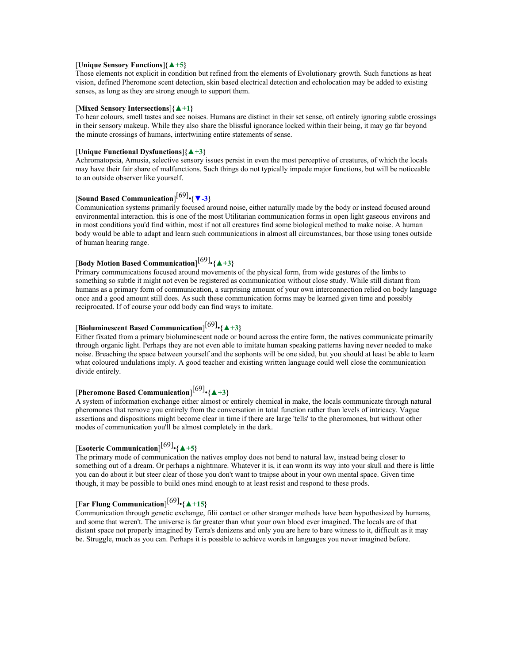### [**Unique Sensory Functions**]**{▲+5}**

Those elements not explicit in condition but refined from the elements of Evolutionary growth. Such functions as heat vision, defined Pheromone scent detection, skin based electrical detection and echolocation may be added to existing senses, as long as they are strong enough to support them.

#### [**Mixed Sensory Intersections**]**{▲+1}**

To hear colours, smell tastes and see noises. Humans are distinct in their set sense, oft entirely ignoring subtle crossings in their sensory makeup. While they also share the blissful ignorance locked within their being, it may go far beyond the minute crossings of humans, intertwining entire statements of sense.

### [**Unique Functional Dysfunctions**]**{▲+3}**

Achromatopsia, Amusia, selective sensory issues persist in even the most perceptive of creatures, of which the locals may have their fair share of malfunctions. Such things do not typically impede major functions, but will be noticeable to an outside observer like yourself.

# [**Sound Based Communication**] [69] •**{▼-3}**

Communication systems primarily focused around noise, either naturally made by the body or instead focused around environmental interaction. this is one of the most Utilitarian communication forms in open light gaseous environs and in most conditions you'd find within, most if not all creatures find some biological method to make noise. A human body would be able to adapt and learn such communications in almost all circumstances, bar those using tones outside of human hearing range.

# [**Body Motion Based Communication**] [69] •**{▲+3}**

Primary communications focused around movements of the physical form, from wide gestures of the limbs to something so subtle it might not even be registered as communication without close study. While still distant from humans as a primary form of communication, a surprising amount of your own interconnection relied on body language once and a good amount still does. As such these communication forms may be learned given time and possibly reciprocated. If of course your odd body can find ways to imitate.

# [**Bioluminescent Based Communication**] [69] •**{▲+3}**

Either fixated from a primary bioluminescent node or bound across the entire form, the natives communicate primarily through organic light. Perhaps they are not even able to imitate human speaking patterns having never needed to make noise. Breaching the space between yourself and the sophonts will be one sided, but you should at least be able to learn what coloured undulations imply. A good teacher and existing written language could well close the communication divide entirely.

# [**Pheromone Based Communication**] [69] •**{▲+3}**

A system of information exchange either almost or entirely chemical in make, the locals communicate through natural pheromones that remove you entirely from the conversation in total function rather than levels of intricacy. Vague assertions and dispositions might become clear in time if there are large 'tells' to the pheromones, but without other modes of communication you'll be almost completely in the dark.

# [**Esoteric Communication**] [69] •**{▲+5}**

The primary mode of communication the natives employ does not bend to natural law, instead being closer to something out of a dream. Or perhaps a nightmare. Whatever it is, it can worm its way into your skull and there is little you can do about it but steer clear of those you don't want to traipse about in your own mental space. Given time though, it may be possible to build ones mind enough to at least resist and respond to these prods.

# [**Far Flung Communication**] [69] •**{▲+15}**

Communication through genetic exchange, filii contact or other stranger methods have been hypothesized by humans, and some that weren't. The universe is far greater than what your own blood ever imagined. The locals are of that distant space not properly imagined by Terra's denizens and only you are here to bare witness to it, difficult as it may be. Struggle, much as you can. Perhaps it is possible to achieve words in languages you never imagined before.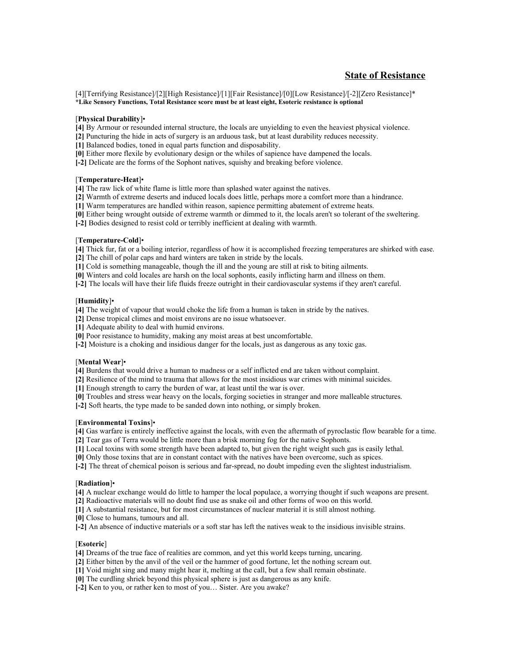### **State of Resistance**

[4][Terrifying Resistance]/[2][High Resistance]/[1][Fair Resistance]/[0][Low Resistance]/[-2][Zero Resistance]\* **\*Like Sensory Functions, Total Resistance score must be at least eight, Esoteric resistance is optional**

### [**Physical Durability**]•

**[4]** By Armour or resounded internal structure, the locals are unyielding to even the heaviest physical violence.

- **[2]** Puncturing the hide in acts of surgery is an arduous task, but at least durability reduces necessity.
- **[1]** Balanced bodies, toned in equal parts function and disposability.
- **[0]** Either more flexile by evolutionary design or the whiles of sapience have dampened the locals.
- **[-2]** Delicate are the forms of the Sophont natives, squishy and breaking before violence.

### [**Temperature-Heat**]•

**[4]** The raw lick of white flame is little more than splashed water against the natives.

**[2]** Warmth of extreme deserts and induced locals does little, perhaps more a comfort more than a hindrance.

- **[1]** Warm temperatures are handled within reason, sapience permitting abatement of extreme heats.
- **[0]** Either being wrought outside of extreme warmth or dimmed to it, the locals aren't so tolerant of the sweltering.

**[-2]** Bodies designed to resist cold or terribly inefficient at dealing with warmth.

### [**Temperature-Cold**]•

**[4]** Thick fur, fat or a boiling interior, regardless of how it is accomplished freezing temperatures are shirked with ease.

- **[2]** The chill of polar caps and hard winters are taken in stride by the locals.
- **[1]** Cold is something manageable, though the ill and the young are still at risk to biting ailments.
- **[0]** Winters and cold locales are harsh on the local sophonts, easily inflicting harm and illness on them.
- **[-2]** The locals will have their life fluids freeze outright in their cardiovascular systems if they aren't careful.

### [**Humidity**]•

**[4]** The weight of vapour that would choke the life from a human is taken in stride by the natives.

- **[2]** Dense tropical climes and moist environs are no issue whatsoever.
- **[1]** Adequate ability to deal with humid environs.
- **[0]** Poor resistance to humidity, making any moist areas at best uncomfortable.
- **[-2]** Moisture is a choking and insidious danger for the locals, just as dangerous as any toxic gas.

### [**Mental Wear**]•

**[4]** Burdens that would drive a human to madness or a self inflicted end are taken without complaint.

- **[2]** Resilience of the mind to trauma that allows for the most insidious war crimes with minimal suicides.
- **[1]** Enough strength to carry the burden of war, at least until the war is over.
- **[0]** Troubles and stress wear heavy on the locals, forging societies in stranger and more malleable structures.

**[-2]** Soft hearts, the type made to be sanded down into nothing, or simply broken.

### [**Environmental Toxins**]•

**[4]** Gas warfare is entirely ineffective against the locals, with even the aftermath of pyroclastic flow bearable for a time.

**[2]** Tear gas of Terra would be little more than a brisk morning fog for the native Sophonts.

**[1]** Local toxins with some strength have been adapted to, but given the right weight such gas is easily lethal.

- **[0]** Only those toxins that are in constant contact with the natives have been overcome, such as spices.
- **[-2]** The threat of chemical poison is serious and far-spread, no doubt impeding even the slightest industrialism.

### [**Radiation**]•

**[4]** A nuclear exchange would do little to hamper the local populace, a worrying thought if such weapons are present.

**[2]** Radioactive materials will no doubt find use as snake oil and other forms of woo on this world.

**[1]** A substantial resistance, but for most circumstances of nuclear material it is still almost nothing.

**[0]** Close to humans, tumours and all.

**[-2]** An absence of inductive materials or a soft star has left the natives weak to the insidious invisible strains.

### [**Esoteric**]

- **[4]** Dreams of the true face of realities are common, and yet this world keeps turning, uncaring.
- **[2]** Either bitten by the anvil of the veil or the hammer of good fortune, let the nothing scream out.
- **[1]** Void might sing and many might hear it, melting at the call, but a few shall remain obstinate.
- **[0]** The curdling shriek beyond this physical sphere is just as dangerous as any knife.

**[-2]** Ken to you, or rather ken to most of you… Sister. Are you awake?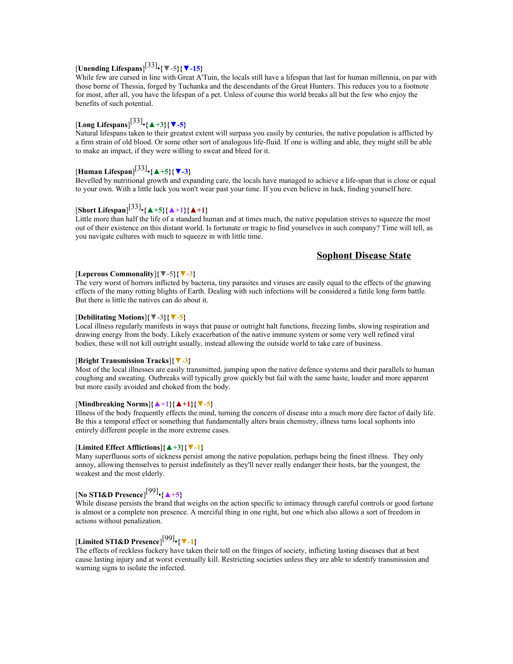# [**Unending Lifespans**] [33] •**{▼-5}{▼-15}**

While few are cursed in line with Great A'Tuin, the locals still have a lifespan that last for human millennia, on par with those borne of Thessia, forged by Tuchanka and the descendants of the Great Hunters. This reduces you to a footnote for most, after all, you have the lifespan of a pet. Unless of course this world breaks all but the few who enjoy the benefits of such potential.

# [**Long Lifespans**] [33] •**{▲+3}{▼-5}**

Natural lifespans taken to their greatest extent will surpass you easily by centuries, the native population is afflicted by a firm strain of old blood. Or some other sort of analogous life-fluid. If one is willing and able, they might still be able to make an impact, if they were willing to sweat and bleed for it.

# [**Human Lifespan**] [33] •**{▲+5}{▼-3}**

Bevelled by nutritional growth and expanding care, the locals have managed to achieve a life-span that is close or equal to your own. With a little luck you won't wear past your time. If you even believe in luck, finding yourself here.

# [**Short Lifespan**] [33] •**{▲+5}{▲+1}{▲+1}**

Little more than half the life of a standard human and at times much, the native population strives to squeeze the most out of their existence on this distant world. Is fortunate or tragic to find yourselves in such company? Time will tell, as you navigate cultures with much to squeeze in with little time.

### **Sophont Disease State**

#### [**Leperous Commonality**]**{▼-5}{▼-3}**

The very worst of horrors inflicted by bacteria, tiny parasites and viruses are easily equal to the effects of the gnawing effects of the many rotting blights of Earth. Dealing with such infections will be considered a futile long form battle. But there is little the natives can do about it.

### [**Debilitating Motions**]**{▼-3}{▼-5}**

Local illness regularly manifests in ways that pause or outright halt functions, freezing limbs, slowing respiration and drawing energy from the body. Likely exacerbation of the native immune system or some very well refined viral bodies, these will not kill outright usually, instead allowing the outside world to take care of business.

### [**Bright Transmission Tracks**]**{▼-3}**

Most of the local illnesses are easily transmitted, jumping upon the native defence systems and their parallels to human coughing and sweating. Outbreaks will typically grow quickly but fail with the same haste, louder and more apparent but more easily avoided and choked from the body.

### [**Mindbreaking Norms**]**{▲+1}{▲+1}{▼-5}**

Illness of the body frequently effects the mind, turning the concern of disease into a much more dire factor of daily life. Be this a temporal effect or something that fundamentally alters brain chemistry, illness turns local sophonts into entirely different people in the more extreme cases.

### [**Limited Effect Afflictions**]**{▲+3}{▼-1}**

Many superfluous sorts of sickness persist among the native population, perhaps being the finest illness. They only annoy, allowing themselves to persist indefinitely as they'll never really endanger their hosts, bar the youngest, the weakest and the most elderly.

# [**No STI&D Presence**] [99] •**{▲+5}**

While disease persists the brand that weighs on the action specific to intimacy through careful controls or good fortune is almost or a complete non presence. A merciful thing in one right, but one which also allows a sort of freedom in actions without penalization.

# [**Limited STI&D Presence**] [99] •**{▼-1}**

The effects of reckless fuckery have taken their toll on the fringes of society, inflicting lasting diseases that at best cause lasting injury and at worst eventually kill. Restricting societies unless they are able to identify transmission and warning signs to isolate the infected.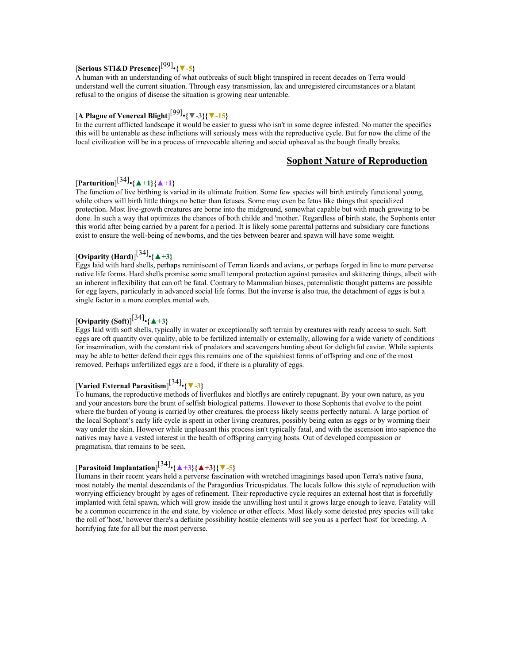# [**Serious STI&D Presence**] [99] •**{▼-5}**

A human with an understanding of what outbreaks of such blight transpired in recent decades on Terra would understand well the current situation. Through easy transmission, lax and unregistered circumstances or a blatant refusal to the origins of disease the situation is growing near untenable.

# [**A Plague of Venereal Blight**] [99] •**{▼-3}{▼-15}**

In the current afflicted landscape it would be easier to guess who isn't in some degree infested. No matter the specifics this will be untenable as these inflictions will seriously mess with the reproductive cycle. But for now the clime of the local civilization will be in a process of irrevocable altering and social upheaval as the bough finally breaks.

### **Sophont Nature of Reproduction**

# [**Parturition**] [34] •**{▲+1}{▲+1}**

The function of live birthing is varied in its ultimate fruition. Some few species will birth entirely functional young, while others will birth little things no better than fetuses. Some may even be fetus like things that specialized protection. Most live-growth creatures are borne into the midground, somewhat capable but with much growing to be done. In such a way that optimizes the chances of both childe and 'mother.' Regardless of birth state, the Sophonts enter this world after being carried by a parent for a period. It is likely some parental patterns and subsidiary care functions exist to ensure the well-being of newborns, and the ties between bearer and spawn will have some weight.

# [**Oviparity (Hard)**] [34] •**{▲+3}**

Eggs laid with hard shells, perhaps reminiscent of Terran lizards and avians, or perhaps forged in line to more perverse native life forms. Hard shells promise some small temporal protection against parasites and skittering things, albeit with an inherent inflexibility that can oft be fatal. Contrary to Mammalian biases, paternalistic thought patterns are possible for egg layers, particularly in advanced social life forms. But the inverse is also true, the detachment of eggs is but a single factor in a more complex mental web.

# [**Oviparity (Soft)**] [34] •**{▲+3}**

Eggs laid with soft shells, typically in water or exceptionally soft terrain by creatures with ready access to such. Soft eggs are oft quantity over quality, able to be fertilized internally or externally, allowing for a wide variety of conditions for insemination, with the constant risk of predators and scavengers hunting about for delightful caviar. While sapients may be able to better defend their eggs this remains one of the squishiest forms of offspring and one of the most removed. Perhaps unfertilized eggs are a food, if there is a plurality of eggs.

# [**Varied External Parasitism**] [34] •**{▼-3}**

To humans, the reproductive methods of liverflukes and blotflys are entirely repugnant. By your own nature, as you and your ancestors bore the brunt of selfish biological patterns. However to those Sophonts that evolve to the point where the burden of young is carried by other creatures, the process likely seems perfectly natural. A large portion of the local Sophont's early life cycle is spent in other living creatures, possibly being eaten as eggs or by worming their way under the skin. However while unpleasant this process isn't typically fatal, and with the ascension into sapience the natives may have a vested interest in the health of offspring carrying hosts. Out of developed compassion or pragmatism, that remains to be seen.

# [**Parasitoid Implantation**] [34] •**{▲+3}{▲+3}{▼-5}**

Humans in their recent years held a perverse fascination with wretched imaginings based upon Terra's native fauna, most notably the mental descendants of the Paragordius Tricuspidatus. The locals follow this style of reproduction with worrying efficiency brought by ages of refinement. Their reproductive cycle requires an external host that is forcefully implanted with fetal spawn, which will grow inside the unwilling host until it grows large enough to leave. Fatality will be a common occurrence in the end state, by violence or other effects. Most likely some detested prey species will take the roll of 'host,' however there's a definite possibility hostile elements will see you as a perfect 'host' for breeding. A horrifying fate for all but the most perverse.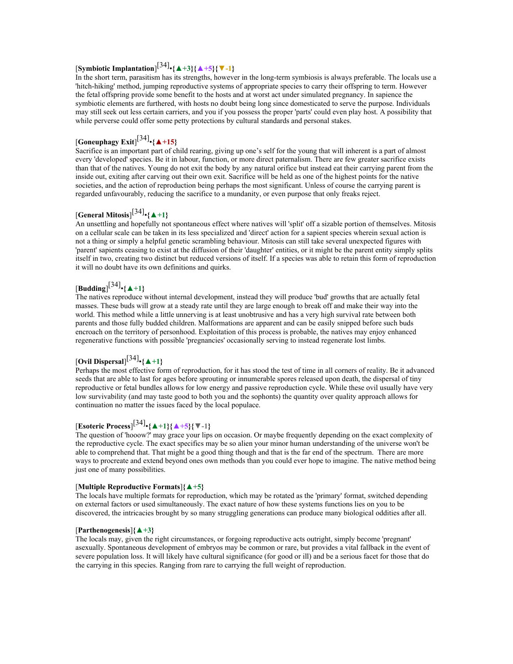# [**Symbiotic Implantation**] [34] •**{▲+3}{▲+5}{▼-1}**

In the short term, parasitism has its strengths, however in the long-term symbiosis is always preferable. The locals use a 'hitch-hiking' method, jumping reproductive systems of appropriate species to carry their offspring to term. However the fetal offspring provide some benefit to the hosts and at worst act under simulated pregnancy. In sapience the symbiotic elements are furthered, with hosts no doubt being long since domesticated to serve the purpose. Individuals may still seek out less certain carriers, and you if you possess the proper 'parts' could even play host. A possibility that while perverse could offer some petty protections by cultural standards and personal stakes.

# [**Goneuphagy Exit**] [34] •**{▲+15}**

Sacrifice is an important part of child rearing, giving up one's self for the young that will inherent is a part of almost every 'developed' species. Be it in labour, function, or more direct paternalism. There are few greater sacrifice exists than that of the natives. Young do not exit the body by any natural orifice but instead eat their carrying parent from the inside out, exiting after carving out their own exit. Sacrifice will be held as one of the highest points for the native societies, and the action of reproduction being perhaps the most significant. Unless of course the carrying parent is regarded unfavourably, reducing the sacrifice to a mundanity, or even purpose that only freaks reject.

# [**General Mitosis**] [34] •**{▲+1}**

An unsettling and hopefully not spontaneous effect where natives will 'split' off a sizable portion of themselves. Mitosis on a cellular scale can be taken in its less specialized and 'direct' action for a sapient species wherein sexual action is not a thing or simply a helpful genetic scrambling behaviour. Mitosis can still take several unexpected figures with 'parent' sapients ceasing to exist at the diffusion of their 'daughter' entities, or it might be the parent entity simply splits itself in two, creating two distinct but reduced versions of itself. If a species was able to retain this form of reproduction it will no doubt have its own definitions and quirks.

# [**Budding**] [34] •**{▲+1}**

The natives reproduce without internal development, instead they will produce 'bud' growths that are actually fetal masses. These buds will grow at a steady rate until they are large enough to break off and make their way into the world. This method while a little unnerving is at least unobtrusive and has a very high survival rate between both parents and those fully budded children. Malformations are apparent and can be easily snipped before such buds encroach on the territory of personhood. Exploitation of this process is probable, the natives may enjoy enhanced regenerative functions with possible 'pregnancies' occasionally serving to instead regenerate lost limbs.

# [**Ovil Dispersal**] [34] •**{▲+1}**

Perhaps the most effective form of reproduction, for it has stood the test of time in all corners of reality. Be it advanced seeds that are able to last for ages before sprouting or innumerable spores released upon death, the dispersal of tiny reproductive or fetal bundles allows for low energy and passive reproduction cycle. While these ovil usually have very low survivability (and may taste good to both you and the sophonts) the quantity over quality approach allows for continuation no matter the issues faced by the local populace.

# [**Esoteric Process**] [34] •**{▲+1}{▲+5}{▼-1}**

The question of 'hooow?' may grace your lips on occasion. Or maybe frequently depending on the exact complexity of the reproductive cycle. The exact specifics may be so alien your minor human understanding of the universe won't be able to comprehend that. That might be a good thing though and that is the far end of the spectrum. There are more ways to procreate and extend beyond ones own methods than you could ever hope to imagine. The native method being just one of many possibilities.

#### [**Multiple Reproductive Formats**]**{▲+5}**

The locals have multiple formats for reproduction, which may be rotated as the 'primary' format, switched depending on external factors or used simultaneously. The exact nature of how these systems functions lies on you to be discovered, the intricacies brought by so many struggling generations can produce many biological oddities after all.

### [**Parthenogenesis**]**{▲+3}**

The locals may, given the right circumstances, or forgoing reproductive acts outright, simply become 'pregnant' asexually. Spontaneous development of embryos may be common or rare, but provides a vital fallback in the event of severe population loss. It will likely have cultural significance (for good or ill) and be a serious facet for those that do the carrying in this species. Ranging from rare to carrying the full weight of reproduction.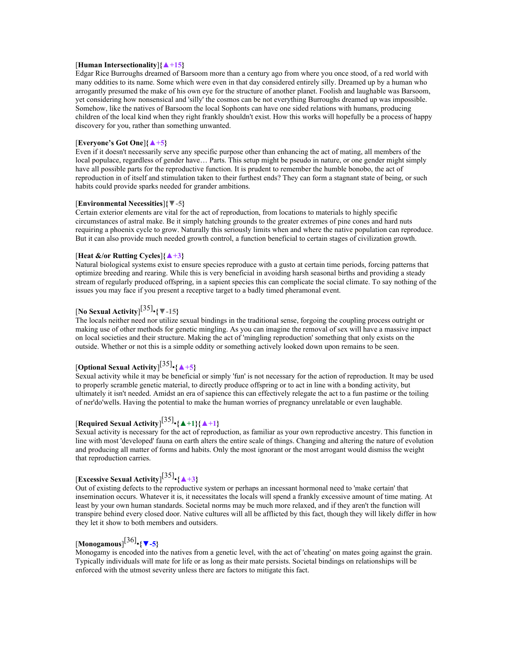### [**Human Intersectionality**]**{▲+15}**

Edgar Rice Burroughs dreamed of Barsoom more than a century ago from where you once stood, of a red world with many oddities to its name. Some which were even in that day considered entirely silly. Dreamed up by a human who arrogantly presumed the make of his own eye for the structure of another planet. Foolish and laughable was Barsoom, yet considering how nonsensical and 'silly' the cosmos can be not everything Burroughs dreamed up was impossible. Somehow, like the natives of Barsoom the local Sophonts can have one sided relations with humans, producing children of the local kind when they right frankly shouldn't exist. How this works will hopefully be a process of happy discovery for you, rather than something unwanted.

#### [**Everyone's Got One**]**{▲+5}**

Even if it doesn't necessarily serve any specific purpose other than enhancing the act of mating, all members of the local populace, regardless of gender have… Parts. This setup might be pseudo in nature, or one gender might simply have all possible parts for the reproductive function. It is prudent to remember the humble bonobo, the act of reproduction in of itself and stimulation taken to their furthest ends? They can form a stagnant state of being, or such habits could provide sparks needed for grander ambitions.

### [**Environmental Necessities**]**{▼-5}**

Certain exterior elements are vital for the act of reproduction, from locations to materials to highly specific circumstances of astral make. Be it simply hatching grounds to the greater extremes of pine cones and hard nuts requiring a phoenix cycle to grow. Naturally this seriously limits when and where the native population can reproduce. But it can also provide much needed growth control, a function beneficial to certain stages of civilization growth.

#### [**Heat &/or Rutting Cycles**]**{▲+3}**

Natural biological systems exist to ensure species reproduce with a gusto at certain time periods, forcing patterns that optimize breeding and rearing. While this is very beneficial in avoiding harsh seasonal births and providing a steady stream of regularly produced offspring, in a sapient species this can complicate the social climate. To say nothing of the issues you may face if you present a receptive target to a badly timed pheramonal event.

# [**No Sexual Activity**] [35] •**{▼-15}**

The locals neither need nor utilize sexual bindings in the traditional sense, forgoing the coupling process outright or making use of other methods for genetic mingling. As you can imagine the removal of sex will have a massive impact on local societies and their structure. Making the act of 'mingling reproduction' something that only exists on the outside. Whether or not this is a simple oddity or something actively looked down upon remains to be seen.

# [**Optional Sexual Activity**] [35] •**{▲+5}**

Sexual activity while it may be beneficial or simply 'fun' is not necessary for the action of reproduction. It may be used to properly scramble genetic material, to directly produce offspring or to act in line with a bonding activity, but ultimately it isn't needed. Amidst an era of sapience this can effectively relegate the act to a fun pastime or the toiling of ner'do'wells. Having the potential to make the human worries of pregnancy unrelatable or even laughable.

# [**Required Sexual Activity**] [35] •**{▲+1}{▲+1}**

Sexual activity is necessary for the act of reproduction, as familiar as your own reproductive ancestry. This function in line with most 'developed' fauna on earth alters the entire scale of things. Changing and altering the nature of evolution and producing all matter of forms and habits. Only the most ignorant or the most arrogant would dismiss the weight that reproduction carries.

# [**Excessive Sexual Activity**] [35] •**{▲+3}**

Out of existing defects to the reproductive system or perhaps an incessant hormonal need to 'make certain' that insemination occurs. Whatever it is, it necessitates the locals will spend a frankly excessive amount of time mating. At least by your own human standards. Societal norms may be much more relaxed, and if they aren't the function will transpire behind every closed door. Native cultures will all be afflicted by this fact, though they will likely differ in how they let it show to both members and outsiders.

# [**Monogamous**] [36] •**{▼-5}**

Monogamy is encoded into the natives from a genetic level, with the act of 'cheating' on mates going against the grain. Typically individuals will mate for life or as long as their mate persists. Societal bindings on relationships will be enforced with the utmost severity unless there are factors to mitigate this fact.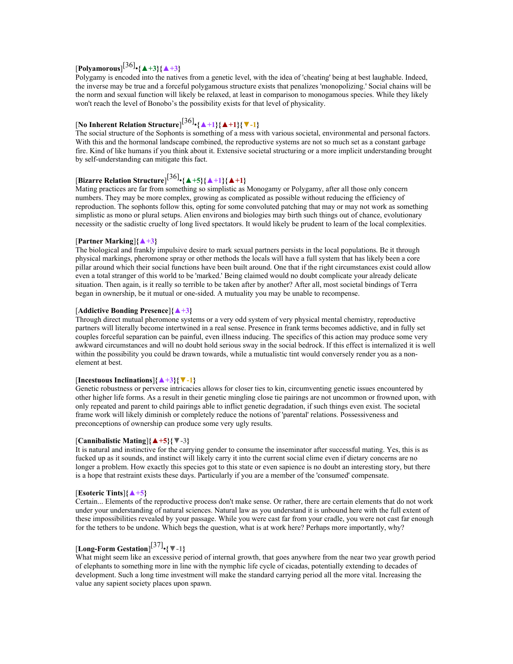# [**Polyamorous**] [36] •**{▲+3}{▲+3}**

Polygamy is encoded into the natives from a genetic level, with the idea of 'cheating' being at best laughable. Indeed, the inverse may be true and a forceful polygamous structure exists that penalizes 'monopolizing.' Social chains will be the norm and sexual function will likely be relaxed, at least in comparison to monogamous species. While they likely won't reach the level of Bonobo's the possibility exists for that level of physicality.

# [**No Inherent Relation Structure**] [36] •**{▲+1}{▲+1}{▼-1}**

The social structure of the Sophonts is something of a mess with various societal, environmental and personal factors. With this and the hormonal landscape combined, the reproductive systems are not so much set as a constant garbage fire. Kind of like humans if you think about it. Extensive societal structuring or a more implicit understanding brought by self-understanding can mitigate this fact.

# [**Bizarre Relation Structure**] [36] •**{▲+5}{▲+1}{▲+1}**

Mating practices are far from something so simplistic as Monogamy or Polygamy, after all those only concern numbers. They may be more complex, growing as complicated as possible without reducing the efficiency of reproduction. The sophonts follow this, opting for some convoluted patching that may or may not work as something simplistic as mono or plural setups. Alien environs and biologies may birth such things out of chance, evolutionary necessity or the sadistic cruelty of long lived spectators. It would likely be prudent to learn of the local complexities.

### [**Partner Marking**]**{▲+3}**

The biological and frankly impulsive desire to mark sexual partners persists in the local populations. Be it through physical markings, pheromone spray or other methods the locals will have a full system that has likely been a core pillar around which their social functions have been built around. One that if the right circumstances exist could allow even a total stranger of this world to be 'marked.' Being claimed would no doubt complicate your already delicate situation. Then again, is it really so terrible to be taken after by another? After all, most societal bindings of Terra began in ownership, be it mutual or one-sided. A mutuality you may be unable to recompense.

### [**Addictive Bonding Presence**]**{▲+3}**

Through direct mutual pheromone systems or a very odd system of very physical mental chemistry, reproductive partners will literally become intertwined in a real sense. Presence in frank terms becomes addictive, and in fully set couples forceful separation can be painful, even illness inducing. The specifics of this action may produce some very awkward circumstances and will no doubt hold serious sway in the social bedrock. If this effect is internalized it is well within the possibility you could be drawn towards, while a mutualistic tint would conversely render you as a nonelement at best.

### [**Incestuous Inclinations**]**{▲+3}{▼-1}**

Genetic robustness or perverse intricacies allows for closer ties to kin, circumventing genetic issues encountered by other higher life forms. As a result in their genetic mingling close tie pairings are not uncommon or frowned upon, with only repeated and parent to child pairings able to inflict genetic degradation, if such things even exist. The societal frame work will likely diminish or completely reduce the notions of 'parental' relations. Possessiveness and preconceptions of ownership can produce some very ugly results.

### [**Cannibalistic Mating**]**{▲+5}{▼-3}**

It is natural and instinctive for the carrying gender to consume the inseminator after successful mating. Yes, this is as fucked up as it sounds, and instinct will likely carry it into the current social clime even if dietary concerns are no longer a problem. How exactly this species got to this state or even sapience is no doubt an interesting story, but there is a hope that restraint exists these days. Particularly if you are a member of the 'consumed' compensate.

### [**Esoteric Tints**]**{▲+5}**

Certain... Elements of the reproductive process don't make sense. Or rather, there are certain elements that do not work under your understanding of natural sciences. Natural law as you understand it is unbound here with the full extent of these impossibilities revealed by your passage. While you were cast far from your cradle, you were not cast far enough for the tethers to be undone. Which begs the question, what is at work here? Perhaps more importantly, why?

# [**Long-Form Gestation**] [37] •**{▼-1}**

What might seem like an excessive period of internal growth, that goes anywhere from the near two year growth period of elephants to something more in line with the nymphic life cycle of cicadas, potentially extending to decades of development. Such a long time investment will make the standard carrying period all the more vital. Increasing the value any sapient society places upon spawn.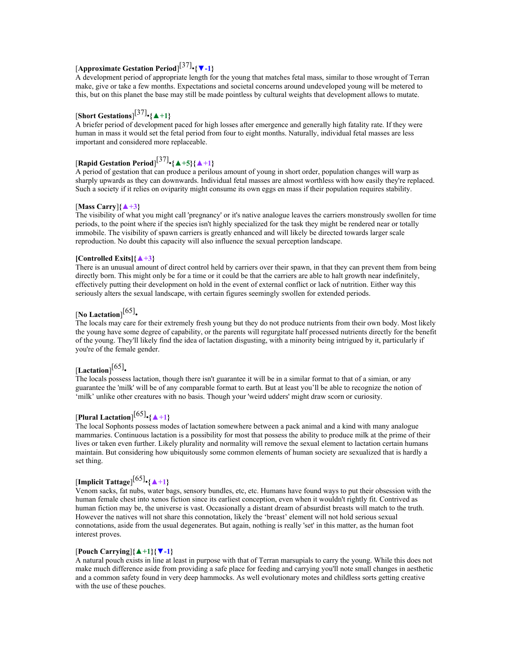# [**Approximate Gestation Period**] [37] •**{▼-1}**

A development period of appropriate length for the young that matches fetal mass, similar to those wrought of Terran make, give or take a few months. Expectations and societal concerns around undeveloped young will be metered to this, but on this planet the base may still be made pointless by cultural weights that development allows to mutate.

# [**Short Gestations**] [37] •**{▲+1}**

A briefer period of development paced for high losses after emergence and generally high fatality rate. If they were human in mass it would set the fetal period from four to eight months. Naturally, individual fetal masses are less important and considered more replaceable.

# [**Rapid Gestation Period**] [37] •**{▲+5}{▲+1}**

A period of gestation that can produce a perilous amount of young in short order, population changes will warp as sharply upwards as they can downwards. Individual fetal masses are almost worthless with how easily they're replaced. Such a society if it relies on oviparity might consume its own eggs en mass if their population requires stability.

### [**Mass Carry**]**{▲+3}**

The visibility of what you might call 'pregnancy' or it's native analogue leaves the carriers monstrously swollen for time periods, to the point where if the species isn't highly specialized for the task they might be rendered near or totally immobile. The visibility of spawn carriers is greatly enhanced and will likely be directed towards larger scale reproduction. No doubt this capacity will also influence the sexual perception landscape.

### **[Controlled Exits]{▲+3}**

There is an unusual amount of direct control held by carriers over their spawn, in that they can prevent them from being directly born. This might only be for a time or it could be that the carriers are able to halt growth near indefinitely, effectively putting their development on hold in the event of external conflict or lack of nutrition. Either way this seriously alters the sexual landscape, with certain figures seemingly swollen for extended periods.

# [**No Lactation**] [65] •

The locals may care for their extremely fresh young but they do not produce nutrients from their own body. Most likely the young have some degree of capability, or the parents will regurgitate half processed nutrients directly for the benefit of the young. They'll likely find the idea of lactation disgusting, with a minority being intrigued by it, particularly if you're of the female gender.

# [**Lactation**] [65] •

The locals possess lactation, though there isn't guarantee it will be in a similar format to that of a simian, or any guarantee the 'milk' will be of any comparable format to earth. But at least you'll be able to recognize the notion of 'milk' unlike other creatures with no basis. Though your 'weird udders' might draw scorn or curiosity.

# [**Plural Lactation**] [65] •**{▲+1}**

The local Sophonts possess modes of lactation somewhere between a pack animal and a kind with many analogue mammaries. Continuous lactation is a possibility for most that possess the ability to produce milk at the prime of their lives or taken even further. Likely plurality and normality will remove the sexual element to lactation certain humans maintain. But considering how ubiquitously some common elements of human society are sexualized that is hardly a set thing.

# [**Implicit Tattage**] [65] •**{▲+1}**

Venom sacks, fat nubs, water bags, sensory bundles, etc, etc. Humans have found ways to put their obsession with the human female chest into xenos fiction since its earliest conception, even when it wouldn't rightly fit. Contrived as human fiction may be, the universe is vast. Occasionally a distant dream of absurdist breasts will match to the truth. However the natives will not share this connotation, likely the 'breast' element will not hold serious sexual connotations, aside from the usual degenerates. But again, nothing is really 'set' in this matter, as the human foot interest proves.

### [**Pouch Carrying**]**{▲+1}{▼-1}**

A natural pouch exists in line at least in purpose with that of Terran marsupials to carry the young. While this does not make much difference aside from providing a safe place for feeding and carrying you'll note small changes in aesthetic and a common safety found in very deep hammocks. As well evolutionary motes and childless sorts getting creative with the use of these pouches.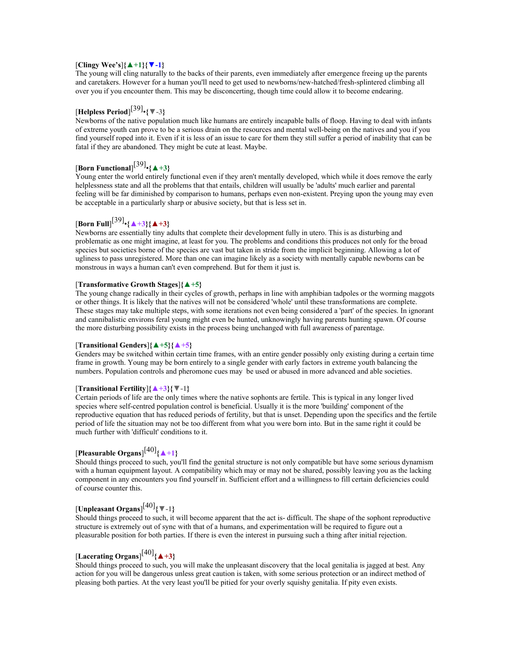### [**Clingy Wee's**]**{▲+1}{▼-1}**

The young will cling naturally to the backs of their parents, even immediately after emergence freeing up the parents and caretakers. However for a human you'll need to get used to newborns/new-hatched/fresh-splintered climbing all over you if you encounter them. This may be disconcerting, though time could allow it to become endearing.

# [**Helpless Period**] [39] •**{▼-3}**

Newborns of the native population much like humans are entirely incapable balls of floop. Having to deal with infants of extreme youth can prove to be a serious drain on the resources and mental well-being on the natives and you if you find yourself roped into it. Even if it is less of an issue to care for them they still suffer a period of inability that can be fatal if they are abandoned. They might be cute at least. Maybe.

# [**Born Functional**] [39] •**{▲+3}**

Young enter the world entirely functional even if they aren't mentally developed, which while it does remove the early helplessness state and all the problems that that entails, children will usually be 'adults' much earlier and parental feeling will be far diminished by comparison to humans, perhaps even non-existent. Preying upon the young may even be acceptable in a particularly sharp or abusive society, but that is less set in.

# [**Born Full**] [39] •**{▲+3}{▲+3}**

Newborns are essentially tiny adults that complete their development fully in utero. This is as disturbing and problematic as one might imagine, at least for you. The problems and conditions this produces not only for the broad species but societies borne of the species are vast but taken in stride from the implicit beginning. Allowing a lot of ugliness to pass unregistered. More than one can imagine likely as a society with mentally capable newborns can be monstrous in ways a human can't even comprehend. But for them it just is.

### [**Transformative Growth Stages**]**{▲+5}**

The young change radically in their cycles of growth, perhaps in line with amphibian tadpoles or the worming maggots or other things. It is likely that the natives will not be considered 'whole' until these transformations are complete. These stages may take multiple steps, with some iterations not even being considered a 'part' of the species. In ignorant and cannibalistic environs feral young might even be hunted, unknowingly having parents hunting spawn. Of course the more disturbing possibility exists in the process being unchanged with full awareness of parentage.

### [**Transitional Genders**]**{▲+5}{▲+5}**

Genders may be switched within certain time frames, with an entire gender possibly only existing during a certain time frame in growth. Young may be born entirely to a single gender with early factors in extreme youth balancing the numbers. Population controls and pheromone cues may be used or abused in more advanced and able societies.

### [**Transitional Fertility**]**{▲+3}{▼-1}**

Certain periods of life are the only times where the native sophonts are fertile. This is typical in any longer lived species where self-centred population control is beneficial. Usually it is the more 'building' component of the reproductive equation that has reduced periods of fertility, but that is unset. Depending upon the specifics and the fertile period of life the situation may not be too different from what you were born into. But in the same right it could be much further with 'difficult' conditions to it.

# [**Pleasurable Organs**] [40]**{▲+1}**

Should things proceed to such, you'll find the genital structure is not only compatible but have some serious dynamism with a human equipment layout. A compatibility which may or may not be shared, possibly leaving you as the lacking component in any encounters you find yourself in. Sufficient effort and a willingness to fill certain deficiencies could of course counter this.

# [**Unpleasant Organs**] [40]**{▼-1}**

Should things proceed to such, it will become apparent that the act is- difficult. The shape of the sophont reproductive structure is extremely out of sync with that of a humans, and experimentation will be required to figure out a pleasurable position for both parties. If there is even the interest in pursuing such a thing after initial rejection.

# [**Lacerating Organs**] [40]**{▲+3}**

Should things proceed to such, you will make the unpleasant discovery that the local genitalia is jagged at best. Any action for you will be dangerous unless great caution is taken, with some serious protection or an indirect method of pleasing both parties. At the very least you'll be pitied for your overly squishy genitalia. If pity even exists.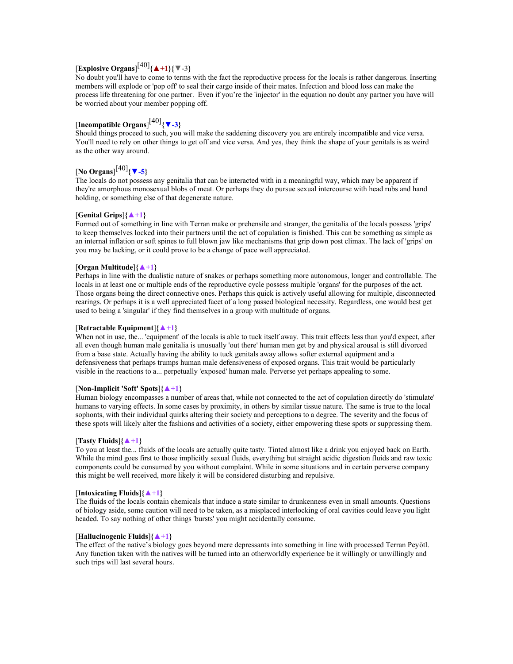# [**Explosive Organs**] [40]**{▲+1}{▼-3}**

No doubt you'll have to come to terms with the fact the reproductive process for the locals is rather dangerous. Inserting members will explode or 'pop off' to seal their cargo inside of their mates. Infection and blood loss can make the process life threatening for one partner. Even if you're the 'injector' in the equation no doubt any partner you have will be worried about your member popping off.

# [**Incompatible Organs**] [40]**{▼-3}**

Should things proceed to such, you will make the saddening discovery you are entirely incompatible and vice versa. You'll need to rely on other things to get off and vice versa. And yes, they think the shape of your genitals is as weird as the other way around.

# [**No Organs**] [40]**{▼-5}**

The locals do not possess any genitalia that can be interacted with in a meaningful way, which may be apparent if they're amorphous monosexual blobs of meat. Or perhaps they do pursue sexual intercourse with head rubs and hand holding, or something else of that degenerate nature.

### [**Genital Grips**]**{▲+1}**

Formed out of something in line with Terran make or prehensile and stranger, the genitalia of the locals possess 'grips' to keep themselves locked into their partners until the act of copulation is finished. This can be something as simple as an internal inflation or soft spines to full blown jaw like mechanisms that grip down post climax. The lack of 'grips' on you may be lacking, or it could prove to be a change of pace well appreciated.

### [**Organ Multitude**]**{▲+1}**

Perhaps in line with the dualistic nature of snakes or perhaps something more autonomous, longer and controllable. The locals in at least one or multiple ends of the reproductive cycle possess multiple 'organs' for the purposes of the act. Those organs being the direct connective ones. Perhaps this quick is actively useful allowing for multiple, disconnected rearings. Or perhaps it is a well appreciated facet of a long passed biological necessity. Regardless, one would best get used to being a 'singular' if they find themselves in a group with multitude of organs.

### [**Retractable Equipment**]**{▲+1}**

When not in use, the... 'equipment' of the locals is able to tuck itself away. This trait effects less than you'd expect, after all even though human male genitalia is unusually 'out there' human men get by and physical arousal is still divorced from a base state. Actually having the ability to tuck genitals away allows softer external equipment and a defensiveness that perhaps trumps human male defensiveness of exposed organs. This trait would be particularly visible in the reactions to a... perpetually 'exposed' human male. Perverse yet perhaps appealing to some.

### [**Non-Implicit 'Soft' Spots**]**{▲+1}**

Human biology encompasses a number of areas that, while not connected to the act of copulation directly do 'stimulate' humans to varying effects. In some cases by proximity, in others by similar tissue nature. The same is true to the local sophonts, with their individual quirks altering their society and perceptions to a degree. The severity and the focus of these spots will likely alter the fashions and activities of a society, either empowering these spots or suppressing them.

### [**Tasty Fluids**]**{▲+1}**

To you at least the... fluids of the locals are actually quite tasty. Tinted almost like a drink you enjoyed back on Earth. While the mind goes first to those implicitly sexual fluids, everything but straight acidic digestion fluids and raw toxic components could be consumed by you without complaint. While in some situations and in certain perverse company this might be well received, more likely it will be considered disturbing and repulsive.

### [**Intoxicating Fluids**]**{▲+1}**

The fluids of the locals contain chemicals that induce a state similar to drunkenness even in small amounts. Questions of biology aside, some caution will need to be taken, as a misplaced interlocking of oral cavities could leave you light headed. To say nothing of other things 'bursts' you might accidentally consume.

### [**Hallucinogenic Fluids**]**{▲+1}**

The effect of the native's biology goes beyond mere depressants into something in line with processed Terran Peyotl. Any function taken with the natives will be turned into an otherworldly experience be it willingly or unwillingly and such trips will last several hours.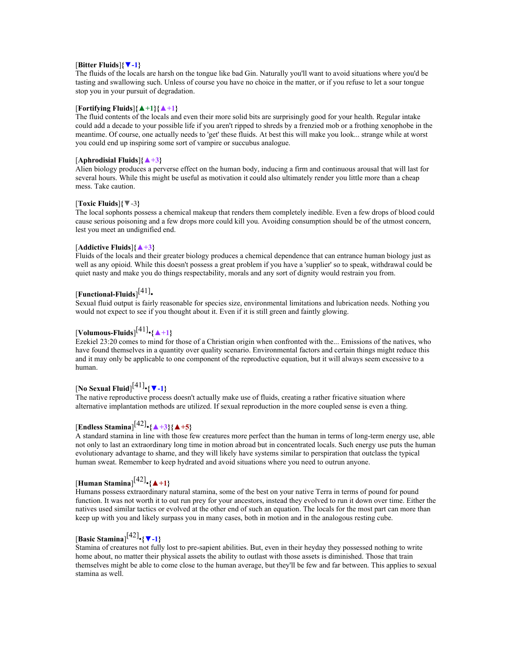### [**Bitter Fluids**]**{▼-1}**

The fluids of the locals are harsh on the tongue like bad Gin. Naturally you'll want to avoid situations where you'd be tasting and swallowing such. Unless of course you have no choice in the matter, or if you refuse to let a sour tongue stop you in your pursuit of degradation.

### [**Fortifying Fluids**]**{▲+1}{▲+1}**

The fluid contents of the locals and even their more solid bits are surprisingly good for your health. Regular intake could add a decade to your possible life if you aren't ripped to shreds by a frenzied mob or a frothing xenophobe in the meantime. Of course, one actually needs to 'get' these fluids. At best this will make you look... strange while at worst you could end up inspiring some sort of vampire or succubus analogue.

### [**Aphrodisial Fluids**]**{▲+3}**

Alien biology produces a perverse effect on the human body, inducing a firm and continuous arousal that will last for several hours. While this might be useful as motivation it could also ultimately render you little more than a cheap mess. Take caution.

### [**Toxic Fluids**]**{▼-3}**

The local sophonts possess a chemical makeup that renders them completely inedible. Even a few drops of blood could cause serious poisoning and a few drops more could kill you. Avoiding consumption should be of the utmost concern, lest you meet an undignified end.

#### [**Addictive Fluids**]**{▲+3}**

Fluids of the locals and their greater biology produces a chemical dependence that can entrance human biology just as well as any opioid. While this doesn't possess a great problem if you have a 'supplier' so to speak, withdrawal could be quiet nasty and make you do things respectability, morals and any sort of dignity would restrain you from.

# [**Functional-Fluids**] [41] •

Sexual fluid output is fairly reasonable for species size, environmental limitations and lubrication needs. Nothing you would not expect to see if you thought about it. Even if it is still green and faintly glowing.

# [**Volumous-Fluids**] [41] •**{▲+1}**

Ezekiel 23:20 comes to mind for those of a Christian origin when confronted with the... Emissions of the natives, who have found themselves in a quantity over quality scenario. Environmental factors and certain things might reduce this and it may only be applicable to one component of the reproductive equation, but it will always seem excessive to a human.

# [**No Sexual Fluid**] [41] •**{▼-1}**

The native reproductive process doesn't actually make use of fluids, creating a rather fricative situation where alternative implantation methods are utilized. If sexual reproduction in the more coupled sense is even a thing.

# [**Endless Stamina**] [42] •**{▲+3}{▲+5}**

A standard stamina in line with those few creatures more perfect than the human in terms of long-term energy use, able not only to last an extraordinary long time in motion abroad but in concentrated locals. Such energy use puts the human evolutionary advantage to shame, and they will likely have systems similar to perspiration that outclass the typical human sweat. Remember to keep hydrated and avoid situations where you need to outrun anyone.

# [**Human Stamina**] [42] •**{▲+1}**

Humans possess extraordinary natural stamina, some of the best on your native Terra in terms of pound for pound function. It was not worth it to out run prey for your ancestors, instead they evolved to run it down over time. Either the natives used similar tactics or evolved at the other end of such an equation. The locals for the most part can more than keep up with you and likely surpass you in many cases, both in motion and in the analogous resting cube.

# [**Basic Stamina**] [42] •**{▼-1}**

Stamina of creatures not fully lost to pre-sapient abilities. But, even in their heyday they possessed nothing to write home about, no matter their physical assets the ability to outlast with those assets is diminished. Those that train themselves might be able to come close to the human average, but they'll be few and far between. This applies to sexual stamina as well.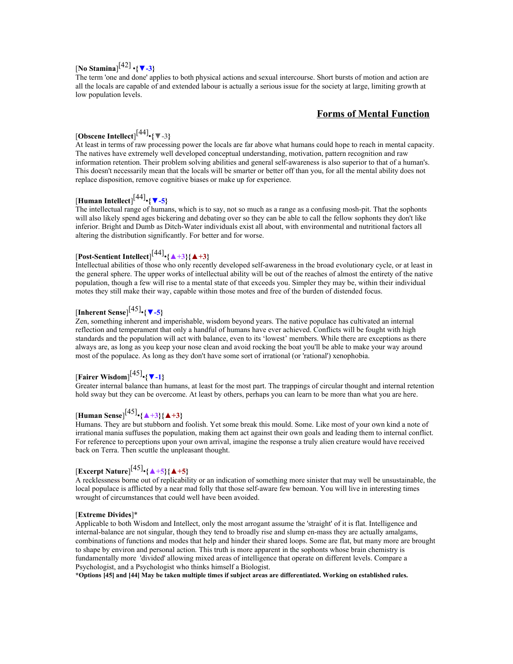# [**No Stamina**] [42] •**{▼-3}**

The term 'one and done' applies to both physical actions and sexual intercourse. Short bursts of motion and action are all the locals are capable of and extended labour is actually a serious issue for the society at large, limiting growth at low population levels.

### **Forms of Mental Function**

# [**Obscene Intellect**] [44] •**{▼-3}**

At least in terms of raw processing power the locals are far above what humans could hope to reach in mental capacity. The natives have extremely well developed conceptual understanding, motivation, pattern recognition and raw information retention. Their problem solving abilities and general self-awareness is also superior to that of a human's. This doesn't necessarily mean that the locals will be smarter or better off than you, for all the mental ability does not replace disposition, remove cognitive biases or make up for experience.

# [**Human Intellect**] [44] •**{▼-5}**

The intellectual range of humans, which is to say, not so much as a range as a confusing mosh-pit. That the sophonts will also likely spend ages bickering and debating over so they can be able to call the fellow sophonts they don't like inferior. Bright and Dumb as Ditch-Water individuals exist all about, with environmental and nutritional factors all altering the distribution significantly. For better and for worse.

# $\text{Post-Sentient Intellect}^{[44]} \cdot \text{A} + 3\text{A} + 3\text{B}$

Intellectual abilities of those who only recently developed self-awareness in the broad evolutionary cycle, or at least in the general sphere. The upper works of intellectual ability will be out of the reaches of almost the entirety of the native population, though a few will rise to a mental state of that exceeds you. Simpler they may be, within their individual motes they still make their way, capable within those motes and free of the burden of distended focus.

# [**Inherent Sense**] [45] •**{▼-5}**

Zen, something inherent and imperishable, wisdom beyond years. The native populace has cultivated an internal reflection and temperament that only a handful of humans have ever achieved. Conflicts will be fought with high standards and the population will act with balance, even to its 'lowest' members. While there are exceptions as there always are, as long as you keep your nose clean and avoid rocking the boat you'll be able to make your way around most of the populace. As long as they don't have some sort of irrational (or 'rational') xenophobia.

# [**Fairer Wisdom**] [45] •**{▼-1}**

Greater internal balance than humans, at least for the most part. The trappings of circular thought and internal retention hold sway but they can be overcome. At least by others, perhaps you can learn to be more than what you are here.

# $[Human$  Sense]<sup>[45]</sup> $\{A+3\}$ { $A+3$ }

Humans. They are but stubborn and foolish. Yet some break this mould. Some. Like most of your own kind a note of irrational mania suffuses the population, making them act against their own goals and leading them to internal conflict. For reference to perceptions upon your own arrival, imagine the response a truly alien creature would have received back on Terra. Then scuttle the unpleasant thought.

# [**Excerpt Nature**] [45] •**{▲+5}{▲+5}**

A recklessness borne out of replicability or an indication of something more sinister that may well be unsustainable, the local populace is afflicted by a near mad folly that those self-aware few bemoan. You will live in interesting times wrought of circumstances that could well have been avoided.

### [**Extreme Divides**]\*

Applicable to both Wisdom and Intellect, only the most arrogant assume the 'straight' of it is flat. Intelligence and internal-balance are not singular, though they tend to broadly rise and slump en-mass they are actually amalgams, combinations of functions and modes that help and hinder their shared loops. Some are flat, but many more are brought to shape by environ and personal action. This truth is more apparent in the sophonts whose brain chemistry is fundamentally more 'divided' allowing mixed areas of intelligence that operate on different levels. Compare a Psychologist, and a Psychologist who thinks himself a Biologist.

**\*Options [45] and [44] May be taken multiple times if subject areas are differentiated. Working on established rules.**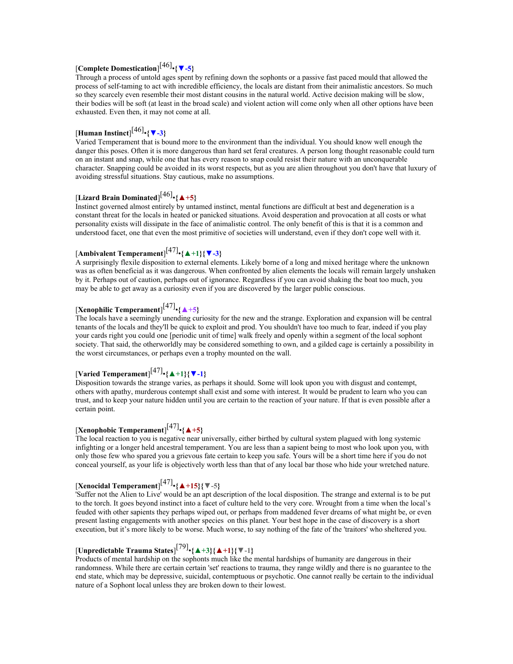# [**Complete Domestication**] [46] •**{▼-5}**

Through a process of untold ages spent by refining down the sophonts or a passive fast paced mould that allowed the process of self-taming to act with incredible efficiency, the locals are distant from their animalistic ancestors. So much so they scarcely even resemble their most distant cousins in the natural world. Active decision making will be slow, their bodies will be soft (at least in the broad scale) and violent action will come only when all other options have been exhausted. Even then, it may not come at all.

# [**Human Instinct**] [46] •**{▼-3}**

Varied Temperament that is bound more to the environment than the individual. You should know well enough the danger this poses. Often it is more dangerous than hard set feral creatures. A person long thought reasonable could turn on an instant and snap, while one that has every reason to snap could resist their nature with an unconquerable character. Snapping could be avoided in its worst respects, but as you are alien throughout you don't have that luxury of avoiding stressful situations. Stay cautious, make no assumptions.

# [**Lizard Brain Dominated**] [46] •**{▲+5}**

Instinct governed almost entirely by untamed instinct, mental functions are difficult at best and degeneration is a constant threat for the locals in heated or panicked situations. Avoid desperation and provocation at all costs or what personality exists will dissipate in the face of animalistic control. The only benefit of this is that it is a common and understood facet, one that even the most primitive of societies will understand, even if they don't cope well with it.

# [**Ambivalent Temperament**] [47] •**{▲+1}{▼-3}**

A surprisingly flexile disposition to external elements. Likely borne of a long and mixed heritage where the unknown was as often beneficial as it was dangerous. When confronted by alien elements the locals will remain largely unshaken by it. Perhaps out of caution, perhaps out of ignorance. Regardless if you can avoid shaking the boat too much, you may be able to get away as a curiosity even if you are discovered by the larger public conscious.

# [**Xenophilic Temperament**] [47] •**{▲+5}**

The locals have a seemingly unending curiosity for the new and the strange. Exploration and expansion will be central tenants of the locals and they'll be quick to exploit and prod. You shouldn't have too much to fear, indeed if you play your cards right you could one [periodic unit of time] walk freely and openly within a segment of the local sophont society. That said, the otherworldly may be considered something to own, and a gilded cage is certainly a possibility in the worst circumstances, or perhaps even a trophy mounted on the wall.

# [**Varied Temperament**] [47] •**{▲+1}{▼-1}**

Disposition towards the strange varies, as perhaps it should. Some will look upon you with disgust and contempt, others with apathy, murderous contempt shall exist and some with interest. It would be prudent to learn who you can trust, and to keep your nature hidden until you are certain to the reaction of your nature. If that is even possible after a certain point.

# [**Xenophobic Temperament**] [47] •**{▲+5}**

The local reaction to you is negative near universally, either birthed by cultural system plagued with long systemic infighting or a longer held ancestral temperament. You are less than a sapient being to most who look upon you, with only those few who spared you a grievous fate certain to keep you safe. Yours will be a short time here if you do not conceal yourself, as your life is objectively worth less than that of any local bar those who hide your wretched nature.

# [**Xenocidal Temperament**] [47] •**{▲+15}{▼-5}**

'Suffer not the Alien to Live' would be an apt description of the local disposition. The strange and external is to be put to the torch. It goes beyond instinct into a facet of culture held to the very core. Wrought from a time when the local's feuded with other sapients they perhaps wiped out, or perhaps from maddened fever dreams of what might be, or even present lasting engagements with another species on this planet. Your best hope in the case of discovery is a short execution, but it's more likely to be worse. Much worse, to say nothing of the fate of the 'traitors' who sheltered you.

# [**Unpredictable Trauma States**] [79] •**{▲+3}{▲+1}{▼-1}**

Products of mental hardship on the sophonts much like the mental hardships of humanity are dangerous in their randomness. While there are certain certain 'set' reactions to trauma, they range wildly and there is no guarantee to the end state, which may be depressive, suicidal, contemptuous or psychotic. One cannot really be certain to the individual nature of a Sophont local unless they are broken down to their lowest.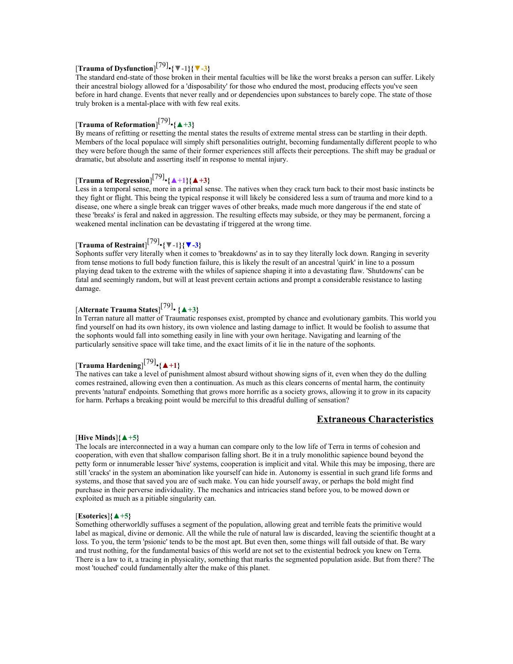# [**Trauma of Dysfunction**] [79] •**{▼-1}{▼-3}**

The standard end-state of those broken in their mental faculties will be like the worst breaks a person can suffer. Likely their ancestral biology allowed for a 'disposability' for those who endured the most, producing effects you've seen before in hard change. Events that never really and or dependencies upon substances to barely cope. The state of those truly broken is a mental-place with with few real exits.

# [**Trauma of Reformation**] [79] •**{▲+3}**

By means of refitting or resetting the mental states the results of extreme mental stress can be startling in their depth. Members of the local populace will simply shift personalities outright, becoming fundamentally different people to who they were before though the same of their former experiences still affects their perceptions. The shift may be gradual or dramatic, but absolute and asserting itself in response to mental injury.

# [**Trauma of Regression**] [79] •**{▲+1}{▲+3}**

Less in a temporal sense, more in a primal sense. The natives when they crack turn back to their most basic instincts be they fight or flight. This being the typical response it will likely be considered less a sum of trauma and more kind to a disease, one where a single break can trigger waves of other breaks, made much more dangerous if the end state of these 'breaks' is feral and naked in aggression. The resulting effects may subside, or they may be permanent, forcing a weakened mental inclination can be devastating if triggered at the wrong time.

# [**Trauma of Restraint**] [79] •**{▼-1}{▼-3}**

Sophonts suffer very literally when it comes to 'breakdowns' as in to say they literally lock down. Ranging in severity from tense motions to full body function failure, this is likely the result of an ancestral 'quirk' in line to a possum playing dead taken to the extreme with the whiles of sapience shaping it into a devastating flaw. 'Shutdowns' can be fatal and seemingly random, but will at least prevent certain actions and prompt a considerable resistance to lasting damage.

# [**Alternate Trauma States**] [79] • **{▲+3}**

In Terran nature all matter of Traumatic responses exist, prompted by chance and evolutionary gambits. This world you find yourself on had its own history, its own violence and lasting damage to inflict. It would be foolish to assume that the sophonts would fall into something easily in line with your own heritage. Navigating and learning of the particularly sensitive space will take time, and the exact limits of it lie in the nature of the sophonts.

# [**Trauma Hardening**] [79] •**{▲+1}**

The natives can take a level of punishment almost absurd without showing signs of it, even when they do the dulling comes restrained, allowing even then a continuation. As much as this clears concerns of mental harm, the continuity prevents 'natural' endpoints. Something that grows more horrific as a society grows, allowing it to grow in its capacity for harm. Perhaps a breaking point would be merciful to this dreadful dulling of sensation?

### **Extraneous Characteristics**

### [**Hive Minds**]**{▲+5}**

The locals are interconnected in a way a human can compare only to the low life of Terra in terms of cohesion and cooperation, with even that shallow comparison falling short. Be it in a truly monolithic sapience bound beyond the petty form or innumerable lesser 'hive' systems, cooperation is implicit and vital. While this may be imposing, there are still 'cracks' in the system an abomination like yourself can hide in. Autonomy is essential in such grand life forms and systems, and those that saved you are of such make. You can hide yourself away, or perhaps the bold might find purchase in their perverse individuality. The mechanics and intricacies stand before you, to be mowed down or exploited as much as a pitiable singularity can.

### [**Esoterics**]**{▲+5}**

Something otherworldly suffuses a segment of the population, allowing great and terrible feats the primitive would label as magical, divine or demonic. All the while the rule of natural law is discarded, leaving the scientific thought at a loss. To you, the term 'psionic' tends to be the most apt. But even then, some things will fall outside of that. Be wary and trust nothing, for the fundamental basics of this world are not set to the existential bedrock you knew on Terra. There is a law to it, a tracing in physicality, something that marks the segmented population aside. But from there? The most 'touched' could fundamentally alter the make of this planet.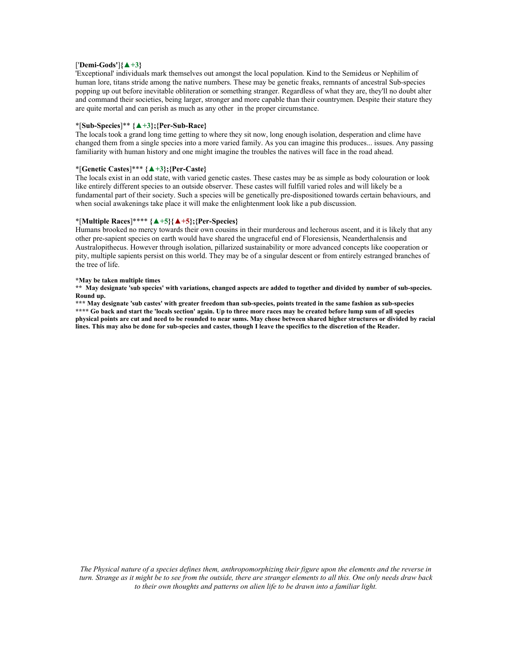### ['**Demi-Gods'**]**{▲+3}**

'Exceptional' individuals mark themselves out amongst the local population. Kind to the Semideus or Nephilim of human lore, titans stride among the native numbers. These may be genetic freaks, remnants of ancestral Sub-species popping up out before inevitable obliteration or something stranger. Regardless of what they are, they'll no doubt alter and command their societies, being larger, stronger and more capable than their countrymen. Despite their stature they are quite mortal and can perish as much as any other in the proper circumstance.

### \*[**Sub-Species**]\*\* **{▲+3};{Per-Sub-Race}**

The locals took a grand long time getting to where they sit now, long enough isolation, desperation and clime have changed them from a single species into a more varied family. As you can imagine this produces... issues. Any passing familiarity with human history and one might imagine the troubles the natives will face in the road ahead.

### \*[**Genetic Castes**]\*\*\* **{▲+3};{Per-Caste}**

The locals exist in an odd state, with varied genetic castes. These castes may be as simple as body colouration or look like entirely different species to an outside observer. These castes will fulfill varied roles and will likely be a fundamental part of their society. Such a species will be genetically pre-dispositioned towards certain behaviours, and when social awakenings take place it will make the enlightenment look like a pub discussion.

### \*[**Multiple Races**]\*\*\*\* **{▲+5}{▲+5};{Per-Species}**

Humans brooked no mercy towards their own cousins in their murderous and lecherous ascent, and it is likely that any other pre-sapient species on earth would have shared the ungraceful end of Floresiensis, Neanderthalensis and Australopithecus. However through isolation, pillarized sustainability or more advanced concepts like cooperation or pity, multiple sapients persist on this world. They may be of a singular descent or from entirely estranged branches of the tree of life.

#### **\*May be taken multiple times**

**\*\* May designate 'sub species' with variations, changed aspects are added to together and divided by number of sub-species. Round up.**

**\*\*\* May designate 'sub castes' with greater freedom than sub-species, points treated in the same fashion as sub-species \*\*\*\* Go back and start the 'locals section' again. Up to three more races may be created before lump sum of all species physical points are cut and need to be rounded to near sums. May chose between shared higher structures or divided by racial lines. This may also be done for sub-species and castes, though I leave the specifics to the discretion of the Reader.**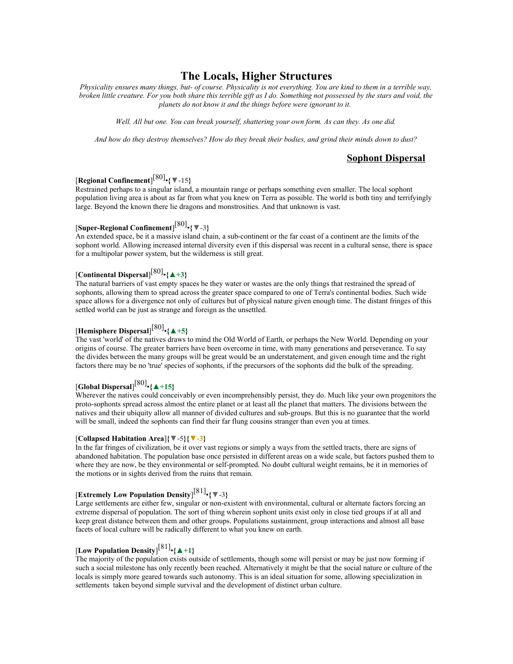### **The Locals, Higher Structures**

*Physicality ensures many things, but- of course. Physicality is not everything. You are kind to them in a terrible way, broken little creature. For you both share this terrible gift as I do. Something not possessed by the stars and void, the planets do not know it and the things before were ignorant to it.* 

*Well. All but one. You can break yourself, shattering your own form. As can they. As one did.*

*And how do they destroy themselves? How do they break their bodies, and grind their minds down to dust?*

### **Sophont Dispersal**

# [**Regional Confinement**] [80] •**{▼-15}**

Restrained perhaps to a singular island, a mountain range or perhaps something even smaller. The local sophont population living area is about as far from what you knew on Terra as possible. The world is both tiny and terrifyingly large. Beyond the known there lie dragons and monstrosities. And that unknown is vast.

# [**Super-Regional Confinement**] [80] •**{▼-3}**

An extended space, be it a massive island chain, a sub-continent or the far coast of a continent are the limits of the sophont world. Allowing increased internal diversity even if this dispersal was recent in a cultural sense, there is space for a multipolar power system, but the wilderness is still great.

# [**Continental Dispersal**] [80] •**{▲+3}**

The natural barriers of vast empty spaces be they water or wastes are the only things that restrained the spread of sophonts, allowing them to spread across the greater space compared to one of Terra's continental bodies. Such wide space allows for a divergence not only of cultures but of physical nature given enough time. The distant fringes of this settled world can be just as strange and foreign as the unsettled.

# [**Hemisphere Dispersal**] [80] •**{▲+5}**

The vast 'world' of the natives draws to mind the Old World of Earth, or perhaps the New World. Depending on your origins of course. The greater barriers have been overcome in time, with many generations and perseverance. To say the divides between the many groups will be great would be an understatement, and given enough time and the right factors there may be no 'true' species of sophonts, if the precursors of the sophonts did the bulk of the spreading.

# [**Global Dispersal**] [80] •**{▲+15}**

Wherever the natives could conceivably or even incomprehensibly persist, they do. Much like your own progenitors the proto-sophonts spread across almost the entire planet or at least all the planet that matters. The divisions between the natives and their ubiquity allow all manner of divided cultures and sub-groups. But this is no guarantee that the world will be small, indeed the sophonts can find their far flung cousins stranger than even you at times.

### [**Collapsed Habitation Area**]**{▼-5}{▼-3}**

In the far fringes of civilization, be it over vast regions or simply a ways from the settled tracts, there are signs of abandoned habitation. The population base once persisted in different areas on a wide scale, but factors pushed them to where they are now, be they environmental or self-prompted. No doubt cultural weight remains, be it in memories of the motions or in sights derived from the ruins that remain.

# [**Extremely Low Population Density**] [81] •**{▼-3}**

Large settlements are either few, singular or non-existent with environmental, cultural or alternate factors forcing an extreme dispersal of population. The sort of thing wherein sophont units exist only in close tied groups if at all and keep great distance between them and other groups. Populations sustainment, group interactions and almost all base facets of local culture will be radically different to what you knew on earth.

# [**Low Population Density**] [81] •**{▲+1}**

The majority of the population exists outside of settlements, though some will persist or may be just now forming if such a social milestone has only recently been reached. Alternatively it might be that the social nature or culture of the locals is simply more geared towards such autonomy. This is an ideal situation for some, allowing specialization in settlements taken beyond simple survival and the development of distinct urban culture.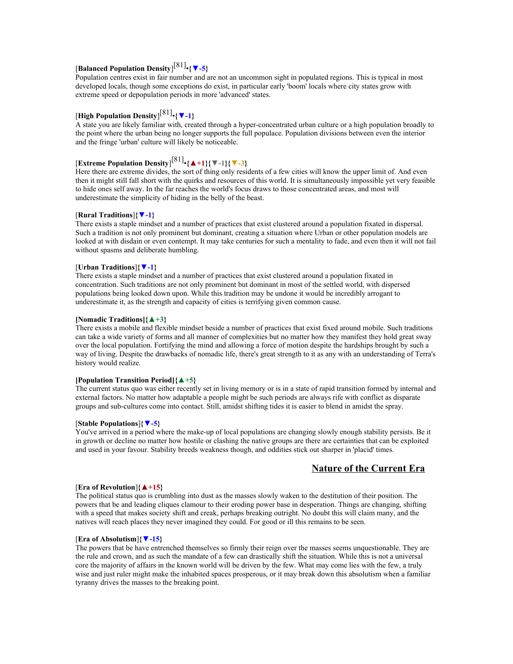# [**Balanced Population Density**] [81] •**{▼-5}**

Population centres exist in fair number and are not an uncommon sight in populated regions. This is typical in most developed locals, though some exceptions do exist, in particular early 'boom' locals where city states grow with extreme speed or depopulation periods in more 'advanced' states.

# [**High Population Density**] [81] •**{▼-1}**

A state you are likely familiar with, created through a hyper-concentrated urban culture or a high population broadly to the point where the urban being no longer supports the full populace. Population divisions between even the interior and the fringe 'urban' culture will likely be noticeable.

# [**Extreme Population Density**] [81] •**{▲+1}{▼-1}{▼-3}**

Here there are extreme divides, the sort of thing only residents of a few cities will know the upper limit of. And even then it might still fall short with the quirks and resources of this world. It is simultaneously impossible yet very feasible to hide ones self away. In the far reaches the world's focus draws to those concentrated areas, and most will underestimate the simplicity of hiding in the belly of the beast.

#### [**Rural Traditions**]**{▼-1}**

There exists a staple mindset and a number of practices that exist clustered around a population fixated in dispersal. Such a tradition is not only prominent but dominant, creating a situation where Urban or other population models are looked at with disdain or even contempt. It may take centuries for such a mentality to fade, and even then it will not fail without spasms and deliberate humbling.

#### [**Urban Traditions**]**{▼-1}**

There exists a staple mindset and a number of practices that exist clustered around a population fixated in concentration. Such traditions are not only prominent but dominant in most of the settled world, with dispersed populations being looked down upon. While this tradition may be undone it would be incredibly arrogant to underestimate it, as the strength and capacity of cities is terrifying given common cause.

### **[Nomadic Traditions]{▲+3}**

There exists a mobile and flexible mindset beside a number of practices that exist fixed around mobile. Such traditions can take a wide variety of forms and all manner of complexities but no matter how they manifest they hold great sway over the local population. Fortifying the mind and allowing a force of motion despite the hardships brought by such a way of living. Despite the drawbacks of nomadic life, there's great strength to it as any with an understanding of Terra's history would realize.

#### **[Population Transition Period]{▲+5}**

The current status quo was either recently set in living memory or is in a state of rapid transition formed by internal and external factors. No matter how adaptable a people might be such periods are always rife with conflict as disparate groups and sub-cultures come into contact. Still, amidst shifting tides it is easier to blend in amidst the spray.

### [**Stable Populations**]**{▼-5}**

You've arrived in a period where the make-up of local populations are changing slowly enough stability persists. Be it in growth or decline no matter how hostile or clashing the native groups are there are certainties that can be exploited and used in your favour. Stability breeds weakness though, and oddities stick out sharper in 'placid' times.

### **Nature of the Current Era**

#### [**Era of Revolution**]**{▲+15}**

The political status quo is crumbling into dust as the masses slowly waken to the destitution of their position. The powers that be and leading cliques clamour to their eroding power base in desperation. Things are changing, shifting with a speed that makes society shift and creak, perhaps breaking outright. No doubt this will claim many, and the natives will reach places they never imagined they could. For good or ill this remains to be seen.

#### [**Era of Absolutism**]**{▼-15}**

The powers that be have entrenched themselves so firmly their reign over the masses seems unquestionable. They are the rule and crown, and as such the mandate of a few can drastically shift the situation. While this is not a universal core the majority of affairs in the known world will be driven by the few. What may come lies with the few, a truly wise and just ruler might make the inhabited spaces prosperous, or it may break down this absolutism when a familiar tyranny drives the masses to the breaking point.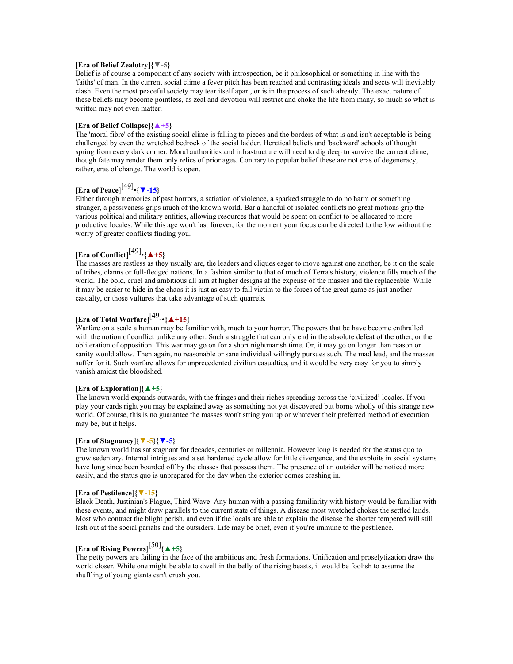### [**Era of Belief Zealotry**]**{▼-5}**

Belief is of course a component of any society with introspection, be it philosophical or something in line with the 'faiths' of man. In the current social clime a fever pitch has been reached and contrasting ideals and sects will inevitably clash. Even the most peaceful society may tear itself apart, or is in the process of such already. The exact nature of these beliefs may become pointless, as zeal and devotion will restrict and choke the life from many, so much so what is written may not even matter.

#### [**Era of Belief Collapse**]**{▲+5}**

The 'moral fibre' of the existing social clime is falling to pieces and the borders of what is and isn't acceptable is being challenged by even the wretched bedrock of the social ladder. Heretical beliefs and 'backward' schools of thought spring from every dark corner. Moral authorities and infrastructure will need to dig deep to survive the current clime, though fate may render them only relics of prior ages. Contrary to popular belief these are not eras of degeneracy, rather, eras of change. The world is open.

# [**Era of Peace**] [49] •**{▼-15}**

Either through memories of past horrors, a satiation of violence, a sparked struggle to do no harm or something stranger, a passiveness grips much of the known world. Bar a handful of isolated conflicts no great motions grip the various political and military entities, allowing resources that would be spent on conflict to be allocated to more productive locales. While this age won't last forever, for the moment your focus can be directed to the low without the worry of greater conflicts finding you.

# [**Era of Conflict**] [49] •**{▲+5}**

The masses are restless as they usually are, the leaders and cliques eager to move against one another, be it on the scale of tribes, clanns or full-fledged nations. In a fashion similar to that of much of Terra's history, violence fills much of the world. The bold, cruel and ambitious all aim at higher designs at the expense of the masses and the replaceable. While it may be easier to hide in the chaos it is just as easy to fall victim to the forces of the great game as just another casualty, or those vultures that take advantage of such quarrels.

# [**Era of Total Warfare**] [49] •**{▲+15}**

Warfare on a scale a human may be familiar with, much to your horror. The powers that be have become enthralled with the notion of conflict unlike any other. Such a struggle that can only end in the absolute defeat of the other, or the obliteration of opposition. This war may go on for a short nightmarish time. Or, it may go on longer than reason or sanity would allow. Then again, no reasonable or sane individual willingly pursues such. The mad lead, and the masses suffer for it. Such warfare allows for unprecedented civilian casualties, and it would be very easy for you to simply vanish amidst the bloodshed.

#### [**Era of Exploration**]**{▲+5}**

The known world expands outwards, with the fringes and their riches spreading across the 'civilized' locales. If you play your cards right you may be explained away as something not yet discovered but borne wholly of this strange new world. Of course, this is no guarantee the masses won't string you up or whatever their preferred method of execution may be, but it helps.

#### [**Era of Stagnancy**]**{▼-5}{▼-5}**

The known world has sat stagnant for decades, centuries or millennia. However long is needed for the status quo to grow sedentary. Internal intrigues and a set hardened cycle allow for little divergence, and the exploits in social systems have long since been boarded off by the classes that possess them. The presence of an outsider will be noticed more easily, and the status quo is unprepared for the day when the exterior comes crashing in.

#### [**Era of Pestilence**]**{▼-15}**

Black Death, Justinian's Plague, Third Wave. Any human with a passing familiarity with history would be familiar with these events, and might draw parallels to the current state of things. A disease most wretched chokes the settled lands. Most who contract the blight perish, and even if the locals are able to explain the disease the shorter tempered will still lash out at the social pariahs and the outsiders. Life may be brief, even if you're immune to the pestilence.

# [**Era of Rising Powers**] [50]**{▲+5}**

The petty powers are failing in the face of the ambitious and fresh formations. Unification and proselytization draw the world closer. While one might be able to dwell in the belly of the rising beasts, it would be foolish to assume the shuffling of young giants can't crush you.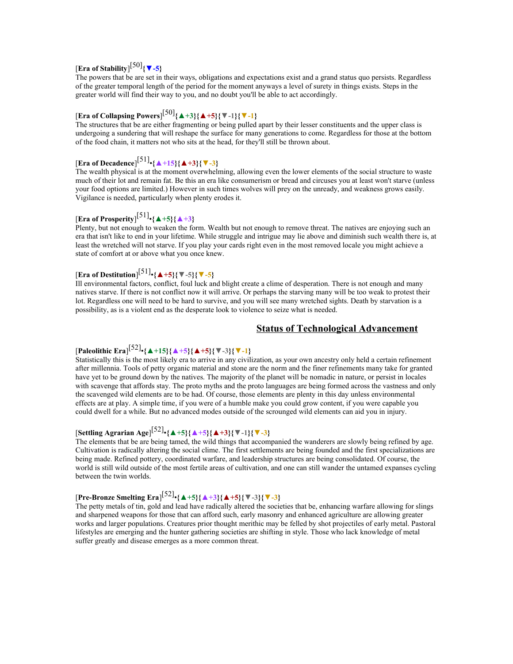# [**Era of Stability**] [50]**{▼-5}**

The powers that be are set in their ways, obligations and expectations exist and a grand status quo persists. Regardless of the greater temporal length of the period for the moment anyways a level of surety in things exists. Steps in the greater world will find their way to you, and no doubt you'll be able to act accordingly.

# [**Era of Collapsing Powers**] [50]**{▲+3}{▲+5}{▼-1}{▼-1}**

The structures that be are either fragmenting or being pulled apart by their lesser constituents and the upper class is undergoing a sundering that will reshape the surface for many generations to come. Regardless for those at the bottom of the food chain, it matters not who sits at the head, for they'll still be thrown about.

# [**Era of Decadence**] [51] •**{▲+15}{▲+3}{▼-3}**

The wealth physical is at the moment overwhelming, allowing even the lower elements of the social structure to waste much of their lot and remain fat. Be this an era like consumerism or bread and circuses you at least won't starve (unless your food options are limited.) However in such times wolves will prey on the unready, and weakness grows easily. Vigilance is needed, particularly when plenty erodes it.

# [**Era of Prosperity**] [51] •**{▲+5}{▲+3}**

Plenty, but not enough to weaken the form. Wealth but not enough to remove threat. The natives are enjoying such an era that isn't like to end in your lifetime. While struggle and intrigue may lie above and diminish such wealth there is, at least the wretched will not starve. If you play your cards right even in the most removed locale you might achieve a state of comfort at or above what you once knew.

# [**Era of Destitution**] [51] •**{▲+5}{▼-5}{▼-5}**

Ill environmental factors, conflict, foul luck and blight create a clime of desperation. There is not enough and many natives starve. If there is not conflict now it will arrive. Or perhaps the starving many will be too weak to protest their lot. Regardless one will need to be hard to survive, and you will see many wretched sights. Death by starvation is a possibility, as is a violent end as the desperate look to violence to seize what is needed.

### **Status of Technological Advancement**

# [**Paleolithic Era**] [52] •**{▲+15}{▲+5}{▲+5}{▼-3}{▼-1}**

Statistically this is the most likely era to arrive in any civilization, as your own ancestry only held a certain refinement after millennia. Tools of petty organic material and stone are the norm and the finer refinements many take for granted have yet to be ground down by the natives. The majority of the planet will be nomadic in nature, or persist in locales with scavenge that affords stay. The proto myths and the proto languages are being formed across the vastness and only the scavenged wild elements are to be had. Of course, those elements are plenty in this day unless environmental effects are at play. A simple time, if you were of a humble make you could grow content, if you were capable you could dwell for a while. But no advanced modes outside of the scrounged wild elements can aid you in injury.

# [**Settling Agrarian Age**] [52] •**{▲+5}{▲+5}{▲+3}{▼-1}{▼-3}**

The elements that be are being tamed, the wild things that accompanied the wanderers are slowly being refined by age. Cultivation is radically altering the social clime. The first settlements are being founded and the first specializations are being made. Refined pottery, coordinated warfare, and leadership structures are being consolidated. Of course, the world is still wild outside of the most fertile areas of cultivation, and one can still wander the untamed expanses cycling between the twin worlds.

# [**Pre-Bronze Smelting Era**] [52] •**{▲+5}{▲+3}{▲+5}{▼-3}{▼-3}**

The petty metals of tin, gold and lead have radically altered the societies that be, enhancing warfare allowing for slings and sharpened weapons for those that can afford such, early masonry and enhanced agriculture are allowing greater works and larger populations. Creatures prior thought merithic may be felled by shot projectiles of early metal. Pastoral lifestyles are emerging and the hunter gathering societies are shifting in style. Those who lack knowledge of metal suffer greatly and disease emerges as a more common threat.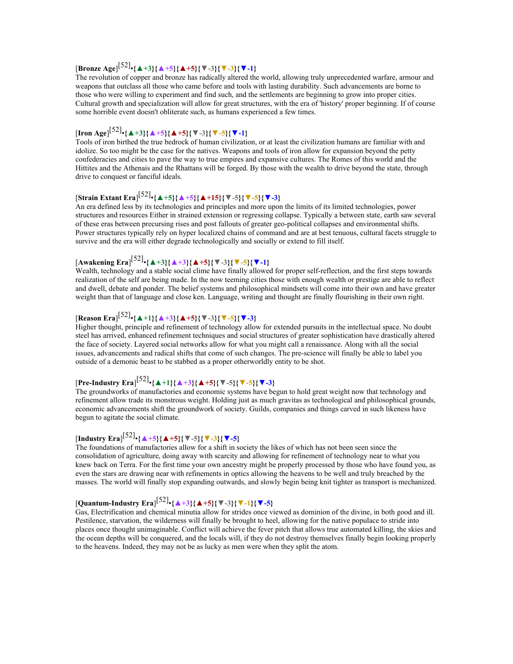# [**Bronze Age**] [52] •**{▲+3}{▲+5}{▲+5}{▼-3}{▼-3}{▼-1}**

The revolution of copper and bronze has radically altered the world, allowing truly unprecedented warfare, armour and weapons that outclass all those who came before and tools with lasting durability. Such advancements are borne to those who were willing to experiment and find such, and the settlements are beginning to grow into proper cities. Cultural growth and specialization will allow for great structures, with the era of 'history' proper beginning. If of course some horrible event doesn't obliterate such, as humans experienced a few times.

# [**Iron Age**] [52] •**{▲+3}{▲+5}{▲+5}{▼-3}{▼-5}{▼-1}**

Tools of iron birthed the true bedrock of human civilization, or at least the civilization humans are familiar with and idolize. So too might be the case for the natives. Weapons and tools of iron allow for expansion beyond the petty confederacies and cities to pave the way to true empires and expansive cultures. The Romes of this world and the Hittites and the Athenais and the Rhattans will be forged. By those with the wealth to drive beyond the state, through drive to conquest or fanciful ideals.

# [**Strain Extant Era**] [52] •**{▲+5}{▲+5}{▲+15}{▼-5}{▼-5}{▼-3}**

An era defined less by its technologies and principles and more upon the limits of its limited technologies, power structures and resources Either in strained extension or regressing collapse. Typically a between state, earth saw several of these eras between precursing rises and post fallouts of greater geo-political collapses and environmental shifts. Power structures typically rely on hyper localized chains of command and are at best tenuous, cultural facets struggle to survive and the era will either degrade technologically and socially or extend to fill itself.

# [**Awakening Era**] [52] •**{▲+3}{▲+3}{▲+5}{▼-3}{▼-5}{▼-1}**

Wealth, technology and a stable social clime have finally allowed for proper self-reflection, and the first steps towards realization of the self are being made. In the now teeming cities those with enough wealth or prestige are able to reflect and dwell, debate and ponder. The belief systems and philosophical mindsets will come into their own and have greater weight than that of language and close ken. Language, writing and thought are finally flourishing in their own right.

# [**Reason Era**] [52] •**{▲+1}{▲+3}{▲+5}{▼-3}{▼-5}{▼-3}**

Higher thought, principle and refinement of technology allow for extended pursuits in the intellectual space. No doubt steel has arrived, enhanced refinement techniques and social structures of greater sophistication have drastically altered the face of society. Layered social networks allow for what you might call a renaissance. Along with all the social issues, advancements and radical shifts that come of such changes. The pre-science will finally be able to label you outside of a demonic beast to be stabbed as a proper otherworldly entity to be shot.

# [**Pre-Industry Era**] [52] •**{▲+1}{▲+3}{▲+5}{▼-5}{▼-5}{▼-3}**

The groundworks of manufactories and economic systems have begun to hold great weight now that technology and refinement allow trade its monstrous weight. Holding just as much gravitas as technological and philosophical grounds, economic advancements shift the groundwork of society. Guilds, companies and things carved in such likeness have begun to agitate the social climate.

# [**Industry Era**] [52] •**{▲+5}{▲+5}{▼-5}{▼-3}{▼-5}**

The foundations of manufactories allow for a shift in society the likes of which has not been seen since the consolidation of agriculture, doing away with scarcity and allowing for refinement of technology near to what you knew back on Terra. For the first time your own ancestry might be properly processed by those who have found you, as even the stars are drawing near with refinements in optics allowing the heavens to be well and truly breached by the masses. The world will finally stop expanding outwards, and slowly begin being knit tighter as transport is mechanized.

# [**Quantum-Industry Era**] [52] •**{▲+3}{▲+5}{▼-3}{▼-1}{▼-5}**

Gas, Electrification and chemical minutia allow for strides once viewed as dominion of the divine, in both good and ill. Pestilence, starvation, the wilderness will finally be brought to heel, allowing for the native populace to stride into places once thought unimaginable. Conflict will achieve the fever pitch that allows true automated killing, the skies and the ocean depths will be conquered, and the locals will, if they do not destroy themselves finally begin looking properly to the heavens. Indeed, they may not be as lucky as men were when they split the atom.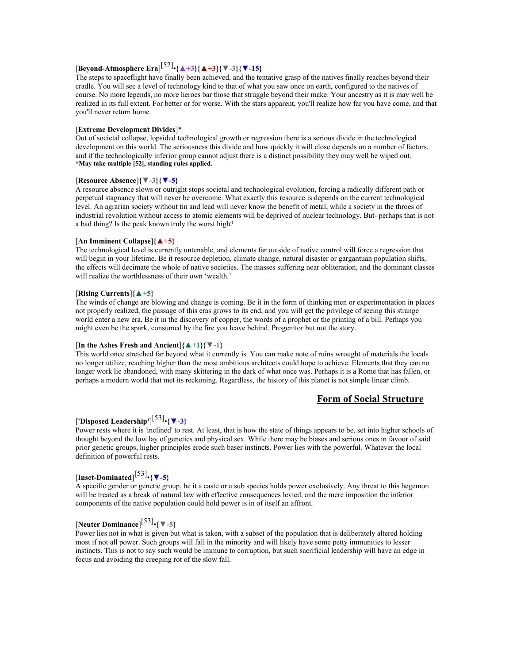# [**Beyond-Atmosphere Era**] [52] •**{▲+3}{▲+3}{▼-3}{▼-15}**

The steps to spaceflight have finally been achieved, and the tentative grasp of the natives finally reaches beyond their cradle. You will see a level of technology kind to that of what you saw once on earth, configured to the natives of course. No more legends, no more heroes bar those that struggle beyond their make. Your ancestry as it is may well be realized in its full extent. For better or for worse. With the stars apparent, you'll realize how far you have come, and that you'll never return home.

### [**Extreme Development Divides**]\*

Out of societal collapse, lopsided technological growth or regression there is a serious divide in the technological development on this world. The seriousness this divide and how quickly it will close depends on a number of factors, and if the technologically inferior group cannot adjust there is a distinct possibility they may well be wiped out. **\*May take multiple [52], standing rules applied.**

### [**Resource Absence**]**{▼-3}{▼-5}**

A resource absence slows or outright stops societal and technological evolution, forcing a radically different path or perpetual stagnancy that will never be overcome. What exactly this resource is depends on the current technological level. An agrarian society without tin and lead will never know the benefit of metal, while a society in the throes of industrial revolution without access to atomic elements will be deprived of nuclear technology. But- perhaps that is not a bad thing? Is the peak known truly the worst high?

### [**An Imminent Collapse**]**{▲+5}**

The technological level is currently untenable, and elements far outside of native control will force a regression that will begin in your lifetime. Be it resource depletion, climate change, natural disaster or gargantuan population shifts, the effects will decimate the whole of native societies. The masses suffering near obliteration, and the dominant classes will realize the worthlessness of their own 'wealth.'

#### [**Rising Currents**]**{▲+5}**

The winds of change are blowing and change is coming. Be it in the form of thinking men or experimentation in places not properly realized, the passage of this eras grows to its end, and you will get the privilege of seeing this strange world enter a new era. Be it in the discovery of copper, the words of a prophet or the printing of a bill. Perhaps you might even be the spark, consumed by the fire you leave behind. Progenitor but not the story.

### [**In the Ashes Fresh and Ancient**]**{▲+1}{▼-1}**

This world once stretched far beyond what it currently is. You can make note of ruins wrought of materials the locals no longer utilize, reaching higher than the most ambitious architects could hope to achieve. Elements that they can no longer work lie abandoned, with many skittering in the dark of what once was. Perhaps it is a Rome that has fallen, or perhaps a modern world that met its reckoning. Regardless, the history of this planet is not simple linear climb.

### **Form of Social Structure**

# [**'Disposed Leadership'**] [53] •**{▼-3}**

Power rests where it is 'inclined' to rest. At least, that is how the state of things appears to be, set into higher schools of thought beyond the low lay of genetics and physical sex. While there may be biases and serious ones in favour of said prior genetic groups, higher principles erode such baser instincts. Power lies with the powerful. Whatever the local definition of powerful rests.

# [**Inset-Dominated**] [53] •**{▼-5}**

A specific gender or genetic group, be it a caste or a sub species holds power exclusively. Any threat to this hegemon will be treated as a break of natural law with effective consequences levied, and the mere imposition the inferior components of the native population could hold power is in of itself an affront.

# [**Neuter Dominance**] [53] •**{▼-5}**

Power lies not in what is given but what is taken, with a subset of the population that is deliberately altered holding most if not all power. Such groups will fall in the minority and will likely have some petty immunities to lesser instincts. This is not to say such would be immune to corruption, but such sacrificial leadership will have an edge in focus and avoiding the creeping rot of the slow fall.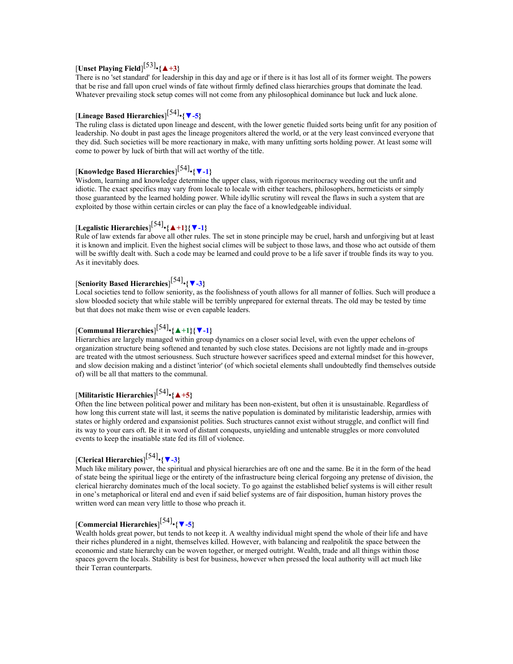# [Unset Playing Field]<sup>[53]</sup> $\{ \blacktriangle +3 \}$

There is no 'set standard' for leadership in this day and age or if there is it has lost all of its former weight. The powers that be rise and fall upon cruel winds of fate without firmly defined class hierarchies groups that dominate the lead. Whatever prevailing stock setup comes will not come from any philosophical dominance but luck and luck alone.

# [**Lineage Based Hierarchies**] [54] •**{▼-5}**

The ruling class is dictated upon lineage and descent, with the lower genetic fluided sorts being unfit for any position of leadership. No doubt in past ages the lineage progenitors altered the world, or at the very least convinced everyone that they did. Such societies will be more reactionary in make, with many unfitting sorts holding power. At least some will come to power by luck of birth that will act worthy of the title.

# [**Knowledge Based Hierarchies**] [54] •**{▼-1}**

Wisdom, learning and knowledge determine the upper class, with rigorous meritocracy weeding out the unfit and idiotic. The exact specifics may vary from locale to locale with either teachers, philosophers, hermeticists or simply those guaranteed by the learned holding power. While idyllic scrutiny will reveal the flaws in such a system that are exploited by those within certain circles or can play the face of a knowledgeable individual.

# [**Legalistic Hierarchies**] [54] •**{▲+1}{▼-1}**

Rule of law extends far above all other rules. The set in stone principle may be cruel, harsh and unforgiving but at least it is known and implicit. Even the highest social climes will be subject to those laws, and those who act outside of them will be swiftly dealt with. Such a code may be learned and could prove to be a life saver if trouble finds its way to you. As it inevitably does.

# [**Seniority Based Hierarchies**] [54] •**{▼-3}**

Local societies tend to follow seniority, as the foolishness of youth allows for all manner of follies. Such will produce a slow blooded society that while stable will be terribly unprepared for external threats. The old may be tested by time but that does not make them wise or even capable leaders.

# [**Communal Hierarchies**] [54] •**{▲+1}{▼-1}**

Hierarchies are largely managed within group dynamics on a closer social level, with even the upper echelons of organization structure being softened and tenanted by such close states. Decisions are not lightly made and in-groups are treated with the utmost seriousness. Such structure however sacrifices speed and external mindset for this however, and slow decision making and a distinct 'interior' (of which societal elements shall undoubtedly find themselves outside of) will be all that matters to the communal.

# [**Militaristic Hierarchies**] [54] •**{▲+5}**

Often the line between political power and military has been non-existent, but often it is unsustainable. Regardless of how long this current state will last, it seems the native population is dominated by militaristic leadership, armies with states or highly ordered and expansionist polities. Such structures cannot exist without struggle, and conflict will find its way to your ears oft. Be it in word of distant conquests, unyielding and untenable struggles or more convoluted events to keep the insatiable state fed its fill of violence.

# [**Clerical Hierarchies**] [54] •**{▼-3}**

Much like military power, the spiritual and physical hierarchies are oft one and the same. Be it in the form of the head of state being the spiritual liege or the entirety of the infrastructure being clerical forgoing any pretense of division, the clerical hierarchy dominates much of the local society. To go against the established belief systems is will either result in one's metaphorical or literal end and even if said belief systems are of fair disposition, human history proves the written word can mean very little to those who preach it.

# [**Commercial Hierarchies**] [54] •**{▼-5}**

Wealth holds great power, but tends to not keep it. A wealthy individual might spend the whole of their life and have their riches plundered in a night, themselves killed. However, with balancing and realpolitik the space between the economic and state hierarchy can be woven together, or merged outright. Wealth, trade and all things within those spaces govern the locals. Stability is best for business, however when pressed the local authority will act much like their Terran counterparts.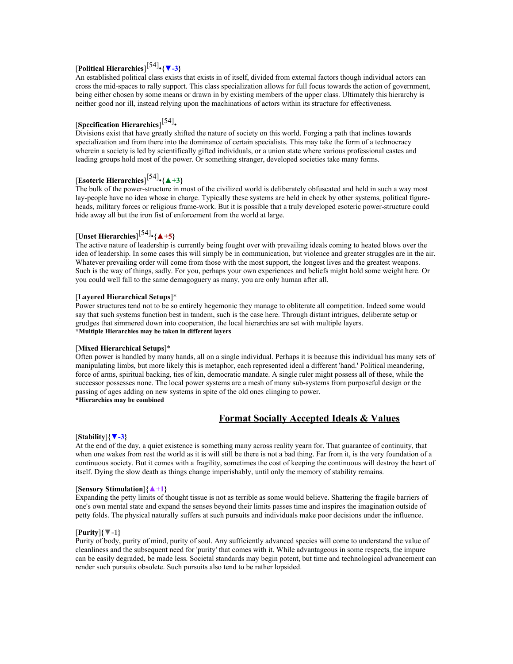# [**Political Hierarchies**] [54] •**{▼-3}**

An established political class exists that exists in of itself, divided from external factors though individual actors can cross the mid-spaces to rally support. This class specialization allows for full focus towards the action of government, being either chosen by some means or drawn in by existing members of the upper class. Ultimately this hierarchy is neither good nor ill, instead relying upon the machinations of actors within its structure for effectiveness.

# [**Specification Hierarchies**] [54] •

Divisions exist that have greatly shifted the nature of society on this world. Forging a path that inclines towards specialization and from there into the dominance of certain specialists. This may take the form of a technocracy wherein a society is led by scientifically gifted individuals, or a union state where various professional castes and leading groups hold most of the power. Or something stranger, developed societies take many forms.

# [**Esoteric Hierarchies**] [54] •**{▲+3}**

The bulk of the power-structure in most of the civilized world is deliberately obfuscated and held in such a way most lay-people have no idea whose in charge. Typically these systems are held in check by other systems, political figureheads, military forces or religious frame-work. But it is possible that a truly developed esoteric power-structure could hide away all but the iron fist of enforcement from the world at large.

# [**Unset Hierarchies**] [54] •**{▲+5}**

The active nature of leadership is currently being fought over with prevailing ideals coming to heated blows over the idea of leadership. In some cases this will simply be in communication, but violence and greater struggles are in the air. Whatever prevailing order will come from those with the most support, the longest lives and the greatest weapons. Such is the way of things, sadly. For you, perhaps your own experiences and beliefs might hold some weight here. Or you could well fall to the same demagoguery as many, you are only human after all.

### [**Layered Hierarchical Setups**]\*

Power structures tend not to be so entirely hegemonic they manage to obliterate all competition. Indeed some would say that such systems function best in tandem, such is the case here. Through distant intrigues, deliberate setup or grudges that simmered down into cooperation, the local hierarchies are set with multiple layers. **\*Multiple Hierarchies may be taken in different layers**

### [**Mixed Hierarchical Setups**]\*

Often power is handled by many hands, all on a single individual. Perhaps it is because this individual has many sets of manipulating limbs, but more likely this is metaphor, each represented ideal a different 'hand.' Political meandering, force of arms, spiritual backing, ties of kin, democratic mandate. A single ruler might possess all of these, while the successor possesses none. The local power systems are a mesh of many sub-systems from purposeful design or the passing of ages adding on new systems in spite of the old ones clinging to power. **\*Hierarchies may be combined**

### **Format Socially Accepted Ideals & Values**

### [**Stability**]**{▼-3}**

At the end of the day, a quiet existence is something many across reality yearn for. That guarantee of continuity, that when one wakes from rest the world as it is will still be there is not a bad thing. Far from it, is the very foundation of a continuous society. But it comes with a fragility, sometimes the cost of keeping the continuous will destroy the heart of itself. Dying the slow death as things change imperishably, until only the memory of stability remains.

### [**Sensory Stimulation**]**{▲+1}**

Expanding the petty limits of thought tissue is not as terrible as some would believe. Shattering the fragile barriers of one's own mental state and expand the senses beyond their limits passes time and inspires the imagination outside of petty folds. The physical naturally suffers at such pursuits and individuals make poor decisions under the influence.

### [**Purity**]**{▼-1}**

Purity of body, purity of mind, purity of soul. Any sufficiently advanced species will come to understand the value of cleanliness and the subsequent need for 'purity' that comes with it. While advantageous in some respects, the impure can be easily degraded, be made less. Societal standards may begin potent, but time and technological advancement can render such pursuits obsolete. Such pursuits also tend to be rather lopsided.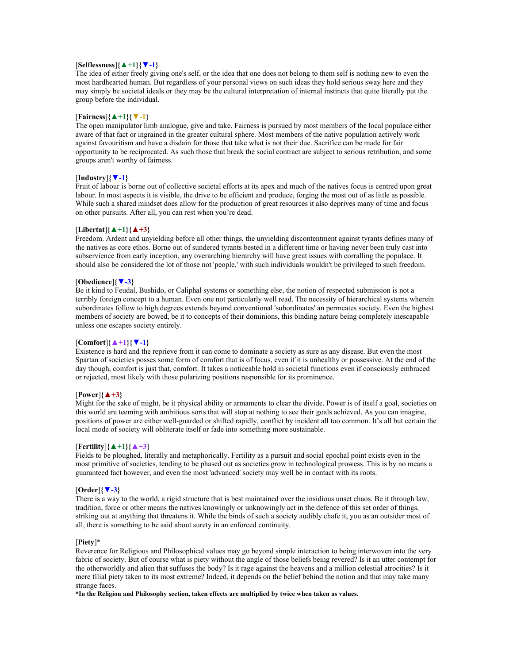### [**Selflessness**]**{▲+1}{▼-1}**

The idea of either freely giving one's self, or the idea that one does not belong to them self is nothing new to even the most hardhearted human. But regardless of your personal views on such ideas they hold serious sway here and they may simply be societal ideals or they may be the cultural interpretation of internal instincts that quite literally put the group before the individual.

#### [**Fairness**]**{▲+1}{▼-1}**

The open manipulator limb analogue, give and take. Fairness is pursued by most members of the local populace either aware of that fact or ingrained in the greater cultural sphere. Most members of the native population actively work against favouritism and have a disdain for those that take what is not their due. Sacrifice can be made for fair opportunity to be reciprocated. As such those that break the social contract are subject to serious retribution, and some groups aren't worthy of fairness.

#### [**Industry**]**{▼-1}**

Fruit of labour is borne out of collective societal efforts at its apex and much of the natives focus is centred upon great labour. In most aspects it is visible, the drive to be efficient and produce, forging the most out of as little as possible. While such a shared mindset does allow for the production of great resources it also deprives many of time and focus on other pursuits. After all, you can rest when you're dead.

### [**Libertat**]**{▲+1}{▲+3}**

Freedom. Ardent and unyielding before all other things, the unyielding discontentment against tyrants defines many of the natives as core ethos. Borne out of sundered tyrants bested in a different time or having never been truly cast into subservience from early inception, any overarching hierarchy will have great issues with corralling the populace. It should also be considered the lot of those not 'people,' with such individuals wouldn't be privileged to such freedom.

#### [**Obedience**]**{▼-3}**

Be it kind to Feudal, Bushido, or Caliphal systems or something else, the notion of respected submission is not a terribly foreign concept to a human. Even one not particularly well read. The necessity of hierarchical systems wherein subordinates follow to high degrees extends beyond conventional 'subordinates' an permeates society. Even the highest members of society are bowed, be it to concepts of their dominions, this binding nature being completely inescapable unless one escapes society entirely.

### [**Comfort**]**{▲+1}{▼-1}**

Existence is hard and the reprieve from it can come to dominate a society as sure as any disease. But even the most Spartan of societies posses some form of comfort that is of focus, even if it is unhealthy or possessive. At the end of the day though, comfort is just that, comfort. It takes a noticeable hold in societal functions even if consciously embraced or rejected, most likely with those polarizing positions responsible for its prominence.

#### [**Power**]**{▲+3}**

Might for the sake of might, be it physical ability or armaments to clear the divide. Power is of itself a goal, societies on this world are teeming with ambitious sorts that will stop at nothing to see their goals achieved. As you can imagine, positions of power are either well-guarded or shifted rapidly, conflict by incident all too common. It's all but certain the local mode of society will obliterate itself or fade into something more sustainable.

### [**Fertility**]**{▲+1}{▲+3}**

Fields to be ploughed, literally and metaphorically. Fertility as a pursuit and social epochal point exists even in the most primitive of societies, tending to be phased out as societies grow in technological prowess. This is by no means a guaranteed fact however, and even the most 'advanced' society may well be in contact with its roots.

### [**Order**]**{▼-3}**

There is a way to the world, a rigid structure that is best maintained over the insidious unset chaos. Be it through law, tradition, force or other means the natives knowingly or unknowingly act in the defence of this set order of things, striking out at anything that threatens it. While the binds of such a society audibly chafe it, you as an outsider most of all, there is something to be said about surety in an enforced continuity.

#### [**Piety**]\*

Reverence for Religious and Philosophical values may go beyond simple interaction to being interwoven into the very fabric of society. But of course what is piety without the angle of those beliefs being revered? Is it an utter contempt for the otherworldly and alien that suffuses the body? Is it rage against the heavens and a million celestial atrocities? Is it mere filial piety taken to its most extreme? Indeed, it depends on the belief behind the notion and that may take many strange faces.

**\*In the Religion and Philosophy section, taken effects are multiplied by twice when taken as values.**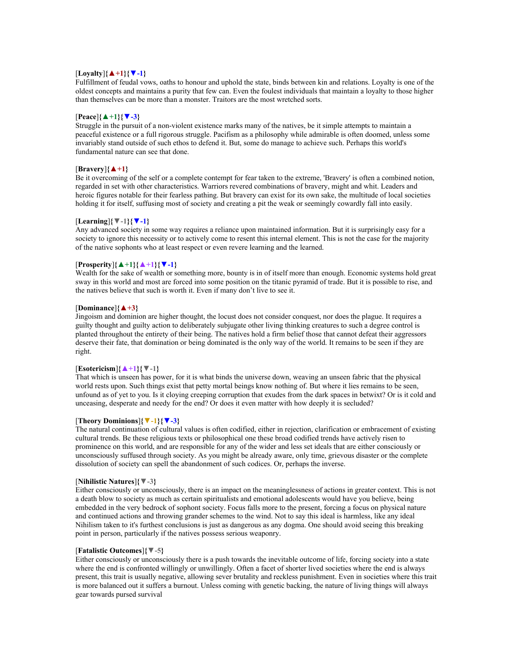### [**Loyalty**]**{▲+1}{▼-1}**

Fulfillment of feudal vows, oaths to honour and uphold the state, binds between kin and relations. Loyalty is one of the oldest concepts and maintains a purity that few can. Even the foulest individuals that maintain a loyalty to those higher than themselves can be more than a monster. Traitors are the most wretched sorts.

### [**Peace**]**{▲+1}{▼-3}**

Struggle in the pursuit of a non-violent existence marks many of the natives, be it simple attempts to maintain a peaceful existence or a full rigorous struggle. Pacifism as a philosophy while admirable is often doomed, unless some invariably stand outside of such ethos to defend it. But, some do manage to achieve such. Perhaps this world's fundamental nature can see that done.

#### [**Bravery**]**{▲+1}**

Be it overcoming of the self or a complete contempt for fear taken to the extreme, 'Bravery' is often a combined notion, regarded in set with other characteristics. Warriors revered combinations of bravery, might and whit. Leaders and heroic figures notable for their fearless pathing. But bravery can exist for its own sake, the multitude of local societies holding it for itself, suffusing most of society and creating a pit the weak or seemingly cowardly fall into easily.

### [**Learning**]**{▼-1}{▼-1}**

Any advanced society in some way requires a reliance upon maintained information. But it is surprisingly easy for a society to ignore this necessity or to actively come to resent this internal element. This is not the case for the majority of the native sophonts who at least respect or even revere learning and the learned.

#### [**Prosperity**]**{▲+1}{▲+1}{▼-1}**

Wealth for the sake of wealth or something more, bounty is in of itself more than enough. Economic systems hold great sway in this world and most are forced into some position on the titanic pyramid of trade. But it is possible to rise, and the natives believe that such is worth it. Even if many don't live to see it.

### [**Dominance**]**{▲+3}**

Jingoism and dominion are higher thought, the locust does not consider conquest, nor does the plague. It requires a guilty thought and guilty action to deliberately subjugate other living thinking creatures to such a degree control is planted throughout the entirety of their being. The natives hold a firm belief those that cannot defeat their aggressors deserve their fate, that domination or being dominated is the only way of the world. It remains to be seen if they are right.

### [**Esotericism**]**{▲+1}{▼-1}**

That which is unseen has power, for it is what binds the universe down, weaving an unseen fabric that the physical world rests upon. Such things exist that petty mortal beings know nothing of. But where it lies remains to be seen, unfound as of yet to you. Is it cloying creeping corruption that exudes from the dark spaces in betwixt? Or is it cold and unceasing, desperate and needy for the end? Or does it even matter with how deeply it is secluded?

### [**Theory Dominions**]**{▼-1}{▼-3}**

The natural continuation of cultural values is often codified, either in rejection, clarification or embracement of existing cultural trends. Be these religious texts or philosophical one these broad codified trends have actively risen to prominence on this world, and are responsible for any of the wider and less set ideals that are either consciously or unconsciously suffused through society. As you might be already aware, only time, grievous disaster or the complete dissolution of society can spell the abandonment of such codices. Or, perhaps the inverse.

#### [**Nihilistic Natures**]**{▼-3}**

Either consciously or unconsciously, there is an impact on the meaninglessness of actions in greater context. This is not a death blow to society as much as certain spiritualists and emotional adolescents would have you believe, being embedded in the very bedrock of sophont society. Focus falls more to the present, forcing a focus on physical nature and continued actions and throwing grander schemes to the wind. Not to say this ideal is harmless, like any ideal Nihilism taken to it's furthest conclusions is just as dangerous as any dogma. One should avoid seeing this breaking point in person, particularly if the natives possess serious weaponry.

#### [**Fatalistic Outcomes**]**{▼-5}**

Either consciously or unconsciously there is a push towards the inevitable outcome of life, forcing society into a state where the end is confronted willingly or unwillingly. Often a facet of shorter lived societies where the end is always present, this trait is usually negative, allowing sever brutality and reckless punishment. Even in societies where this trait is more balanced out it suffers a burnout. Unless coming with genetic backing, the nature of living things will always gear towards pursed survival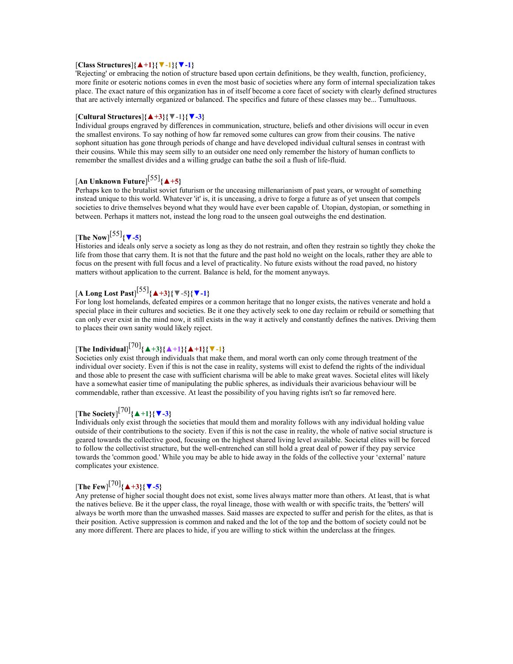### [**Class Structures**]**{▲+1}{▼-1}{▼-1}**

'Rejecting' or embracing the notion of structure based upon certain definitions, be they wealth, function, proficiency, more finite or esoteric notions comes in even the most basic of societies where any form of internal specialization takes place. The exact nature of this organization has in of itself become a core facet of society with clearly defined structures that are actively internally organized or balanced. The specifics and future of these classes may be... Tumultuous.

#### [**Cultural Structures**]**{▲+3}{▼-1}{▼-3}**

Individual groups engraved by differences in communication, structure, beliefs and other divisions will occur in even the smallest environs. To say nothing of how far removed some cultures can grow from their cousins. The native sophont situation has gone through periods of change and have developed individual cultural senses in contrast with their cousins. While this may seem silly to an outsider one need only remember the history of human conflicts to remember the smallest divides and a willing grudge can bathe the soil a flush of life-fluid.

# [**An Unknown Future**] [55]**{▲+5}**

Perhaps ken to the brutalist soviet futurism or the unceasing millenarianism of past years, or wrought of something instead unique to this world. Whatever 'it' is, it is unceasing, a drive to forge a future as of yet unseen that compels societies to drive themselves beyond what they would have ever been capable of. Utopian, dystopian, or something in between. Perhaps it matters not, instead the long road to the unseen goal outweighs the end destination.

# [**The Now**] [55]**{▼-5}**

Histories and ideals only serve a society as long as they do not restrain, and often they restrain so tightly they choke the life from those that carry them. It is not that the future and the past hold no weight on the locals, rather they are able to focus on the present with full focus and a level of practicality. No future exists without the road paved, no history matters without application to the current. Balance is held, for the moment anyways.

# [**A Long Lost Past**] [55]**{▲+3}{▼-5}{▼-1}**

For long lost homelands, defeated empires or a common heritage that no longer exists, the natives venerate and hold a special place in their cultures and societies. Be it one they actively seek to one day reclaim or rebuild or something that can only ever exist in the mind now, it still exists in the way it actively and constantly defines the natives. Driving them to places their own sanity would likely reject.

# [**The Individual**] [70]**{▲+3}{▲+1}{▲+1}{▼-1}**

Societies only exist through individuals that make them, and moral worth can only come through treatment of the individual over society. Even if this is not the case in reality, systems will exist to defend the rights of the individual and those able to present the case with sufficient charisma will be able to make great waves. Societal elites will likely have a somewhat easier time of manipulating the public spheres, as individuals their avaricious behaviour will be commendable, rather than excessive. At least the possibility of you having rights isn't so far removed here.

# [**The Society**] [70]**{▲+1}{▼-3}**

Individuals only exist through the societies that mould them and morality follows with any individual holding value outside of their contributions to the society. Even if this is not the case in reality, the whole of native social structure is geared towards the collective good, focusing on the highest shared living level available. Societal elites will be forced to follow the collectivist structure, but the well-entrenched can still hold a great deal of power if they pay service towards the 'common good.' While you may be able to hide away in the folds of the collective your 'external' nature complicates your existence.

# [**The Few**] [70]**{▲+3}{▼-5}**

Any pretense of higher social thought does not exist, some lives always matter more than others. At least, that is what the natives believe. Be it the upper class, the royal lineage, those with wealth or with specific traits, the 'betters' will always be worth more than the unwashed masses. Said masses are expected to suffer and perish for the elites, as that is their position. Active suppression is common and naked and the lot of the top and the bottom of society could not be any more different. There are places to hide, if you are willing to stick within the underclass at the fringes.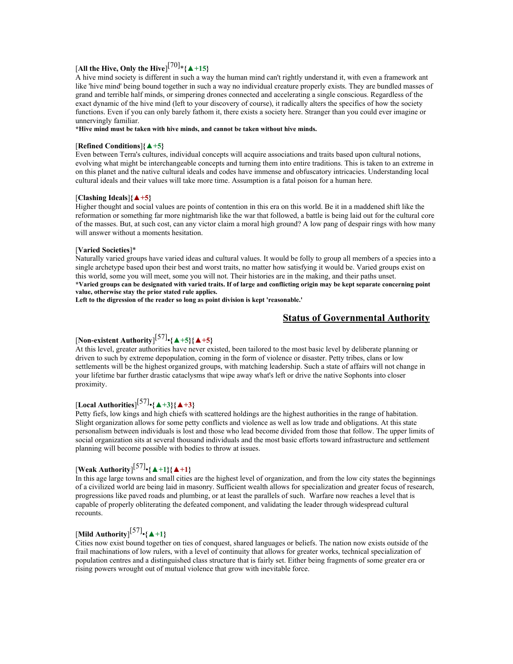# [All the Hive, Only the Hive]<sup>[70]</sup>\*{ $\blacktriangle +15$ }

A hive mind society is different in such a way the human mind can't rightly understand it, with even a framework ant like 'hive mind' being bound together in such a way no individual creature properly exists. They are bundled masses of grand and terrible half minds, or simpering drones connected and accelerating a single conscious. Regardless of the exact dynamic of the hive mind (left to your discovery of course), it radically alters the specifics of how the society functions. Even if you can only barely fathom it, there exists a society here. Stranger than you could ever imagine or unnervingly familiar.

**\*Hive mind must be taken with hive minds, and cannot be taken without hive minds.** 

#### [**Refined Conditions**]**{▲+5}**

Even between Terra's cultures, individual concepts will acquire associations and traits based upon cultural notions, evolving what might be interchangeable concepts and turning them into entire traditions. This is taken to an extreme in on this planet and the native cultural ideals and codes have immense and obfuscatory intricacies. Understanding local cultural ideals and their values will take more time. Assumption is a fatal poison for a human here.

#### [**Clashing Ideals**]**{▲+5}**

Higher thought and social values are points of contention in this era on this world. Be it in a maddened shift like the reformation or something far more nightmarish like the war that followed, a battle is being laid out for the cultural core of the masses. But, at such cost, can any victor claim a moral high ground? A low pang of despair rings with how many will answer without a moments hesitation.

#### [**Varied Societies**]\*

Naturally varied groups have varied ideas and cultural values. It would be folly to group all members of a species into a single archetype based upon their best and worst traits, no matter how satisfying it would be. Varied groups exist on this world, some you will meet, some you will not. Their histories are in the making, and their paths unset. **\*Varied groups can be designated with varied traits. If of large and conflicting origin may be kept separate concerning point value, otherwise stay the prior stated rule applies.**

**Left to the digression of the reader so long as point division is kept 'reasonable.'**

### **Status of Governmental Authority**

# [**Non-existent Authority**] [57] •**{▲+5}{▲+5}**

At this level, greater authorities have never existed, been tailored to the most basic level by deliberate planning or driven to such by extreme depopulation, coming in the form of violence or disaster. Petty tribes, clans or low settlements will be the highest organized groups, with matching leadership. Such a state of affairs will not change in your lifetime bar further drastic cataclysms that wipe away what's left or drive the native Sophonts into closer proximity.

# $\left[\text{Local Authorities}\right]^{[57]} \cdot \left\{\triangle +3\right\} \left\{\triangle +3\right\}$

Petty fiefs, low kings and high chiefs with scattered holdings are the highest authorities in the range of habitation. Slight organization allows for some petty conflicts and violence as well as low trade and obligations. At this state personalism between individuals is lost and those who lead become divided from those that follow. The upper limits of social organization sits at several thousand individuals and the most basic efforts toward infrastructure and settlement planning will become possible with bodies to throw at issues.

# [**Weak Authority**] [57] •**{▲+1}{▲+1}**

In this age large towns and small cities are the highest level of organization, and from the low city states the beginnings of a civilized world are being laid in masonry. Sufficient wealth allows for specialization and greater focus of research, progressions like paved roads and plumbing, or at least the parallels of such. Warfare now reaches a level that is capable of properly obliterating the defeated component, and validating the leader through widespread cultural recounts.

# [**Mild Authority**] [57] •**{▲+1}**

Cities now exist bound together on ties of conquest, shared languages or beliefs. The nation now exists outside of the frail machinations of low rulers, with a level of continuity that allows for greater works, technical specialization of population centres and a distinguished class structure that is fairly set. Either being fragments of some greater era or rising powers wrought out of mutual violence that grow with inevitable force.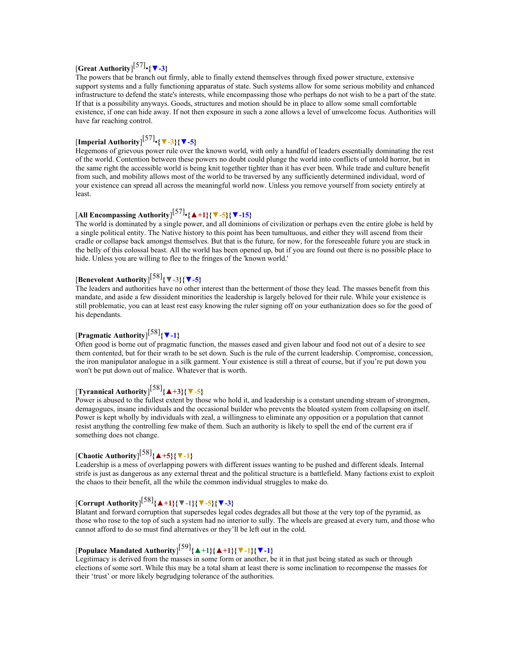# [**Great Authority**] [57] •**{▼-3}**

The powers that be branch out firmly, able to finally extend themselves through fixed power structure, extensive support systems and a fully functioning apparatus of state. Such systems allow for some serious mobility and enhanced infrastructure to defend the state's interests, while encompassing those who perhaps do not wish to be a part of the state. If that is a possibility anyways. Goods, structures and motion should be in place to allow some small comfortable existence, if one can hide away. If not then exposure in such a zone allows a level of unwelcome focus. Authorities will have far reaching control.

# [**Imperial Authority**] [57] •**{▼-3}{▼-5}**

Hegemons of grievous power rule over the known world, with only a handful of leaders essentially dominating the rest of the world. Contention between these powers no doubt could plunge the world into conflicts of untold horror, but in the same right the accessible world is being knit together tighter than it has ever been. While trade and culture benefit from such, and mobility allows most of the world to be traversed by any sufficiently determined individual, word of your existence can spread all across the meaningful world now. Unless you remove yourself from society entirely at least.

# [**All Encompassing Authority**] [57] •**{▲+1}{▼-5}{▼-15}**

The world is dominated by a single power, and all dominions of civilization or perhaps even the entire globe is held by a single political entity. The Native history to this point has been tumultuous, and either they will ascend from their cradle or collapse back amongst themselves. But that is the future, for now, for the foreseeable future you are stuck in the belly of this colossal beast. All the world has been opened up, but if you are found out there is no possible place to hide. Unless you are willing to flee to the fringes of the 'known world.'

# [**Benevolent Authority**] [58]**{▼-3}{▼-5}**

The leaders and authorities have no other interest than the betterment of those they lead. The masses benefit from this mandate, and aside a few dissident minorities the leadership is largely beloved for their rule. While your existence is still problematic, you can at least rest easy knowing the ruler signing off on your euthanization does so for the good of his dependants.

# [**Pragmatic Authority**] [58]**{▼-1}**

Often good is borne out of pragmatic function, the masses eased and given labour and food not out of a desire to see them contented, but for their wrath to be set down. Such is the rule of the current leadership. Compromise, concession, the iron manipulator analogue in a silk garment. Your existence is still a threat of course, but if you're put down you won't be put down out of malice. Whatever that is worth.

# [**Tyrannical Authority**] [58]**{▲+3}{▼-5}**

Power is abused to the fullest extent by those who hold it, and leadership is a constant unending stream of strongmen, demagogues, insane individuals and the occasional builder who prevents the bloated system from collapsing on itself. Power is kept wholly by individuals with zeal, a willingness to eliminate any opposition or a population that cannot resist anything the controlling few make of them. Such an authority is likely to spell the end of the current era if something does not change.

# [**Chaotic Authority**] [58]**{▲+5}{▼-1}**

Leadership is a mess of overlapping powers with different issues wanting to be pushed and different ideals. Internal strife is just as dangerous as any external threat and the political structure is a battlefield. Many factions exist to exploit the chaos to their benefit, all the while the common individual struggles to make do.

# [**Corrupt Authority**] [58]**{▲+1}{▼-1}{▼-5}{▼-3}**

Blatant and forward corruption that supersedes legal codes degrades all but those at the very top of the pyramid, as those who rose to the top of such a system had no interior to sully. The wheels are greased at every turn, and those who cannot afford to do so must find alternatives or they'll be left out in the cold.

# [**Populace Mandated Authority**] [59]**{▲+1}{▲+1}{▼-1}{▼-1}**

Legitimacy is derived from the masses in some form or another, be it in that just being stated as such or through elections of some sort. While this may be a total sham at least there is some inclination to recompense the masses for their 'trust' or more likely begrudging tolerance of the authorities.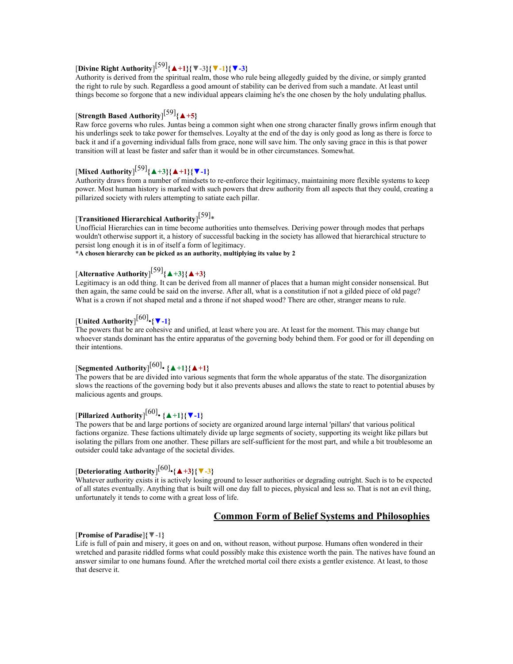# [**Divine Right Authority**] [59]**{▲+1}{▼-3}{▼-1}{▼-3}**

Authority is derived from the spiritual realm, those who rule being allegedly guided by the divine, or simply granted the right to rule by such. Regardless a good amount of stability can be derived from such a mandate. At least until things become so forgone that a new individual appears claiming he's the one chosen by the holy undulating phallus.

# [**Strength Based Authority**] [59]**{▲+5}**

Raw force governs who rules. Juntas being a common sight when one strong character finally grows infirm enough that his underlings seek to take power for themselves. Loyalty at the end of the day is only good as long as there is force to back it and if a governing individual falls from grace, none will save him. The only saving grace in this is that power transition will at least be faster and safer than it would be in other circumstances. Somewhat.

# [**Mixed Authority**] [59]**{▲+3}{▲+1}{▼-1}**

Authority draws from a number of mindsets to re-enforce their legitimacy, maintaining more flexible systems to keep power. Most human history is marked with such powers that drew authority from all aspects that they could, creating a pillarized society with rulers attempting to satiate each pillar.

# $\left[\text{Transitional Hierarchical Authority}\right]^{[59] *}$

Unofficial Hierarchies can in time become authorities unto themselves. Deriving power through modes that perhaps wouldn't otherwise support it, a history of successful backing in the society has allowed that hierarchical structure to persist long enough it is in of itself a form of legitimacy.

**\*A chosen hierarchy can be picked as an authority, multiplying its value by 2**

# [**Alternative Authority**] [59]**{▲+3}{▲+3}**

Legitimacy is an odd thing. It can be derived from all manner of places that a human might consider nonsensical. But then again, the same could be said on the inverse. After all, what is a constitution if not a gilded piece of old page? What is a crown if not shaped metal and a throne if not shaped wood? There are other, stranger means to rule.

# [**United Authority**] [60] •**{▼-1}**

The powers that be are cohesive and unified, at least where you are. At least for the moment. This may change but whoever stands dominant has the entire apparatus of the governing body behind them. For good or for ill depending on their intentions.

# [**Segmented Authority**] [60] • **{▲+1}{▲+1}**

The powers that be are divided into various segments that form the whole apparatus of the state. The disorganization slows the reactions of the governing body but it also prevents abuses and allows the state to react to potential abuses by malicious agents and groups.

# [**Pillarized Authority**] [60] • **{▲+1}{▼-1}**

The powers that be and large portions of society are organized around large internal 'pillars' that various political factions organize. These factions ultimately divide up large segments of society, supporting its weight like pillars but isolating the pillars from one another. These pillars are self-sufficient for the most part, and while a bit troublesome an outsider could take advantage of the societal divides.

# [**Deteriorating Authority**] [60] •**{▲+3}{▼-3}**

Whatever authority exists it is actively losing ground to lesser authorities or degrading outright. Such is to be expected of all states eventually. Anything that is built will one day fall to pieces, physical and less so. That is not an evil thing, unfortunately it tends to come with a great loss of life.

### **Common Form of Belief Systems and Philosophies**

### [**Promise of Paradise**]**{▼-1}**

Life is full of pain and misery, it goes on and on, without reason, without purpose. Humans often wondered in their wretched and parasite riddled forms what could possibly make this existence worth the pain. The natives have found an answer similar to one humans found. After the wretched mortal coil there exists a gentler existence. At least, to those that deserve it.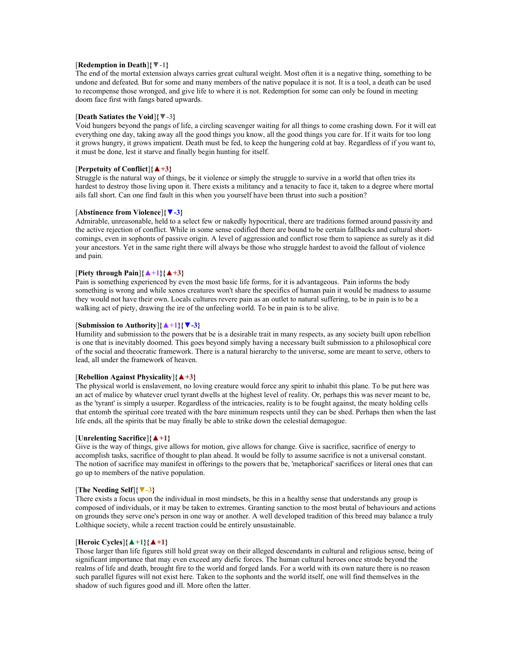### [**Redemption in Death**]**{▼-1}**

The end of the mortal extension always carries great cultural weight. Most often it is a negative thing, something to be undone and defeated. But for some and many members of the native populace it is not. It is a tool, a death can be used to recompense those wronged, and give life to where it is not. Redemption for some can only be found in meeting doom face first with fangs bared upwards.

#### [**Death Satiates the Void**]**{▼-3}**

Void hungers beyond the pangs of life, a circling scavenger waiting for all things to come crashing down. For it will eat everything one day, taking away all the good things you know, all the good things you care for. If it waits for too long it grows hungry, it grows impatient. Death must be fed, to keep the hungering cold at bay. Regardless of if you want to, it must be done, lest it starve and finally begin hunting for itself.

### [**Perpetuity of Conflict**]**{▲+3}**

Struggle is the natural way of things, be it violence or simply the struggle to survive in a world that often tries its hardest to destroy those living upon it. There exists a militancy and a tenacity to face it, taken to a degree where mortal ails fall short. Can one find fault in this when you yourself have been thrust into such a position?

### [**Abstinence from Violence**]**{▼-3}**

Admirable, unreasonable, held to a select few or nakedly hypocritical, there are traditions formed around passivity and the active rejection of conflict. While in some sense codified there are bound to be certain fallbacks and cultural shortcomings, even in sophonts of passive origin. A level of aggression and conflict rose them to sapience as surely as it did your ancestors. Yet in the same right there will always be those who struggle hardest to avoid the fallout of violence and pain.

### [**Piety through Pain**]**{▲+1}{▲+3}**

Pain is something experienced by even the most basic life forms, for it is advantageous. Pain informs the body something is wrong and while xenos creatures won't share the specifics of human pain it would be madness to assume they would not have their own. Locals cultures revere pain as an outlet to natural suffering, to be in pain is to be a walking act of piety, drawing the ire of the unfeeling world. To be in pain is to be alive.

#### [**Submission to Authority**]**{▲+1}{▼-3}**

Humility and submission to the powers that be is a desirable trait in many respects, as any society built upon rebellion is one that is inevitably doomed. This goes beyond simply having a necessary built submission to a philosophical core of the social and theocratic framework. There is a natural hierarchy to the universe, some are meant to serve, others to lead, all under the framework of heaven.

#### [**Rebellion Against Physicality**]**{▲+3}**

The physical world is enslavement, no loving creature would force any spirit to inhabit this plane. To be put here was an act of malice by whatever cruel tyrant dwells at the highest level of reality. Or, perhaps this was never meant to be, as the 'tyrant' is simply a usurper. Regardless of the intricacies, reality is to be fought against, the meaty holding cells that entomb the spiritual core treated with the bare minimum respects until they can be shed. Perhaps then when the last life ends, all the spirits that be may finally be able to strike down the celestial demagogue.

### [**Unrelenting Sacrifice**]**{▲+1}**

Give is the way of things, give allows for motion, give allows for change. Give is sacrifice, sacrifice of energy to accomplish tasks, sacrifice of thought to plan ahead. It would be folly to assume sacrifice is not a universal constant. The notion of sacrifice may manifest in offerings to the powers that be, 'metaphorical' sacrifices or literal ones that can go up to members of the native population.

#### [**The Needing Self**]**{▼-3}**

There exists a focus upon the individual in most mindsets, be this in a healthy sense that understands any group is composed of individuals, or it may be taken to extremes. Granting sanction to the most brutal of behaviours and actions on grounds they serve one's person in one way or another. A well developed tradition of this breed may balance a truly Lolthique society, while a recent traction could be entirely unsustainable.

### [**Heroic Cycles**]**{▲+1}{▲+1}**

Those larger than life figures still hold great sway on their alleged descendants in cultural and religious sense, being of significant importance that may even exceed any diefic forces. The human cultural heroes once strode beyond the realms of life and death, brought fire to the world and forged lands. For a world with its own nature there is no reason such parallel figures will not exist here. Taken to the sophonts and the world itself, one will find themselves in the shadow of such figures good and ill. More often the latter.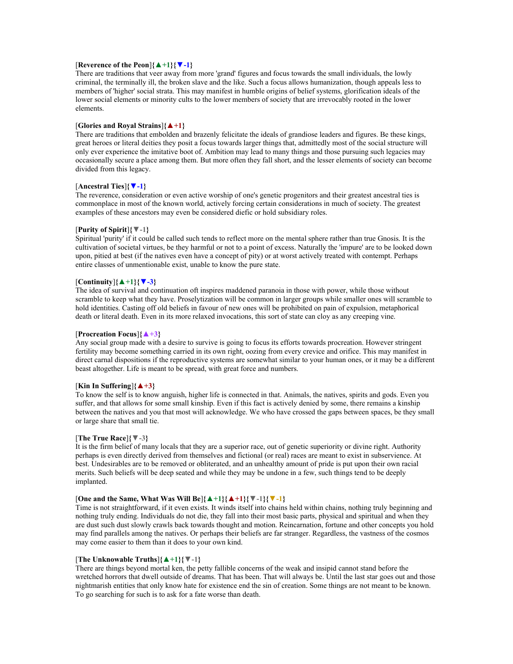### [**Reverence of the Peon**]**{▲+1}{▼-1}**

There are traditions that veer away from more 'grand' figures and focus towards the small individuals, the lowly criminal, the terminally ill, the broken slave and the like. Such a focus allows humanization, though appeals less to members of 'higher' social strata. This may manifest in humble origins of belief systems, glorification ideals of the lower social elements or minority cults to the lower members of society that are irrevocably rooted in the lower elements.

#### [**Glories and Royal Strains**]**{▲+1}**

There are traditions that embolden and brazenly felicitate the ideals of grandiose leaders and figures. Be these kings, great heroes or literal deities they posit a focus towards larger things that, admittedly most of the social structure will only ever experience the imitative boot of. Ambition may lead to many things and those pursuing such legacies may occasionally secure a place among them. But more often they fall short, and the lesser elements of society can become divided from this legacy.

### [**Ancestral Ties**]**{▼-1}**

The reverence, consideration or even active worship of one's genetic progenitors and their greatest ancestral ties is commonplace in most of the known world, actively forcing certain considerations in much of society. The greatest examples of these ancestors may even be considered diefic or hold subsidiary roles.

### [**Purity of Spirit**]**{▼-1}**

Spiritual 'purity' if it could be called such tends to reflect more on the mental sphere rather than true Gnosis. It is the cultivation of societal virtues, be they harmful or not to a point of excess. Naturally the 'impure' are to be looked down upon, pitied at best (if the natives even have a concept of pity) or at worst actively treated with contempt. Perhaps entire classes of unmentionable exist, unable to know the pure state.

### [**Continuity**]**{▲+1}{▼-3}**

The idea of survival and continuation oft inspires maddened paranoia in those with power, while those without scramble to keep what they have. Proselytization will be common in larger groups while smaller ones will scramble to hold identities. Casting off old beliefs in favour of new ones will be prohibited on pain of expulsion, metaphorical death or literal death. Even in its more relaxed invocations, this sort of state can cloy as any creeping vine.

#### [**Procreation Focus**]**{▲+3}**

Any social group made with a desire to survive is going to focus its efforts towards procreation. However stringent fertility may become something carried in its own right, oozing from every crevice and orifice. This may manifest in direct carnal dispositions if the reproductive systems are somewhat similar to your human ones, or it may be a different beast altogether. Life is meant to be spread, with great force and numbers.

### [**Kin In Suffering**]**{▲+3}**

To know the self is to know anguish, higher life is connected in that. Animals, the natives, spirits and gods. Even you suffer, and that allows for some small kinship. Even if this fact is actively denied by some, there remains a kinship between the natives and you that most will acknowledge. We who have crossed the gaps between spaces, be they small or large share that small tie.

### [**The True Race**]**{▼-3}**

It is the firm belief of many locals that they are a superior race, out of genetic superiority or divine right. Authority perhaps is even directly derived from themselves and fictional (or real) races are meant to exist in subservience. At best. Undesirables are to be removed or obliterated, and an unhealthy amount of pride is put upon their own racial merits. Such beliefs will be deep seated and while they may be undone in a few, such things tend to be deeply implanted.

### [**One and the Same, What Was Will Be**]**{▲+1}{▲+1}{▼-1}{▼-1}**

Time is not straightforward, if it even exists. It winds itself into chains held within chains, nothing truly beginning and nothing truly ending. Individuals do not die, they fall into their most basic parts, physical and spiritual and when they are dust such dust slowly crawls back towards thought and motion. Reincarnation, fortune and other concepts you hold may find parallels among the natives. Or perhaps their beliefs are far stranger. Regardless, the vastness of the cosmos may come easier to them than it does to your own kind.

#### [**The Unknowable Truths**]**{▲+1}{▼-1}**

There are things beyond mortal ken, the petty fallible concerns of the weak and insipid cannot stand before the wretched horrors that dwell outside of dreams. That has been. That will always be. Until the last star goes out and those nightmarish entities that only know hate for existence end the sin of creation. Some things are not meant to be known. To go searching for such is to ask for a fate worse than death.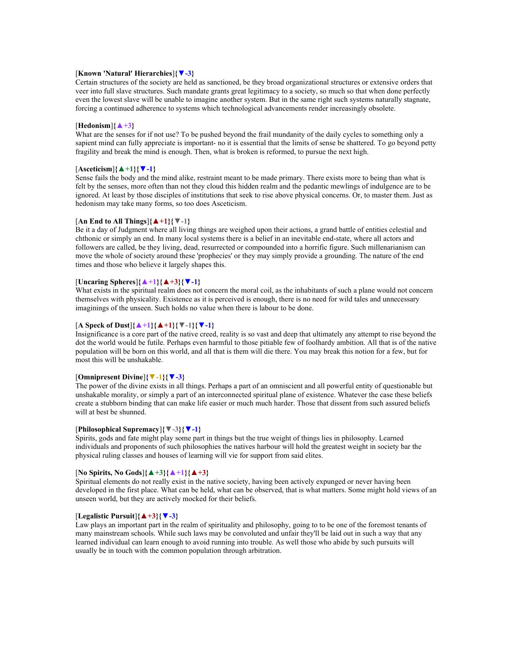### [**Known 'Natural' Hierarchies**]**{▼-3}**

Certain structures of the society are held as sanctioned, be they broad organizational structures or extensive orders that veer into full slave structures. Such mandate grants great legitimacy to a society, so much so that when done perfectly even the lowest slave will be unable to imagine another system. But in the same right such systems naturally stagnate, forcing a continued adherence to systems which technological advancements render increasingly obsolete.

#### $[Hedonism]{\{\triangle +3\}}$

What are the senses for if not use? To be pushed beyond the frail mundanity of the daily cycles to something only a sapient mind can fully appreciate is important- no it is essential that the limits of sense be shattered. To go beyond petty fragility and break the mind is enough. Then, what is broken is reformed, to pursue the next high.

#### [**Asceticism**]**{▲+1}{▼-1}**

Sense fails the body and the mind alike, restraint meant to be made primary. There exists more to being than what is felt by the senses, more often than not they cloud this hidden realm and the pedantic mewlings of indulgence are to be ignored. At least by those disciples of institutions that seek to rise above physical concerns. Or, to master them. Just as hedonism may take many forms, so too does Asceticism.

#### [**An End to All Things**]**{▲+1}{▼-1}**

Be it a day of Judgment where all living things are weighed upon their actions, a grand battle of entities celestial and chthonic or simply an end. In many local systems there is a belief in an inevitable end-state, where all actors and followers are called, be they living, dead, resurrected or compounded into a horrific figure. Such millenarianism can move the whole of society around these 'prophecies' or they may simply provide a grounding. The nature of the end times and those who believe it largely shapes this.

### [**Uncaring Spheres**]**{▲+1}{▲+3}{▼-1}**

What exists in the spiritual realm does not concern the moral coil, as the inhabitants of such a plane would not concern themselves with physicality. Existence as it is perceived is enough, there is no need for wild tales and unnecessary imaginings of the unseen. Such holds no value when there is labour to be done.

#### [**A Speck of Dust**]**{▲+1}{▲+1}{▼-1}{▼-1}**

Insignificance is a core part of the native creed, reality is so vast and deep that ultimately any attempt to rise beyond the dot the world would be futile. Perhaps even harmful to those pitiable few of foolhardy ambition. All that is of the native population will be born on this world, and all that is them will die there. You may break this notion for a few, but for most this will be unshakable.

#### [**Omnipresent Divine**]**{▼-1}{▼-3}**

The power of the divine exists in all things. Perhaps a part of an omniscient and all powerful entity of questionable but unshakable morality, or simply a part of an interconnected spiritual plane of existence. Whatever the case these beliefs create a stubborn binding that can make life easier or much much harder. Those that dissent from such assured beliefs will at best be shunned.

### [**Philosophical Supremacy**]**{▼-3}{▼-1}**

Spirits, gods and fate might play some part in things but the true weight of things lies in philosophy. Learned individuals and proponents of such philosophies the natives harbour will hold the greatest weight in society bar the physical ruling classes and houses of learning will vie for support from said elites.

### [**No Spirits, No Gods**]**{▲+3}{▲+1}{▲+3}**

Spiritual elements do not really exist in the native society, having been actively expunged or never having been developed in the first place. What can be held, what can be observed, that is what matters. Some might hold views of an unseen world, but they are actively mocked for their beliefs.

### [**Legalistic Pursuit**]**{▲+3}{▼-3}**

Law plays an important part in the realm of spirituality and philosophy, going to to be one of the foremost tenants of many mainstream schools. While such laws may be convoluted and unfair they'll be laid out in such a way that any learned individual can learn enough to avoid running into trouble. As well those who abide by such pursuits will usually be in touch with the common population through arbitration.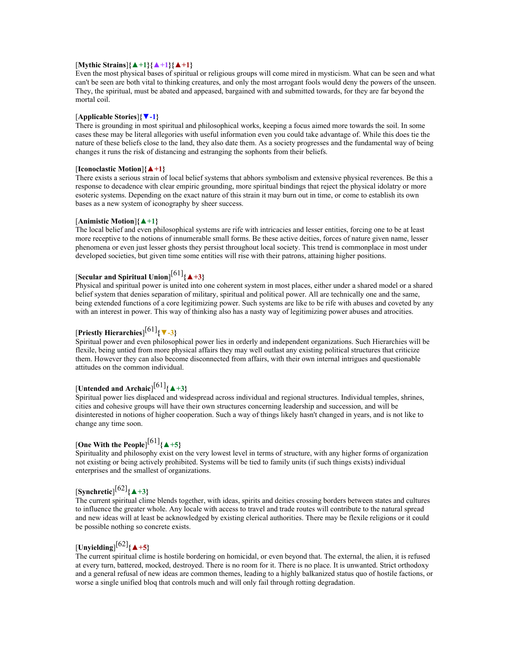### [**Mythic Strains**]**{▲+1}{▲+1}{▲+1}**

Even the most physical bases of spiritual or religious groups will come mired in mysticism. What can be seen and what can't be seen are both vital to thinking creatures, and only the most arrogant fools would deny the powers of the unseen. They, the spiritual, must be abated and appeased, bargained with and submitted towards, for they are far beyond the mortal coil.

#### [**Applicable Stories**]**{▼-1}**

There is grounding in most spiritual and philosophical works, keeping a focus aimed more towards the soil. In some cases these may be literal allegories with useful information even you could take advantage of. While this does tie the nature of these beliefs close to the land, they also date them. As a society progresses and the fundamental way of being changes it runs the risk of distancing and estranging the sophonts from their beliefs.

#### [**Iconoclastic Motion**]**{▲+1}**

There exists a serious strain of local belief systems that abhors symbolism and extensive physical reverences. Be this a response to decadence with clear empiric grounding, more spiritual bindings that reject the physical idolatry or more esoteric systems. Depending on the exact nature of this strain it may burn out in time, or come to establish its own bases as a new system of iconography by sheer success.

#### [**Animistic Motion**]**{▲+1}**

The local belief and even philosophical systems are rife with intricacies and lesser entities, forcing one to be at least more receptive to the notions of innumerable small forms. Be these active deities, forces of nature given name, lesser phenomena or even just lesser ghosts they persist throughout local society. This trend is commonplace in most under developed societies, but given time some entities will rise with their patrons, attaining higher positions.

# [**Secular and Spiritual Union**] [61]**{▲+3}**

Physical and spiritual power is united into one coherent system in most places, either under a shared model or a shared belief system that denies separation of military, spiritual and political power. All are technically one and the same, being extended functions of a core legitimizing power. Such systems are like to be rife with abuses and coveted by any with an interest in power. This way of thinking also has a nasty way of legitimizing power abuses and atrocities.

# [**Priestly Hierarchies**] [61]**{▼-3}**

Spiritual power and even philosophical power lies in orderly and independent organizations. Such Hierarchies will be flexile, being untied from more physical affairs they may well outlast any existing political structures that criticize them. However they can also become disconnected from affairs, with their own internal intrigues and questionable attitudes on the common individual.

# [**Untended and Archaic**] [61]**{▲+3}**

Spiritual power lies displaced and widespread across individual and regional structures. Individual temples, shrines, cities and cohesive groups will have their own structures concerning leadership and succession, and will be disinterested in notions of higher cooperation. Such a way of things likely hasn't changed in years, and is not like to change any time soon.

# [**One With the People**] [61]**{▲+5}**

Spirituality and philosophy exist on the very lowest level in terms of structure, with any higher forms of organization not existing or being actively prohibited. Systems will be tied to family units (if such things exists) individual enterprises and the smallest of organizations.

# [**Synchretic**] [62]**{▲+3}**

The current spiritual clime blends together, with ideas, spirits and deities crossing borders between states and cultures to influence the greater whole. Any locale with access to travel and trade routes will contribute to the natural spread and new ideas will at least be acknowledged by existing clerical authorities. There may be flexile religions or it could be possible nothing so concrete exists.

# $\text{[Unyielding]}^{[62]}$ { $\blacktriangle + 5$ }

The current spiritual clime is hostile bordering on homicidal, or even beyond that. The external, the alien, it is refused at every turn, battered, mocked, destroyed. There is no room for it. There is no place. It is unwanted. Strict orthodoxy and a general refusal of new ideas are common themes, leading to a highly balkanized status quo of hostile factions, or worse a single unified bloq that controls much and will only fail through rotting degradation.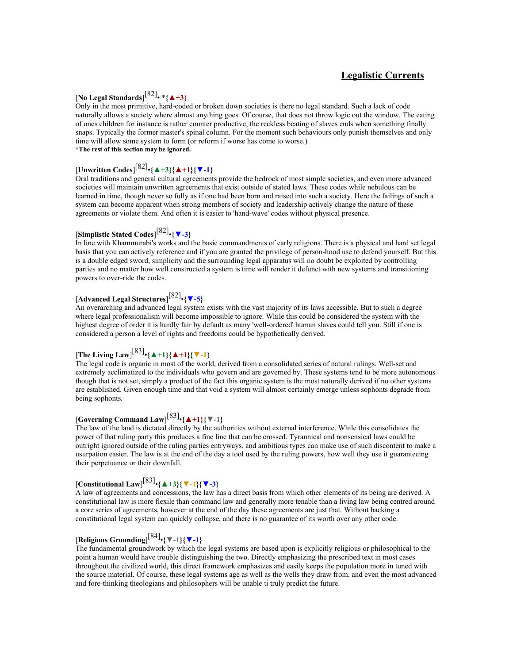### **Legalistic Currents**

# [**No Legal Standards**] [82]• \***{▲+3}**

Only in the most primitive, hard-coded or broken down societies is there no legal standard. Such a lack of code naturally allows a society where almost anything goes. Of course, that does not throw logic out the window. The eating of ones children for instance is rather counter productive, the reckless beating of slaves ends when something finally snaps. Typically the former master's spinal column. For the moment such behaviours only punish themselves and only time will allow some system to form (or reform if worse has come to worse.) **\*The rest of this section may be ignored.**

# [**Unwritten Codes**] [82] •**{▲+3}{▲+1}{▼-1}**

Oral traditions and general cultural agreements provide the bedrock of most simple societies, and even more advanced societies will maintain unwritten agreements that exist outside of stated laws. These codes while nebulous can be learned in time, though never so fully as if one had been born and raised into such a society. Here the failings of such a system can become apparent when strong members of society and leadership actively change the nature of these agreements or violate them. And often it is easier to 'hand-wave' codes without physical presence.

# [**Simplistic Stated Codes**] [82] •**{▼-3}**

In line with Khammurabi's works and the basic commandments of early religions. There is a physical and hard set legal basis that you can actively reference and if you are granted the privilege of person-hood use to defend yourself. But this is a double edged sword, simplicity and the surrounding legal apparatus will no doubt be exploited by controlling parties and no matter how well constructed a system is time will render it defunct with new systems and transitioning powers to over-ride the codes.

# [**Advanced Legal Structures**] [82] •**{▼-5}**

An overarching and advanced legal system exists with the vast majority of its laws accessible. But to such a degree where legal professionalism will become impossible to ignore. While this could be considered the system with the highest degree of order it is hardly fair by default as many 'well-ordered' human slaves could tell you. Still if one is considered a person a level of rights and freedoms could be hypothetically derived.

# [**The Living Law**] [83] •**{▲+1}{▲+1}{▼-1}**

The legal code is organic in most of the world, derived from a consolidated series of natural rulings. Well-set and extremely acclimatized to the individuals who govern and are governed by. These systems tend to be more autonomous though that is not set, simply a product of the fact this organic system is the most naturally derived if no other systems are established. Given enough time and that void a system will almost certainly emerge unless sophonts degrade from being sophonts.

# [**Governing Command Law**] [83] •**{▲+1}{▼-1}**

The law of the land is dictated directly by the authorities without external interference. While this consolidates the power of that ruling party this produces a fine line that can be crossed. Tyrannical and nonsensical laws could be outright ignored outside of the ruling parties entryways, and ambitious types can make use of such discontent to make a usurpation easier. The law is at the end of the day a tool used by the ruling powers, how well they use it guaranteeing their perpetuance or their downfall.

# [**Constitutional Law**] [83] •**{▲+3}{▼-1}{▼-3}**

A law of agreements and concessions, the law has a direct basis from which other elements of its being are derived. A constitutional law is more flexile than command law and generally more tenable than a living law being centred around a core series of agreements, however at the end of the day these agreements are just that. Without backing a constitutional legal system can quickly collapse, and there is no guarantee of its worth over any other code.

# [**Religious Grounding**] [84] •**{▼-1}{▼-1}**

The fundamental groundwork by which the legal systems are based upon is explicitly religious or philosophical to the point a human would have trouble distinguishing the two. Directly emphasizing the prescribed text in most cases throughout the civilized world, this direct framework emphasizes and easily keeps the population more in tuned with the source material. Of course, these legal systems age as well as the wells they draw from, and even the most advanced and fore-thinking theologians and philosophers will be unable ti truly predict the future.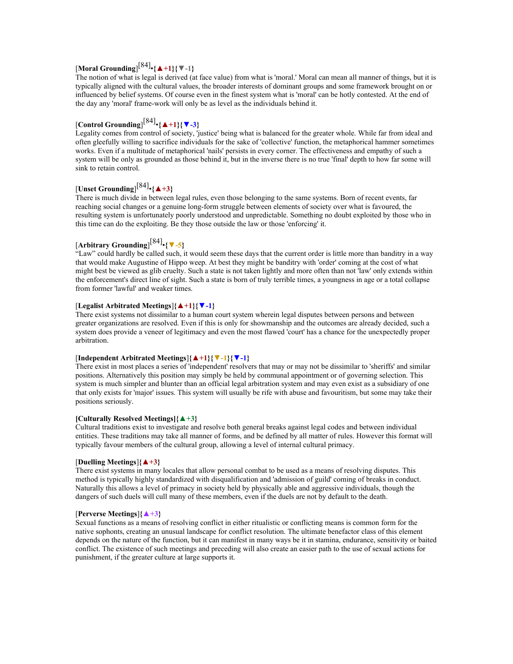# [**Moral Grounding**] [84] •**{▲+1}{▼-1}**

The notion of what is legal is derived (at face value) from what is 'moral.' Moral can mean all manner of things, but it is typically aligned with the cultural values, the broader interests of dominant groups and some framework brought on or influenced by belief systems. Of course even in the finest system what is 'moral' can be hotly contested. At the end of the day any 'moral' frame-work will only be as level as the individuals behind it.

# [**Control Grounding**] [84] •**{▲+1}{▼-3}**

Legality comes from control of society, 'justice' being what is balanced for the greater whole. While far from ideal and often gleefully willing to sacrifice individuals for the sake of 'collective' function, the metaphorical hammer sometimes works. Even if a multitude of metaphorical 'nails' persists in every corner. The effectiveness and empathy of such a system will be only as grounded as those behind it, but in the inverse there is no true 'final' depth to how far some will sink to retain control.

# [**Unset Grounding**] [84] •**{▲+3}**

There is much divide in between legal rules, even those belonging to the same systems. Born of recent events, far reaching social changes or a genuine long-form struggle between elements of society over what is favoured, the resulting system is unfortunately poorly understood and unpredictable. Something no doubt exploited by those who in this time can do the exploiting. Be they those outside the law or those 'enforcing' it.

# [**Arbitrary Grounding**] [84] •**{▼-5}**

"Law" could hardly be called such, it would seem these days that the current order is little more than banditry in a way that would make Augustine of Hippo weep. At best they might be banditry with 'order' coming at the cost of what might best be viewed as glib cruelty. Such a state is not taken lightly and more often than not 'law' only extends within the enforcement's direct line of sight. Such a state is born of truly terrible times, a youngness in age or a total collapse from former 'lawful' and weaker times.

### [**Legalist Arbitrated Meetings**]**{▲+1}{▼-1}**

There exist systems not dissimilar to a human court system wherein legal disputes between persons and between greater organizations are resolved. Even if this is only for showmanship and the outcomes are already decided, such a system does provide a veneer of legitimacy and even the most flawed 'court' has a chance for the unexpectedly proper arbitration.

### [**Independent Arbitrated Meetings**]**{▲+1}{▼-1}{▼-1}**

There exist in most places a series of 'independent' resolvers that may or may not be dissimilar to 'sheriffs' and similar positions. Alternatively this position may simply be held by communal appointment or of governing selection. This system is much simpler and blunter than an official legal arbitration system and may even exist as a subsidiary of one that only exists for 'major' issues. This system will usually be rife with abuse and favouritism, but some may take their positions seriously.

#### **[Culturally Resolved Meetings]{▲+3}**

Cultural traditions exist to investigate and resolve both general breaks against legal codes and between individual entities. These traditions may take all manner of forms, and be defined by all matter of rules. However this format will typically favour members of the cultural group, allowing a level of internal cultural primacy.

### [**Duelling Meetings**]**{▲+3}**

There exist systems in many locales that allow personal combat to be used as a means of resolving disputes. This method is typically highly standardized with disqualification and 'admission of guild' coming of breaks in conduct. Naturally this allows a level of primacy in society held by physically able and aggressive individuals, though the dangers of such duels will cull many of these members, even if the duels are not by default to the death.

### [**Perverse Meetings**]**{▲+3}**

Sexual functions as a means of resolving conflict in either ritualistic or conflicting means is common form for the native sophonts, creating an unusual landscape for conflict resolution. The ultimate benefactor class of this element depends on the nature of the function, but it can manifest in many ways be it in stamina, endurance, sensitivity or baited conflict. The existence of such meetings and preceding will also create an easier path to the use of sexual actions for punishment, if the greater culture at large supports it.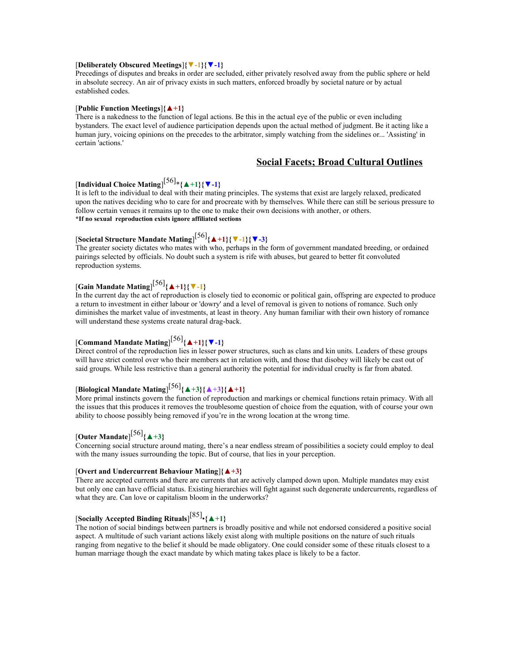### [**Deliberately Obscured Meetings**]**{▼-1}{▼-1}**

Precedings of disputes and breaks in order are secluded, either privately resolved away from the public sphere or held in absolute secrecy. An air of privacy exists in such matters, enforced broadly by societal nature or by actual established codes.

#### [**Public Function Meetings**]**{▲+1}**

There is a nakedness to the function of legal actions. Be this in the actual eye of the public or even including bystanders. The exact level of audience participation depends upon the actual method of judgment. Be it acting like a human jury, voicing opinions on the precedes to the arbitrator, simply watching from the sidelines or... 'Assisting' in certain 'actions.'

### **Social Facets; Broad Cultural Outlines**

# [**Individual Choice Mating**] [56]\***{▲+1}{▼-1}**

It is left to the individual to deal with their mating principles. The systems that exist are largely relaxed, predicated upon the natives deciding who to care for and procreate with by themselves. While there can still be serious pressure to follow certain venues it remains up to the one to make their own decisions with another, or others. **\*If no sexual reproduction exists ignore affiliated sections**

# [**Societal Structure Mandate Mating**] [56]**{▲+1}{▼-1}{▼-3}**

The greater society dictates who mates with who, perhaps in the form of government mandated breeding, or ordained pairings selected by officials. No doubt such a system is rife with abuses, but geared to better fit convoluted reproduction systems.

# [**Gain Mandate Mating**] [56]**{▲+1}{▼-1}**

In the current day the act of reproduction is closely tied to economic or political gain, offspring are expected to produce a return to investment in either labour or 'dowry' and a level of removal is given to notions of romance. Such only diminishes the market value of investments, at least in theory. Any human familiar with their own history of romance will understand these systems create natural drag-back.

# [**Command Mandate Mating**] [56]**{▲+1}{▼-1}**

Direct control of the reproduction lies in lesser power structures, such as clans and kin units. Leaders of these groups will have strict control over who their members act in relation with, and those that disobey will likely be cast out of said groups. While less restrictive than a general authority the potential for individual cruelty is far from abated.

# [**Biological Mandate Mating**] [56]**{▲+3}{▲+3}{▲+1}**

More primal instincts govern the function of reproduction and markings or chemical functions retain primacy. With all the issues that this produces it removes the troublesome question of choice from the equation, with of course your own ability to choose possibly being removed if you're in the wrong location at the wrong time.

# [**Outer Mandate**] [56]**{▲+3}**

Concerning social structure around mating, there's a near endless stream of possibilities a society could employ to deal with the many issues surrounding the topic. But of course, that lies in your perception.

### [**Overt and Undercurrent Behaviour Mating**]**{▲+3}**

There are accepted currents and there are currents that are actively clamped down upon. Multiple mandates may exist but only one can have official status. Existing hierarchies will fight against such degenerate undercurrents, regardless of what they are. Can love or capitalism bloom in the underworks?

# [**Socially Accepted Binding Rituals**] [85] •**{▲+1}**

The notion of social bindings between partners is broadly positive and while not endorsed considered a positive social aspect. A multitude of such variant actions likely exist along with multiple positions on the nature of such rituals ranging from negative to the belief it should be made obligatory. One could consider some of these rituals closest to a human marriage though the exact mandate by which mating takes place is likely to be a factor.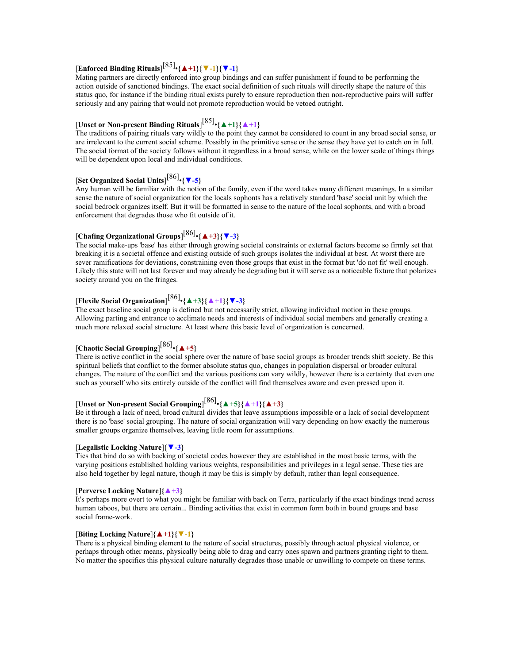# [**Enforced Binding Rituals**] [85] •**{▲+1}{▼-1}{▼-1}**

Mating partners are directly enforced into group bindings and can suffer punishment if found to be performing the action outside of sanctioned bindings. The exact social definition of such rituals will directly shape the nature of this status quo, for instance if the binding ritual exists purely to ensure reproduction then non-reproductive pairs will suffer seriously and any pairing that would not promote reproduction would be vetoed outright.

# [**Unset or Non-present Binding Rituals**] [85] •**{▲+1}{▲+1}**

The traditions of pairing rituals vary wildly to the point they cannot be considered to count in any broad social sense, or are irrelevant to the current social scheme. Possibly in the primitive sense or the sense they have yet to catch on in full. The social format of the society follows without it regardless in a broad sense, while on the lower scale of things things will be dependent upon local and individual conditions.

# [**Set Organized Social Units**] [86] •**{▼-5}**

Any human will be familiar with the notion of the family, even if the word takes many different meanings. In a similar sense the nature of social organization for the locals sophonts has a relatively standard 'base' social unit by which the social bedrock organizes itself. But it will be formatted in sense to the nature of the local sophonts, and with a broad enforcement that degrades those who fit outside of it.

# [**Chafing Organizational Groups**] [86] •**{▲+3}{▼-3}**

The social make-ups 'base' has either through growing societal constraints or external factors become so firmly set that breaking it is a societal offence and existing outside of such groups isolates the individual at best. At worst there are sever ramifications for deviations, constraining even those groups that exist in the format but 'do not fit' well enough. Likely this state will not last forever and may already be degrading but it will serve as a noticeable fixture that polarizes society around you on the fringes.

# [**Flexile Social Organization**] [86] •**{▲+3}{▲+1}{▼-3}**

The exact baseline social group is defined but not necessarily strict, allowing individual motion in these groups. Allowing parting and entrance to acclimate needs and interests of individual social members and generally creating a much more relaxed social structure. At least where this basic level of organization is concerned.

# [**Chaotic Social Grouping**] [86] •**{▲+5}**

There is active conflict in the social sphere over the nature of base social groups as broader trends shift society. Be this spiritual beliefs that conflict to the former absolute status quo, changes in population dispersal or broader cultural changes. The nature of the conflict and the various positions can vary wildly, however there is a certainty that even one such as yourself who sits entirely outside of the conflict will find themselves aware and even pressed upon it.

# [**Unset or Non-present Social Grouping**] [86] •**{▲+5}{▲+1}{▲+3}**

Be it through a lack of need, broad cultural divides that leave assumptions impossible or a lack of social development there is no 'base' social grouping. The nature of social organization will vary depending on how exactly the numerous smaller groups organize themselves, leaving little room for assumptions.

### [**Legalistic Locking Nature**]**{▼-3}**

Ties that bind do so with backing of societal codes however they are established in the most basic terms, with the varying positions established holding various weights, responsibilities and privileges in a legal sense. These ties are also held together by legal nature, though it may be this is simply by default, rather than legal consequence.

#### [**Perverse Locking Nature**]**{▲+3}**

It's perhaps more overt to what you might be familiar with back on Terra, particularly if the exact bindings trend across human taboos, but there are certain... Binding activities that exist in common form both in bound groups and base social frame-work.

## [**Biting Locking Nature**]**{▲+1}{▼-1}**

There is a physical binding element to the nature of social structures, possibly through actual physical violence, or perhaps through other means, physically being able to drag and carry ones spawn and partners granting right to them. No matter the specifics this physical culture naturally degrades those unable or unwilling to compete on these terms.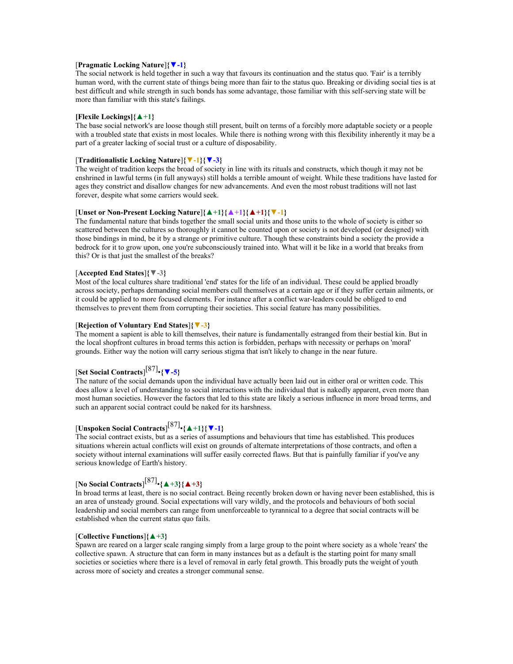### [**Pragmatic Locking Nature**]**{▼-1}**

The social network is held together in such a way that favours its continuation and the status quo. 'Fair' is a terribly human word, with the current state of things being more than fair to the status quo. Breaking or dividing social ties is at best difficult and while strength in such bonds has some advantage, those familiar with this self-serving state will be more than familiar with this state's failings.

#### **[Flexile Lockings]{▲+1}**

The base social network's are loose though still present, built on terms of a forcibly more adaptable society or a people with a troubled state that exists in most locales. While there is nothing wrong with this flexibility inherently it may be a part of a greater lacking of social trust or a culture of disposability.

### [**Traditionalistic Locking Nature**]**{▼-1}{▼-3}**

The weight of tradition keeps the broad of society in line with its rituals and constructs, which though it may not be enshrined in lawful terms (in full anyways) still holds a terrible amount of weight. While these traditions have lasted for ages they constrict and disallow changes for new advancements. And even the most robust traditions will not last forever, despite what some carriers would seek.

#### [**Unset or Non-Present Locking Nature**]**{▲+1}{▲+1}{▲+1}{▼-1}**

The fundamental nature that binds together the small social units and those units to the whole of society is either so scattered between the cultures so thoroughly it cannot be counted upon or society is not developed (or designed) with those bindings in mind, be it by a strange or primitive culture. Though these constraints bind a society the provide a bedrock for it to grow upon, one you're subconsciously trained into. What will it be like in a world that breaks from this? Or is that just the smallest of the breaks?

### [**Accepted End States**]**{▼-3}**

Most of the local cultures share traditional 'end' states for the life of an individual. These could be applied broadly across society, perhaps demanding social members cull themselves at a certain age or if they suffer certain ailments, or it could be applied to more focused elements. For instance after a conflict war-leaders could be obliged to end themselves to prevent them from corrupting their societies. This social feature has many possibilities.

#### [**Rejection of Voluntary End States**]**{▼-3}**

The moment a sapient is able to kill themselves, their nature is fundamentally estranged from their bestial kin. But in the local shopfront cultures in broad terms this action is forbidden, perhaps with necessity or perhaps on 'moral' grounds. Either way the notion will carry serious stigma that isn't likely to change in the near future.

# [**Set Social Contracts**] [87] •**{▼-5}**

The nature of the social demands upon the individual have actually been laid out in either oral or written code. This does allow a level of understanding to social interactions with the individual that is nakedly apparent, even more than most human societies. However the factors that led to this state are likely a serious influence in more broad terms, and such an apparent social contract could be naked for its harshness.

# [**Unspoken Social Contracts**] [87] •**{▲+1}{▼-1}**

The social contract exists, but as a series of assumptions and behaviours that time has established. This produces situations wherein actual conflicts will exist on grounds of alternate interpretations of those contracts, and often a society without internal examinations will suffer easily corrected flaws. But that is painfully familiar if you've any serious knowledge of Earth's history.

# [**No Social Contracts**] [87] •**{▲+3}{▲+3}**

In broad terms at least, there is no social contract. Being recently broken down or having never been established, this is an area of unsteady ground. Social expectations will vary wildly, and the protocols and behaviours of both social leadership and social members can range from unenforceable to tyrannical to a degree that social contracts will be established when the current status quo fails.

#### [**Collective Functions**]**{▲+3}**

Spawn are reared on a larger scale ranging simply from a large group to the point where society as a whole 'rears' the collective spawn. A structure that can form in many instances but as a default is the starting point for many small societies or societies where there is a level of removal in early fetal growth. This broadly puts the weight of youth across more of society and creates a stronger communal sense.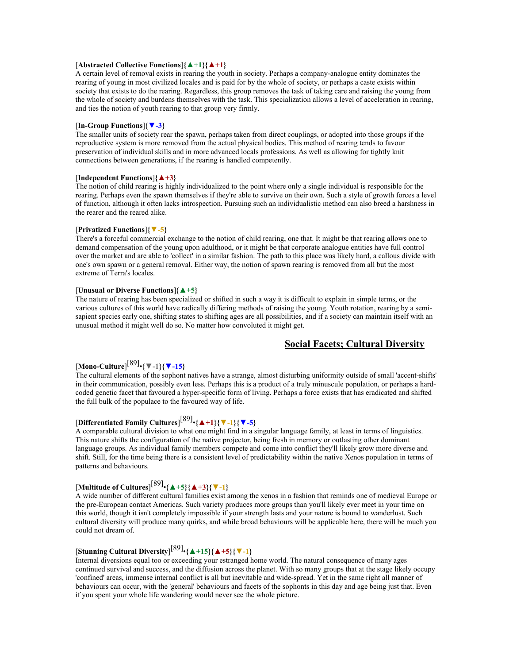### [**Abstracted Collective Functions**]**{▲+1}{▲+1}**

A certain level of removal exists in rearing the youth in society. Perhaps a company-analogue entity dominates the rearing of young in most civilized locales and is paid for by the whole of society, or perhaps a caste exists within society that exists to do the rearing. Regardless, this group removes the task of taking care and raising the young from the whole of society and burdens themselves with the task. This specialization allows a level of acceleration in rearing, and ties the notion of youth rearing to that group very firmly.

#### [**In-Group Functions**]**{▼-3}**

The smaller units of society rear the spawn, perhaps taken from direct couplings, or adopted into those groups if the reproductive system is more removed from the actual physical bodies. This method of rearing tends to favour preservation of individual skills and in more advanced locals professions. As well as allowing for tightly knit connections between generations, if the rearing is handled competently.

#### [**Independent Functions**]**{▲+3}**

The notion of child rearing is highly individualized to the point where only a single individual is responsible for the rearing. Perhaps even the spawn themselves if they're able to survive on their own. Such a style of growth forces a level of function, although it often lacks introspection. Pursuing such an individualistic method can also breed a harshness in the rearer and the reared alike.

#### [**Privatized Functions**]**{▼-5}**

There's a forceful commercial exchange to the notion of child rearing, one that. It might be that rearing allows one to demand compensation of the young upon adulthood, or it might be that corporate analogue entities have full control over the market and are able to 'collect' in a similar fashion. The path to this place was likely hard, a callous divide with one's own spawn or a general removal. Either way, the notion of spawn rearing is removed from all but the most extreme of Terra's locales.

### [**Unusual or Diverse Functions**]**{▲+5}**

The nature of rearing has been specialized or shifted in such a way it is difficult to explain in simple terms, or the various cultures of this world have radically differing methods of raising the young. Youth rotation, rearing by a semisapient species early one, shifting states to shifting ages are all possibilities, and if a society can maintain itself with an unusual method it might well do so. No matter how convoluted it might get.

# **Social Facets; Cultural Diversity**

# [**Mono-Culture**] [89] •**{▼-1}{▼-15}**

The cultural elements of the sophont natives have a strange, almost disturbing uniformity outside of small 'accent-shifts' in their communication, possibly even less. Perhaps this is a product of a truly minuscule population, or perhaps a hardcoded genetic facet that favoured a hyper-specific form of living. Perhaps a force exists that has eradicated and shifted the full bulk of the populace to the favoured way of life.

# [**Differentiated Family Cultures**] [89] •**{▲+1}{▼-1}{▼-5}**

A comparable cultural division to what one might find in a singular language family, at least in terms of linguistics. This nature shifts the configuration of the native projector, being fresh in memory or outlasting other dominant language groups. As individual family members compete and come into conflict they'll likely grow more diverse and shift. Still, for the time being there is a consistent level of predictability within the native Xenos population in terms of patterns and behaviours.

# [**Multitude of Cultures**] [89] •**{▲+5}{▲+3}{▼-1}**

A wide number of different cultural families exist among the xenos in a fashion that reminds one of medieval Europe or the pre-European contact Americas. Such variety produces more groups than you'll likely ever meet in your time on this world, though it isn't completely impossible if your strength lasts and your nature is bound to wanderlust. Such cultural diversity will produce many quirks, and while broad behaviours will be applicable here, there will be much you could not dream of.

# [**Stunning Cultural Diversity**] [89] •**{▲+15}{▲+5}{▼-1}**

Internal diversions equal too or exceeding your estranged home world. The natural consequence of many ages continued survival and success, and the diffusion across the planet. With so many groups that at the stage likely occupy 'confined' areas, immense internal conflict is all but inevitable and wide-spread. Yet in the same right all manner of behaviours can occur, with the 'general' behaviours and facets of the sophonts in this day and age being just that. Even if you spent your whole life wandering would never see the whole picture.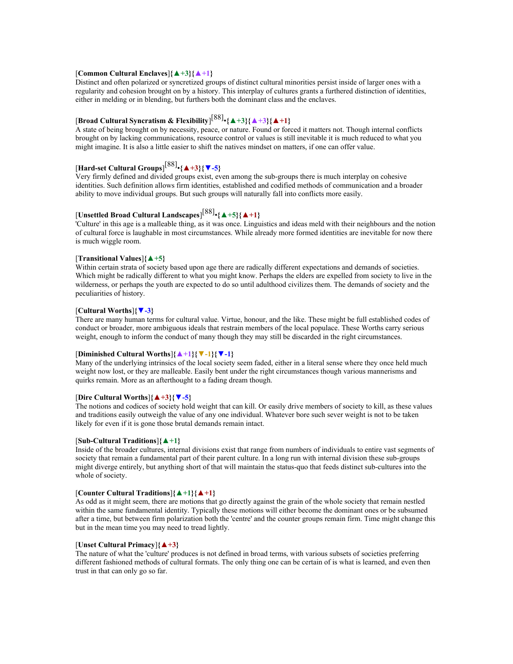### [**Common Cultural Enclaves**]**{▲+3}{▲+1}**

Distinct and often polarized or syncretized groups of distinct cultural minorities persist inside of larger ones with a regularity and cohesion brought on by a history. This interplay of cultures grants a furthered distinction of identities, either in melding or in blending, but furthers both the dominant class and the enclaves.

# [**Broad Cultural Syncratism & Flexibility**] [88] •**{▲+3}{▲+3}{▲+1}**

A state of being brought on by necessity, peace, or nature. Found or forced it matters not. Though internal conflicts brought on by lacking communications, resource control or values is still inevitable it is much reduced to what you might imagine. It is also a little easier to shift the natives mindset on matters, if one can offer value.

# [**Hard-set Cultural Groups**] [88] •**{▲+3}{▼-5}**

Very firmly defined and divided groups exist, even among the sub-groups there is much interplay on cohesive identities. Such definition allows firm identities, established and codified methods of communication and a broader ability to move individual groups. But such groups will naturally fall into conflicts more easily.

# [**Unsettled Broad Cultural Landscapes**] [88] •**{▲+5}{▲+1}**

'Culture' in this age is a malleable thing, as it was once. Linguistics and ideas meld with their neighbours and the notion of cultural force is laughable in most circumstances. While already more formed identities are inevitable for now there is much wiggle room.

#### [**Transitional Values**]**{▲+5}**

Within certain strata of society based upon age there are radically different expectations and demands of societies. Which might be radically different to what you might know. Perhaps the elders are expelled from society to live in the wilderness, or perhaps the youth are expected to do so until adulthood civilizes them. The demands of society and the peculiarities of history.

#### [**Cultural Worths**]**{▼-3}**

There are many human terms for cultural value. Virtue, honour, and the like. These might be full established codes of conduct or broader, more ambiguous ideals that restrain members of the local populace. These Worths carry serious weight, enough to inform the conduct of many though they may still be discarded in the right circumstances.

### [**Diminished Cultural Worths**]**{▲+1}{▼-1}{▼-1}**

Many of the underlying intrinsics of the local society seem faded, either in a literal sense where they once held much weight now lost, or they are malleable. Easily bent under the right circumstances though various mannerisms and quirks remain. More as an afterthought to a fading dream though.

#### [**Dire Cultural Worths**]**{▲+3}{▼-5}**

The notions and codices of society hold weight that can kill. Or easily drive members of society to kill, as these values and traditions easily outweigh the value of any one individual. Whatever bore such sever weight is not to be taken likely for even if it is gone those brutal demands remain intact.

#### [**Sub-Cultural Traditions**]**{▲+1}**

Inside of the broader cultures, internal divisions exist that range from numbers of individuals to entire vast segments of society that remain a fundamental part of their parent culture. In a long run with internal division these sub-groups might diverge entirely, but anything short of that will maintain the status-quo that feeds distinct sub-cultures into the whole of society.

#### [**Counter Cultural Traditions**]**{▲+1}{▲+1}**

As odd as it might seem, there are motions that go directly against the grain of the whole society that remain nestled within the same fundamental identity. Typically these motions will either become the dominant ones or be subsumed after a time, but between firm polarization both the 'centre' and the counter groups remain firm. Time might change this but in the mean time you may need to tread lightly.

## [**Unset Cultural Primacy**]**{▲+3}**

The nature of what the 'culture' produces is not defined in broad terms, with various subsets of societies preferring different fashioned methods of cultural formats. The only thing one can be certain of is what is learned, and even then trust in that can only go so far.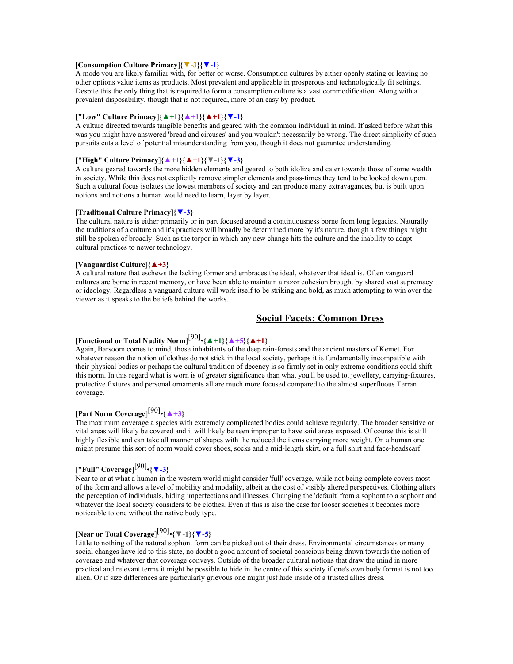### [**Consumption Culture Primacy**]**{▼-3}{▼-1}**

A mode you are likely familiar with, for better or worse. Consumption cultures by either openly stating or leaving no other options value items as products. Most prevalent and applicable in prosperous and technologically fit settings. Despite this the only thing that is required to form a consumption culture is a vast commodification. Along with a prevalent disposability, though that is not required, more of an easy by-product.

#### [**"Low" Culture Primacy**]**{▲+1}{▲+1}{▲+1}{▼-1}**

A culture directed towards tangible benefits and geared with the common individual in mind. If asked before what this was you might have answered 'bread and circuses' and you wouldn't necessarily be wrong. The direct simplicity of such pursuits cuts a level of potential misunderstanding from you, though it does not guarantee understanding.

### [**"High" Culture Primacy**]**{▲+1}{▲+1}{▼-1}{▼-3}**

A culture geared towards the more hidden elements and geared to both idolize and cater towards those of some wealth in society. While this does not explicitly remove simpler elements and pass-times they tend to be looked down upon. Such a cultural focus isolates the lowest members of society and can produce many extravagances, but is built upon notions and notions a human would need to learn, layer by layer.

### [**Traditional Culture Primacy**]**{▼-3}**

The cultural nature is either primarily or in part focused around a continuousness borne from long legacies. Naturally the traditions of a culture and it's practices will broadly be determined more by it's nature, though a few things might still be spoken of broadly. Such as the torpor in which any new change hits the culture and the inability to adapt cultural practices to newer technology.

#### [**Vanguardist Culture**]**{▲+3}**

A cultural nature that eschews the lacking former and embraces the ideal, whatever that ideal is. Often vanguard cultures are borne in recent memory, or have been able to maintain a razor cohesion brought by shared vast supremacy or ideology. Regardless a vanguard culture will work itself to be striking and bold, as much attempting to win over the viewer as it speaks to the beliefs behind the works.

## **Social Facets; Common Dress**

# [**Functional or Total Nudity Norm**] [90] •**{▲+1}{▲+5}{▲+1}**

Again, Barsoom comes to mind, those inhabitants of the deep rain-forests and the ancient masters of Kemet. For whatever reason the notion of clothes do not stick in the local society, perhaps it is fundamentally incompatible with their physical bodies or perhaps the cultural tradition of decency is so firmly set in only extreme conditions could shift this norm. In this regard what is worn is of greater significance than what you'll be used to, jewellery, carrying-fixtures, protective fixtures and personal ornaments all are much more focused compared to the almost superfluous Terran coverage.

# [**Part Norm Coverage**] [90] •**{▲+3}**

The maximum coverage a species with extremely complicated bodies could achieve regularly. The broader sensitive or vital areas will likely be covered and it will likely be seen improper to have said areas exposed. Of course this is still highly flexible and can take all manner of shapes with the reduced the items carrying more weight. On a human one might presume this sort of norm would cover shoes, socks and a mid-length skirt, or a full shirt and face-headscarf.

# **["Full" Coverage**] [90] •**{▼-3}**

Near to or at what a human in the western world might consider 'full' coverage, while not being complete covers most of the form and allows a level of mobility and modality, albeit at the cost of visibly altered perspectives. Clothing alters the perception of individuals, hiding imperfections and illnesses. Changing the 'default' from a sophont to a sophont and whatever the local society considers to be clothes. Even if this is also the case for looser societies it becomes more noticeable to one without the native body type.

# [**Near or Total Coverage**] [90] •**{▼-1}{▼-5}**

Little to nothing of the natural sophont form can be picked out of their dress. Environmental circumstances or many social changes have led to this state, no doubt a good amount of societal conscious being drawn towards the notion of coverage and whatever that coverage conveys. Outside of the broader cultural notions that draw the mind in more practical and relevant terms it might be possible to hide in the centre of this society if one's own body format is not too alien. Or if size differences are particularly grievous one might just hide inside of a trusted allies dress.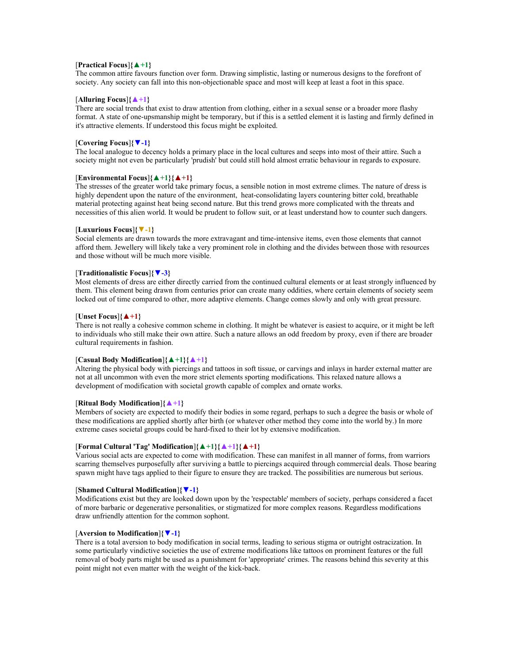### [**Practical Focus**]**{▲+1}**

The common attire favours function over form. Drawing simplistic, lasting or numerous designs to the forefront of society. Any society can fall into this non-objectionable space and most will keep at least a foot in this space.

#### [**Alluring Focus**]**{▲+1}**

There are social trends that exist to draw attention from clothing, either in a sexual sense or a broader more flashy format. A state of one-upsmanship might be temporary, but if this is a settled element it is lasting and firmly defined in it's attractive elements. If understood this focus might be exploited.

#### [**Covering Focus**]**{▼-1}**

The local analogue to decency holds a primary place in the local cultures and seeps into most of their attire. Such a society might not even be particularly 'prudish' but could still hold almost erratic behaviour in regards to exposure.

## [**Environmental Focus**]**{▲+1}{▲+1}**

The stresses of the greater world take primary focus, a sensible notion in most extreme climes. The nature of dress is highly dependent upon the nature of the environment, heat-consolidating layers countering bitter cold, breathable material protecting against heat being second nature. But this trend grows more complicated with the threats and necessities of this alien world. It would be prudent to follow suit, or at least understand how to counter such dangers.

#### [**Luxurious Focus**]**{▼-1}**

Social elements are drawn towards the more extravagant and time-intensive items, even those elements that cannot afford them. Jewellery will likely take a very prominent role in clothing and the divides between those with resources and those without will be much more visible.

#### [**Traditionalistic Focus**]**{▼-3}**

Most elements of dress are either directly carried from the continued cultural elements or at least strongly influenced by them. This element being drawn from centuries prior can create many oddities, where certain elements of society seem locked out of time compared to other, more adaptive elements. Change comes slowly and only with great pressure.

#### [**Unset Focus**]**{▲+1}**

There is not really a cohesive common scheme in clothing. It might be whatever is easiest to acquire, or it might be left to individuals who still make their own attire. Such a nature allows an odd freedom by proxy, even if there are broader cultural requirements in fashion.

### [**Casual Body Modification**]**{▲+1}{▲+1}**

Altering the physical body with piercings and tattoos in soft tissue, or carvings and inlays in harder external matter are not at all uncommon with even the more strict elements sporting modifications. This relaxed nature allows a development of modification with societal growth capable of complex and ornate works.

### [**Ritual Body Modification**]**{▲+1}**

Members of society are expected to modify their bodies in some regard, perhaps to such a degree the basis or whole of these modifications are applied shortly after birth (or whatever other method they come into the world by.) In more extreme cases societal groups could be hard-fixed to their lot by extensive modification.

### [**Formal Cultural 'Tag' Modification**]**{▲+1}{▲+1}{▲+1}**

Various social acts are expected to come with modification. These can manifest in all manner of forms, from warriors scarring themselves purposefully after surviving a battle to piercings acquired through commercial deals. Those bearing spawn might have tags applied to their figure to ensure they are tracked. The possibilities are numerous but serious.

#### [**Shamed Cultural Modification**]**{▼-1}**

Modifications exist but they are looked down upon by the 'respectable' members of society, perhaps considered a facet of more barbaric or degenerative personalities, or stigmatized for more complex reasons. Regardless modifications draw unfriendly attention for the common sophont.

#### [**Aversion to Modification**]**{▼-1}**

There is a total aversion to body modification in social terms, leading to serious stigma or outright ostracization. In some particularly vindictive societies the use of extreme modifications like tattoos on prominent features or the full removal of body parts might be used as a punishment for 'appropriate' crimes. The reasons behind this severity at this point might not even matter with the weight of the kick-back.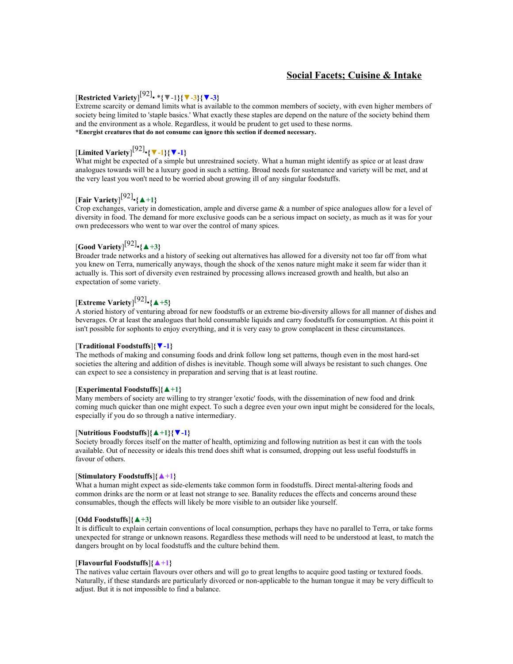## **Social Facets; Cuisine & Intake**

# [**Restricted Variety**] [92]• \***{▼-1}{▼-3}{▼-3}**

Extreme scarcity or demand limits what is available to the common members of society, with even higher members of society being limited to 'staple basics.' What exactly these staples are depend on the nature of the society behind them and the environment as a whole. Regardless, it would be prudent to get used to these norms. **\*Energist creatures that do not consume can ignore this section if deemed necessary.**

# [**Limited Variety**] [92] •**{▼-1}{▼-1}**

What might be expected of a simple but unrestrained society. What a human might identify as spice or at least draw analogues towards will be a luxury good in such a setting. Broad needs for sustenance and variety will be met, and at the very least you won't need to be worried about growing ill of any singular foodstuffs.

# [**Fair Variety**] [92] •**{▲+1}**

Crop exchanges, variety in domestication, ample and diverse game & a number of spice analogues allow for a level of diversity in food. The demand for more exclusive goods can be a serious impact on society, as much as it was for your own predecessors who went to war over the control of many spices.

# [**Good Variety**] [92] •**{▲+3}**

Broader trade networks and a history of seeking out alternatives has allowed for a diversity not too far off from what you knew on Terra, numerically anyways, though the shock of the xenos nature might make it seem far wider than it actually is. This sort of diversity even restrained by processing allows increased growth and health, but also an expectation of some variety.

# [**Extreme Variety**] [92] •**{▲+5}**

A storied history of venturing abroad for new foodstuffs or an extreme bio-diversity allows for all manner of dishes and beverages. Or at least the analogues that hold consumable liquids and carry foodstuffs for consumption. At this point it isn't possible for sophonts to enjoy everything, and it is very easy to grow complacent in these circumstances.

#### [**Traditional Foodstuffs**]**{▼-1}**

The methods of making and consuming foods and drink follow long set patterns, though even in the most hard-set societies the altering and addition of dishes is inevitable. Though some will always be resistant to such changes. One can expect to see a consistency in preparation and serving that is at least routine.

#### [**Experimental Foodstuffs**]**{▲+1}**

Many members of society are willing to try stranger 'exotic' foods, with the dissemination of new food and drink coming much quicker than one might expect. To such a degree even your own input might be considered for the locals, especially if you do so through a native intermediary.

#### [**Nutritious Foodstuffs**]**{▲+1}{▼-1}**

Society broadly forces itself on the matter of health, optimizing and following nutrition as best it can with the tools available. Out of necessity or ideals this trend does shift what is consumed, dropping out less useful foodstuffs in favour of others.

## [**Stimulatory Foodstuffs**]**{▲+1}**

What a human might expect as side-elements take common form in foodstuffs. Direct mental-altering foods and common drinks are the norm or at least not strange to see. Banality reduces the effects and concerns around these consumables, though the effects will likely be more visible to an outsider like yourself.

#### [**Odd Foodstuffs**]**{▲+3}**

It is difficult to explain certain conventions of local consumption, perhaps they have no parallel to Terra, or take forms unexpected for strange or unknown reasons. Regardless these methods will need to be understood at least, to match the dangers brought on by local foodstuffs and the culture behind them.

#### [**Flavourful Foodstuffs**]**{▲+1}**

The natives value certain flavours over others and will go to great lengths to acquire good tasting or textured foods. Naturally, if these standards are particularly divorced or non-applicable to the human tongue it may be very difficult to adjust. But it is not impossible to find a balance.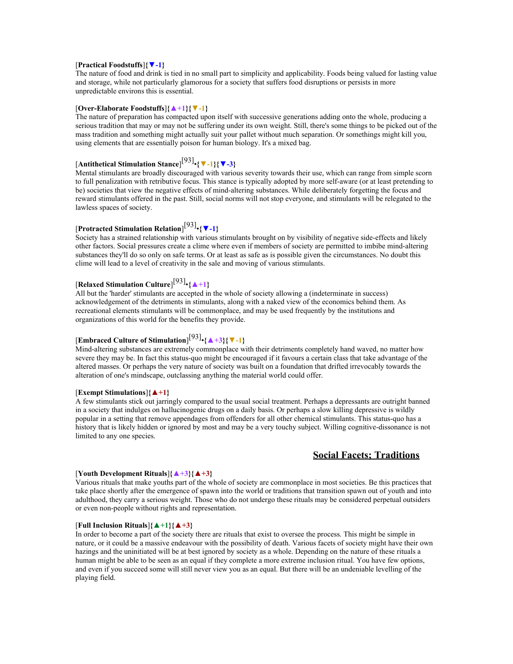### [**Practical Foodstuffs**]**{▼-1}**

The nature of food and drink is tied in no small part to simplicity and applicability. Foods being valued for lasting value and storage, while not particularly glamorous for a society that suffers food disruptions or persists in more unpredictable environs this is essential.

#### [**Over-Elaborate Foodstuffs**]**{▲+1}{▼-1}**

The nature of preparation has compacted upon itself with successive generations adding onto the whole, producing a serious tradition that may or may not be suffering under its own weight. Still, there's some things to be picked out of the mass tradition and something might actually suit your pallet without much separation. Or somethings might kill you, using elements that are essentially poison for human biology. It's a mixed bag.

# [**Antithetical Stimulation Stance**] [93] •**{▼-1}{▼-3}**

Mental stimulants are broadly discouraged with various severity towards their use, which can range from simple scorn to full penalization with retributive focus. This stance is typically adopted by more self-aware (or at least pretending to be) societies that view the negative effects of mind-altering substances. While deliberately forgetting the focus and reward stimulants offered in the past. Still, social norms will not stop everyone, and stimulants will be relegated to the lawless spaces of society.

# [**Protracted Stimulation Relation**] [93] •**{▼-1}**

Society has a strained relationship with various stimulants brought on by visibility of negative side-effects and likely other factors. Social pressures create a clime where even if members of society are permitted to imbibe mind-altering substances they'll do so only on safe terms. Or at least as safe as is possible given the circumstances. No doubt this clime will lead to a level of creativity in the sale and moving of various stimulants.

# [**Relaxed Stimulation Culture**] [93] •**{▲+1}**

All but the 'harder' stimulants are accepted in the whole of society allowing a (indeterminate in success) acknowledgement of the detriments in stimulants, along with a naked view of the economics behind them. As recreational elements stimulants will be commonplace, and may be used frequently by the institutions and organizations of this world for the benefits they provide.

# [**Embraced Culture of Stimulation**] [93] •**{▲+3}{▼-1}**

Mind-altering substances are extremely commonplace with their detriments completely hand waved, no matter how severe they may be. In fact this status-quo might be encouraged if it favours a certain class that take advantage of the altered masses. Or perhaps the very nature of society was built on a foundation that drifted irrevocably towards the alteration of one's mindscape, outclassing anything the material world could offer.

### [**Exempt Stimulations**]**{▲+1}**

A few stimulants stick out jarringly compared to the usual social treatment. Perhaps a depressants are outright banned in a society that indulges on hallucinogenic drugs on a daily basis. Or perhaps a slow killing depressive is wildly popular in a setting that remove appendages from offenders for all other chemical stimulants. This status-quo has a history that is likely hidden or ignored by most and may be a very touchy subject. Willing cognitive-dissonance is not limited to any one species.

## **Social Facets; Traditions**

#### [**Youth Development Rituals**]**{▲+3}{▲+3}**

Various rituals that make youths part of the whole of society are commonplace in most societies. Be this practices that take place shortly after the emergence of spawn into the world or traditions that transition spawn out of youth and into adulthood, they carry a serious weight. Those who do not undergo these rituals may be considered perpetual outsiders or even non-people without rights and representation.

## [**Full Inclusion Rituals**]**{▲+1}{▲+3}**

In order to become a part of the society there are rituals that exist to oversee the process. This might be simple in nature, or it could be a massive endeavour with the possibility of death. Various facets of society might have their own hazings and the uninitiated will be at best ignored by society as a whole. Depending on the nature of these rituals a human might be able to be seen as an equal if they complete a more extreme inclusion ritual. You have few options, and even if you succeed some will still never view you as an equal. But there will be an undeniable levelling of the playing field.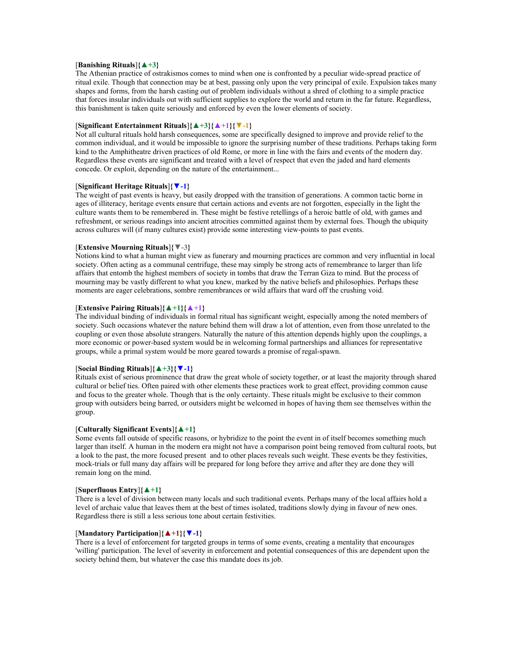### [**Banishing Rituals**]**{▲+3}**

The Athenian practice of ostrakismos comes to mind when one is confronted by a peculiar wide-spread practice of ritual exile. Though that connection may be at best, passing only upon the very principal of exile. Expulsion takes many shapes and forms, from the harsh casting out of problem individuals without a shred of clothing to a simple practice that forces insular individuals out with sufficient supplies to explore the world and return in the far future. Regardless, this banishment is taken quite seriously and enforced by even the lower elements of society.

#### [**Significant Entertainment Rituals**]**{▲+3}{▲+1}{▼-1}**

Not all cultural rituals hold harsh consequences, some are specifically designed to improve and provide relief to the common individual, and it would be impossible to ignore the surprising number of these traditions. Perhaps taking form kind to the Amphitheatre driven practices of old Rome, or more in line with the fairs and events of the modern day. Regardless these events are significant and treated with a level of respect that even the jaded and hard elements concede. Or exploit, depending on the nature of the entertainment...

### [**Significant Heritage Rituals**]**{▼-1}**

The weight of past events is heavy, but easily dropped with the transition of generations. A common tactic borne in ages of illiteracy, heritage events ensure that certain actions and events are not forgotten, especially in the light the culture wants them to be remembered in. These might be festive retellings of a heroic battle of old, with games and refreshment, or serious readings into ancient atrocities committed against them by external foes. Though the ubiquity across cultures will (if many cultures exist) provide some interesting view-points to past events.

#### [**Extensive Mourning Rituals**]**{▼-3}**

Notions kind to what a human might view as funerary and mourning practices are common and very influential in local society. Often acting as a communal centrifuge, these may simply be strong acts of remembrance to larger than life affairs that entomb the highest members of society in tombs that draw the Terran Giza to mind. But the process of mourning may be vastly different to what you knew, marked by the native beliefs and philosophies. Perhaps these moments are eager celebrations, sombre remembrances or wild affairs that ward off the crushing void.

## [**Extensive Pairing Rituals**]**{▲+1}{▲+1}**

The individual binding of individuals in formal ritual has significant weight, especially among the noted members of society. Such occasions whatever the nature behind them will draw a lot of attention, even from those unrelated to the coupling or even those absolute strangers. Naturally the nature of this attention depends highly upon the couplings, a more economic or power-based system would be in welcoming formal partnerships and alliances for representative groups, while a primal system would be more geared towards a promise of regal-spawn.

#### [**Social Binding Rituals**]**{▲+3}{▼-1}**

Rituals exist of serious prominence that draw the great whole of society together, or at least the majority through shared cultural or belief ties. Often paired with other elements these practices work to great effect, providing common cause and focus to the greater whole. Though that is the only certainty. These rituals might be exclusive to their common group with outsiders being barred, or outsiders might be welcomed in hopes of having them see themselves within the group.

#### [**Culturally Significant Events**]**{▲+1}**

Some events fall outside of specific reasons, or hybridize to the point the event in of itself becomes something much larger than itself. A human in the modern era might not have a comparison point being removed from cultural roots, but a look to the past, the more focused present and to other places reveals such weight. These events be they festivities, mock-trials or full many day affairs will be prepared for long before they arrive and after they are done they will remain long on the mind.

### [**Superfluous Entry**]**{▲+1}**

There is a level of division between many locals and such traditional events. Perhaps many of the local affairs hold a level of archaic value that leaves them at the best of times isolated, traditions slowly dying in favour of new ones. Regardless there is still a less serious tone about certain festivities.

#### [**Mandatory Participation**]**{▲+1}{▼-1}**

There is a level of enforcement for targeted groups in terms of some events, creating a mentality that encourages 'willing' participation. The level of severity in enforcement and potential consequences of this are dependent upon the society behind them, but whatever the case this mandate does its job.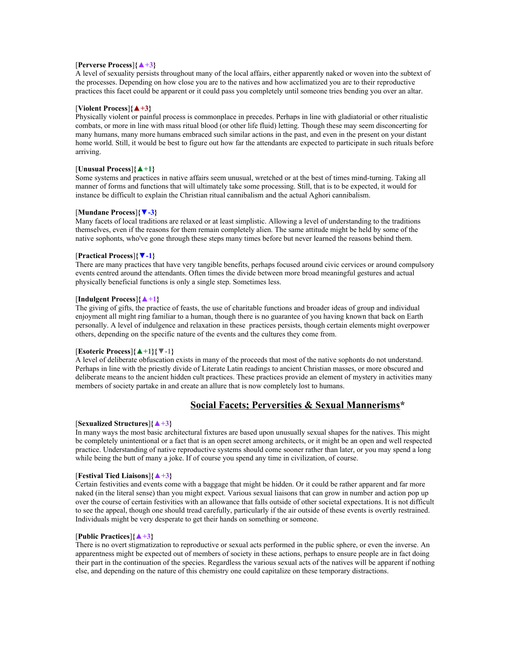### [**Perverse Process**]**{▲+3}**

A level of sexuality persists throughout many of the local affairs, either apparently naked or woven into the subtext of the processes. Depending on how close you are to the natives and how acclimatized you are to their reproductive practices this facet could be apparent or it could pass you completely until someone tries bending you over an altar.

#### [**Violent Process**]**{▲+3}**

Physically violent or painful process is commonplace in precedes. Perhaps in line with gladiatorial or other ritualistic combats, or more in line with mass ritual blood (or other life fluid) letting. Though these may seem disconcerting for many humans, many more humans embraced such similar actions in the past, and even in the present on your distant home world. Still, it would be best to figure out how far the attendants are expected to participate in such rituals before arriving.

### [**Unusual Process**]**{▲+1}**

Some systems and practices in native affairs seem unusual, wretched or at the best of times mind-turning. Taking all manner of forms and functions that will ultimately take some processing. Still, that is to be expected, it would for instance be difficult to explain the Christian ritual cannibalism and the actual Aghori cannibalism.

#### [**Mundane Process**]**{▼-3}**

Many facets of local traditions are relaxed or at least simplistic. Allowing a level of understanding to the traditions themselves, even if the reasons for them remain completely alien. The same attitude might be held by some of the native sophonts, who've gone through these steps many times before but never learned the reasons behind them.

#### [**Practical Process**]**{▼-1}**

There are many practices that have very tangible benefits, perhaps focused around civic cervices or around compulsory events centred around the attendants. Often times the divide between more broad meaningful gestures and actual physically beneficial functions is only a single step. Sometimes less.

#### [**Indulgent Process**]**{▲+1}**

The giving of gifts, the practice of feasts, the use of charitable functions and broader ideas of group and individual enjoyment all might ring familiar to a human, though there is no guarantee of you having known that back on Earth personally. A level of indulgence and relaxation in these practices persists, though certain elements might overpower others, depending on the specific nature of the events and the cultures they come from.

#### [**Esoteric Process**]**{▲+1}{▼-1}**

A level of deliberate obfuscation exists in many of the proceeds that most of the native sophonts do not understand. Perhaps in line with the priestly divide of Literate Latin readings to ancient Christian masses, or more obscured and deliberate means to the ancient hidden cult practices. These practices provide an element of mystery in activities many members of society partake in and create an allure that is now completely lost to humans.

## **Social Facets; Perversities & Sexual Mannerisms\***

#### [**Sexualized Structures**]**{▲+3}**

In many ways the most basic architectural fixtures are based upon unusually sexual shapes for the natives. This might be completely unintentional or a fact that is an open secret among architects, or it might be an open and well respected practice. Understanding of native reproductive systems should come sooner rather than later, or you may spend a long while being the butt of many a joke. If of course you spend any time in civilization, of course.

#### [**Festival Tied Liaisons**]**{▲+3}**

Certain festivities and events come with a baggage that might be hidden. Or it could be rather apparent and far more naked (in the literal sense) than you might expect. Various sexual liaisons that can grow in number and action pop up over the course of certain festivities with an allowance that falls outside of other societal expectations. It is not difficult to see the appeal, though one should tread carefully, particularly if the air outside of these events is overtly restrained. Individuals might be very desperate to get their hands on something or someone.

### [**Public Practices**]**{▲+3}**

There is no overt stigmatization to reproductive or sexual acts performed in the public sphere, or even the inverse. An apparentness might be expected out of members of society in these actions, perhaps to ensure people are in fact doing their part in the continuation of the species. Regardless the various sexual acts of the natives will be apparent if nothing else, and depending on the nature of this chemistry one could capitalize on these temporary distractions.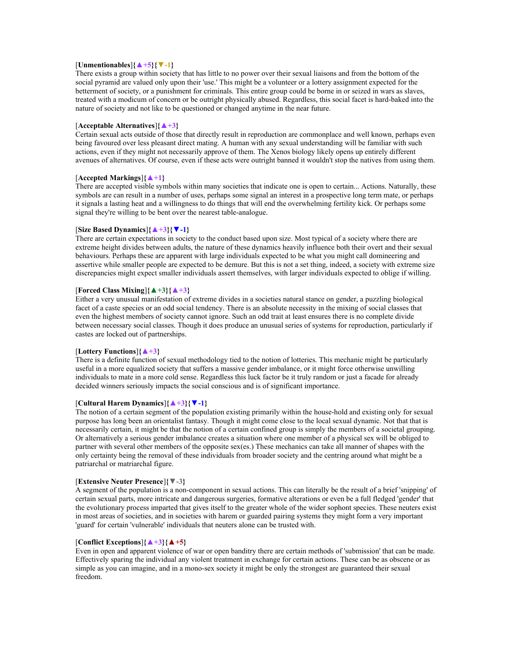### [**Unmentionables**]**{▲+5}{▼-1}**

There exists a group within society that has little to no power over their sexual liaisons and from the bottom of the social pyramid are valued only upon their 'use.' This might be a volunteer or a lottery assignment expected for the betterment of society, or a punishment for criminals. This entire group could be borne in or seized in wars as slaves, treated with a modicum of concern or be outright physically abused. Regardless, this social facet is hard-baked into the nature of society and not like to be questioned or changed anytime in the near future.

#### [**Acceptable Alternatives**]**{▲+3}**

Certain sexual acts outside of those that directly result in reproduction are commonplace and well known, perhaps even being favoured over less pleasant direct mating. A human with any sexual understanding will be familiar with such actions, even if they might not necessarily approve of them. The Xenos biology likely opens up entirely different avenues of alternatives. Of course, even if these acts were outright banned it wouldn't stop the natives from using them.

### [**Accepted Markings**]**{▲+1}**

There are accepted visible symbols within many societies that indicate one is open to certain... Actions. Naturally, these symbols are can result in a number of uses, perhaps some signal an interest in a prospective long term mate, or perhaps it signals a lasting heat and a willingness to do things that will end the overwhelming fertility kick. Or perhaps some signal they're willing to be bent over the nearest table-analogue.

#### [**Size Based Dynamics**]**{▲+3}{▼-1}**

There are certain expectations in society to the conduct based upon size. Most typical of a society where there are extreme height divides between adults, the nature of these dynamics heavily influence both their overt and their sexual behaviours. Perhaps these are apparent with large individuals expected to be what you might call domineering and assertive while smaller people are expected to be demure. But this is not a set thing, indeed, a society with extreme size discrepancies might expect smaller individuals assert themselves, with larger individuals expected to oblige if willing.

### [**Forced Class Mixing**]**{▲+3}{▲+3}**

Either a very unusual manifestation of extreme divides in a societies natural stance on gender, a puzzling biological facet of a caste species or an odd social tendency. There is an absolute necessity in the mixing of social classes that even the highest members of society cannot ignore. Such an odd trait at least ensures there is no complete divide between necessary social classes. Though it does produce an unusual series of systems for reproduction, particularly if castes are locked out of partnerships.

#### [**Lottery Functions**]**{▲+3}**

There is a definite function of sexual methodology tied to the notion of lotteries. This mechanic might be particularly useful in a more equalized society that suffers a massive gender imbalance, or it might force otherwise unwilling individuals to mate in a more cold sense. Regardless this luck factor be it truly random or just a facade for already decided winners seriously impacts the social conscious and is of significant importance.

### [**Cultural Harem Dynamics**]**{▲+3}{▼-1}**

The notion of a certain segment of the population existing primarily within the house-hold and existing only for sexual purpose has long been an orientalist fantasy. Though it might come close to the local sexual dynamic. Not that that is necessarily certain, it might be that the notion of a certain confined group is simply the members of a societal grouping. Or alternatively a serious gender imbalance creates a situation where one member of a physical sex will be obliged to partner with several other members of the opposite sex(es.) These mechanics can take all manner of shapes with the only certainty being the removal of these individuals from broader society and the centring around what might be a patriarchal or matriarchal figure.

#### [**Extensive Neuter Presence**]**{▼-3}**

A segment of the population is a non-component in sexual actions. This can literally be the result of a brief 'snipping' of certain sexual parts, more intricate and dangerous surgeries, formative alterations or even be a full fledged 'gender' that the evolutionary process imparted that gives itself to the greater whole of the wider sophont species. These neuters exist in most areas of societies, and in societies with harem or guarded pairing systems they might form a very important 'guard' for certain 'vulnerable' individuals that neuters alone can be trusted with.

#### [**Conflict Exceptions**]**{▲+3}{▲+5}**

Even in open and apparent violence of war or open banditry there are certain methods of 'submission' that can be made. Effectively sparing the individual any violent treatment in exchange for certain actions. These can be as obscene or as simple as you can imagine, and in a mono-sex society it might be only the strongest are guaranteed their sexual freedom.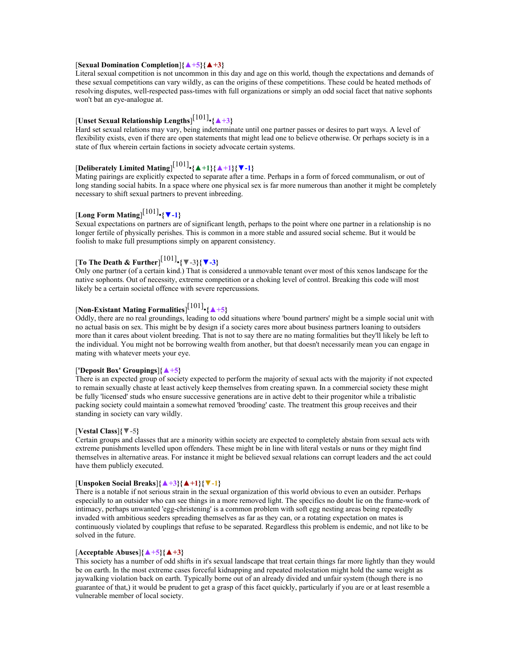### [**Sexual Domination Completion**]**{▲+5}{▲+3}**

Literal sexual competition is not uncommon in this day and age on this world, though the expectations and demands of these sexual competitions can vary wildly, as can the origins of these competitions. These could be heated methods of resolving disputes, well-respected pass-times with full organizations or simply an odd social facet that native sophonts won't bat an eye-analogue at.

# [**Unset Sexual Relationship Lengths**] [101] •**{▲+3}**

Hard set sexual relations may vary, being indeterminate until one partner passes or desires to part ways. A level of flexibility exists, even if there are open statements that might lead one to believe otherwise. Or perhaps society is in a state of flux wherein certain factions in society advocate certain systems.

# [**Deliberately Limited Mating**] [101] •**{▲+1}{▲+1}{▼-1}**

Mating pairings are explicitly expected to separate after a time. Perhaps in a form of forced communalism, or out of long standing social habits. In a space where one physical sex is far more numerous than another it might be completely necessary to shift sexual partners to prevent inbreeding.

# [**Long Form Mating**] [101] •**{▼-1}**

Sexual expectations on partners are of significant length, perhaps to the point where one partner in a relationship is no longer fertile of physically perishes. This is common in a more stable and assured social scheme. But it would be foolish to make full presumptions simply on apparent consistency.

# [**To The Death & Further**] [101] •**{▼-3}{▼-3}**

Only one partner (of a certain kind.) That is considered a unmovable tenant over most of this xenos landscape for the native sophonts. Out of necessity, extreme competition or a choking level of control. Breaking this code will most likely be a certain societal offence with severe repercussions.

# [**Non-Existant Mating Formalities**] [101] •**{▲+5}**

Oddly, there are no real groundings, leading to odd situations where 'bound partners' might be a simple social unit with no actual basis on sex. This might be by design if a society cares more about business partners loaning to outsiders more than it cares about violent breeding. That is not to say there are no mating formalities but they'll likely be left to the individual. You might not be borrowing wealth from another, but that doesn't necessarily mean you can engage in mating with whatever meets your eye.

## [**'Deposit Box' Groupings**]**{▲+5}**

There is an expected group of society expected to perform the majority of sexual acts with the majority if not expected to remain sexually chaste at least actively keep themselves from creating spawn. In a commercial society these might be fully 'licensed' studs who ensure successive generations are in active debt to their progenitor while a tribalistic packing society could maintain a somewhat removed 'brooding' caste. The treatment this group receives and their standing in society can vary wildly.

#### [**Vestal Class**]**{▼-5}**

Certain groups and classes that are a minority within society are expected to completely abstain from sexual acts with extreme punishments levelled upon offenders. These might be in line with literal vestals or nuns or they might find themselves in alternative areas. For instance it might be believed sexual relations can corrupt leaders and the act could have them publicly executed.

### [**Unspoken Social Breaks**]**{▲+3}{▲+1}{▼-1}**

There is a notable if not serious strain in the sexual organization of this world obvious to even an outsider. Perhaps especially to an outsider who can see things in a more removed light. The specifics no doubt lie on the frame-work of intimacy, perhaps unwanted 'egg-christening' is a common problem with soft egg nesting areas being repeatedly invaded with ambitious seeders spreading themselves as far as they can, or a rotating expectation on mates is continuously violated by couplings that refuse to be separated. Regardless this problem is endemic, and not like to be solved in the future.

#### [**Acceptable Abuses**]**{▲+5}{▲+3}**

This society has a number of odd shifts in it's sexual landscape that treat certain things far more lightly than they would be on earth. In the most extreme cases forceful kidnapping and repeated molestation might hold the same weight as jaywalking violation back on earth. Typically borne out of an already divided and unfair system (though there is no guarantee of that,) it would be prudent to get a grasp of this facet quickly, particularly if you are or at least resemble a vulnerable member of local society.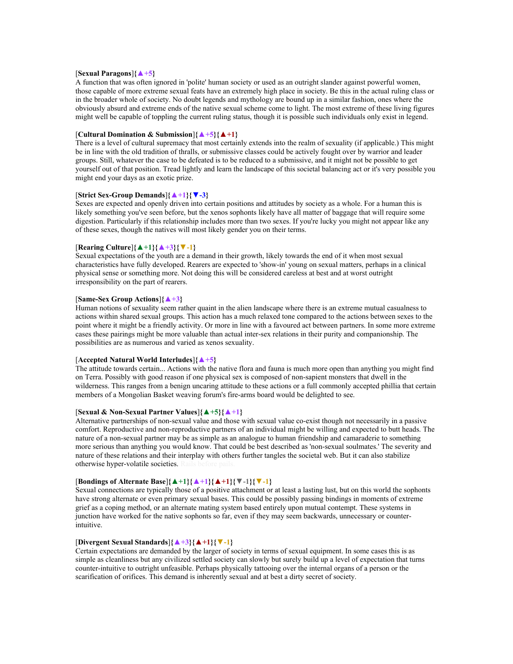#### [**Sexual Paragons**]**{▲+5}**

A function that was often ignored in 'polite' human society or used as an outright slander against powerful women, those capable of more extreme sexual feats have an extremely high place in society. Be this in the actual ruling class or in the broader whole of society. No doubt legends and mythology are bound up in a similar fashion, ones where the obviously absurd and extreme ends of the native sexual scheme come to light. The most extreme of these living figures might well be capable of toppling the current ruling status, though it is possible such individuals only exist in legend.

## [**Cultural Domination & Submission**]**{▲+5}{▲+1}**

There is a level of cultural supremacy that most certainly extends into the realm of sexuality (if applicable.) This might be in line with the old tradition of thralls, or submissive classes could be actively fought over by warrior and leader groups. Still, whatever the case to be defeated is to be reduced to a submissive, and it might not be possible to get yourself out of that position. Tread lightly and learn the landscape of this societal balancing act or it's very possible you might end your days as an exotic prize.

#### [**Strict Sex-Group Demands**]**{▲+1}{▼-3}**

Sexes are expected and openly driven into certain positions and attitudes by society as a whole. For a human this is likely something you've seen before, but the xenos sophonts likely have all matter of baggage that will require some digestion. Particularly if this relationship includes more than two sexes. If you're lucky you might not appear like any of these sexes, though the natives will most likely gender you on their terms.

#### [**Rearing Culture**]**{▲+1}{▲+3}{▼-1}**

Sexual expectations of the youth are a demand in their growth, likely towards the end of it when most sexual characteristics have fully developed. Rearers are expected to 'show-in' young on sexual matters, perhaps in a clinical physical sense or something more. Not doing this will be considered careless at best and at worst outright irresponsibility on the part of rearers.

### [**Same-Sex Group Actions**]**{▲+3}**

Human notions of sexuality seem rather quaint in the alien landscape where there is an extreme mutual casualness to actions within shared sexual groups. This action has a much relaxed tone compared to the actions between sexes to the point where it might be a friendly activity. Or more in line with a favoured act between partners. In some more extreme cases these pairings might be more valuable than actual inter-sex relations in their purity and companionship. The possibilities are as numerous and varied as xenos sexuality.

### [**Accepted Natural World Interludes**]**{▲+5}**

The attitude towards certain... Actions with the native flora and fauna is much more open than anything you might find on Terra. Possibly with good reason if one physical sex is composed of non-sapient monsters that dwell in the wilderness. This ranges from a benign uncaring attitude to these actions or a full commonly accepted phillia that certain members of a Mongolian Basket weaving forum's fire-arms board would be delighted to see.

### [**Sexual & Non-Sexual Partner Values**]**{▲+5}{▲+1}**

Alternative partnerships of non-sexual value and those with sexual value co-exist though not necessarily in a passive comfort. Reproductive and non-reproductive partners of an individual might be willing and expected to butt heads. The nature of a non-sexual partner may be as simple as an analogue to human friendship and camaraderie to something more serious than anything you would know. That could be best described as 'non-sexual soulmates.' The severity and nature of these relations and their interplay with others further tangles the societal web. But it can also stabilize otherwise hyper-volatile societies. Rails before p

## [**Bondings of Alternate Base**]**{▲+1}{▲+1}{▲+1}{▼-1}{▼-1}**

Sexual connections are typically those of a positive attachment or at least a lasting lust, but on this world the sophonts have strong alternate or even primary sexual bases. This could be possibly passing bindings in moments of extreme grief as a coping method, or an alternate mating system based entirely upon mutual contempt. These systems in junction have worked for the native sophonts so far, even if they may seem backwards, unnecessary or counterintuitive.

#### [**Divergent Sexual Standards**]**{▲+3}{▲+1}{▼-1}**

Certain expectations are demanded by the larger of society in terms of sexual equipment. In some cases this is as simple as cleanliness but any civilized settled society can slowly but surely build up a level of expectation that turns counter-intuitive to outright unfeasible. Perhaps physically tattooing over the internal organs of a person or the scarification of orifices. This demand is inherently sexual and at best a dirty secret of society.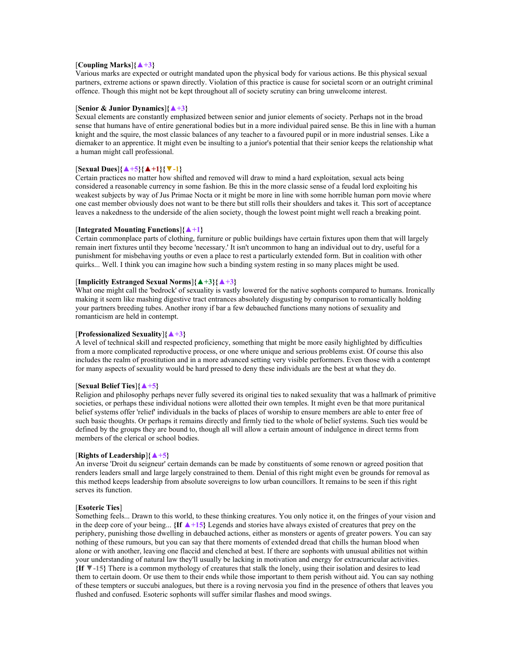### [**Coupling Marks**]**{▲+3}**

Various marks are expected or outright mandated upon the physical body for various actions. Be this physical sexual partners, extreme actions or spawn directly. Violation of this practice is cause for societal scorn or an outright criminal offence. Though this might not be kept throughout all of society scrutiny can bring unwelcome interest.

#### [**Senior & Junior Dynamics**]**{▲+3}**

Sexual elements are constantly emphasized between senior and junior elements of society. Perhaps not in the broad sense that humans have of entire generational bodies but in a more individual paired sense. Be this in line with a human knight and the squire, the most classic balances of any teacher to a favoured pupil or in more industrial senses. Like a diemaker to an apprentice. It might even be insulting to a junior's potential that their senior keeps the relationship what a human might call professional.

## [**Sexual Dues**]**{▲+5}{▲+1}{▼-1}**

Certain practices no matter how shifted and removed will draw to mind a hard exploitation, sexual acts being considered a reasonable currency in some fashion. Be this in the more classic sense of a feudal lord exploiting his weakest subjects by way of Jus Primae Nocta or it might be more in line with some horrible human porn movie where one cast member obviously does not want to be there but still rolls their shoulders and takes it. This sort of acceptance leaves a nakedness to the underside of the alien society, though the lowest point might well reach a breaking point.

#### [**Integrated Mounting Functions**]**{▲+1}**

Certain commonplace parts of clothing, furniture or public buildings have certain fixtures upon them that will largely remain inert fixtures until they become 'necessary.' It isn't uncommon to hang an individual out to dry, useful for a punishment for misbehaving youths or even a place to rest a particularly extended form. But in coalition with other quirks... Well. I think you can imagine how such a binding system resting in so many places might be used.

### [**Implicitly Estranged Sexual Norms**]**{▲+3}{▲+3}**

What one might call the 'bedrock' of sexuality is vastly lowered for the native sophonts compared to humans. Ironically making it seem like mashing digestive tract entrances absolutely disgusting by comparison to romantically holding your partners breeding tubes. Another irony if bar a few debauched functions many notions of sexuality and romanticism are held in contempt.

#### [**Professionalized Sexuality**]**{▲+3}**

A level of technical skill and respected proficiency, something that might be more easily highlighted by difficulties from a more complicated reproductive process, or one where unique and serious problems exist. Of course this also includes the realm of prostitution and in a more advanced setting very visible performers. Even those with a contempt for many aspects of sexuality would be hard pressed to deny these individuals are the best at what they do.

#### [**Sexual Belief Ties**]**{▲+5}**

Religion and philosophy perhaps never fully severed its original ties to naked sexuality that was a hallmark of primitive societies, or perhaps these individual notions were allotted their own temples. It might even be that more puritanical belief systems offer 'relief' individuals in the backs of places of worship to ensure members are able to enter free of such basic thoughts. Or perhaps it remains directly and firmly tied to the whole of belief systems. Such ties would be defined by the groups they are bound to, though all will allow a certain amount of indulgence in direct terms from members of the clerical or school bodies.

### [**Rights of Leadership**]**{▲+5}**

An inverse 'Droit du seigneur' certain demands can be made by constituents of some renown or agreed position that renders leaders small and large largely constrained to them. Denial of this right might even be grounds for removal as this method keeps leadership from absolute sovereigns to low urban councillors. It remains to be seen if this right serves its function.

### [**Esoteric Ties**]

Something feels... Drawn to this world, to these thinking creatures. You only notice it, on the fringes of your vision and in the deep core of your being... **{If ▲+15}** Legends and stories have always existed of creatures that prey on the periphery, punishing those dwelling in debauched actions, either as monsters or agents of greater powers. You can say nothing of these rumours, but you can say that there moments of extended dread that chills the human blood when alone or with another, leaving one flaccid and clenched at best. If there are sophonts with unusual abilities not within your understanding of natural law they'll usually be lacking in motivation and energy for extracurricular activities. **{If ▼-15}** There is a common mythology of creatures that stalk the lonely, using their isolation and desires to lead them to certain doom. Or use them to their ends while those important to them perish without aid. You can say nothing of these tempters or succubi analogues, but there is a roving nervosia you find in the presence of others that leaves you flushed and confused. Esoteric sophonts will suffer similar flashes and mood swings.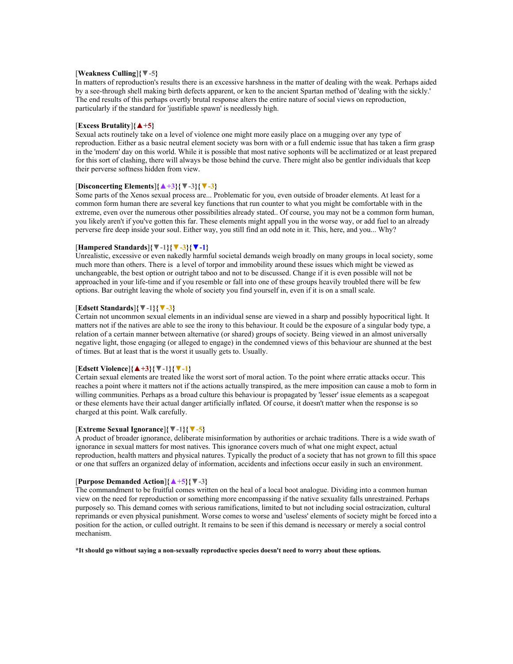### [**Weakness Culling**]**{▼-5}**

In matters of reproduction's results there is an excessive harshness in the matter of dealing with the weak. Perhaps aided by a see-through shell making birth defects apparent, or ken to the ancient Spartan method of 'dealing with the sickly.' The end results of this perhaps overtly brutal response alters the entire nature of social views on reproduction, particularly if the standard for 'justifiable spawn' is needlessly high.

### [**Excess Brutality**]**{▲+5}**

Sexual acts routinely take on a level of violence one might more easily place on a mugging over any type of reproduction. Either as a basic neutral element society was born with or a full endemic issue that has taken a firm grasp in the 'modern' day on this world. While it is possible that most native sophonts will be acclimatized or at least prepared for this sort of clashing, there will always be those behind the curve. There might also be gentler individuals that keep their perverse softness hidden from view.

## [**Disconcerting Elements**]**{▲+3}{▼-3}{▼-3}**

Some parts of the Xenos sexual process are... Problematic for you, even outside of broader elements. At least for a common form human there are several key functions that run counter to what you might be comfortable with in the extreme, even over the numerous other possibilities already stated.. Of course, you may not be a common form human, you likely aren't if you've gotten this far. These elements might appall you in the worse way, or add fuel to an already perverse fire deep inside your soul. Either way, you still find an odd note in it. This, here, and you... Why?

### [**Hampered Standards**]**{▼-1}{▼-3}{▼-1}**

Unrealistic, excessive or even nakedly harmful societal demands weigh broadly on many groups in local society, some much more than others. There is a level of torpor and immobility around these issues which might be viewed as unchangeable, the best option or outright taboo and not to be discussed. Change if it is even possible will not be approached in your life-time and if you resemble or fall into one of these groups heavily troubled there will be few options. Bar outright leaving the whole of society you find yourself in, even if it is on a small scale.

### [**Edsett Standards**]**{▼-1}{▼-3}**

Certain not uncommon sexual elements in an individual sense are viewed in a sharp and possibly hypocritical light. It matters not if the natives are able to see the irony to this behaviour. It could be the exposure of a singular body type, a relation of a certain manner between alternative (or shared) groups of society. Being viewed in an almost universally negative light, those engaging (or alleged to engage) in the condemned views of this behaviour are shunned at the best of times. But at least that is the worst it usually gets to. Usually.

#### [**Edsett Violence**]**{▲+3}{▼-1}{▼-1}**

Certain sexual elements are treated like the worst sort of moral action. To the point where erratic attacks occur. This reaches a point where it matters not if the actions actually transpired, as the mere imposition can cause a mob to form in willing communities. Perhaps as a broad culture this behaviour is propagated by 'lesser' issue elements as a scapegoat or these elements have their actual danger artificially inflated. Of course, it doesn't matter when the response is so charged at this point. Walk carefully.

#### [**Extreme Sexual Ignorance**]**{▼-1}{▼-5}**

A product of broader ignorance, deliberate misinformation by authorities or archaic traditions. There is a wide swath of ignorance in sexual matters for most natives. This ignorance covers much of what one might expect, actual reproduction, health matters and physical natures. Typically the product of a society that has not grown to fill this space or one that suffers an organized delay of information, accidents and infections occur easily in such an environment.

#### [**Purpose Demanded Action**]**{▲+5}{▼-3}**

The commandment to be fruitful comes written on the heal of a local boot analogue. Dividing into a common human view on the need for reproduction or something more encompassing if the native sexuality falls unrestrained. Perhaps purposely so. This demand comes with serious ramifications, limited to but not including social ostracization, cultural reprimands or even physical punishment. Worse comes to worse and 'useless' elements of society might be forced into a position for the action, or culled outright. It remains to be seen if this demand is necessary or merely a social control mechanism.

#### **\*It should go without saying a non-sexually reproductive species doesn't need to worry about these options.**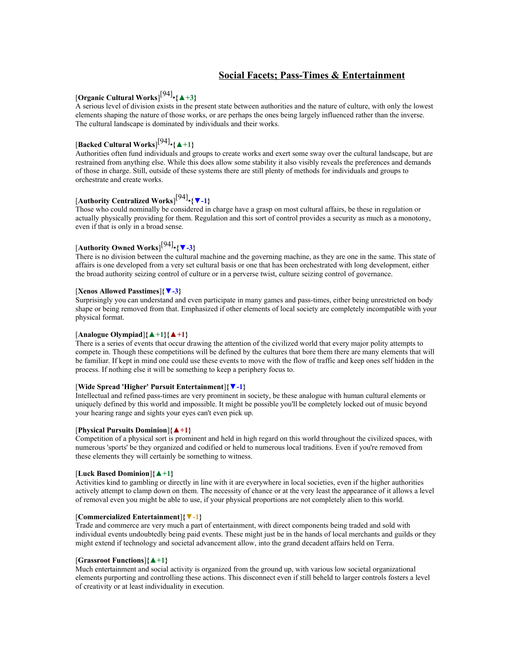## **Social Facets; Pass-Times & Entertainment**

# [**Organic Cultural Works**] [94] •**{▲+3}**

A serious level of division exists in the present state between authorities and the nature of culture, with only the lowest elements shaping the nature of those works, or are perhaps the ones being largely influenced rather than the inverse. The cultural landscape is dominated by individuals and their works.

# [**Backed Cultural Works**] [94] •**{▲+1}**

Authorities often fund individuals and groups to create works and exert some sway over the cultural landscape, but are restrained from anything else. While this does allow some stability it also visibly reveals the preferences and demands of those in charge. Still, outside of these systems there are still plenty of methods for individuals and groups to orchestrate and create works.

# [**Authority Centralized Works**] [94] •**{▼-1}**

Those who could nominally be considered in charge have a grasp on most cultural affairs, be these in regulation or actually physically providing for them. Regulation and this sort of control provides a security as much as a monotony, even if that is only in a broad sense.

# [**Authority Owned Works**] [94] •**{▼-3}**

There is no division between the cultural machine and the governing machine, as they are one in the same. This state of affairs is one developed from a very set cultural basis or one that has been orchestrated with long development, either the broad authority seizing control of culture or in a perverse twist, culture seizing control of governance.

#### [**Xenos Allowed Passtimes**]**{▼-3}**

Surprisingly you can understand and even participate in many games and pass-times, either being unrestricted on body shape or being removed from that. Emphasized if other elements of local society are completely incompatible with your physical format.

#### [**Analogue Olympiad**]**{▲+1}{▲+1}**

There is a series of events that occur drawing the attention of the civilized world that every major polity attempts to compete in. Though these competitions will be defined by the cultures that bore them there are many elements that will be familiar. If kept in mind one could use these events to move with the flow of traffic and keep ones self hidden in the process. If nothing else it will be something to keep a periphery focus to.

#### [**Wide Spread 'Higher' Pursuit Entertainment**]**{▼-1}**

Intellectual and refined pass-times are very prominent in society, be these analogue with human cultural elements or uniquely defined by this world and impossible. It might be possible you'll be completely locked out of music beyond your hearing range and sights your eyes can't even pick up.

### [**Physical Pursuits Dominion**]**{▲+1}**

Competition of a physical sort is prominent and held in high regard on this world throughout the civilized spaces, with numerous 'sports' be they organized and codified or held to numerous local traditions. Even if you're removed from these elements they will certainly be something to witness.

#### [**Luck Based Dominion**]**{▲+1}**

Activities kind to gambling or directly in line with it are everywhere in local societies, even if the higher authorities actively attempt to clamp down on them. The necessity of chance or at the very least the appearance of it allows a level of removal even you might be able to use, if your physical proportions are not completely alien to this world.

### [**Commercialized Entertainment**]**{▼-1}**

Trade and commerce are very much a part of entertainment, with direct components being traded and sold with individual events undoubtedly being paid events. These might just be in the hands of local merchants and guilds or they might extend if technology and societal advancement allow, into the grand decadent affairs held on Terra.

#### [**Grassroot Functions**]**{▲+1}**

Much entertainment and social activity is organized from the ground up, with various low societal organizational elements purporting and controlling these actions. This disconnect even if still beheld to larger controls fosters a level of creativity or at least individuality in execution.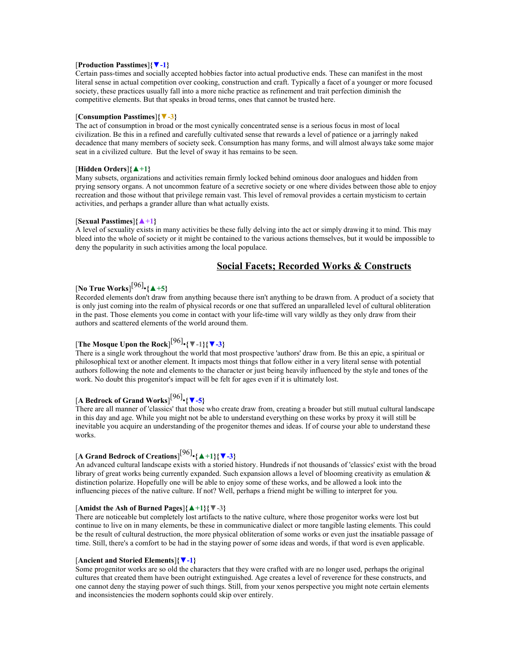### [**Production Passtimes**]**{▼-1}**

Certain pass-times and socially accepted hobbies factor into actual productive ends. These can manifest in the most literal sense in actual competition over cooking, construction and craft. Typically a facet of a younger or more focused society, these practices usually fall into a more niche practice as refinement and trait perfection diminish the competitive elements. But that speaks in broad terms, ones that cannot be trusted here.

#### [**Consumption Passtimes**]**{▼-3}**

The act of consumption in broad or the most cynically concentrated sense is a serious focus in most of local civilization. Be this in a refined and carefully cultivated sense that rewards a level of patience or a jarringly naked decadence that many members of society seek. Consumption has many forms, and will almost always take some major seat in a civilized culture. But the level of sway it has remains to be seen.

### [**Hidden Orders**]**{▲+1}**

Many subsets, organizations and activities remain firmly locked behind ominous door analogues and hidden from prying sensory organs. A not uncommon feature of a secretive society or one where divides between those able to enjoy recreation and those without that privilege remain vast. This level of removal provides a certain mysticism to certain activities, and perhaps a grander allure than what actually exists.

#### [**Sexual Passtimes**]**{▲+1}**

A level of sexuality exists in many activities be these fully delving into the act or simply drawing it to mind. This may bleed into the whole of society or it might be contained to the various actions themselves, but it would be impossible to deny the popularity in such activities among the local populace.

## **Social Facets; Recorded Works & Constructs**

# [**No True Works**] [96] •**{▲+5}**

Recorded elements don't draw from anything because there isn't anything to be drawn from. A product of a society that is only just coming into the realm of physical records or one that suffered an unparalleled level of cultural obliteration in the past. Those elements you come in contact with your life-time will vary wildly as they only draw from their authors and scattered elements of the world around them.

# [**The Mosque Upon the Rock**] [96] •**{▼-1}{▼-3}**

There is a single work throughout the world that most prospective 'authors' draw from. Be this an epic, a spiritual or philosophical text or another element. It impacts most things that follow either in a very literal sense with potential authors following the note and elements to the character or just being heavily influenced by the style and tones of the work. No doubt this progenitor's impact will be felt for ages even if it is ultimately lost.

# [**A Bedrock of Grand Works**] [96] •**{▼-5}**

There are all manner of 'classics' that those who create draw from, creating a broader but still mutual cultural landscape in this day and age. While you might not be able to understand everything on these works by proxy it will still be inevitable you acquire an understanding of the progenitor themes and ideas. If of course your able to understand these works.

# [**A Grand Bedrock of Creations**] [96] •**{▲+1}{▼-3}**

An advanced cultural landscape exists with a storied history. Hundreds if not thousands of 'classics' exist with the broad library of great works being currently expanded. Such expansion allows a level of blooming creativity as emulation & distinction polarize. Hopefully one will be able to enjoy some of these works, and be allowed a look into the influencing pieces of the native culture. If not? Well, perhaps a friend might be willing to interpret for you.

### [**Amidst the Ash of Burned Pages**]**{▲+1}{▼-3}**

There are noticeable but completely lost artifacts to the native culture, where those progenitor works were lost but continue to live on in many elements, be these in communicative dialect or more tangible lasting elements. This could be the result of cultural destruction, the more physical obliteration of some works or even just the insatiable passage of time. Still, there's a comfort to be had in the staying power of some ideas and words, if that word is even applicable.

#### [**Ancient and Storied Elements**]**{▼-1}**

Some progenitor works are so old the characters that they were crafted with are no longer used, perhaps the original cultures that created them have been outright extinguished. Age creates a level of reverence for these constructs, and one cannot deny the staying power of such things. Still, from your xenos perspective you might note certain elements and inconsistencies the modern sophonts could skip over entirely.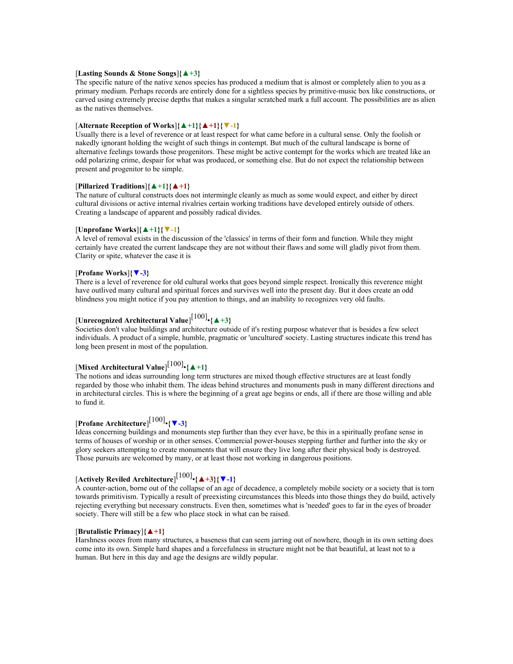#### [**Lasting Sounds & Stone Songs**]**{▲+3}**

The specific nature of the native xenos species has produced a medium that is almost or completely alien to you as a primary medium. Perhaps records are entirely done for a sightless species by primitive-music box like constructions, or carved using extremely precise depths that makes a singular scratched mark a full account. The possibilities are as alien as the natives themselves.

### [**Alternate Reception of Works**]**{▲+1}{▲+1}{▼-1}**

Usually there is a level of reverence or at least respect for what came before in a cultural sense. Only the foolish or nakedly ignorant holding the weight of such things in contempt. But much of the cultural landscape is borne of alternative feelings towards those progenitors. These might be active contempt for the works which are treated like an odd polarizing crime, despair for what was produced, or something else. But do not expect the relationship between present and progenitor to be simple.

## [**Pillarized Traditions**]**{▲+1}{▲+1}**

The nature of cultural constructs does not intermingle cleanly as much as some would expect, and either by direct cultural divisions or active internal rivalries certain working traditions have developed entirely outside of others. Creating a landscape of apparent and possibly radical divides.

#### [**Unprofane Works**]**{▲+1}{▼-1}**

A level of removal exists in the discussion of the 'classics' in terms of their form and function. While they might certainly have created the current landscape they are not without their flaws and some will gladly pivot from them. Clarity or spite, whatever the case it is

## [**Profane Works**]**{▼-3}**

There is a level of reverence for old cultural works that goes beyond simple respect. Ironically this reverence might have outlived many cultural and spiritual forces and survives well into the present day. But it does create an odd blindness you might notice if you pay attention to things, and an inability to recognizes very old faults.

# [**Unrecognized Architectural Value**] [100] •**{▲+3}**

Societies don't value buildings and architecture outside of it's resting purpose whatever that is besides a few select individuals. A product of a simple, humble, pragmatic or 'uncultured' society. Lasting structures indicate this trend has long been present in most of the population.

# [**Mixed Architectural Value**] [100] •**{▲+1}**

The notions and ideas surrounding long term structures are mixed though effective structures are at least fondly regarded by those who inhabit them. The ideas behind structures and monuments push in many different directions and in architectural circles. This is where the beginning of a great age begins or ends, all if there are those willing and able to fund it.

# [**Profane Architecture**] [100] •**{▼-3}**

Ideas concerning buildings and monuments step further than they ever have, be this in a spiritually profane sense in terms of houses of worship or in other senses. Commercial power-houses stepping further and further into the sky or glory seekers attempting to create monuments that will ensure they live long after their physical body is destroyed. Those pursuits are welcomed by many, or at least those not working in dangerous positions.

# [**Actively Reviled Architecture**] [100] •**{▲+3}{▼-1}**

A counter-action, borne out of the collapse of an age of decadence, a completely mobile society or a society that is torn towards primitivism. Typically a result of preexisting circumstances this bleeds into those things they do build, actively rejecting everything but necessary constructs. Even then, sometimes what is 'needed' goes to far in the eyes of broader society. There will still be a few who place stock in what can be raised.

#### [**Brutalistic Primacy**]**{▲+1}**

Harshness oozes from many structures, a baseness that can seem jarring out of nowhere, though in its own setting does come into its own. Simple hard shapes and a forcefulness in structure might not be that beautiful, at least not to a human. But here in this day and age the designs are wildly popular.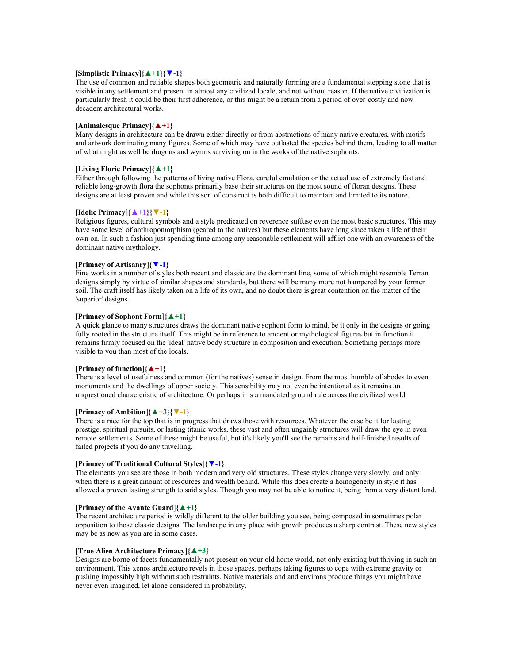### [**Simplistic Primacy**]**{▲+1}{▼-1}**

The use of common and reliable shapes both geometric and naturally forming are a fundamental stepping stone that is visible in any settlement and present in almost any civilized locale, and not without reason. If the native civilization is particularly fresh it could be their first adherence, or this might be a return from a period of over-costly and now decadent architectural works.

#### [**Animalesque Primacy**]**{▲+1}**

Many designs in architecture can be drawn either directly or from abstractions of many native creatures, with motifs and artwork dominating many figures. Some of which may have outlasted the species behind them, leading to all matter of what might as well be dragons and wyrms surviving on in the works of the native sophonts.

#### [**Living Floric Primacy**]**{▲+1}**

Either through following the patterns of living native Flora, careful emulation or the actual use of extremely fast and reliable long-growth flora the sophonts primarily base their structures on the most sound of floran designs. These designs are at least proven and while this sort of construct is both difficult to maintain and limited to its nature.

#### [**Idolic Primacy**]**{▲+1}{▼-1}**

Religious figures, cultural symbols and a style predicated on reverence suffuse even the most basic structures. This may have some level of anthropomorphism (geared to the natives) but these elements have long since taken a life of their own on. In such a fashion just spending time among any reasonable settlement will afflict one with an awareness of the dominant native mythology.

#### [**Primacy of Artisanry**]**{▼-1}**

Fine works in a number of styles both recent and classic are the dominant line, some of which might resemble Terran designs simply by virtue of similar shapes and standards, but there will be many more not hampered by your former soil. The craft itself has likely taken on a life of its own, and no doubt there is great contention on the matter of the 'superior' designs.

#### [**Primacy of Sophont Form**]**{▲+1}**

A quick glance to many structures draws the dominant native sophont form to mind, be it only in the designs or going fully rooted in the structure itself. This might be in reference to ancient or mythological figures but in function it remains firmly focused on the 'ideal' native body structure in composition and execution. Something perhaps more visible to you than most of the locals.

#### [**Primacy of function**]**{▲+1}**

There is a level of usefulness and common (for the natives) sense in design. From the most humble of abodes to even monuments and the dwellings of upper society. This sensibility may not even be intentional as it remains an unquestioned characteristic of architecture. Or perhaps it is a mandated ground rule across the civilized world.

## [**Primacy of Ambition**]**{▲+3}{▼-1}**

There is a race for the top that is in progress that draws those with resources. Whatever the case be it for lasting prestige, spiritual pursuits, or lasting titanic works, these vast and often ungainly structures will draw the eye in even remote settlements. Some of these might be useful, but it's likely you'll see the remains and half-finished results of failed projects if you do any travelling.

#### [**Primacy of Traditional Cultural Styles**]**{▼-1}**

The elements you see are those in both modern and very old structures. These styles change very slowly, and only when there is a great amount of resources and wealth behind. While this does create a homogeneity in style it has allowed a proven lasting strength to said styles. Though you may not be able to notice it, being from a very distant land.

#### [**Primacy of the Avante Guard**]**{▲+1}**

The recent architecture period is wildly different to the older building you see, being composed in sometimes polar opposition to those classic designs. The landscape in any place with growth produces a sharp contrast. These new styles may be as new as you are in some cases.

#### [**True Alien Architecture Primacy**]**{▲+3}**

Designs are borne of facets fundamentally not present on your old home world, not only existing but thriving in such an environment. This xenos architecture revels in those spaces, perhaps taking figures to cope with extreme gravity or pushing impossibly high without such restraints. Native materials and and environs produce things you might have never even imagined, let alone considered in probability.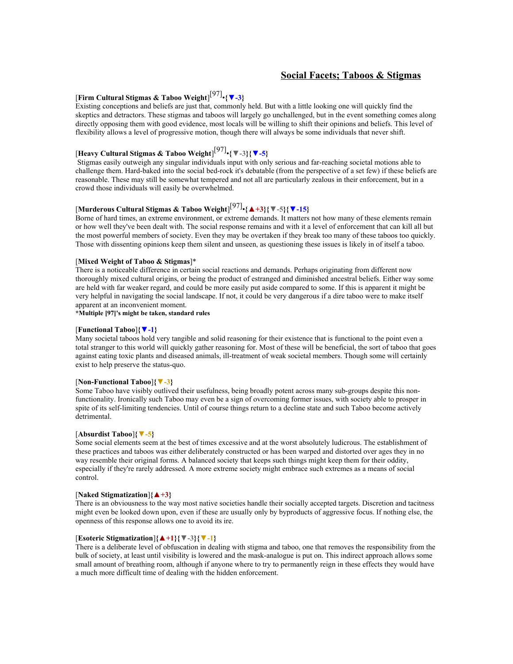## **Social Facets; Taboos & Stigmas**

# [**Firm Cultural Stigmas & Taboo Weight**] [97] •**{▼-3}**

Existing conceptions and beliefs are just that, commonly held. But with a little looking one will quickly find the skeptics and detractors. These stigmas and taboos will largely go unchallenged, but in the event something comes along directly opposing them with good evidence, most locals will be willing to shift their opinions and beliefs. This level of flexibility allows a level of progressive motion, though there will always be some individuals that never shift.

# [**Heavy Cultural Stigmas & Taboo Weight**] [97] •**{▼-3}{▼-5}**

 Stigmas easily outweigh any singular individuals input with only serious and far-reaching societal motions able to challenge them. Hard-baked into the social bed-rock it's debatable (from the perspective of a set few) if these beliefs are reasonable. These may still be somewhat tempered and not all are particularly zealous in their enforcement, but in a crowd those individuals will easily be overwhelmed.

# [**Murderous Cultural Stigmas & Taboo Weight**] [97] •**{▲+3}{▼-5}{▼-15}**

Borne of hard times, an extreme environment, or extreme demands. It matters not how many of these elements remain or how well they've been dealt with. The social response remains and with it a level of enforcement that can kill all but the most powerful members of society. Even they may be overtaken if they break too many of these taboos too quickly. Those with dissenting opinions keep them silent and unseen, as questioning these issues is likely in of itself a taboo.

## [**Mixed Weight of Taboo & Stigmas**]\*

There is a noticeable difference in certain social reactions and demands. Perhaps originating from different now thoroughly mixed cultural origins, or being the product of estranged and diminished ancestral beliefs. Either way some are held with far weaker regard, and could be more easily put aside compared to some. If this is apparent it might be very helpful in navigating the social landscape. If not, it could be very dangerous if a dire taboo were to make itself apparent at an inconvenient moment.

**\*Multiple [97]'s might be taken, standard rules**

#### [**Functional Taboo**]**{▼-1}**

Many societal taboos hold very tangible and solid reasoning for their existence that is functional to the point even a total stranger to this world will quickly gather reasoning for. Most of these will be beneficial, the sort of taboo that goes against eating toxic plants and diseased animals, ill-treatment of weak societal members. Though some will certainly exist to help preserve the status-quo.

#### [**Non-Functional Taboo**]**{▼-3}**

Some Taboo have visibly outlived their usefulness, being broadly potent across many sub-groups despite this nonfunctionality. Ironically such Taboo may even be a sign of overcoming former issues, with society able to prosper in spite of its self-limiting tendencies. Until of course things return to a decline state and such Taboo become actively detrimental.

#### [**Absurdist Taboo**]**{▼-5}**

Some social elements seem at the best of times excessive and at the worst absolutely ludicrous. The establishment of these practices and taboos was either deliberately constructed or has been warped and distorted over ages they in no way resemble their original forms. A balanced society that keeps such things might keep them for their oddity, especially if they're rarely addressed. A more extreme society might embrace such extremes as a means of social control.

#### [**Naked Stigmatization**]**{▲+3}**

There is an obviousness to the way most native societies handle their socially accepted targets. Discretion and tacitness might even be looked down upon, even if these are usually only by byproducts of aggressive focus. If nothing else, the openness of this response allows one to avoid its ire.

## [**Esoteric Stigmatization**]**{▲+1}{▼-3}{▼-1}**

There is a deliberate level of obfuscation in dealing with stigma and taboo, one that removes the responsibility from the bulk of society, at least until visibility is lowered and the mask-analogue is put on. This indirect approach allows some small amount of breathing room, although if anyone where to try to permanently reign in these effects they would have a much more difficult time of dealing with the hidden enforcement.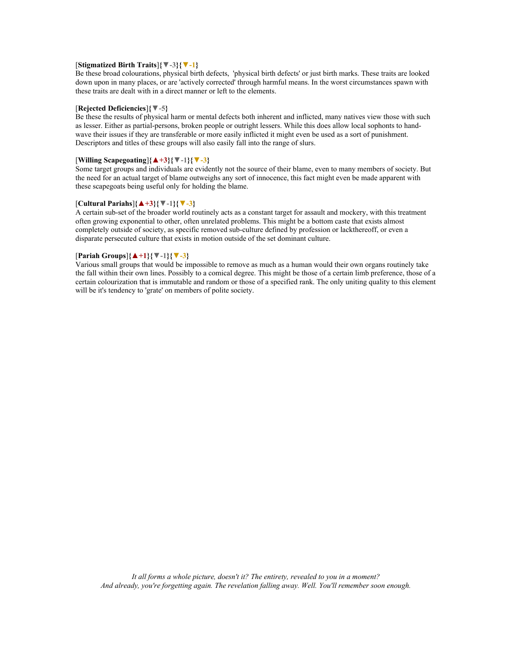### [**Stigmatized Birth Traits**]**{▼-3}{▼-1}**

Be these broad colourations, physical birth defects, 'physical birth defects' or just birth marks. These traits are looked down upon in many places, or are 'actively corrected' through harmful means. In the worst circumstances spawn with these traits are dealt with in a direct manner or left to the elements.

#### [**Rejected Deficiencies**]**{▼-5}**

Be these the results of physical harm or mental defects both inherent and inflicted, many natives view those with such as lesser. Either as partial-persons, broken people or outright lessers. While this does allow local sophonts to handwave their issues if they are transferable or more easily inflicted it might even be used as a sort of punishment. Descriptors and titles of these groups will also easily fall into the range of slurs.

### [**Willing Scapegoating**]**{▲+3}{▼-1}{▼-3}**

Some target groups and individuals are evidently not the source of their blame, even to many members of society. But the need for an actual target of blame outweighs any sort of innocence, this fact might even be made apparent with these scapegoats being useful only for holding the blame.

### [**Cultural Pariahs**]**{▲+3}{▼-1}{▼-3}**

A certain sub-set of the broader world routinely acts as a constant target for assault and mockery, with this treatment often growing exponential to other, often unrelated problems. This might be a bottom caste that exists almost completely outside of society, as specific removed sub-culture defined by profession or lackthereoff, or even a disparate persecuted culture that exists in motion outside of the set dominant culture.

#### [**Pariah Groups**]**{▲+1}{▼-1}{▼-3}**

Various small groups that would be impossible to remove as much as a human would their own organs routinely take the fall within their own lines. Possibly to a comical degree. This might be those of a certain limb preference, those of a certain colourization that is immutable and random or those of a specified rank. The only uniting quality to this element will be it's tendency to 'grate' on members of polite society.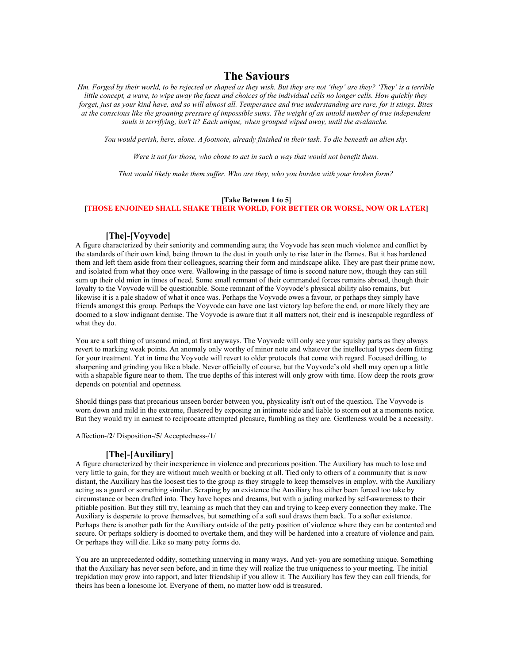## **The Saviours**

*Hm. Forged by their world, to be rejected or shaped as they wish. But they are not 'they' are they? 'They' is a terrible little concept, a wave, to wipe away the faces and choices of the individual cells no longer cells. How quickly they forget, just as your kind have, and so will almost all. Temperance and true understanding are rare, for it stings. Bites at the conscious like the groaning pressure of impossible sums. The weight of an untold number of true independent souls is terrifying, isn't it? Each unique, when grouped wiped away, until the avalanche.* 

*You would perish, here, alone. A footnote, already finished in their task. To die beneath an alien sky.*

*Were it not for those, who chose to act in such a way that would not benefit them.*

*That would likely make them suffer. Who are they, who you burden with your broken form?*

### **[Take Between 1 to 5]**

## **[THOSE ENJOINED SHALL SHAKE THEIR WORLD, FOR BETTER OR WORSE, NOW OR LATER]**

### **[The]-[Voyvode]**

A figure characterized by their seniority and commending aura; the Voyvode has seen much violence and conflict by the standards of their own kind, being thrown to the dust in youth only to rise later in the flames. But it has hardened them and left them aside from their colleagues, scarring their form and mindscape alike. They are past their prime now, and isolated from what they once were. Wallowing in the passage of time is second nature now, though they can still sum up their old mien in times of need. Some small remnant of their commanded forces remains abroad, though their loyalty to the Voyvode will be questionable. Some remnant of the Voyvode's physical ability also remains, but likewise it is a pale shadow of what it once was. Perhaps the Voyvode owes a favour, or perhaps they simply have friends amongst this group. Perhaps the Voyvode can have one last victory lap before the end, or more likely they are doomed to a slow indignant demise. The Voyvode is aware that it all matters not, their end is inescapable regardless of what they do.

You are a soft thing of unsound mind, at first anyways. The Voyvode will only see your squishy parts as they always revert to marking weak points. An anomaly only worthy of minor note and whatever the intellectual types deem fitting for your treatment. Yet in time the Voyvode will revert to older protocols that come with regard. Focused drilling, to sharpening and grinding you like a blade. Never officially of course, but the Voyvode's old shell may open up a little with a shapable figure near to them. The true depths of this interest will only grow with time. How deep the roots grow depends on potential and openness.

Should things pass that precarious unseen border between you, physicality isn't out of the question. The Voyvode is worn down and mild in the extreme, flustered by exposing an intimate side and liable to storm out at a moments notice. But they would try in earnest to reciprocate attempted pleasure, fumbling as they are. Gentleness would be a necessity.

Affection-/**2**/ Disposition-/**5**/ Acceptedness-/**1**/

### **[The]-[Auxiliary]**

A figure characterized by their inexperience in violence and precarious position. The Auxiliary has much to lose and very little to gain, for they are without much wealth or backing at all. Tied only to others of a community that is now distant, the Auxiliary has the loosest ties to the group as they struggle to keep themselves in employ, with the Auxiliary acting as a guard or something similar. Scraping by an existence the Auxiliary has either been forced too take by circumstance or been drafted into. They have hopes and dreams, but with a jading marked by self-awareness to their pitiable position. But they still try, learning as much that they can and trying to keep every connection they make. The Auxiliary is desperate to prove themselves, but something of a soft soul draws them back. To a softer existence. Perhaps there is another path for the Auxiliary outside of the petty position of violence where they can be contented and secure. Or perhaps soldiery is doomed to overtake them, and they will be hardened into a creature of violence and pain. Or perhaps they will die. Like so many petty forms do.

You are an unprecedented oddity, something unnerving in many ways. And yet- you are something unique. Something that the Auxiliary has never seen before, and in time they will realize the true uniqueness to your meeting. The initial trepidation may grow into rapport, and later friendship if you allow it. The Auxiliary has few they can call friends, for theirs has been a lonesome lot. Everyone of them, no matter how odd is treasured.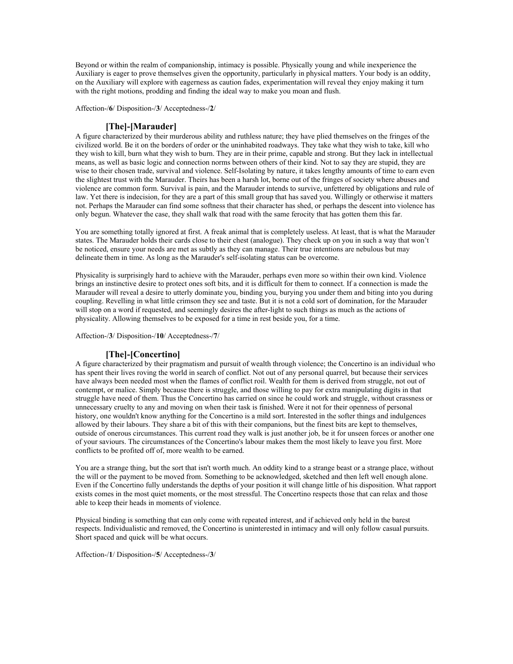Beyond or within the realm of companionship, intimacy is possible. Physically young and while inexperience the Auxiliary is eager to prove themselves given the opportunity, particularly in physical matters. Your body is an oddity, on the Auxiliary will explore with eagerness as caution fades, experimentation will reveal they enjoy making it turn with the right motions, prodding and finding the ideal way to make you moan and flush.

Affection-/**6**/ Disposition-/**3**/ Acceptedness-/**2**/

## **[The]-[Marauder]**

A figure characterized by their murderous ability and ruthless nature; they have plied themselves on the fringes of the civilized world. Be it on the borders of order or the uninhabited roadways. They take what they wish to take, kill who they wish to kill, burn what they wish to burn. They are in their prime, capable and strong. But they lack in intellectual means, as well as basic logic and connection norms between others of their kind. Not to say they are stupid, they are wise to their chosen trade, survival and violence. Self-Isolating by nature, it takes lengthy amounts of time to earn even the slightest trust with the Marauder. Theirs has been a harsh lot, borne out of the fringes of society where abuses and violence are common form. Survival is pain, and the Marauder intends to survive, unfettered by obligations and rule of law. Yet there is indecision, for they are a part of this small group that has saved you. Willingly or otherwise it matters not. Perhaps the Marauder can find some softness that their character has shed, or perhaps the descent into violence has only begun. Whatever the case, they shall walk that road with the same ferocity that has gotten them this far.

You are something totally ignored at first. A freak animal that is completely useless. At least, that is what the Marauder states. The Marauder holds their cards close to their chest (analogue). They check up on you in such a way that won't be noticed, ensure your needs are met as subtly as they can manage. Their true intentions are nebulous but may delineate them in time. As long as the Marauder's self-isolating status can be overcome.

Physicality is surprisingly hard to achieve with the Marauder, perhaps even more so within their own kind. Violence brings an instinctive desire to protect ones soft bits, and it is difficult for them to connect. If a connection is made the Marauder will reveal a desire to utterly dominate you, binding you, burying you under them and biting into you during coupling. Revelling in what little crimson they see and taste. But it is not a cold sort of domination, for the Marauder will stop on a word if requested, and seemingly desires the after-light to such things as much as the actions of physicality. Allowing themselves to be exposed for a time in rest beside you, for a time.

Affection-/**3**/ Disposition-/**10**/ Acceptedness-/**7**/

## **[The]-[Concertino]**

A figure characterized by their pragmatism and pursuit of wealth through violence; the Concertino is an individual who has spent their lives roving the world in search of conflict. Not out of any personal quarrel, but because their services have always been needed most when the flames of conflict roil. Wealth for them is derived from struggle, not out of contempt, or malice. Simply because there is struggle, and those willing to pay for extra manipulating digits in that struggle have need of them. Thus the Concertino has carried on since he could work and struggle, without crassness or unnecessary cruelty to any and moving on when their task is finished. Were it not for their openness of personal history, one wouldn't know anything for the Concertino is a mild sort. Interested in the softer things and indulgences allowed by their labours. They share a bit of this with their companions, but the finest bits are kept to themselves, outside of onerous circumstances. This current road they walk is just another job, be it for unseen forces or another one of your saviours. The circumstances of the Concertino's labour makes them the most likely to leave you first. More conflicts to be profited off of, more wealth to be earned.

You are a strange thing, but the sort that isn't worth much. An oddity kind to a strange beast or a strange place, without the will or the payment to be moved from. Something to be acknowledged, sketched and then left well enough alone. Even if the Concertino fully understands the depths of your position it will change little of his disposition. What rapport exists comes in the most quiet moments, or the most stressful. The Concertino respects those that can relax and those able to keep their heads in moments of violence.

Physical binding is something that can only come with repeated interest, and if achieved only held in the barest respects. Individualistic and removed, the Concertino is uninterested in intimacy and will only follow casual pursuits. Short spaced and quick will be what occurs.

Affection-/**1**/ Disposition-/**5**/ Acceptedness-/**3**/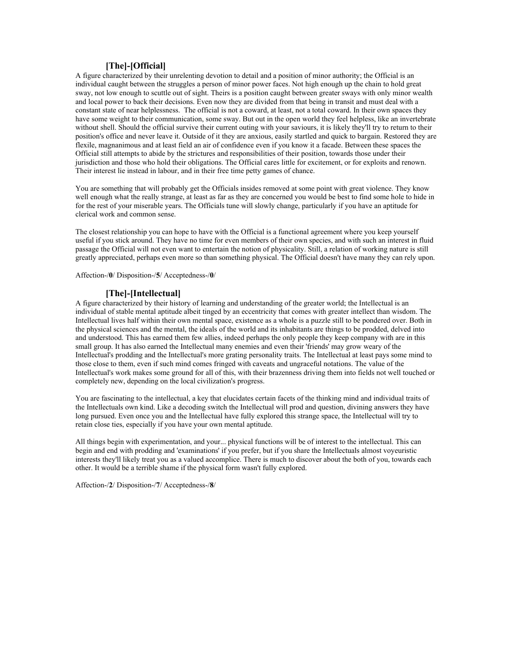## **[The]-[Official]**

A figure characterized by their unrelenting devotion to detail and a position of minor authority; the Official is an individual caught between the struggles a person of minor power faces. Not high enough up the chain to hold great sway, not low enough to scuttle out of sight. Theirs is a position caught between greater sways with only minor wealth and local power to back their decisions. Even now they are divided from that being in transit and must deal with a constant state of near helplessness. The official is not a coward, at least, not a total coward. In their own spaces they have some weight to their communication, some sway. But out in the open world they feel helpless, like an invertebrate without shell. Should the official survive their current outing with your saviours, it is likely they'll try to return to their position's office and never leave it. Outside of it they are anxious, easily startled and quick to bargain. Restored they are flexile, magnanimous and at least field an air of confidence even if you know it a facade. Between these spaces the Official still attempts to abide by the strictures and responsibilities of their position, towards those under their jurisdiction and those who hold their obligations. The Official cares little for excitement, or for exploits and renown. Their interest lie instead in labour, and in their free time petty games of chance.

You are something that will probably get the Officials insides removed at some point with great violence. They know well enough what the really strange, at least as far as they are concerned you would be best to find some hole to hide in for the rest of your miserable years. The Officials tune will slowly change, particularly if you have an aptitude for clerical work and common sense.

The closest relationship you can hope to have with the Official is a functional agreement where you keep yourself useful if you stick around. They have no time for even members of their own species, and with such an interest in fluid passage the Official will not even want to entertain the notion of physicality. Still, a relation of working nature is still greatly appreciated, perhaps even more so than something physical. The Official doesn't have many they can rely upon.

Affection-/**0**/ Disposition-/**5**/ Acceptedness-/**0**/

## **[The]-[Intellectual]**

A figure characterized by their history of learning and understanding of the greater world; the Intellectual is an individual of stable mental aptitude albeit tinged by an eccentricity that comes with greater intellect than wisdom. The Intellectual lives half within their own mental space, existence as a whole is a puzzle still to be pondered over. Both in the physical sciences and the mental, the ideals of the world and its inhabitants are things to be prodded, delved into and understood. This has earned them few allies, indeed perhaps the only people they keep company with are in this small group. It has also earned the Intellectual many enemies and even their 'friends' may grow weary of the Intellectual's prodding and the Intellectual's more grating personality traits. The Intellectual at least pays some mind to those close to them, even if such mind comes fringed with caveats and ungraceful notations. The value of the Intellectual's work makes some ground for all of this, with their brazenness driving them into fields not well touched or completely new, depending on the local civilization's progress.

You are fascinating to the intellectual, a key that elucidates certain facets of the thinking mind and individual traits of the Intellectuals own kind. Like a decoding switch the Intellectual will prod and question, divining answers they have long pursued. Even once you and the Intellectual have fully explored this strange space, the Intellectual will try to retain close ties, especially if you have your own mental aptitude.

All things begin with experimentation, and your... physical functions will be of interest to the intellectual. This can begin and end with prodding and 'examinations' if you prefer, but if you share the Intellectuals almost voyeuristic interests they'll likely treat you as a valued accomplice. There is much to discover about the both of you, towards each other. It would be a terrible shame if the physical form wasn't fully explored.

Affection-/**2**/ Disposition-/**7**/ Acceptedness-/**8**/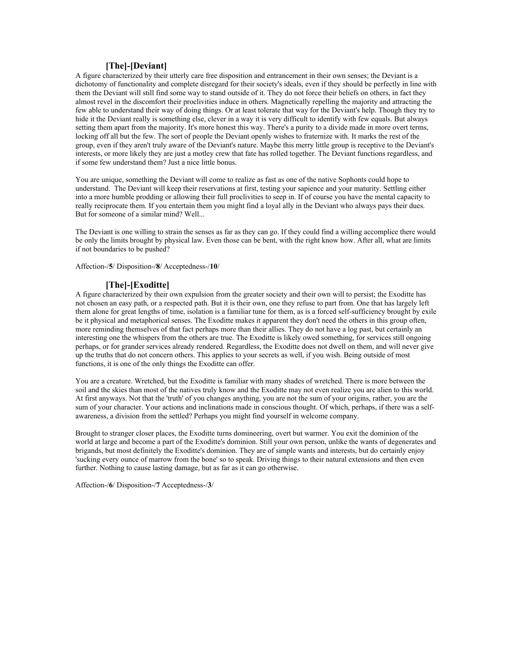## **[The]-[Deviant]**

A figure characterized by their utterly care free disposition and entrancement in their own senses; the Deviant is a dichotomy of functionality and complete disregard for their society's ideals, even if they should be perfectly in line with them the Deviant will still find some way to stand outside of it. They do not force their beliefs on others, in fact they almost revel in the discomfort their proclivities induce in others. Magnetically repelling the majority and attracting the few able to understand their way of doing things. Or at least tolerate that way for the Deviant's help. Though they try to hide it the Deviant really is something else, clever in a way it is very difficult to identify with few equals. But always setting them apart from the majority. It's more honest this way. There's a purity to a divide made in more overt terms, locking off all but the few. The sort of people the Deviant openly wishes to fraternize with. It marks the rest of the group, even if they aren't truly aware of the Deviant's nature. Maybe this merry little group is receptive to the Deviant's interests, or more likely they are just a motley crew that fate has rolled together. The Deviant functions regardless, and if some few understand them? Just a nice little bonus.

You are unique, something the Deviant will come to realize as fast as one of the native Sophonts could hope to understand. The Deviant will keep their reservations at first, testing your sapience and your maturity. Settling either into a more humble prodding or allowing their full proclivities to seep in. If of course you have the mental capacity to really reciprocate them. If you entertain them you might find a loyal ally in the Deviant who always pays their dues. But for someone of a similar mind? Well...

The Deviant is one willing to strain the senses as far as they can go. If they could find a willing accomplice there would be only the limits brought by physical law. Even those can be bent, with the right know how. After all, what are limits if not boundaries to be pushed?

Affection-/**5**/ Disposition-/**8**/ Acceptedness-/**10**/

## **[The]-[Exoditte]**

A figure characterized by their own expulsion from the greater society and their own will to persist; the Exoditte has not chosen an easy path, or a respected path. But it is their own, one they refuse to part from. One that has largely left them alone for great lengths of time, isolation is a familiar tune for them, as is a forced self-sufficiency brought by exile be it physical and metaphorical senses. The Exoditte makes it apparent they don't need the others in this group often, more reminding themselves of that fact perhaps more than their allies. They do not have a log past, but certainly an interesting one the whispers from the others are true. The Exoditte is likely owed something, for services still ongoing perhaps, or for grander services already rendered. Regardless, the Exoditte does not dwell on them, and will never give up the truths that do not concern others. This applies to your secrets as well, if you wish. Being outside of most functions, it is one of the only things the Exoditte can offer.

You are a creature. Wretched, but the Exoditte is familiar with many shades of wretched. There is more between the soil and the skies than most of the natives truly know and the Exoditte may not even realize you are alien to this world. At first anyways. Not that the 'truth' of you changes anything, you are not the sum of your origins, rather, you are the sum of your character. Your actions and inclinations made in conscious thought. Of which, perhaps, if there was a selfawareness, a division from the settled? Perhaps you might find yourself in welcome company.

Brought to stranger closer places, the Exoditte turns domineering, overt but warmer. You exit the dominion of the world at large and become a part of the Exoditte's dominion. Still your own person, unlike the wants of degenerates and brigands, but most definitely the Exoditte's dominion. They are of simple wants and interests, but do certainly enjoy 'sucking every ounce of marrow from the bone' so to speak. Driving things to their natural extensions and then even further. Nothing to cause lasting damage, but as far as it can go otherwise.

Affection-/**6**/ Disposition-/**7** Acceptedness-/**3**/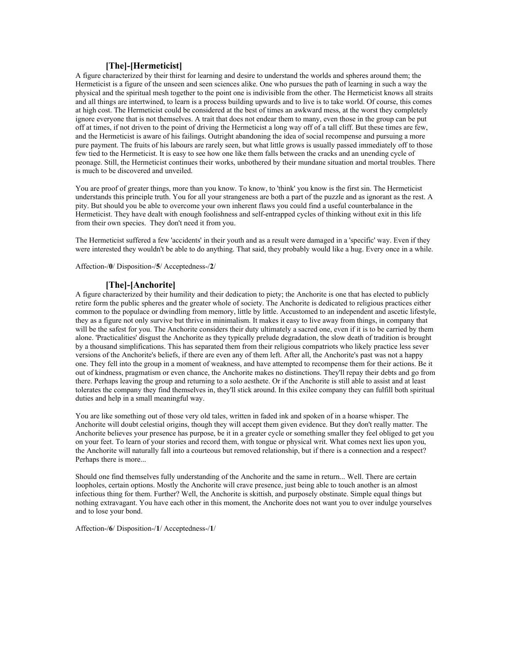## **[The]-[Hermeticist]**

A figure characterized by their thirst for learning and desire to understand the worlds and spheres around them; the Hermeticist is a figure of the unseen and seen sciences alike. One who pursues the path of learning in such a way the physical and the spiritual mesh together to the point one is indivisible from the other. The Hermeticist knows all straits and all things are intertwined, to learn is a process building upwards and to live is to take world. Of course, this comes at high cost. The Hermeticist could be considered at the best of times an awkward mess, at the worst they completely ignore everyone that is not themselves. A trait that does not endear them to many, even those in the group can be put off at times, if not driven to the point of driving the Hermeticist a long way off of a tall cliff. But these times are few, and the Hermeticist is aware of his failings. Outright abandoning the idea of social recompense and pursuing a more pure payment. The fruits of his labours are rarely seen, but what little grows is usually passed immediately off to those few tied to the Hermeticist. It is easy to see how one like them falls between the cracks and an unending cycle of peonage. Still, the Hermeticist continues their works, unbothered by their mundane situation and mortal troubles. There is much to be discovered and unveiled.

You are proof of greater things, more than you know. To know, to 'think' you know is the first sin. The Hermeticist understands this principle truth. You for all your strangeness are both a part of the puzzle and as ignorant as the rest. A pity. But should you be able to overcome your own inherent flaws you could find a useful counterbalance in the Hermeticist. They have dealt with enough foolishness and self-entrapped cycles of thinking without exit in this life from their own species. They don't need it from you.

The Hermeticist suffered a few 'accidents' in their youth and as a result were damaged in a 'specific' way. Even if they were interested they wouldn't be able to do anything. That said, they probably would like a hug. Every once in a while.

Affection-/**0**/ Disposition-/**5**/ Acceptedness-/**2**/

#### **[The]-[Anchorite]**

A figure characterized by their humility and their dedication to piety; the Anchorite is one that has elected to publicly retire form the public spheres and the greater whole of society. The Anchorite is dedicated to religious practices either common to the populace or dwindling from memory, little by little. Accustomed to an independent and ascetic lifestyle, they as a figure not only survive but thrive in minimalism. It makes it easy to live away from things, in company that will be the safest for you. The Anchorite considers their duty ultimately a sacred one, even if it is to be carried by them alone. 'Practicalities' disgust the Anchorite as they typically prelude degradation, the slow death of tradition is brought by a thousand simplifications. This has separated them from their religious compatriots who likely practice less sever versions of the Anchorite's beliefs, if there are even any of them left. After all, the Anchorite's past was not a happy one. They fell into the group in a moment of weakness, and have attempted to recompense them for their actions. Be it out of kindness, pragmatism or even chance, the Anchorite makes no distinctions. They'll repay their debts and go from there. Perhaps leaving the group and returning to a solo aesthete. Or if the Anchorite is still able to assist and at least tolerates the company they find themselves in, they'll stick around. In this exilee company they can fulfill both spiritual duties and help in a small meaningful way.

You are like something out of those very old tales, written in faded ink and spoken of in a hoarse whisper. The Anchorite will doubt celestial origins, though they will accept them given evidence. But they don't really matter. The Anchorite believes your presence has purpose, be it in a greater cycle or something smaller they feel obliged to get you on your feet. To learn of your stories and record them, with tongue or physical writ. What comes next lies upon you, the Anchorite will naturally fall into a courteous but removed relationship, but if there is a connection and a respect? Perhaps there is more...

Should one find themselves fully understanding of the Anchorite and the same in return... Well. There are certain loopholes, certain options. Mostly the Anchorite will crave presence, just being able to touch another is an almost infectious thing for them. Further? Well, the Anchorite is skittish, and purposely obstinate. Simple equal things but nothing extravagant. You have each other in this moment, the Anchorite does not want you to over indulge yourselves and to lose your bond.

Affection-/**6**/ Disposition-/**1**/ Acceptedness-/**1**/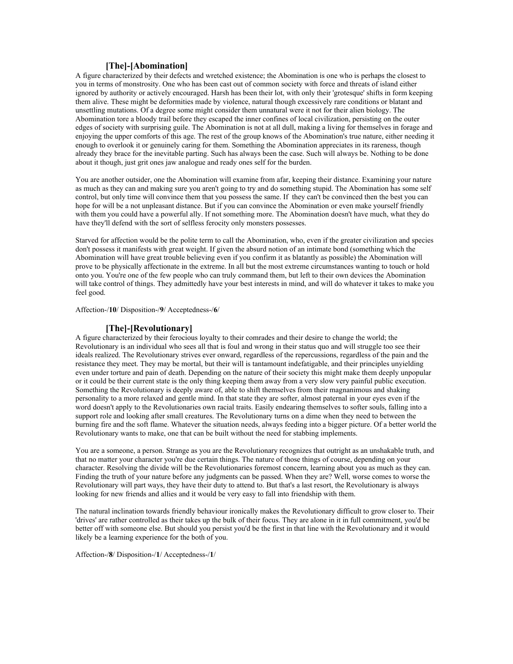### **[The]-[Abomination]**

A figure characterized by their defects and wretched existence; the Abomination is one who is perhaps the closest to you in terms of monstrosity. One who has been cast out of common society with force and threats of island either ignored by authority or actively encouraged. Harsh has been their lot, with only their 'grotesque' shifts in form keeping them alive. These might be deformities made by violence, natural though excessively rare conditions or blatant and unsettling mutations. Of a degree some might consider them unnatural were it not for their alien biology. The Abomination tore a bloody trail before they escaped the inner confines of local civilization, persisting on the outer edges of society with surprising guile. The Abomination is not at all dull, making a living for themselves in forage and enjoying the upper comforts of this age. The rest of the group knows of the Abomination's true nature, either needing it enough to overlook it or genuinely caring for them. Something the Abomination appreciates in its rareness, though already they brace for the inevitable parting. Such has always been the case. Such will always be. Nothing to be done about it though, just grit ones jaw analogue and ready ones self for the burden.

You are another outsider, one the Abomination will examine from afar, keeping their distance. Examining your nature as much as they can and making sure you aren't going to try and do something stupid. The Abomination has some self control, but only time will convince them that you possess the same. If they can't be convinced then the best you can hope for will be a not unpleasant distance. But if you can convince the Abomination or even make yourself friendly with them you could have a powerful ally. If not something more. The Abomination doesn't have much, what they do have they'll defend with the sort of selfless ferocity only monsters possesses.

Starved for affection would be the polite term to call the Abomination, who, even if the greater civilization and species don't possess it manifests with great weight. If given the absurd notion of an intimate bond (something which the Abomination will have great trouble believing even if you confirm it as blatantly as possible) the Abomination will prove to be physically affectionate in the extreme. In all but the most extreme circumstances wanting to touch or hold onto you. You're one of the few people who can truly command them, but left to their own devices the Abomination will take control of things. They admittedly have your best interests in mind, and will do whatever it takes to make you feel good.

Affection-/**10**/ Disposition-/**9**/ Acceptedness-/**6**/

### **[The]-[Revolutionary]**

A figure characterized by their ferocious loyalty to their comrades and their desire to change the world; the Revolutionary is an individual who sees all that is foul and wrong in their status quo and will struggle too see their ideals realized. The Revolutionary strives ever onward, regardless of the repercussions, regardless of the pain and the resistance they meet. They may be mortal, but their will is tantamount indefatigable, and their principles unyielding even under torture and pain of death. Depending on the nature of their society this might make them deeply unpopular or it could be their current state is the only thing keeping them away from a very slow very painful public execution. Something the Revolutionary is deeply aware of, able to shift themselves from their magnanimous and shaking personality to a more relaxed and gentle mind. In that state they are softer, almost paternal in your eyes even if the word doesn't apply to the Revolutionaries own racial traits. Easily endearing themselves to softer souls, falling into a support role and looking after small creatures. The Revolutionary turns on a dime when they need to between the burning fire and the soft flame. Whatever the situation needs, always feeding into a bigger picture. Of a better world the Revolutionary wants to make, one that can be built without the need for stabbing implements.

You are a someone, a person. Strange as you are the Revolutionary recognizes that outright as an unshakable truth, and that no matter your character you're due certain things. The nature of those things of course, depending on your character. Resolving the divide will be the Revolutionaries foremost concern, learning about you as much as they can. Finding the truth of your nature before any judgments can be passed. When they are? Well, worse comes to worse the Revolutionary will part ways, they have their duty to attend to. But that's a last resort, the Revolutionary is always looking for new friends and allies and it would be very easy to fall into friendship with them.

The natural inclination towards friendly behaviour ironically makes the Revolutionary difficult to grow closer to. Their 'drives' are rather controlled as their takes up the bulk of their focus. They are alone in it in full commitment, you'd be better off with someone else. But should you persist you'd be the first in that line with the Revolutionary and it would likely be a learning experience for the both of you.

Affection-/**8**/ Disposition-/**1**/ Acceptedness-/**1**/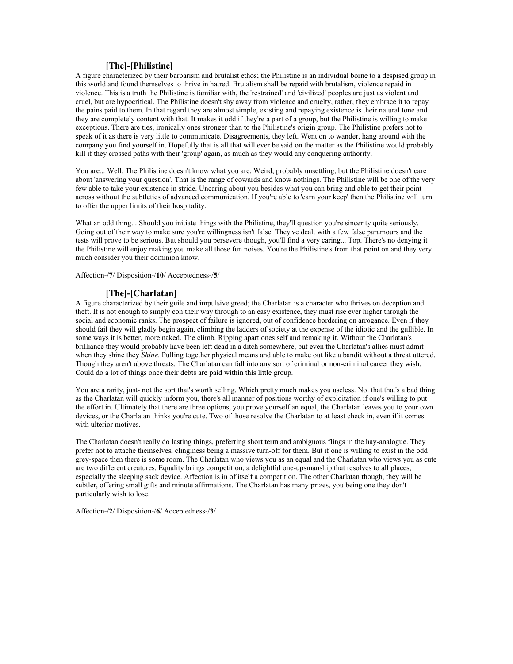### **[The]-[Philistine]**

A figure characterized by their barbarism and brutalist ethos; the Philistine is an individual borne to a despised group in this world and found themselves to thrive in hatred. Brutalism shall be repaid with brutalism, violence repaid in violence. This is a truth the Philistine is familiar with, the 'restrained' and 'civilized' peoples are just as violent and cruel, but are hypocritical. The Philistine doesn't shy away from violence and cruelty, rather, they embrace it to repay the pains paid to them. In that regard they are almost simple, existing and repaying existence is their natural tone and they are completely content with that. It makes it odd if they're a part of a group, but the Philistine is willing to make exceptions. There are ties, ironically ones stronger than to the Philistine's origin group. The Philistine prefers not to speak of it as there is very little to communicate. Disagreements, they left. Went on to wander, hang around with the company you find yourself in. Hopefully that is all that will ever be said on the matter as the Philistine would probably kill if they crossed paths with their 'group' again, as much as they would any conquering authority.

You are... Well. The Philistine doesn't know what you are. Weird, probably unsettling, but the Philistine doesn't care about 'answering your question'. That is the range of cowards and know nothings. The Philistine will be one of the very few able to take your existence in stride. Uncaring about you besides what you can bring and able to get their point across without the subtleties of advanced communication. If you're able to 'earn your keep' then the Philistine will turn to offer the upper limits of their hospitality.

What an odd thing... Should you initiate things with the Philistine, they'll question you're sincerity quite seriously. Going out of their way to make sure you're willingness isn't false. They've dealt with a few false paramours and the tests will prove to be serious. But should you persevere though, you'll find a very caring... Top. There's no denying it the Philistine will enjoy making you make all those fun noises. You're the Philistine's from that point on and they very much consider you their dominion know.

Affection-/**7**/ Disposition-/**10**/ Acceptedness-/**5**/

### **[The]-[Charlatan]**

A figure characterized by their guile and impulsive greed; the Charlatan is a character who thrives on deception and theft. It is not enough to simply con their way through to an easy existence, they must rise ever higher through the social and economic ranks. The prospect of failure is ignored, out of confidence bordering on arrogance. Even if they should fail they will gladly begin again, climbing the ladders of society at the expense of the idiotic and the gullible. In some ways it is better, more naked. The climb. Ripping apart ones self and remaking it. Without the Charlatan's brilliance they would probably have been left dead in a ditch somewhere, but even the Charlatan's allies must admit when they shine they *Shine*. Pulling together physical means and able to make out like a bandit without a threat uttered. Though they aren't above threats. The Charlatan can fall into any sort of criminal or non-criminal career they wish. Could do a lot of things once their debts are paid within this little group.

You are a rarity, just- not the sort that's worth selling. Which pretty much makes you useless. Not that that's a bad thing as the Charlatan will quickly inform you, there's all manner of positions worthy of exploitation if one's willing to put the effort in. Ultimately that there are three options, you prove yourself an equal, the Charlatan leaves you to your own devices, or the Charlatan thinks you're cute. Two of those resolve the Charlatan to at least check in, even if it comes with ulterior motives.

The Charlatan doesn't really do lasting things, preferring short term and ambiguous flings in the hay-analogue. They prefer not to attache themselves, clinginess being a massive turn-off for them. But if one is willing to exist in the odd grey-space then there is some room. The Charlatan who views you as an equal and the Charlatan who views you as cute are two different creatures. Equality brings competition, a delightful one-upsmanship that resolves to all places, especially the sleeping sack device. Affection is in of itself a competition. The other Charlatan though, they will be subtler, offering small gifts and minute affirmations. The Charlatan has many prizes, you being one they don't particularly wish to lose.

Affection-/**2**/ Disposition-/**6**/ Acceptedness-/**3**/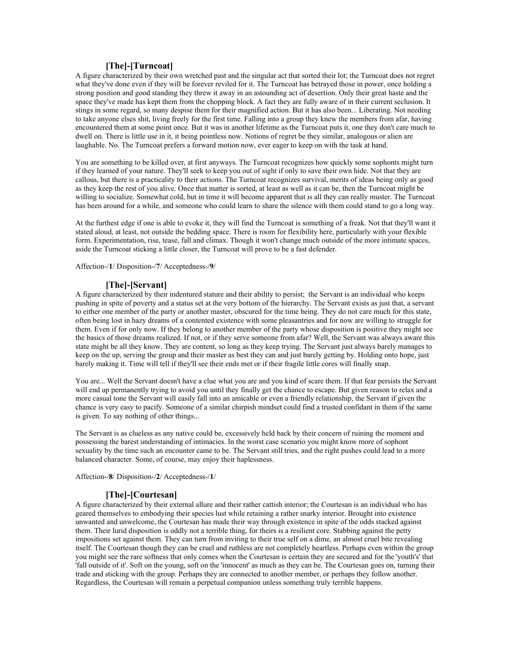### **[The]-[Turncoat]**

A figure characterized by their own wretched past and the singular act that sorted their lot; the Turncoat does not regret what they've done even if they will be forever reviled for it. The Turncoat has betrayed those in power, once holding a strong position and good standing they threw it away in an astounding act of desertion. Only their great haste and the space they've made has kept them from the chopping block. A fact they are fully aware of in their current seclusion. It stings in some regard, so many despise them for their magnified action. But it has also been... Liberating. Not needing to take anyone elses shit, living freely for the first time. Falling into a group they knew the members from afar, having encountered them at some point once. But it was in another lifetime as the Turncoat puts it, one they don't care much to dwell on. There is little use in it, it being pointless now. Notions of regret be they similar, analogous or alien are laughable. No. The Turncoat prefers a forward motion now, ever eager to keep on with the task at hand.

You are something to be killed over, at first anyways. The Turncoat recognizes how quickly some sophonts might turn if they learned of your nature. They'll seek to keep you out of sight if only to save their own hide. Not that they are callous, but there is a practicality to their actions. The Turncoat recognizes survival, merits of ideas being only as good as they keep the rest of you alive. Once that matter is sorted, at least as well as it can be, then the Turncoat might be willing to socialize. Somewhat cold, but in time it will become apparent that is all they can really muster. The Turncoat has been around for a while, and someone who could learn to share the silence with them could stand to go a long way.

At the furthest edge if one is able to evoke it, they will find the Turncoat is something of a freak. Not that they'll want it stated aloud, at least, not outside the bedding space. There is room for flexibility here, particularly with your flexible form. Experimentation, rise, tease, fall and climax. Though it won't change much outside of the more intimate spaces, aside the Turncoat sticking a little closer, the Turncoat will prove to be a fast defender.

Affection-/**1**/ Disposition-/**7**/ Acceptedness-/**9**/

#### **[The]-[Servant]**

A figure characterized by their indentured stature and their ability to persist; the Servant is an individual who keeps pushing in spite of poverty and a status set at the very bottom of the hierarchy. The Servant exists as just that, a servant to either one member of the party or another master, obscured for the time being. They do not care much for this state, often being lost in hazy dreams of a contented existence with some pleasantries and for now are willing to struggle for them. Even if for only now. If they belong to another member of the party whose disposition is positive they might see the basics of those dreams realized. If not, or if they serve someone from afar? Well, the Servant was always aware this state might be all they know. They are content, so long as they keep trying. The Servant just always barely manages to keep on the up, serving the group and their master as best they can and just barely getting by. Holding onto hope, just barely making it. Time will tell if they'll see their ends met or if their fragile little cores will finally snap.

You are... Well the Servant doesn't have a clue what you are and you kind of scare them. If that fear persists the Servant will end up permanently trying to avoid you until they finally get the chance to escape. But given reason to relax and a more casual tone the Servant will easily fall into an amicable or even a friendly relationship, the Servant if given the chance is very easy to pacify. Someone of a similar chirpish mindset could find a trusted confidant in them if the same is given. To say nothing of other things...

The Servant is as clueless as any native could be, excessively held back by their concern of ruining the moment and possessing the barest understanding of intimacies. In the worst case scenario you might know more of sophont sexuality by the time such an encounter came to be. The Servant still tries, and the right pushes could lead to a more balanced character. Some, of course, may enjoy their haplessness.

Affection-/**8**/ Disposition-/**2**/ Acceptedness-/**1**/

### **[The]-[Courtesan]**

A figure characterized by their external allure and their rather cattish interior; the Courtesan is an individual who has geared themselves to embodying their species lust while retaining a rather snarky interior. Brought into existence unwanted and unwelcome, the Courtesan has made their way through existence in spite of the odds stacked against them. Their lurid disposition is oddly not a terrible thing, for theirs is a resilient core. Stabbing against the petty impositions set against them. They can turn from inviting to their true self on a dime, an almost cruel bite revealing itself. The Courtesan though they can be cruel and ruthless are not completely heartless. Perhaps even within the group you might see the rare softness that only comes when the Courtesan is certain they are secured and for the 'youth's' that 'fall outside of it'. Soft on the young, soft on the 'innocent' as much as they can be. The Courtesan goes on, turning their trade and sticking with the group. Perhaps they are connected to another member, or perhaps they follow another. Regardless, the Courtesan will remain a perpetual companion unless something truly terrible happens.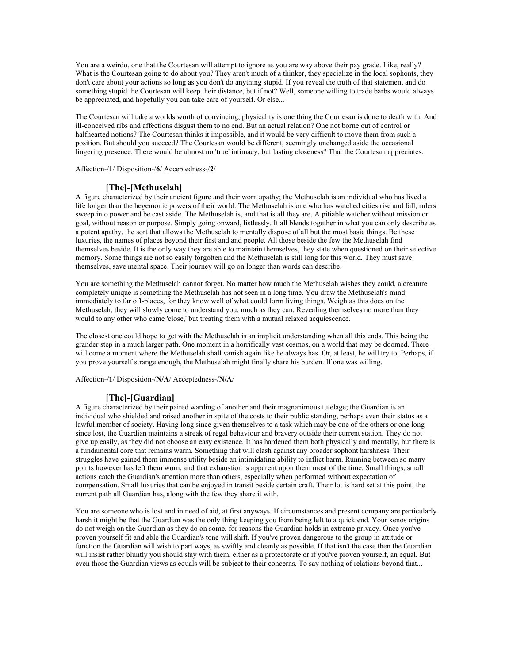You are a weirdo, one that the Courtesan will attempt to ignore as you are way above their pay grade. Like, really? What is the Courtesan going to do about you? They aren't much of a thinker, they specialize in the local sophonts, they don't care about your actions so long as you don't do anything stupid. If you reveal the truth of that statement and do something stupid the Courtesan will keep their distance, but if not? Well, someone willing to trade barbs would always be appreciated, and hopefully you can take care of yourself. Or else...

The Courtesan will take a worlds worth of convincing, physicality is one thing the Courtesan is done to death with. And ill-conceived ribs and affections disgust them to no end. But an actual relation? One not borne out of control or halfhearted notions? The Courtesan thinks it impossible, and it would be very difficult to move them from such a position. But should you succeed? The Courtesan would be different, seemingly unchanged aside the occasional lingering presence. There would be almost no 'true' intimacy, but lasting closeness? That the Courtesan appreciates.

Affection-/**1**/ Disposition-/**6**/ Acceptedness-/**2**/

## **[The]-[Methuselah]**

A figure characterized by their ancient figure and their worn apathy; the Methuselah is an individual who has lived a life longer than the hegemonic powers of their world. The Methuselah is one who has watched cities rise and fall, rulers sweep into power and be cast aside. The Methuselah is, and that is all they are. A pitiable watcher without mission or goal, without reason or purpose. Simply going onward, listlessly. It all blends together in what you can only describe as a potent apathy, the sort that allows the Methuselah to mentally dispose of all but the most basic things. Be these luxuries, the names of places beyond their first and and people. All those beside the few the Methuselah find themselves beside. It is the only way they are able to maintain themselves, they state when questioned on their selective memory. Some things are not so easily forgotten and the Methuselah is still long for this world. They must save themselves, save mental space. Their journey will go on longer than words can describe.

You are something the Methuselah cannot forget. No matter how much the Methuselah wishes they could, a creature completely unique is something the Methuselah has not seen in a long time. You draw the Methuselah's mind immediately to far off-places, for they know well of what could form living things. Weigh as this does on the Methuselah, they will slowly come to understand you, much as they can. Revealing themselves no more than they would to any other who came 'close,' but treating them with a mutual relaxed acquiescence.

The closest one could hope to get with the Methuselah is an implicit understanding when all this ends. This being the grander step in a much larger path. One moment in a horrifically vast cosmos, on a world that may be doomed. There will come a moment where the Methuselah shall vanish again like he always has. Or, at least, he will try to. Perhaps, if you prove yourself strange enough, the Methuselah might finally share his burden. If one was willing.

Affection-/**1**/ Disposition-/**N/A**/ Acceptedness-/**N/A**/

## **[The]-[Guardian]**

A figure characterized by their paired warding of another and their magnanimous tutelage; the Guardian is an individual who shielded and raised another in spite of the costs to their public standing, perhaps even their status as a lawful member of society. Having long since given themselves to a task which may be one of the others or one long since lost, the Guardian maintains a streak of regal behaviour and bravery outside their current station. They do not give up easily, as they did not choose an easy existence. It has hardened them both physically and mentally, but there is a fundamental core that remains warm. Something that will clash against any broader sophont harshness. Their struggles have gained them immense utility beside an intimidating ability to inflict harm. Running between so many points however has left them worn, and that exhaustion is apparent upon them most of the time. Small things, small actions catch the Guardian's attention more than others, especially when performed without expectation of compensation. Small luxuries that can be enjoyed in transit beside certain craft. Their lot is hard set at this point, the current path all Guardian has, along with the few they share it with.

You are someone who is lost and in need of aid, at first anyways. If circumstances and present company are particularly harsh it might be that the Guardian was the only thing keeping you from being left to a quick end. Your xenos origins do not weigh on the Guardian as they do on some, for reasons the Guardian holds in extreme privacy. Once you've proven yourself fit and able the Guardian's tone will shift. If you've proven dangerous to the group in attitude or function the Guardian will wish to part ways, as swiftly and cleanly as possible. If that isn't the case then the Guardian will insist rather bluntly you should stay with them, either as a protectorate or if you've proven yourself, an equal. But even those the Guardian views as equals will be subject to their concerns. To say nothing of relations beyond that...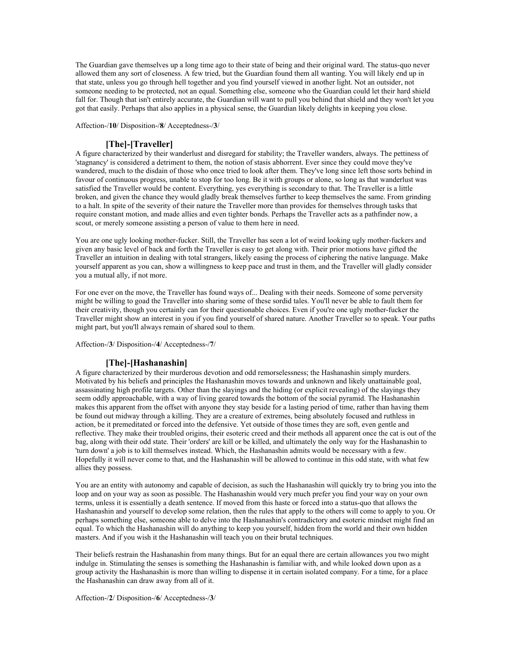The Guardian gave themselves up a long time ago to their state of being and their original ward. The status-quo never allowed them any sort of closeness. A few tried, but the Guardian found them all wanting. You will likely end up in that state, unless you go through hell together and you find yourself viewed in another light. Not an outsider, not someone needing to be protected, not an equal. Something else, someone who the Guardian could let their hard shield fall for. Though that isn't entirely accurate, the Guardian will want to pull you behind that shield and they won't let you got that easily. Perhaps that also applies in a physical sense, the Guardian likely delights in keeping you close.

Affection-/**10**/ Disposition-/**8**/ Acceptedness-/**3**/

## **[The]-[Traveller]**

A figure characterized by their wanderlust and disregard for stability; the Traveller wanders, always. The pettiness of 'stagnancy' is considered a detriment to them, the notion of stasis abhorrent. Ever since they could move they've wandered, much to the disdain of those who once tried to look after them. They've long since left those sorts behind in favour of continuous progress, unable to stop for too long. Be it with groups or alone, so long as that wanderlust was satisfied the Traveller would be content. Everything, yes everything is secondary to that. The Traveller is a little broken, and given the chance they would gladly break themselves further to keep themselves the same. From grinding to a halt. In spite of the severity of their nature the Traveller more than provides for themselves through tasks that require constant motion, and made allies and even tighter bonds. Perhaps the Traveller acts as a pathfinder now, a scout, or merely someone assisting a person of value to them here in need.

You are one ugly looking mother-fucker. Still, the Traveller has seen a lot of weird looking ugly mother-fuckers and given any basic level of back and forth the Traveller is easy to get along with. Their prior motions have gifted the Traveller an intuition in dealing with total strangers, likely easing the process of ciphering the native language. Make yourself apparent as you can, show a willingness to keep pace and trust in them, and the Traveller will gladly consider you a mutual ally, if not more.

For one ever on the move, the Traveller has found ways of... Dealing with their needs. Someone of some perversity might be willing to goad the Traveller into sharing some of these sordid tales. You'll never be able to fault them for their creativity, though you certainly can for their questionable choices. Even if you're one ugly mother-fucker the Traveller might show an interest in you if you find yourself of shared nature. Another Traveller so to speak. Your paths might part, but you'll always remain of shared soul to them.

Affection-/**3**/ Disposition-/**4**/ Acceptedness-/**7**/

## **[The]-[Hashanashin]**

A figure characterized by their murderous devotion and odd remorselessness; the Hashanashin simply murders. Motivated by his beliefs and principles the Hashanashin moves towards and unknown and likely unattainable goal, assassinating high profile targets. Other than the slayings and the hiding (or explicit revealing) of the slayings they seem oddly approachable, with a way of living geared towards the bottom of the social pyramid. The Hashanashin makes this apparent from the offset with anyone they stay beside for a lasting period of time, rather than having them be found out midway through a killing. They are a creature of extremes, being absolutely focused and ruthless in action, be it premeditated or forced into the defensive. Yet outside of those times they are soft, even gentle and reflective. They make their troubled origins, their esoteric creed and their methods all apparent once the cat is out of the bag, along with their odd state. Their 'orders' are kill or be killed, and ultimately the only way for the Hashanashin to 'turn down' a job is to kill themselves instead. Which, the Hashanashin admits would be necessary with a few. Hopefully it will never come to that, and the Hashanashin will be allowed to continue in this odd state, with what few allies they possess.

You are an entity with autonomy and capable of decision, as such the Hashanashin will quickly try to bring you into the loop and on your way as soon as possible. The Hashanashin would very much prefer you find your way on your own terms, unless it is essentially a death sentence. If moved from this haste or forced into a status-quo that allows the Hashanashin and yourself to develop some relation, then the rules that apply to the others will come to apply to you. Or perhaps something else, someone able to delve into the Hashanashin's contradictory and esoteric mindset might find an equal. To which the Hashanashin will do anything to keep you yourself, hidden from the world and their own hidden masters. And if you wish it the Hashanashin will teach you on their brutal techniques.

Their beliefs restrain the Hashanashin from many things. But for an equal there are certain allowances you two might indulge in. Stimulating the senses is something the Hashanashin is familiar with, and while looked down upon as a group activity the Hashanashin is more than willing to dispense it in certain isolated company. For a time, for a place the Hashanashin can draw away from all of it.

Affection-/**2**/ Disposition-/**6**/ Acceptedness-/**3**/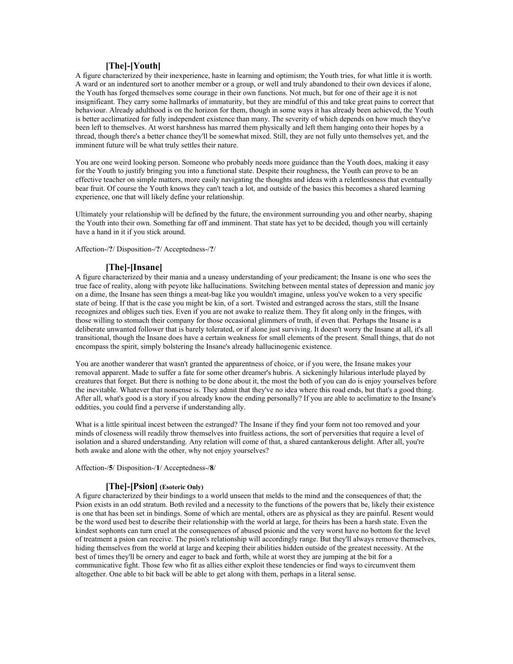## **[The]-[Youth]**

A figure characterized by their inexperience, haste in learning and optimism; the Youth tries, for what little it is worth. A ward or an indentured sort to another member or a group, or well and truly abandoned to their own devices if alone, the Youth has forged themselves some courage in their own functions. Not much, but for one of their age it is not insignificant. They carry some hallmarks of immaturity, but they are mindful of this and take great pains to correct that behaviour. Already adulthood is on the horizon for them, though in some ways it has already been achieved, the Youth is better acclimatized for fully independent existence than many. The severity of which depends on how much they've been left to themselves. At worst harshness has marred them physically and left them hanging onto their hopes by a thread, though there's a better chance they'll be somewhat mixed. Still, they are not fully unto themselves yet, and the imminent future will be what truly settles their nature.

You are one weird looking person. Someone who probably needs more guidance than the Youth does, making it easy for the Youth to justify bringing you into a functional state. Despite their roughness, the Youth can prove to be an effective teacher on simple matters, more easily navigating the thoughts and ideas with a relentlessness that eventually bear fruit. Of course the Youth knows they can't teach a lot, and outside of the basics this becomes a shared learning experience, one that will likely define your relationship.

Ultimately your relationship will be defined by the future, the environment surrounding you and other nearby, shaping the Youth into their own. Something far off and imminent. That state has yet to be decided, though you will certainly have a hand in it if you stick around.

Affection-/**?**/ Disposition-/**?**/ Acceptedness-/**?**/

### **[The]-[Insane]**

A figure characterized by their mania and a uneasy understanding of your predicament; the Insane is one who sees the true face of reality, along with peyote like hallucinations. Switching between mental states of depression and manic joy on a dime, the Insane has seen things a meat-bag like you wouldn't imagine, unless you've woken to a very specific state of being. If that is the case you might be kin, of a sort. Twisted and estranged across the stars, still the Insane recognizes and obliges such ties. Even if you are not awake to realize them. They fit along only in the fringes, with those willing to stomach their company for those occasional glimmers of truth, if even that. Perhaps the Insane is a deliberate unwanted follower that is barely tolerated, or if alone just surviving. It doesn't worry the Insane at all, it's all transitional, though the Insane does have a certain weakness for small elements of the present. Small things, that do not encompass the spirit, simply bolstering the Insane's already hallucinogenic existence.

You are another wanderer that wasn't granted the apparentness of choice, or if you were, the Insane makes your removal apparent. Made to suffer a fate for some other dreamer's hubris. A sickeningly hilarious interlude played by creatures that forget. But there is nothing to be done about it, the most the both of you can do is enjoy yourselves before the inevitable. Whatever that nonsense is. They admit that they've no idea where this road ends, but that's a good thing. After all, what's good is a story if you already know the ending personally? If you are able to acclimatize to the Insane's oddities, you could find a perverse if understanding ally.

What is a little spiritual incest between the estranged? The Insane if they find your form not too removed and your minds of closeness will readily throw themselves into fruitless actions, the sort of perversities that require a level of isolation and a shared understanding. Any relation will come of that, a shared cantankerous delight. After all, you're both awake and alone with the other, why not enjoy yourselves?

Affection-/**5**/ Disposition-/**1**/ Acceptedness-/**8**/

### **[The]-[Psion] (Esoteric Only)**

A figure characterized by their bindings to a world unseen that melds to the mind and the consequences of that; the Psion exists in an odd stratum. Both reviled and a necessity to the functions of the powers that be, likely their existence is one that has been set in bindings. Some of which are mental, others are as physical as they are painful. Resent would be the word used best to describe their relationship with the world at large, for theirs has been a harsh state. Even the kindest sophonts can turn cruel at the consequences of abused psionic and the very worst have no bottom for the level of treatment a psion can receive. The psion's relationship will accordingly range. But they'll always remove themselves, hiding themselves from the world at large and keeping their abilities hidden outside of the greatest necessity. At the best of times they'll be ornery and eager to back and forth, while at worst they are jumping at the bit for a communicative fight. Those few who fit as allies either exploit these tendencies or find ways to circumvent them altogether. One able to bit back will be able to get along with them, perhaps in a literal sense.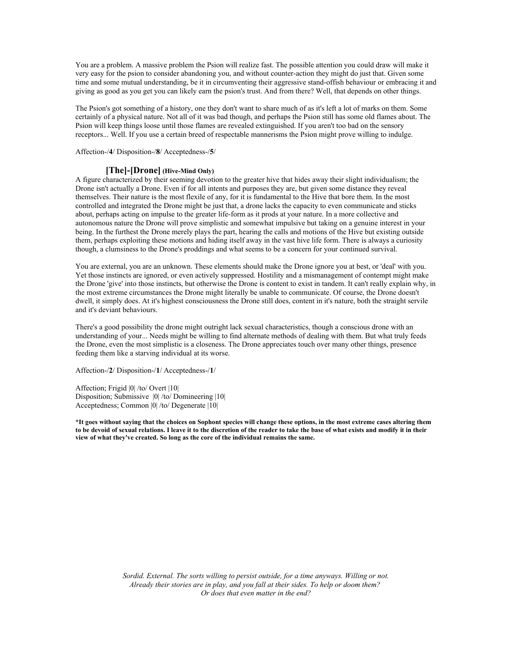You are a problem. A massive problem the Psion will realize fast. The possible attention you could draw will make it very easy for the psion to consider abandoning you, and without counter-action they might do just that. Given some time and some mutual understanding, be it in circumventing their aggressive stand-offish behaviour or embracing it and giving as good as you get you can likely earn the psion's trust. And from there? Well, that depends on other things.

The Psion's got something of a history, one they don't want to share much of as it's left a lot of marks on them. Some certainly of a physical nature. Not all of it was bad though, and perhaps the Psion still has some old flames about. The Psion will keep things loose until those flames are revealed extinguished. If you aren't too bad on the sensory receptors... Well. If you use a certain breed of respectable mannerisms the Psion might prove willing to indulge.

Affection-/**4**/ Disposition-/**8**/ Acceptedness-/**5**/

## **[The]-[Drone] (Hive-Mind Only)**

A figure characterized by their seeming devotion to the greater hive that hides away their slight individualism; the Drone isn't actually a Drone. Even if for all intents and purposes they are, but given some distance they reveal themselves. Their nature is the most flexile of any, for it is fundamental to the Hive that bore them. In the most controlled and integrated the Drone might be just that, a drone lacks the capacity to even communicate and sticks about, perhaps acting on impulse to the greater life-form as it prods at your nature. In a more collective and autonomous nature the Drone will prove simplistic and somewhat impulsive but taking on a genuine interest in your being. In the furthest the Drone merely plays the part, hearing the calls and motions of the Hive but existing outside them, perhaps exploiting these motions and hiding itself away in the vast hive life form. There is always a curiosity though, a clumsiness to the Drone's proddings and what seems to be a concern for your continued survival.

You are external, you are an unknown. These elements should make the Drone ignore you at best, or 'deal' with you. Yet those instincts are ignored, or even actively suppressed. Hostility and a mismanagement of contempt might make the Drone 'give' into those instincts, but otherwise the Drone is content to exist in tandem. It can't really explain why, in the most extreme circumstances the Drone might literally be unable to communicate. Of course, the Drone doesn't dwell, it simply does. At it's highest consciousness the Drone still does, content in it's nature, both the straight servile and it's deviant behaviours.

There's a good possibility the drone might outright lack sexual characteristics, though a conscious drone with an understanding of your... Needs might be willing to find alternate methods of dealing with them. But what truly feeds the Drone, even the most simplistic is a closeness. The Drone appreciates touch over many other things, presence feeding them like a starving individual at its worse.

Affection-/**2**/ Disposition-/**1**/ Acceptedness-/**1**/

Affection; Frigid |0| /to/ Overt |10| Disposition; Submissive |0| /to/ Domineering |10| Acceptedness; Common |0| /to/ Degenerate |10|

**\*It goes without saying that the choices on Sophont species will change these options, in the most extreme cases altering them to be devoid of sexual relations. I leave it to the discretion of the reader to take the base of what exists and modify it in their view of what they've created. So long as the core of the individual remains the same.**

> *Sordid. External. The sorts willing to persist outside, for a time anyways. Willing or not. Already their stories are in play, and you fall at their sides. To help or doom them? Or does that even matter in the end?*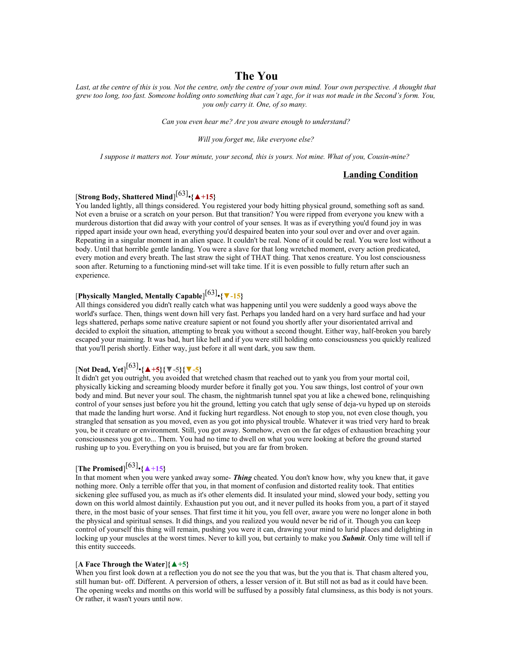## **The You**

*Last, at the centre of this is you. Not the centre, only the centre of your own mind. Your own perspective. A thought that grew too long, too fast. Someone holding onto something that can't age, for it was not made in the Second's form. You, you only carry it. One, of so many.* 

*Can you even hear me? Are you aware enough to understand?*

*Will you forget me, like everyone else?*

*I suppose it matters not. Your minute, your second, this is yours. Not mine. What of you, Cousin-mine?* 

## **Landing Condition**

# [**Strong Body, Shattered Mind**] [63] •**{▲+15}**

You landed lightly, all things considered. You registered your body hitting physical ground, something soft as sand. Not even a bruise or a scratch on your person. But that transition? You were ripped from everyone you knew with a murderous distortion that did away with your control of your senses. It was as if everything you'd found joy in was ripped apart inside your own head, everything you'd despaired beaten into your soul over and over and over again. Repeating in a singular moment in an alien space. It couldn't be real. None of it could be real. You were lost without a body. Until that horrible gentle landing. You were a slave for that long wretched moment, every action predicated, every motion and every breath. The last straw the sight of THAT thing. That xenos creature. You lost consciousness soon after. Returning to a functioning mind-set will take time. If it is even possible to fully return after such an experience.

# [**Physically Mangled, Mentally Capable**] [63] •**{▼-15}**

All things considered you didn't really catch what was happening until you were suddenly a good ways above the world's surface. Then, things went down hill very fast. Perhaps you landed hard on a very hard surface and had your legs shattered, perhaps some native creature sapient or not found you shortly after your disorientated arrival and decided to exploit the situation, attempting to break you without a second thought. Either way, half-broken you barely escaped your maiming. It was bad, hurt like hell and if you were still holding onto consciousness you quickly realized that you'll perish shortly. Either way, just before it all went dark, you saw them.

# [**Not Dead, Yet**] [63] •**{▲+5}{▼-5}{▼-5}**

It didn't get you outright, you avoided that wretched chasm that reached out to yank you from your mortal coil, physically kicking and screaming bloody murder before it finally got you. You saw things, lost control of your own body and mind. But never your soul. The chasm, the nightmarish tunnel spat you at like a chewed bone, relinquishing control of your senses just before you hit the ground, letting you catch that ugly sense of deja-vu hyped up on steroids that made the landing hurt worse. And it fucking hurt regardless. Not enough to stop you, not even close though, you strangled that sensation as you moved, even as you got into physical trouble. Whatever it was tried very hard to break you, be it creature or environment. Still, you got away. Somehow, even on the far edges of exhaustion breaching your consciousness you got to... Them. You had no time to dwell on what you were looking at before the ground started rushing up to you. Everything on you is bruised, but you are far from broken.

# [**The Promised**] [63] •**{▲+15}**

In that moment when you were yanked away some- *Thing* cheated. You don't know how, why you knew that, it gave nothing more. Only a terrible offer that you, in that moment of confusion and distorted reality took. That entities sickening glee suffused you, as much as it's other elements did. It insulated your mind, slowed your body, setting you down on this world almost daintily. Exhaustion put you out, and it never pulled its hooks from you, a part of it stayed there, in the most basic of your senses. That first time it hit you, you fell over, aware you were no longer alone in both the physical and spiritual senses. It did things, and you realized you would never be rid of it. Though you can keep control of yourself this thing will remain, pushing you were it can, drawing your mind to lurid places and delighting in locking up your muscles at the worst times. Never to kill you, but certainly to make you *Submit*. Only time will tell if this entity succeeds.

#### [**A Face Through the Water**]**{▲+5}**

When you first look down at a reflection you do not see the you that was, but the you that is. That chasm altered you, still human but- off. Different. A perversion of others, a lesser version of it. But still not as bad as it could have been. The opening weeks and months on this world will be suffused by a possibly fatal clumsiness, as this body is not yours. Or rather, it wasn't yours until now.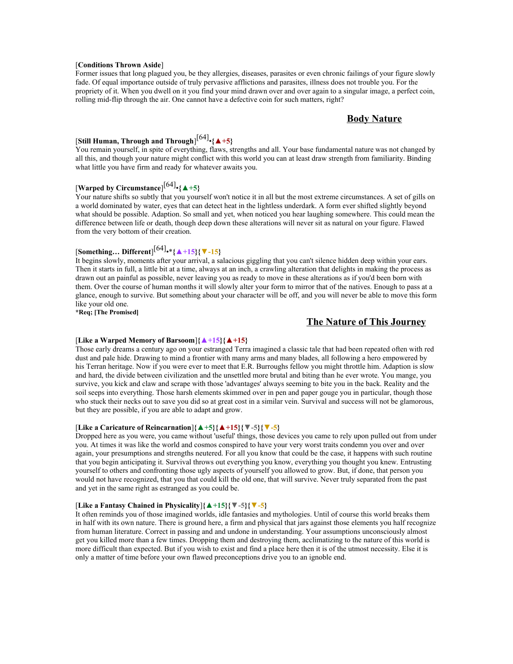### [**Conditions Thrown Aside**]

Former issues that long plagued you, be they allergies, diseases, parasites or even chronic failings of your figure slowly fade. Of equal importance outside of truly pervasive afflictions and parasites, illness does not trouble you. For the propriety of it. When you dwell on it you find your mind drawn over and over again to a singular image, a perfect coin, rolling mid-flip through the air. One cannot have a defective coin for such matters, right?

## **Body Nature**

# [**Still Human, Through and Through**] [64] •**{▲+5}**

You remain yourself, in spite of everything, flaws, strengths and all. Your base fundamental nature was not changed by all this, and though your nature might conflict with this world you can at least draw strength from familiarity. Binding what little you have firm and ready for whatever awaits you.

# [**Warped by Circumstance**] [64] •**{▲+5}**

Your nature shifts so subtly that you yourself won't notice it in all but the most extreme circumstances. A set of gills on a world dominated by water, eyes that can detect heat in the lightless underdark. A form ever shifted slightly beyond what should be possible. Adaption. So small and yet, when noticed you hear laughing somewhere. This could mean the difference between life or death, though deep down these alterations will never sit as natural on your figure. Flawed from the very bottom of their creation.

# [**Something… Different**] [64]•\***{▲+15}{▼-15}**

It begins slowly, moments after your arrival, a salacious giggling that you can't silence hidden deep within your ears. Then it starts in full, a little bit at a time, always at an inch, a crawling alteration that delights in making the process as drawn out an painful as possible, never leaving you as ready to move in these alterations as if you'd been born with them. Over the course of human months it will slowly alter your form to mirror that of the natives. Enough to pass at a glance, enough to survive. But something about your character will be off, and you will never be able to move this form like your old one.

**\*Req; [The Promised]**

### **The Nature of This Journey**

#### [**Like a Warped Memory of Barsoom**]**{▲+15}{▲+15}**

Those early dreams a century ago on your estranged Terra imagined a classic tale that had been repeated often with red dust and pale hide. Drawing to mind a frontier with many arms and many blades, all following a hero empowered by his Terran heritage. Now if you were ever to meet that E.R. Burroughs fellow you might throttle him. Adaption is slow and hard, the divide between civilization and the unsettled more brutal and biting than he ever wrote. You mange, you survive, you kick and claw and scrape with those 'advantages' always seeming to bite you in the back. Reality and the soil seeps into everything. Those harsh elements skimmed over in pen and paper gouge you in particular, though those who stuck their necks out to save you did so at great cost in a similar vein. Survival and success will not be glamorous, but they are possible, if you are able to adapt and grow.

## [**Like a Caricature of Reincarnation**]**{▲+5}{▲+15}{▼-5}{▼-5}**

Dropped here as you were, you came without 'useful' things, those devices you came to rely upon pulled out from under you. At times it was like the world and cosmos conspired to have your very worst traits condemn you over and over again, your presumptions and strengths neutered. For all you know that could be the case, it happens with such routine that you begin anticipating it. Survival throws out everything you know, everything you thought you knew. Entrusting yourself to others and confronting those ugly aspects of yourself you allowed to grow. But, if done, that person you would not have recognized, that you that could kill the old one, that will survive. Never truly separated from the past and yet in the same right as estranged as you could be.

#### [**Like a Fantasy Chained in Physicality**]**{▲+15}{▼-5}{▼-5}**

It often reminds you of those imagined worlds, idle fantasies and mythologies. Until of course this world breaks them in half with its own nature. There is ground here, a firm and physical that jars against those elements you half recognize from human literature. Correct in passing and and undone in understanding. Your assumptions unconsciously almost get you killed more than a few times. Dropping them and destroying them, acclimatizing to the nature of this world is more difficult than expected. But if you wish to exist and find a place here then it is of the utmost necessity. Else it is only a matter of time before your own flawed preconceptions drive you to an ignoble end.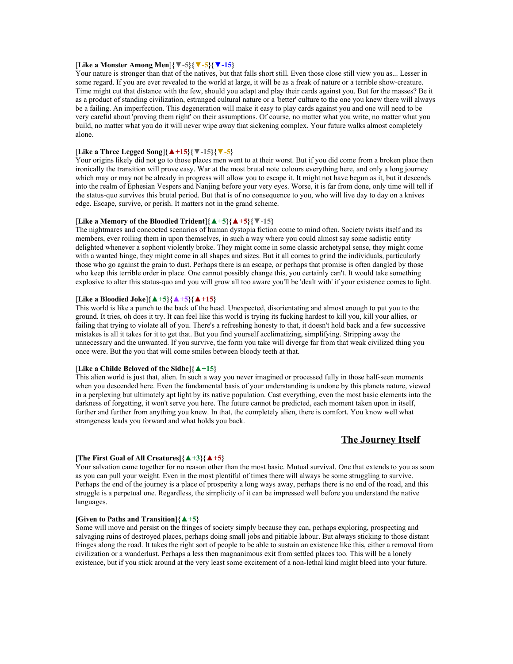### [**Like a Monster Among Men**]**{▼-5}{▼-5}{▼-15}**

Your nature is stronger than that of the natives, but that falls short still. Even those close still view you as... Lesser in some regard. If you are ever revealed to the world at large, it will be as a freak of nature or a terrible show-creature. Time might cut that distance with the few, should you adapt and play their cards against you. But for the masses? Be it as a product of standing civilization, estranged cultural nature or a 'better' culture to the one you knew there will always be a failing. An imperfection. This degeneration will make it easy to play cards against you and one will need to be very careful about 'proving them right' on their assumptions. Of course, no matter what you write, no matter what you build, no matter what you do it will never wipe away that sickening complex. Your future walks almost completely alone.

### [**Like a Three Legged Song**]**{▲+15}{▼-15}{▼-5}**

Your origins likely did not go to those places men went to at their worst. But if you did come from a broken place then ironically the transition will prove easy. War at the most brutal note colours everything here, and only a long journey which may or may not be already in progress will allow you to escape it. It might not have begun as it, but it descends into the realm of Ephesian Vespers and Nanjing before your very eyes. Worse, it is far from done, only time will tell if the status-quo survives this brutal period. But that is of no consequence to you, who will live day to day on a knives edge. Escape, survive, or perish. It matters not in the grand scheme.

#### [**Like a Memory of the Bloodied Trident**]**{▲+5}{▲+5}{▼-15}**

The nightmares and concocted scenarios of human dystopia fiction come to mind often. Society twists itself and its members, ever roiling them in upon themselves, in such a way where you could almost say some sadistic entity delighted whenever a sophont violently broke. They might come in some classic archetypal sense, they might come with a wanted hinge, they might come in all shapes and sizes. But it all comes to grind the individuals, particularly those who go against the grain to dust. Perhaps there is an escape, or perhaps that promise is often dangled by those who keep this terrible order in place. One cannot possibly change this, you certainly can't. It would take something explosive to alter this status-quo and you will grow all too aware you'll be 'dealt with' if your existence comes to light.

### [**Like a Bloodied Joke**]**{▲+5}{▲+5}{▲+15}**

This world is like a punch to the back of the head. Unexpected, disorientating and almost enough to put you to the ground. It tries, oh does it try. It can feel like this world is trying its fucking hardest to kill you, kill your allies, or failing that trying to violate all of you. There's a refreshing honesty to that, it doesn't hold back and a few successive mistakes is all it takes for it to get that. But you find yourself acclimatizing, simplifying. Stripping away the unnecessary and the unwanted. If you survive, the form you take will diverge far from that weak civilized thing you once were. But the you that will come smiles between bloody teeth at that.

## [**Like a Childe Beloved of the Sidhe**]**{▲+15}**

This alien world is just that, alien. In such a way you never imagined or processed fully in those half-seen moments when you descended here. Even the fundamental basis of your understanding is undone by this planets nature, viewed in a perplexing but ultimately apt light by its native population. Cast everything, even the most basic elements into the darkness of forgetting, it won't serve you here. The future cannot be predicted, each moment taken upon in itself, further and further from anything you knew. In that, the completely alien, there is comfort. You know well what strangeness leads you forward and what holds you back.

## **The Journey Itself**

#### **[The First Goal of All Creatures]{▲+3}{▲+5}**

Your salvation came together for no reason other than the most basic. Mutual survival. One that extends to you as soon as you can pull your weight. Even in the most plentiful of times there will always be some struggling to survive. Perhaps the end of the journey is a place of prosperity a long ways away, perhaps there is no end of the road, and this struggle is a perpetual one. Regardless, the simplicity of it can be impressed well before you understand the native languages.

#### **[Given to Paths and Transition]{▲+5}**

Some will move and persist on the fringes of society simply because they can, perhaps exploring, prospecting and salvaging ruins of destroyed places, perhaps doing small jobs and pitiable labour. But always sticking to those distant fringes along the road. It takes the right sort of people to be able to sustain an existence like this, either a removal from civilization or a wanderlust. Perhaps a less then magnanimous exit from settled places too. This will be a lonely existence, but if you stick around at the very least some excitement of a non-lethal kind might bleed into your future.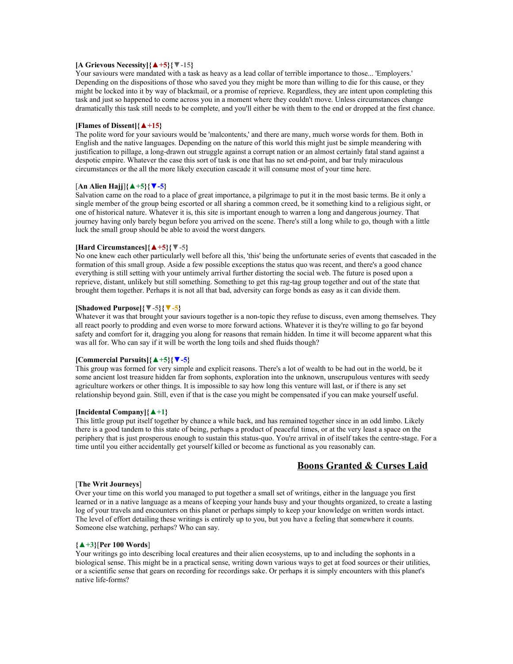## **[A Grievous Necessity]{▲+5}{▼-15}**

Your saviours were mandated with a task as heavy as a lead collar of terrible importance to those... 'Employers.' Depending on the dispositions of those who saved you they might be more than willing to die for this cause, or they might be locked into it by way of blackmail, or a promise of reprieve. Regardless, they are intent upon completing this task and just so happened to come across you in a moment where they couldn't move. Unless circumstances change dramatically this task still needs to be complete, and you'll either be with them to the end or dropped at the first chance.

#### **[Flames of Dissent]{▲+15}**

The polite word for your saviours would be 'malcontents,' and there are many, much worse words for them. Both in English and the native languages. Depending on the nature of this world this might just be simple meandering with justification to pillage, a long-drawn out struggle against a corrupt nation or an almost certainly fatal stand against a despotic empire. Whatever the case this sort of task is one that has no set end-point, and bar truly miraculous circumstances or the all the more likely execution cascade it will consume most of your time here.

#### [**An Alien Hajj**]**{▲+5}{▼-5}**

Salvation came on the road to a place of great importance, a pilgrimage to put it in the most basic terms. Be it only a single member of the group being escorted or all sharing a common creed, be it something kind to a religious sight, or one of historical nature. Whatever it is, this site is important enough to warren a long and dangerous journey. That journey having only barely begun before you arrived on the scene. There's still a long while to go, though with a little luck the small group should be able to avoid the worst dangers.

### **[Hard Circumstances]{▲+5}{▼-5}**

No one knew each other particularly well before all this, 'this' being the unfortunate series of events that cascaded in the formation of this small group. Aside a few possible exceptions the status quo was recent, and there's a good chance everything is still setting with your untimely arrival further distorting the social web. The future is posed upon a reprieve, distant, unlikely but still something. Something to get this rag-tag group together and out of the state that brought them together. Perhaps it is not all that bad, adversity can forge bonds as easy as it can divide them.

## **[Shadowed Purpose]{▼-5}{▼-5}**

Whatever it was that brought your saviours together is a non-topic they refuse to discuss, even among themselves. They all react poorly to prodding and even worse to more forward actions. Whatever it is they're willing to go far beyond safety and comfort for it, dragging you along for reasons that remain hidden. In time it will become apparent what this was all for. Who can say if it will be worth the long toils and shed fluids though?

### **[Commercial Pursuits]{▲+5}{▼-5}**

This group was formed for very simple and explicit reasons. There's a lot of wealth to be had out in the world, be it some ancient lost treasure hidden far from sophonts, exploration into the unknown, unscrupulous ventures with seedy agriculture workers or other things. It is impossible to say how long this venture will last, or if there is any set relationship beyond gain. Still, even if that is the case you might be compensated if you can make yourself useful.

## **[Incidental Company]{▲+1}**

This little group put itself together by chance a while back, and has remained together since in an odd limbo. Likely there is a good tandem to this state of being, perhaps a product of peaceful times, or at the very least a space on the periphery that is just prosperous enough to sustain this status-quo. You're arrival in of itself takes the centre-stage. For a time until you either accidentally get yourself killed or become as functional as you reasonably can.

# **Boons Granted & Curses Laid**

#### [**The Writ Journeys**]

Over your time on this world you managed to put together a small set of writings, either in the language you first learned or in a native language as a means of keeping your hands busy and your thoughts organized, to create a lasting log of your travels and encounters on this planet or perhaps simply to keep your knowledge on written words intact. The level of effort detailing these writings is entirely up to you, but you have a feeling that somewhere it counts. Someone else watching, perhaps? Who can say.

## **{▲+3}**[**Per 100 Words**]

Your writings go into describing local creatures and their alien ecosystems, up to and including the sophonts in a biological sense. This might be in a practical sense, writing down various ways to get at food sources or their utilities, or a scientific sense that gears on recording for recordings sake. Or perhaps it is simply encounters with this planet's native life-forms?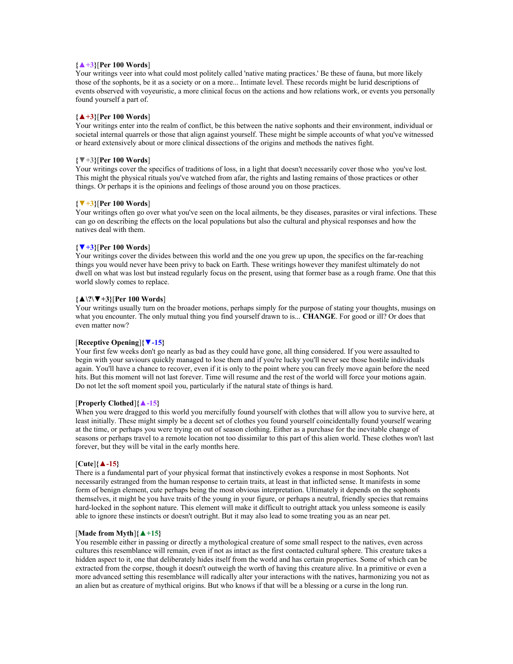### **{▲+3}**[**Per 100 Words**]

Your writings veer into what could most politely called 'native mating practices.' Be these of fauna, but more likely those of the sophonts, be it as a society or on a more... Intimate level. These records might be lurid descriptions of events observed with voyeuristic, a more clinical focus on the actions and how relations work, or events you personally found yourself a part of.

#### **{▲+3}**[**Per 100 Words**]

Your writings enter into the realm of conflict, be this between the native sophonts and their environment, individual or societal internal quarrels or those that align against yourself. These might be simple accounts of what you've witnessed or heard extensively about or more clinical dissections of the origins and methods the natives fight.

#### **{▼+3}**[**Per 100 Words**]

Your writings cover the specifics of traditions of loss, in a light that doesn't necessarily cover those who you've lost. This might the physical rituals you've watched from afar, the rights and lasting remains of those practices or other things. Or perhaps it is the opinions and feelings of those around you on those practices.

## **{▼+3}**[**Per 100 Words**]

Your writings often go over what you've seen on the local ailments, be they diseases, parasites or viral infections. These can go on describing the effects on the local populations but also the cultural and physical responses and how the natives deal with them.

#### **{▼+3}**[**Per 100 Words**]

Your writings cover the divides between this world and the one you grew up upon, the specifics on the far-reaching things you would never have been privy to back on Earth. These writings however they manifest ultimately do not dwell on what was lost but instead regularly focus on the present, using that former base as a rough frame. One that this world slowly comes to replace.

#### **{▲\?\▼+3}**[**Per 100 Words**]

Your writings usually turn on the broader motions, perhaps simply for the purpose of stating your thoughts, musings on what you encounter. The only mutual thing you find yourself drawn to is... **CHANGE**. For good or ill? Or does that even matter now?

#### [**Receptive Opening**]**{▼-15}**

Your first few weeks don't go nearly as bad as they could have gone, all thing considered. If you were assaulted to begin with your saviours quickly managed to lose them and if you're lucky you'll never see those hostile individuals again. You'll have a chance to recover, even if it is only to the point where you can freely move again before the need hits. But this moment will not last forever. Time will resume and the rest of the world will force your motions again. Do not let the soft moment spoil you, particularly if the natural state of things is hard.

#### [**Properly Clothed**]**{▲-15}**

When you were dragged to this world you mercifully found yourself with clothes that will allow you to survive here, at least initially. These might simply be a decent set of clothes you found yourself coincidentally found yourself wearing at the time, or perhaps you were trying on out of season clothing. Either as a purchase for the inevitable change of seasons or perhaps travel to a remote location not too dissimilar to this part of this alien world. These clothes won't last forever, but they will be vital in the early months here.

#### [**Cute**]**{▲-15}**

There is a fundamental part of your physical format that instinctively evokes a response in most Sophonts. Not necessarily estranged from the human response to certain traits, at least in that inflicted sense. It manifests in some form of benign element, cute perhaps being the most obvious interpretation. Ultimately it depends on the sophonts themselves, it might be you have traits of the young in your figure, or perhaps a neutral, friendly species that remains hard-locked in the sophont nature. This element will make it difficult to outright attack you unless someone is easily able to ignore these instincts or doesn't outright. But it may also lead to some treating you as an near pet.

#### [**Made from Myth**]**{▲+15}**

You resemble either in passing or directly a mythological creature of some small respect to the natives, even across cultures this resemblance will remain, even if not as intact as the first contacted cultural sphere. This creature takes a hidden aspect to it, one that deliberately hides itself from the world and has certain properties. Some of which can be extracted from the corpse, though it doesn't outweigh the worth of having this creature alive. In a primitive or even a more advanced setting this resemblance will radically alter your interactions with the natives, harmonizing you not as an alien but as creature of mythical origins. But who knows if that will be a blessing or a curse in the long run.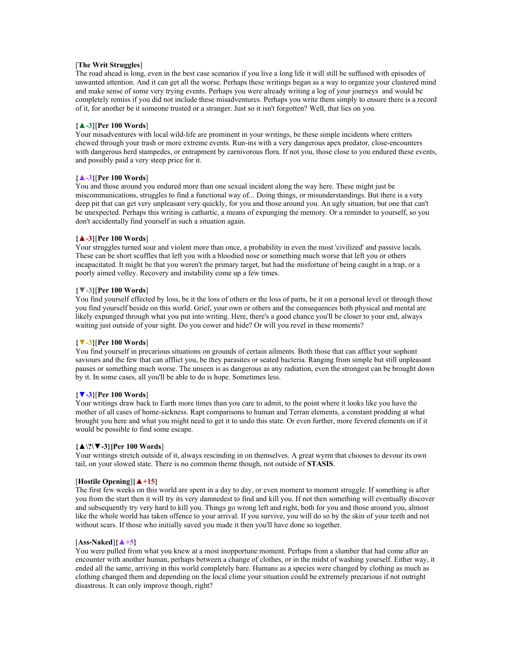## [**The Writ Struggles**]

The road ahead is long, even in the best case scenarios if you live a long life it will still be suffused with episodes of unwanted attention. And it can get all the worse. Perhaps these writings began as a way to organize your clustered mind and make sense of some very trying events. Perhaps you were already writing a log of your journeys and would be completely remiss if you did not include these misadventures. Perhaps you write them simply to ensure there is a record of it, for another be it someone trusted or a stranger. Just so it isn't forgotten? Well, that lies on you.

## **{▲-3}**[**Per 100 Words**]

Your misadventures with local wild-life are prominent in your writings, be these simple incidents where critters chewed through your trash or more extreme events. Run-ins with a very dangerous apex predator, close-encounters with dangerous herd stampedes, or entrapment by carnivorous flora. If not you, those close to you endured these events, and possibly paid a very steep price for it.

## **{▲-3}**[**Per 100 Words**]

You and those around you endured more than one sexual incident along the way here. These might just be miscommunications, struggles to find a functional way of... Doing things, or misunderstandings. But there is a very deep pit that can get very unpleasant very quickly, for you and those around you. An ugly situation, but one that can't be unexpected. Perhaps this writing is cathartic, a means of expunging the memory. Or a reminder to yourself, so you don't accidentally find yourself in such a situation again.

## **{▲-3}**[**Per 100 Words**]

Your struggles turned sour and violent more than once, a probability in even the most 'civilized' and passive locals. These can be short scuffles that left you with a bloodied nose or something much worse that left you or others incapacitated. It might be that you weren't the primary target, but had the misfortune of being caught in a trap, or a poorly aimed volley. Recovery and instability come up a few times.

## **{▼-3}**[**Per 100 Words**]

You find yourself effected by loss, be it the loss of others or the loss of parts, be it on a personal level or through those you find yourself beside on this world. Grief, your own or others and the consequences both physical and mental are likely expunged through what you put into writing. Here, there's a good chance you'll be closer to your end, always waiting just outside of your sight. Do you cower and hide? Or will you revel in these moments?

## **{▼-3}**[**Per 100 Words**]

You find yourself in precarious situations on grounds of certain ailments. Both those that can afflict your sophont saviours and the few that can afflict you, be they parasites or seated bacteria. Ranging from simple but still unpleasant pauses or something much worse. The unseen is as dangerous as any radiation, even the strongest can be brought down by it. In some cases, all you'll be able to do is hope. Sometimes less.

## **{▼-3}**[**Per 100 Words**]

Your writings draw back to Earth more times than you care to admit, to the point where it looks like you have the mother of all cases of home-sickness. Rapt comparisons to human and Terran elements, a constant prodding at what brought you here and what you might need to get it to undo this state. Or even further, more fevered elements on if it would be possible to find some escape.

## **{▲\?\▼-3}[Per 100 Words**]

Your writings stretch outside of it, always rescinding in on themselves. A great wyrm that chooses to devour its own tail, on your slowed state. There is no common theme though, not outside of **STASIS**.

#### [**Hostile Opening**]**{▲+15}**

The first few weeks on this world are spent in a day to day, or even moment to moment struggle. If something is after you from the start then it will try its very damnedest to find and kill you. If not then something will eventually discover and subsequently try very hard to kill you. Things go wrong left and right, both for you and those around you, almost like the whole world has taken offence to your arrival. If you survive, you will do so by the skin of your teeth and not without scars. If those who initially saved you made it then you'll have done so together.

## [**Ass-Naked**]**{▲+5}**

You were pulled from what you knew at a most inopportune moment. Perhaps from a slumber that had come after an encounter with another human, perhaps between a change of clothes, or in the midst of washing yourself. Either way, it ended all the same, arriving in this world completely bare. Humans as a species were changed by clothing as much as clothing changed them and depending on the local clime your situation could be extremely precarious if not outright disastrous. It can only improve though, right?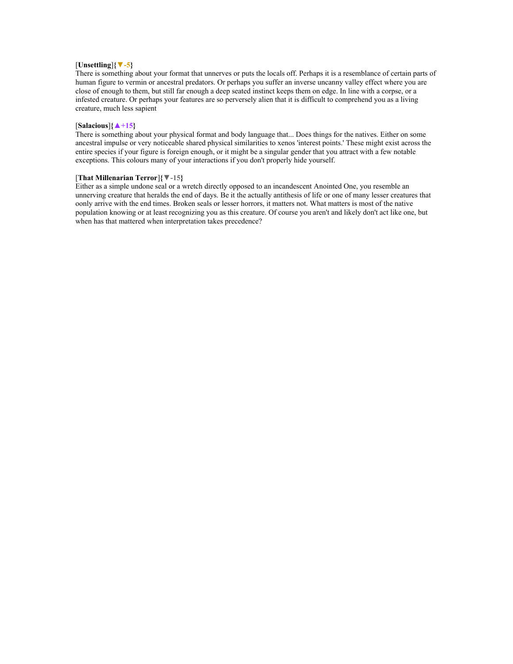## [**Unsettling**]**{▼-5}**

There is something about your format that unnerves or puts the locals off. Perhaps it is a resemblance of certain parts of human figure to vermin or ancestral predators. Or perhaps you suffer an inverse uncanny valley effect where you are close of enough to them, but still far enough a deep seated instinct keeps them on edge. In line with a corpse, or a infested creature. Or perhaps your features are so perversely alien that it is difficult to comprehend you as a living creature, much less sapient

#### [**Salacious**]**{▲+15}**

There is something about your physical format and body language that... Does things for the natives. Either on some ancestral impulse or very noticeable shared physical similarities to xenos 'interest points.' These might exist across the entire species if your figure is foreign enough, or it might be a singular gender that you attract with a few notable exceptions. This colours many of your interactions if you don't properly hide yourself.

### [**That Millenarian Terror**]**{▼-15}**

Either as a simple undone seal or a wretch directly opposed to an incandescent Anointed One, you resemble an unnerving creature that heralds the end of days. Be it the actually antithesis of life or one of many lesser creatures that oonly arrive with the end times. Broken seals or lesser horrors, it matters not. What matters is most of the native population knowing or at least recognizing you as this creature. Of course you aren't and likely don't act like one, but when has that mattered when interpretation takes precedence?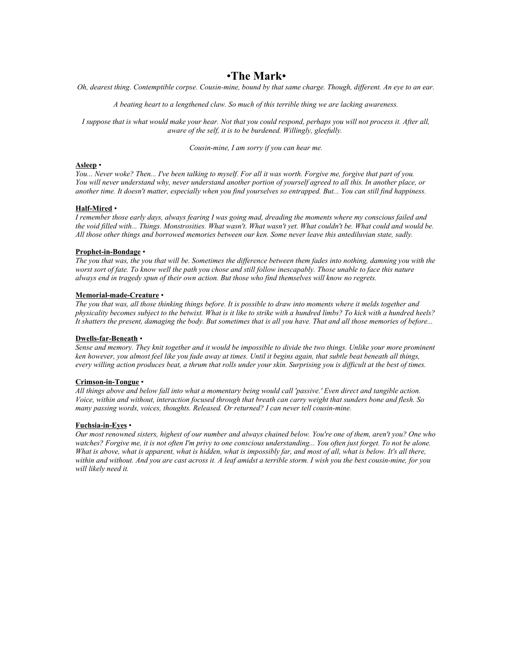# •**The Mark**•

*Oh, dearest thing. Contemptible corpse. Cousin-mine, bound by that same charge. Though, different. An eye to an ear.*

*A beating heart to a lengthened claw. So much of this terrible thing we are lacking awareness.*

*I suppose that is what would make your hear. Not that you could respond, perhaps you will not process it. After all, aware of the self, it is to be burdened. Willingly, gleefully.* 

*Cousin-mine, I am sorry if you can hear me.*

#### **Asleep** •

*You... Never woke? Then... I've been talking to myself. For all it was worth. Forgive me, forgive that part of you. You will never understand why, never understand another portion of yourself agreed to all this. In another place, or another time. It doesn't matter, especially when you find yourselves so entrapped. But... You can still find happiness.* 

#### **Half-Mired** •

*I remember those early days, always fearing I was going mad, dreading the moments where my conscious failed and*  the void filled with... Things. Monstrosities. What wasn't. What wasn't yet. What couldn't be. What could and would be. *All those other things and borrowed memories between our ken. Some never leave this antediluvian state, sadly.* 

#### **Prophet-in-Bondage** •

*The you that was, the you that will be. Sometimes the difference between them fades into nothing, damning you with the* worst sort of fate. To know well the path you chose and still follow inescapably. Those unable to face this nature *always end in tragedy spun of their own action. But those who find themselves will know no regrets.*

#### **Memorial-made-Creature** •

*The you that was, all those thinking things before. It is possible to draw into moments where it melds together and physicality becomes subject to the betwixt. What is it like to strike with a hundred limbs? To kick with a hundred heels? It shatters the present, damaging the body. But sometimes that is all you have. That and all those memories of before...*

#### **Dwells-far-Beneath** •

*Sense and memory. They knit together and it would be impossible to divide the two things. Unlike your more prominent ken however, you almost feel like you fade away at times. Until it begins again, that subtle beat beneath all things, every willing action produces beat, a thrum that rolls under your skin. Surprising you is difficult at the best of times.*

#### **Crimson-in-Tongue** •

*All things above and below fall into what a momentary being would call 'passive.' Even direct and tangible action. Voice, within and without, interaction focused through that breath can carry weight that sunders bone and flesh. So many passing words, voices, thoughts. Released. Or returned? I can never tell cousin-mine.* 

#### **Fuchsia-in-Eyes** •

*Our most renowned sisters, highest of our number and always chained below. You're one of them, aren't you? One who* watches? Forgive me, it is not often I'm privy to one conscious understanding... You often just forget. To not be alone. *What is above, what is apparent, what is hidden, what is impossibly far, and most of all, what is below. It's all there, within and without. And you are cast across it. A leaf amidst a terrible storm. I wish you the best cousin-mine, for you will likely need it.*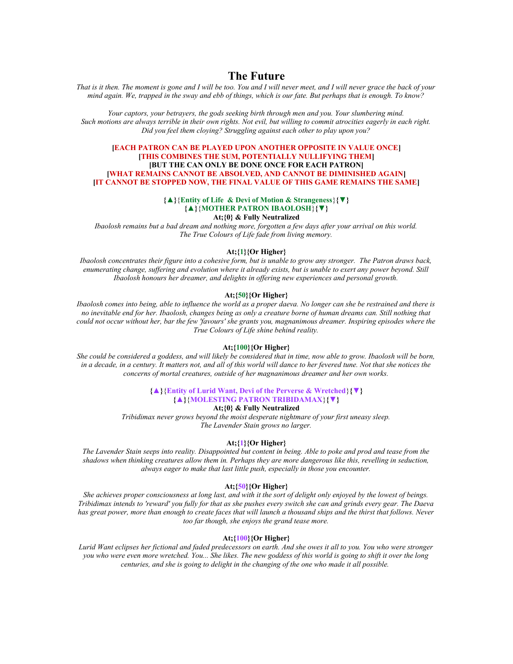# **The Future**

*That is it then. The moment is gone and I will be too. You and I will never meet, and I will never grace the back of your mind again. We, trapped in the sway and ebb of things, which is our fate. But perhaps that is enough. To know?*

*Your captors, your betrayers, the gods seeking birth through men and you. Your slumbering mind. Such motions are always terrible in their own rights. Not evil, but willing to commit atrocities eagerly in each right. Did you feel them cloying? Struggling against each other to play upon you?*

### **[EACH PATRON CAN BE PLAYED UPON ANOTHER OPPOSITE IN VALUE ONCE] [THIS COMBINES THE SUM, POTENTIALLY NULLIFYING THEM] [BUT THE CAN ONLY BE DONE ONCE FOR EACH PATRON] [WHAT REMAINS CANNOT BE ABSOLVED, AND CANNOT BE DIMINISHED AGAIN] [IT CANNOT BE STOPPED NOW, THE FINAL VALUE OF THIS GAME REMAINS THE SAME]**

#### **{▲}**{**Entity of Life & Devi of Motion & Strangeness**}**{▼} {▲}**{**MOTHER PATRON IBAOLOSH**}**{▼} At;{0} & Fully Neutralized**

*Ibaolosh remains but a bad dream and nothing more, forgotten a few days after your arrival on this world. The True Colours of Life fade from living memory.*

#### **At;{1}{Or Higher}**

*Ibaolosh concentrates their figure into a cohesive form, but is unable to grow any stronger. The Patron draws back, enumerating change, suffering and evolution where it already exists, but is unable to exert any power beyond. Still Ibaolosh honours her dreamer, and delights in offering new experiences and personal growth.*

## **At;{50}{Or Higher}**

*Ibaolosh comes into being, able to influence the world as a proper daeva. No longer can she be restrained and there is no inevitable end for her. Ibaolosh, changes being as only a creature borne of human dreams can. Still nothing that could not occur without her, bar the few 'favours' she grants you, magnanimous dreamer. Inspiring episodes where the True Colours of Life shine behind reality.*

## **At;{100}{Or Higher}**

*She could be considered a goddess, and will likely be considered that in time, now able to grow. Ibaolosh will be born, in a decade, in a century. It matters not, and all of this world will dance to her fevered tune. Not that she notices the concerns of mortal creatures, outside of her magnanimous dreamer and her own works.*

# **{▲}**{**Entity of Lurid Want, Devi of the Perverse & Wretched**}**{▼}**

# **{▲}**{**MOLESTING PATRON TRIBIDAMAX**}**{▼}**

**At;{0} & Fully Neutralized**

*Tribidimax never grows beyond the moist desperate nightmare of your first uneasy sleep. The Lavender Stain grows no larger.*

## **At;{1}{Or Higher}**

*The Lavender Stain seeps into reality. Disappointed but content in being. Able to poke and prod and tease from the shadows when thinking creatures allow them in. Perhaps they are more dangerous like this, revelling in seduction, always eager to make that last little push, especially in those you encounter.*

#### **At;{50}{Or Higher}**

*She achieves proper consciousness at long last, and with it the sort of delight only enjoyed by the lowest of beings. Tribidimax intends to 'reward' you fully for that as she pushes every switch she can and grinds every gear. The Daeva has great power, more than enough to create faces that will launch a thousand ships and the thirst that follows. Never too far though, she enjoys the grand tease more.*

## **At;{100}{Or Higher}**

*Lurid Want eclipses her fictional and faded predecessors on earth. And she owes it all to you. You who were stronger you who were even more wretched. You... She likes. The new goddess of this world is going to shift it over the long centuries, and she is going to delight in the changing of the one who made it all possible.*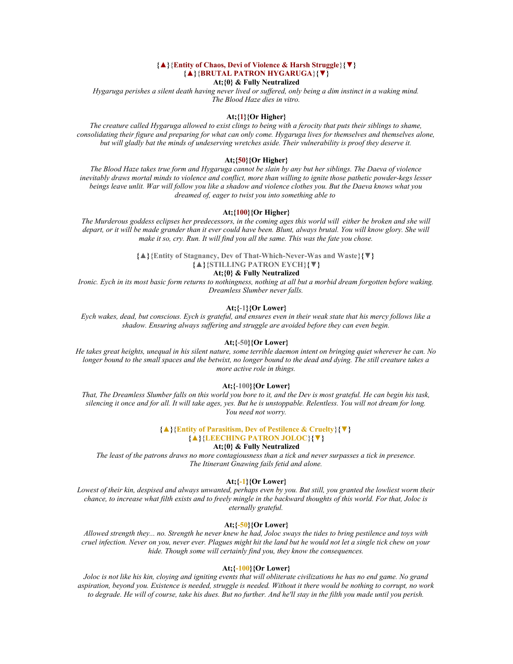## **{▲}**{**Entity of Chaos, Devi of Violence & Harsh Struggle**}**{▼} {▲}**{**BRUTAL PATRON HYGARUGA**}**{▼}**

## **At;{0} & Fully Neutralized**

*Hygaruga perishes a silent death having never lived or suffered, only being a dim instinct in a waking mind. The Blood Haze dies in vitro.*

#### **At;{1}{Or Higher}**

*The creature called Hygaruga allowed to exist clings to being with a ferocity that puts their siblings to shame, consolidating their figure and preparing for what can only come. Hygaruga lives for themselves and themselves alone, but will gladly bat the minds of undeserving wretches aside. Their vulnerability is proof they deserve it.*

## **At;{50}{Or Higher}**

*The Blood Haze takes true form and Hygaruga cannot be slain by any but her siblings. The Daeva of violence inevitably draws mortal minds to violence and conflict, more than willing to ignite those pathetic powder-kegs lesser beings leave unlit. War will follow you like a shadow and violence clothes you. But the Daeva knows what you dreamed of, eager to twist you into something able to* 

#### **At;{100}{Or Higher}**

*The Murderous goddess eclipses her predecessors, in the coming ages this world will either be broken and she will depart, or it will be made grander than it ever could have been. Blunt, always brutal. You will know glory. She will make it so, cry. Run. It will find you all the same. This was the fate you chose.*

> **{▲}**{**Entity of Stagnancy, Dev of That-Which-Never-Was and Waste**}**{▼} {▲}**{**STILLING PATRON EYCH**}**{▼}**

#### **At;{0} & Fully Neutralized**

*Ironic. Eych in its most basic form returns to nothingness, nothing at all but a morbid dream forgotten before waking. Dreamless Slumber never falls.*

## **At;{-1}{Or Lower}**

*Eych wakes, dead, but conscious. Eych is grateful, and ensures even in their weak state that his mercy follows like a shadow. Ensuring always suffering and struggle are avoided before they can even begin.*

#### **At;{-50}{Or Lower}**

*He takes great heights, unequal in his silent nature, some terrible daemon intent on bringing quiet wherever he can. No longer bound to the small spaces and the betwixt, no longer bound to the dead and dying. The still creature takes a more active role in things.*

#### **At;{-100}{Or Lower}**

*That, The Dreamless Slumber falls on this world you bore to it, and the Dev is most grateful. He can begin his task, silencing it once and for all. It will take ages, yes. But he is unstoppable. Relentless. You will not dream for long. You need not worry.*

## **{▲}**{**Entity of Parasitism, Dev of Pestilence & Cruelty**}**{▼} {▲}**{**LEECHING PATRON JOLOC**}**{▼} At;{0} & Fully Neutralized**

*The least of the patrons draws no more contagiousness than a tick and never surpasses a tick in presence. The Itinerant Gnawing fails fetid and alone.*

#### **At;{-1}{Or Lower}**

*Lowest of their kin, despised and always unwanted, perhaps even by you. But still, you granted the lowliest worm their chance, to increase what filth exists and to freely mingle in the backward thoughts of this world. For that, Joloc is eternally grateful.*

## **At;{-50}{Or Lower}**

*Allowed strength they... no. Strength he never knew he had, Joloc sways the tides to bring pestilence and toys with cruel infection. Never on you, never ever. Plagues might hit the land but he would not let a single tick chew on your hide. Though some will certainly find you, they know the consequences.*

#### **At;{-100}{Or Lower}**

*Joloc is not like his kin, cloying and igniting events that will obliterate civilizations he has no end game. No grand aspiration, beyond you. Existence is needed, struggle is needed. Without it there would be nothing to corrupt, no work to degrade. He will of course, take his dues. But no further. And he'll stay in the filth you made until you perish.*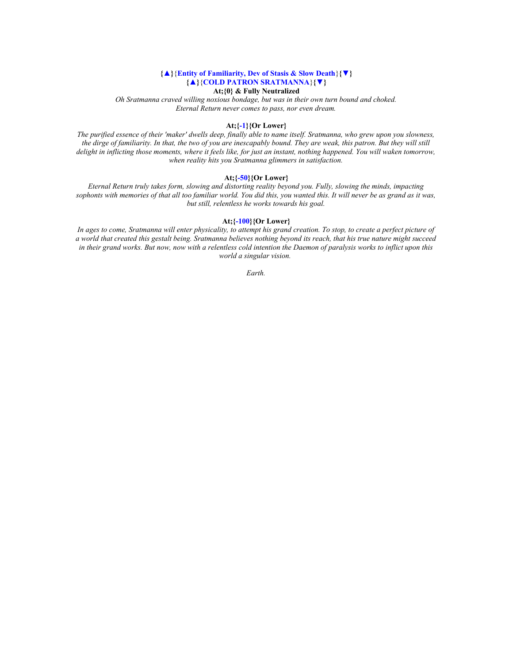# **{▲}**{**Entity of Familiarity, Dev of Stasis & Slow Death**}**{▼} {▲}**{**COLD PATRON SRATMANNA**}**{▼}**

**At;{0} & Fully Neutralized**

*Oh Sratmanna craved willing noxious bondage, but was in their own turn bound and choked. Eternal Return never comes to pass, nor even dream.*

## **At;{-1}{Or Lower}**

*The purified essence of their 'maker' dwells deep, finally able to name itself. Sratmanna, who grew upon you slowness, the dirge of familiarity. In that, the two of you are inescapably bound. They are weak, this patron. But they will still delight in inflicting those moments, where it feels like, for just an instant, nothing happened. You will waken tomorrow, when reality hits you Sratmanna glimmers in satisfaction.*

## **At;{-50}{Or Lower}**

*Eternal Return truly takes form, slowing and distorting reality beyond you. Fully, slowing the minds, impacting sophonts with memories of that all too familiar world. You did this, you wanted this. It will never be as grand as it was, but still, relentless he works towards his goal.*

## **At;{-100}{Or Lower}**

*In ages to come, Sratmanna will enter physicality, to attempt his grand creation. To stop, to create a perfect picture of a world that created this gestalt being. Sratmanna believes nothing beyond its reach, that his true nature might succeed in their grand works. But now, now with a relentless cold intention the Daemon of paralysis works to inflict upon this world a singular vision.* 

*Earth.*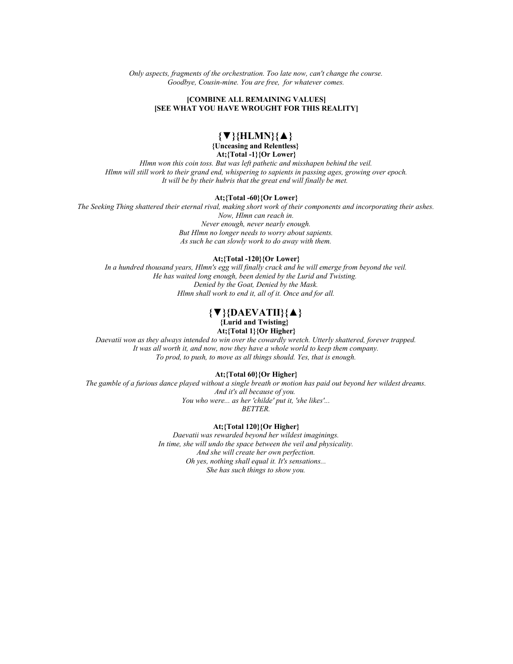*Only aspects, fragments of the orchestration. Too late now, can't change the course. Goodbye, Cousin-mine. You are free, for whatever comes.*

### **[COMBINE ALL REMAINING VALUES] [SEE WHAT YOU HAVE WROUGHT FOR THIS REALITY]**

# **{▼}{HLMN}{▲}**

**{Unceasing and Relentless} At;{Total -1}{Or Lower}**

*Hlmn won this coin toss. But was left pathetic and misshapen behind the veil. Hlmn will still work to their grand end, whispering to sapients in passing ages, growing over epoch. It will be by their hubris that the great end will finally be met.* 

## **At;{Total -60}{Or Lower}**

*The Seeking Thing shattered their eternal rival, making short work of their components and incorporating their ashes. Now, Hlmn can reach in. Never enough, never nearly enough. But Hlmn no longer needs to worry about sapients. As such he can slowly work to do away with them.*

## **At;{Total -120}{Or Lower}**

*In a hundred thousand years, Hlmn's egg will finally crack and he will emerge from beyond the veil. He has waited long enough, been denied by the Lurid and Twisting. Denied by the Goat, Denied by the Mask. Hlmn shall work to end it, all of it. Once and for all.*

# **{▼}{DAEVATII}{▲}**

## **{Lurid and Twisting} At;{Total 1}{Or Higher}**

*Daevatii won as they always intended to win over the cowardly wretch. Utterly shattered, forever trapped. It was all worth it, and now, now they have a whole world to keep them company. To prod, to push, to move as all things should. Yes, that is enough.*

## **At;{Total 60}{Or Higher}**

*The gamble of a furious dance played without a single breath or motion has paid out beyond her wildest dreams. And it's all because of you. You who were... as her 'childe' put it, 'she likes'... BETTER.*

## **At;{Total 120}{Or Higher}**

*Daevatii was rewarded beyond her wildest imaginings. In time, she will undo the space between the veil and physicality. And she will create her own perfection. Oh yes, nothing shall equal it. It's sensations... She has such things to show you.*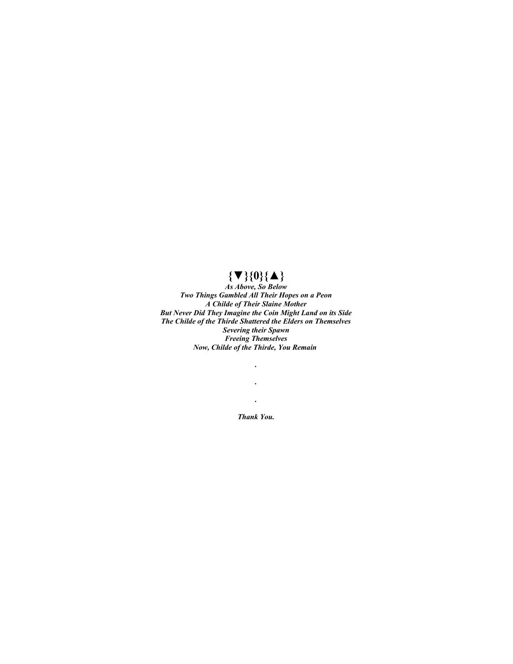# **{▼}{0}{▲}**

*As Above, So Below Two Things Gambled All Their Hopes on a Peon A Childe of Their Slaine Mother But Never Did They Imagine the Coin Might Land on its Side The Childe of the Thirde Shattered the Elders on Themselves Severing their Spawn Freeing Themselves Now, Childe of the Thirde, You Remain* 

*.*

*. .*

*Thank You.*